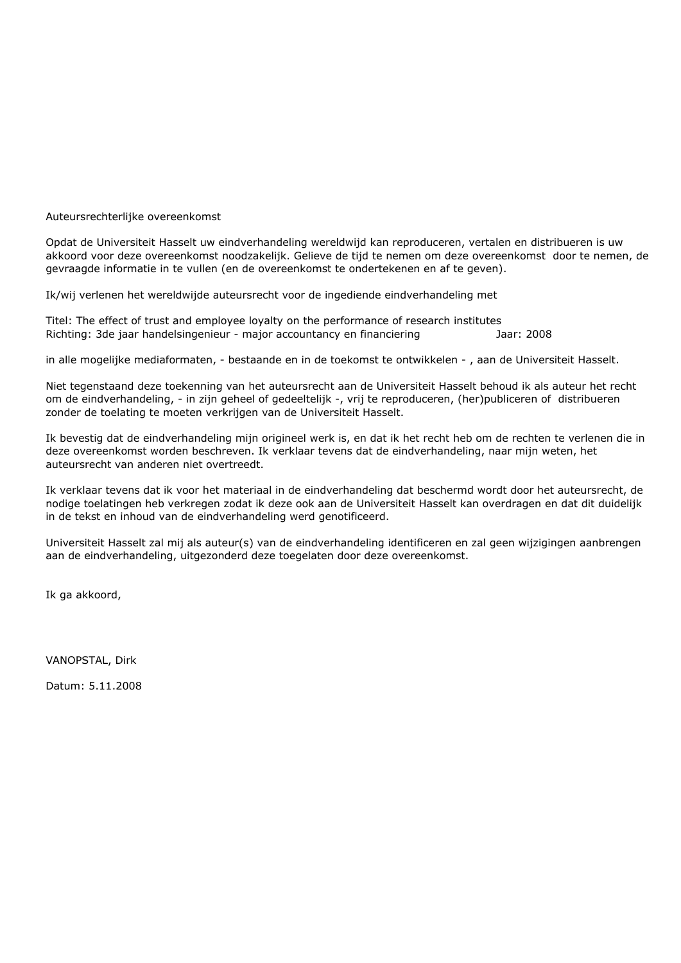Auteursrechterlijke overeenkomst

Opdat de Universiteit Hasselt uw eindverhandeling wereldwijd kan reproduceren, vertalen en distribueren is uw akkoord voor deze overeenkomst noodzakelijk. Gelieve de tijd te nemen om deze overeenkomst door te nemen, de gevraagde informatie in te vullen (en de overeenkomst te ondertekenen en af te geven).

Ik/wij verlenen het wereldwijde auteursrecht voor de ingediende eindverhandeling met

Titel: The effect of trust and employee loyalty on the performance of research institutes Richting: 3de jaar handelsingenieur - major accountancy en financiering Jaar: 2008

in alle mogelijke mediaformaten, - bestaande en in de toekomst te ontwikkelen - , aan de Universiteit Hasselt.

Niet tegenstaand deze toekenning van het auteursrecht aan de Universiteit Hasselt behoud ik als auteur het recht om de eindverhandeling, - in zijn geheel of gedeeltelijk -, vrij te reproduceren, (her)publiceren of distribueren zonder de toelating te moeten verkrijgen van de Universiteit Hasselt.

Ik bevestig dat de eindverhandeling mijn origineel werk is, en dat ik het recht heb om de rechten te verlenen die in deze overeenkomst worden beschreven. Ik verklaar tevens dat de eindverhandeling, naar mijn weten, het auteursrecht van anderen niet overtreedt.

Ik verklaar tevens dat ik voor het materiaal in de eindverhandeling dat beschermd wordt door het auteursrecht, de nodige toelatingen heb verkregen zodat ik deze ook aan de Universiteit Hasselt kan overdragen en dat dit duidelijk in de tekst en inhoud van de eindverhandeling werd genotificeerd.

Universiteit Hasselt zal mij als auteur(s) van de eindverhandeling identificeren en zal geen wijzigingen aanbrengen aan de eindverhandeling, uitgezonderd deze toegelaten door deze overeenkomst.

Ik ga akkoord,

VANOPSTAL, Dirk

Datum: 5.11.2008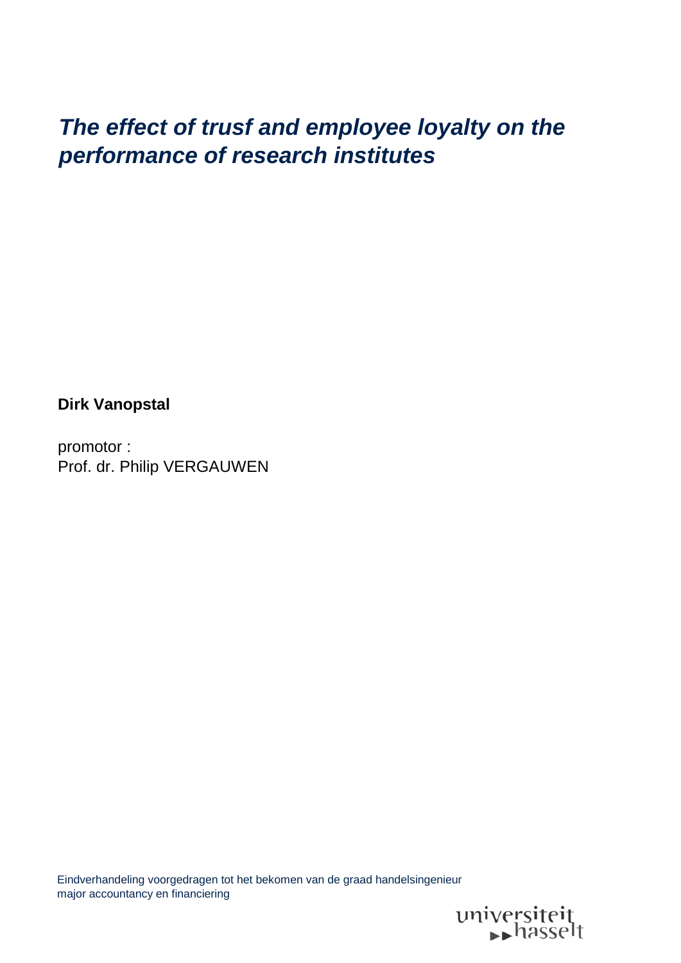# *The effect of trusf and employee loyalty on the performance of research institutes*

**Dirk Vanopstal**

promotor : Prof. dr. Philip VERGAUWEN

Eindverhandeling voorgedragen tot het bekomen van de graad handelsingenieur major accountancy en financiering

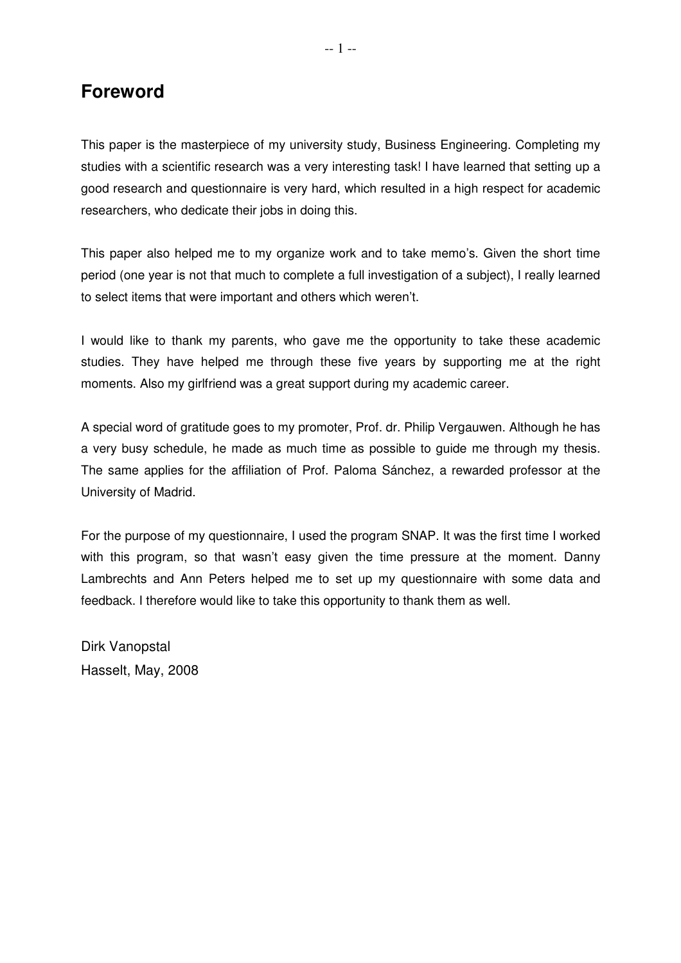## **Foreword**

This paper is the masterpiece of my university study, Business Engineering. Completing my studies with a scientific research was a very interesting task! I have learned that setting up a good research and questionnaire is very hard, which resulted in a high respect for academic researchers, who dedicate their jobs in doing this.

This paper also helped me to my organize work and to take memo's. Given the short time period (one year is not that much to complete a full investigation of a subject), I really learned to select items that were important and others which weren't.

I would like to thank my parents, who gave me the opportunity to take these academic studies. They have helped me through these five years by supporting me at the right moments. Also my girlfriend was a great support during my academic career.

A special word of gratitude goes to my promoter, Prof. dr. Philip Vergauwen. Although he has a very busy schedule, he made as much time as possible to guide me through my thesis. The same applies for the affiliation of Prof. Paloma Sánchez, a rewarded professor at the University of Madrid.

For the purpose of my questionnaire, I used the program SNAP. It was the first time I worked with this program, so that wasn't easy given the time pressure at the moment. Danny Lambrechts and Ann Peters helped me to set up my questionnaire with some data and feedback. I therefore would like to take this opportunity to thank them as well.

Dirk Vanopstal Hasselt, May, 2008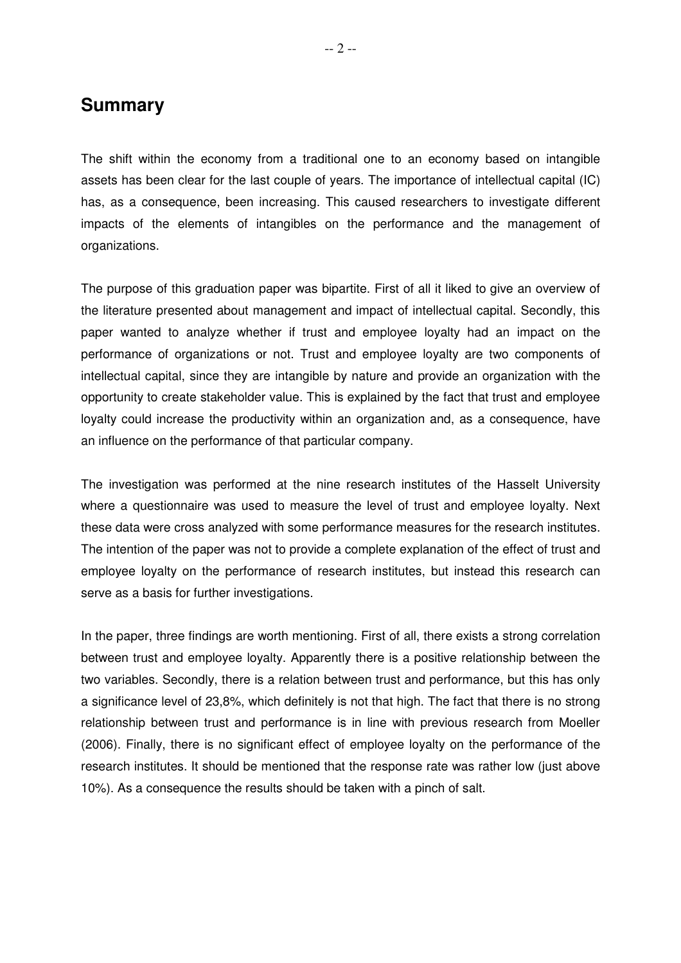## **Summary**

The shift within the economy from a traditional one to an economy based on intangible assets has been clear for the last couple of years. The importance of intellectual capital (IC) has, as a consequence, been increasing. This caused researchers to investigate different impacts of the elements of intangibles on the performance and the management of organizations.

The purpose of this graduation paper was bipartite. First of all it liked to give an overview of the literature presented about management and impact of intellectual capital. Secondly, this paper wanted to analyze whether if trust and employee loyalty had an impact on the performance of organizations or not. Trust and employee loyalty are two components of intellectual capital, since they are intangible by nature and provide an organization with the opportunity to create stakeholder value. This is explained by the fact that trust and employee loyalty could increase the productivity within an organization and, as a consequence, have an influence on the performance of that particular company.

The investigation was performed at the nine research institutes of the Hasselt University where a questionnaire was used to measure the level of trust and employee loyalty. Next these data were cross analyzed with some performance measures for the research institutes. The intention of the paper was not to provide a complete explanation of the effect of trust and employee loyalty on the performance of research institutes, but instead this research can serve as a basis for further investigations.

In the paper, three findings are worth mentioning. First of all, there exists a strong correlation between trust and employee loyalty. Apparently there is a positive relationship between the two variables. Secondly, there is a relation between trust and performance, but this has only a significance level of 23,8%, which definitely is not that high. The fact that there is no strong relationship between trust and performance is in line with previous research from Moeller (2006). Finally, there is no significant effect of employee loyalty on the performance of the research institutes. It should be mentioned that the response rate was rather low (just above 10%). As a consequence the results should be taken with a pinch of salt.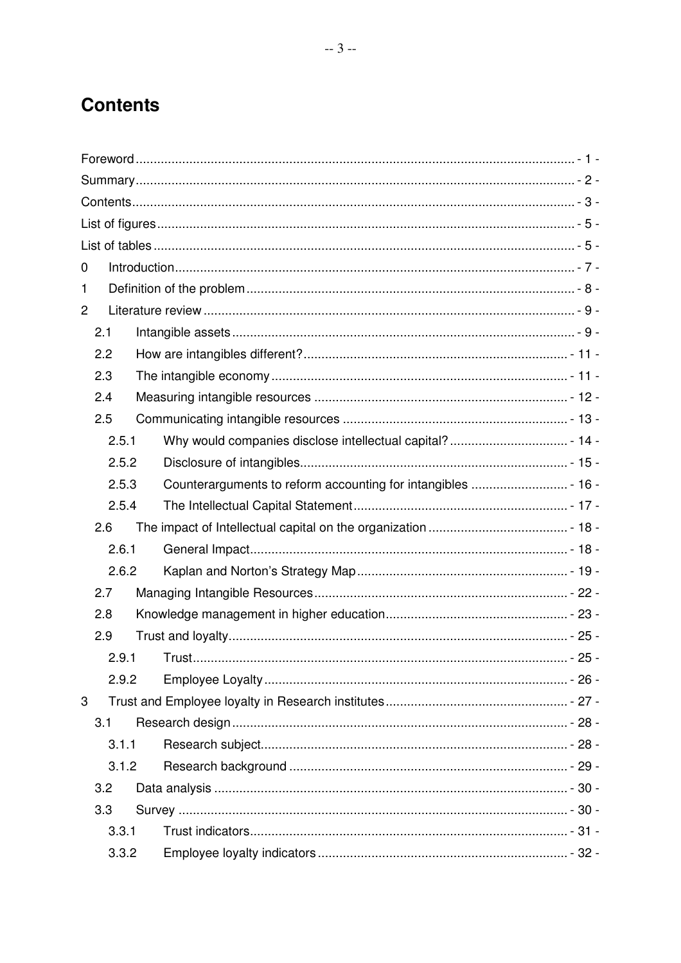## **Contents**

| 0              |       |  |  |  |
|----------------|-------|--|--|--|
| 1              |       |  |  |  |
| $\overline{2}$ |       |  |  |  |
|                | 2.1   |  |  |  |
|                | 2.2   |  |  |  |
|                | 2.3   |  |  |  |
|                | 2.4   |  |  |  |
|                | 2.5   |  |  |  |
|                | 2.5.1 |  |  |  |
|                | 2.5.2 |  |  |  |
|                | 2.5.3 |  |  |  |
|                | 2.5.4 |  |  |  |
|                | 2.6   |  |  |  |
|                | 2.6.1 |  |  |  |
|                | 2.6.2 |  |  |  |
|                | 2.7   |  |  |  |
|                | 2.8   |  |  |  |
|                | 2.9   |  |  |  |
|                | 2.9.1 |  |  |  |
|                | 2.9.2 |  |  |  |
| 3              |       |  |  |  |
|                | 3.1   |  |  |  |
|                | 3.1.1 |  |  |  |
|                | 3.1.2 |  |  |  |
|                | 3.2   |  |  |  |
|                | 3.3   |  |  |  |
|                | 3.3.1 |  |  |  |
|                | 3.3.2 |  |  |  |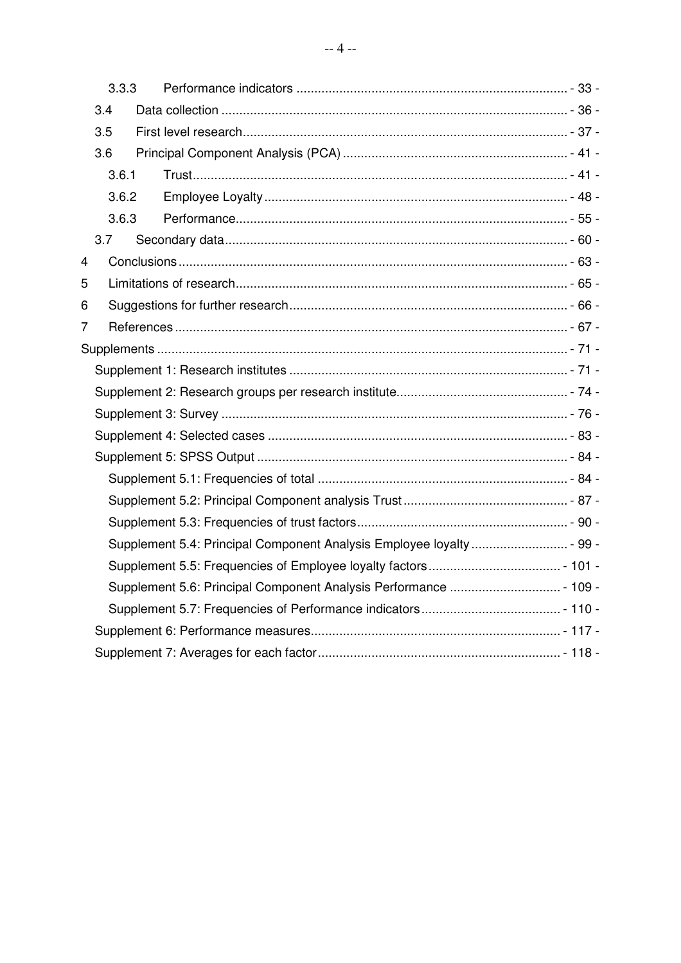|                | 3.3.3                                                                 |  |  |  |  |
|----------------|-----------------------------------------------------------------------|--|--|--|--|
|                | 3.4                                                                   |  |  |  |  |
|                | 3.5                                                                   |  |  |  |  |
|                | 3.6                                                                   |  |  |  |  |
|                | 3.6.1                                                                 |  |  |  |  |
| 3.6.2<br>3.6.3 |                                                                       |  |  |  |  |
|                |                                                                       |  |  |  |  |
|                | 3.7                                                                   |  |  |  |  |
| 4              |                                                                       |  |  |  |  |
| 5              |                                                                       |  |  |  |  |
| 6              |                                                                       |  |  |  |  |
| 7              |                                                                       |  |  |  |  |
|                |                                                                       |  |  |  |  |
|                |                                                                       |  |  |  |  |
|                |                                                                       |  |  |  |  |
|                |                                                                       |  |  |  |  |
|                |                                                                       |  |  |  |  |
|                |                                                                       |  |  |  |  |
|                |                                                                       |  |  |  |  |
|                |                                                                       |  |  |  |  |
|                |                                                                       |  |  |  |  |
|                | Supplement 5.4: Principal Component Analysis Employee loyalty  - 99 - |  |  |  |  |
|                |                                                                       |  |  |  |  |
|                |                                                                       |  |  |  |  |
|                |                                                                       |  |  |  |  |
|                |                                                                       |  |  |  |  |
|                |                                                                       |  |  |  |  |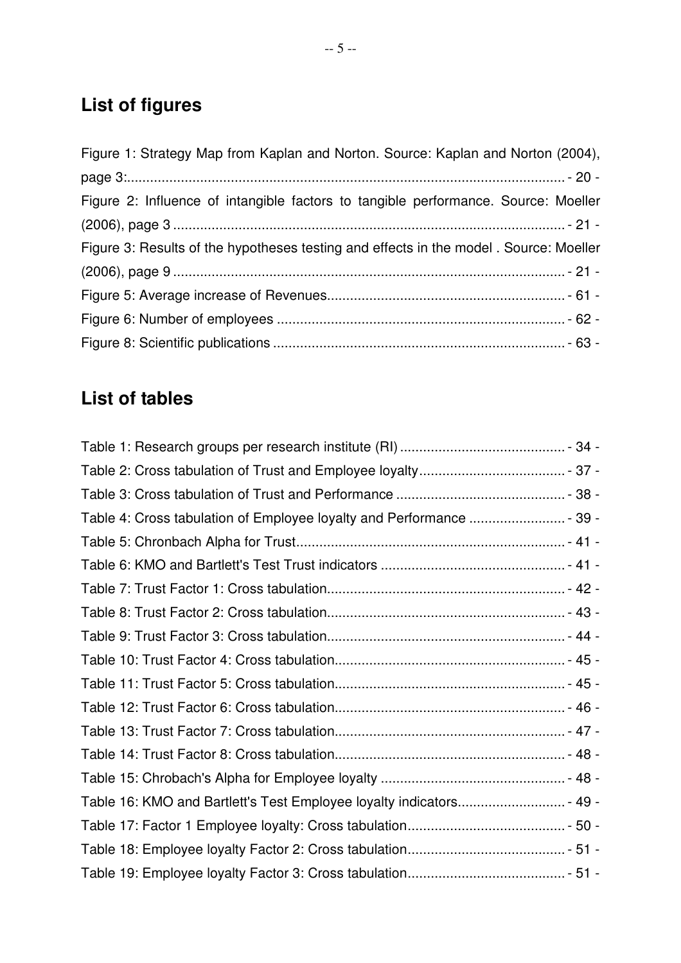# **List of figures**

| Figure 1: Strategy Map from Kaplan and Norton. Source: Kaplan and Norton (2004),      |
|---------------------------------------------------------------------------------------|
|                                                                                       |
| Figure 2: Influence of intangible factors to tangible performance. Source: Moeller    |
|                                                                                       |
| Figure 3: Results of the hypotheses testing and effects in the model. Source: Moeller |
|                                                                                       |
|                                                                                       |
|                                                                                       |
|                                                                                       |

# **List of tables**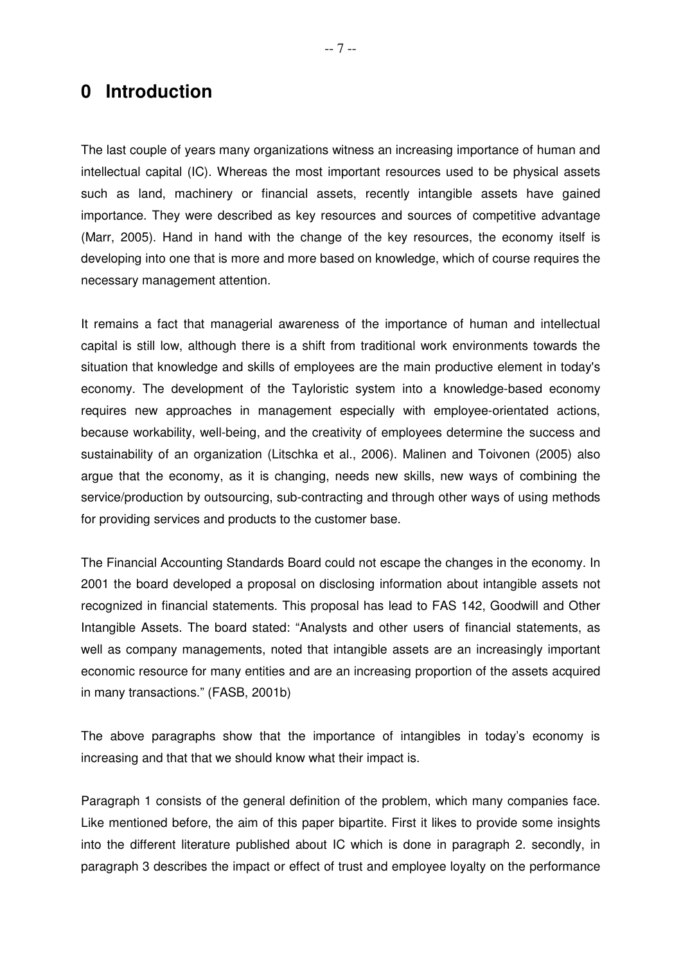## **0 Introduction**

The last couple of years many organizations witness an increasing importance of human and intellectual capital (IC). Whereas the most important resources used to be physical assets such as land, machinery or financial assets, recently intangible assets have gained importance. They were described as key resources and sources of competitive advantage (Marr, 2005). Hand in hand with the change of the key resources, the economy itself is developing into one that is more and more based on knowledge, which of course requires the necessary management attention.

It remains a fact that managerial awareness of the importance of human and intellectual capital is still low, although there is a shift from traditional work environments towards the situation that knowledge and skills of employees are the main productive element in today's economy. The development of the Tayloristic system into a knowledge-based economy requires new approaches in management especially with employee-orientated actions, because workability, well-being, and the creativity of employees determine the success and sustainability of an organization (Litschka et al., 2006). Malinen and Toivonen (2005) also argue that the economy, as it is changing, needs new skills, new ways of combining the service/production by outsourcing, sub-contracting and through other ways of using methods for providing services and products to the customer base.

The Financial Accounting Standards Board could not escape the changes in the economy. In 2001 the board developed a proposal on disclosing information about intangible assets not recognized in financial statements. This proposal has lead to FAS 142, Goodwill and Other Intangible Assets. The board stated: "Analysts and other users of financial statements, as well as company managements, noted that intangible assets are an increasingly important economic resource for many entities and are an increasing proportion of the assets acquired in many transactions." (FASB, 2001b)

The above paragraphs show that the importance of intangibles in today's economy is increasing and that that we should know what their impact is.

Paragraph 1 consists of the general definition of the problem, which many companies face. Like mentioned before, the aim of this paper bipartite. First it likes to provide some insights into the different literature published about IC which is done in paragraph 2. secondly, in paragraph 3 describes the impact or effect of trust and employee loyalty on the performance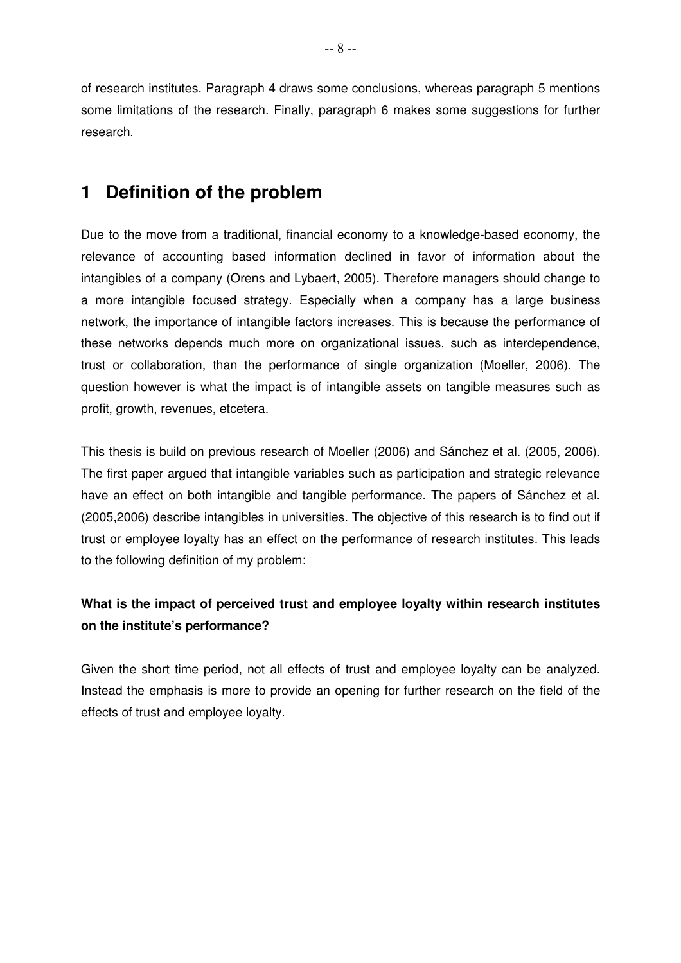of research institutes. Paragraph 4 draws some conclusions, whereas paragraph 5 mentions some limitations of the research. Finally, paragraph 6 makes some suggestions for further research.

## **1 Definition of the problem**

Due to the move from a traditional, financial economy to a knowledge-based economy, the relevance of accounting based information declined in favor of information about the intangibles of a company (Orens and Lybaert, 2005). Therefore managers should change to a more intangible focused strategy. Especially when a company has a large business network, the importance of intangible factors increases. This is because the performance of these networks depends much more on organizational issues, such as interdependence, trust or collaboration, than the performance of single organization (Moeller, 2006). The question however is what the impact is of intangible assets on tangible measures such as profit, growth, revenues, etcetera.

This thesis is build on previous research of Moeller (2006) and Sánchez et al. (2005, 2006). The first paper argued that intangible variables such as participation and strategic relevance have an effect on both intangible and tangible performance. The papers of Sánchez et al. (2005,2006) describe intangibles in universities. The objective of this research is to find out if trust or employee loyalty has an effect on the performance of research institutes. This leads to the following definition of my problem:

## **What is the impact of perceived trust and employee loyalty within research institutes on the institute's performance?**

Given the short time period, not all effects of trust and employee loyalty can be analyzed. Instead the emphasis is more to provide an opening for further research on the field of the effects of trust and employee loyalty.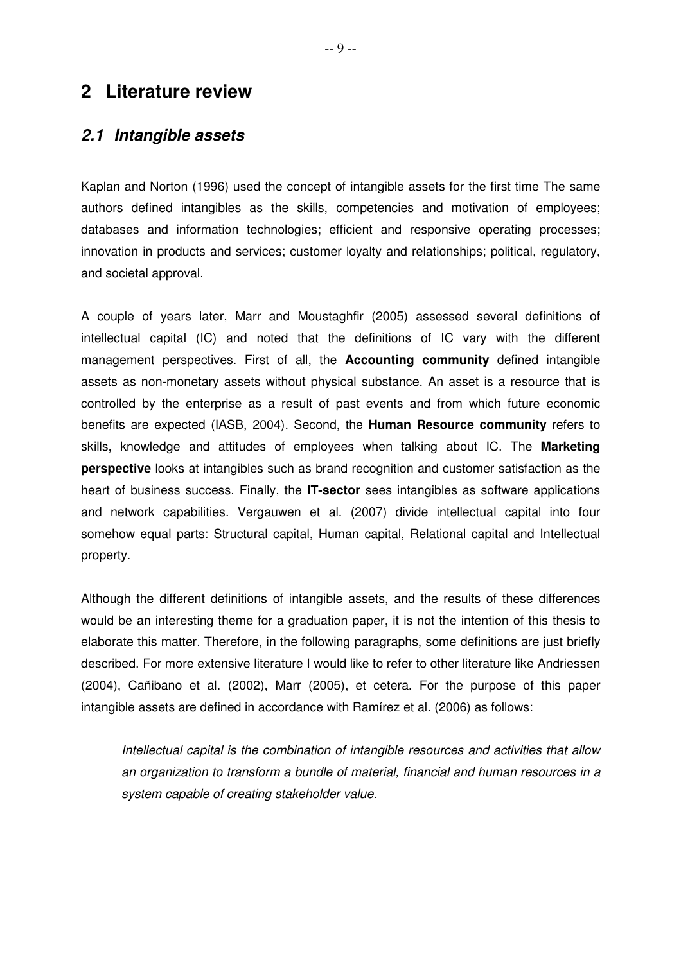## **2 Literature review**

#### **2.1 Intangible assets**

Kaplan and Norton (1996) used the concept of intangible assets for the first time The same authors defined intangibles as the skills, competencies and motivation of employees; databases and information technologies; efficient and responsive operating processes; innovation in products and services; customer loyalty and relationships; political, regulatory, and societal approval.

A couple of years later, Marr and Moustaghfir (2005) assessed several definitions of intellectual capital (IC) and noted that the definitions of IC vary with the different management perspectives. First of all, the **Accounting community** defined intangible assets as non-monetary assets without physical substance. An asset is a resource that is controlled by the enterprise as a result of past events and from which future economic benefits are expected (IASB, 2004). Second, the **Human Resource community** refers to skills, knowledge and attitudes of employees when talking about IC. The **Marketing perspective** looks at intangibles such as brand recognition and customer satisfaction as the heart of business success. Finally, the **IT-sector** sees intangibles as software applications and network capabilities. Vergauwen et al. (2007) divide intellectual capital into four somehow equal parts: Structural capital, Human capital, Relational capital and Intellectual property.

Although the different definitions of intangible assets, and the results of these differences would be an interesting theme for a graduation paper, it is not the intention of this thesis to elaborate this matter. Therefore, in the following paragraphs, some definitions are just briefly described. For more extensive literature I would like to refer to other literature like Andriessen (2004), Cañibano et al. (2002), Marr (2005), et cetera. For the purpose of this paper intangible assets are defined in accordance with Ramírez et al. (2006) as follows:

Intellectual capital is the combination of intangible resources and activities that allow an organization to transform a bundle of material, financial and human resources in a system capable of creating stakeholder value.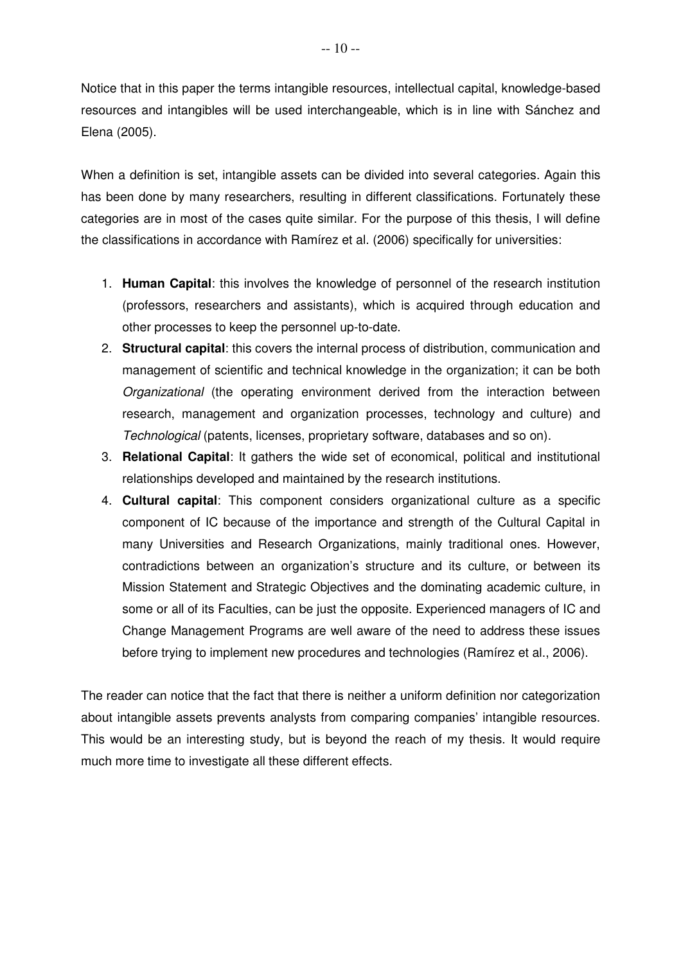Notice that in this paper the terms intangible resources, intellectual capital, knowledge-based resources and intangibles will be used interchangeable, which is in line with Sánchez and Elena (2005).

When a definition is set, intangible assets can be divided into several categories. Again this has been done by many researchers, resulting in different classifications. Fortunately these categories are in most of the cases quite similar. For the purpose of this thesis, I will define the classifications in accordance with Ramírez et al. (2006) specifically for universities:

- 1. **Human Capital**: this involves the knowledge of personnel of the research institution (professors, researchers and assistants), which is acquired through education and other processes to keep the personnel up-to-date.
- 2. **Structural capital**: this covers the internal process of distribution, communication and management of scientific and technical knowledge in the organization; it can be both Organizational (the operating environment derived from the interaction between research, management and organization processes, technology and culture) and Technological (patents, licenses, proprietary software, databases and so on).
- 3. **Relational Capital**: It gathers the wide set of economical, political and institutional relationships developed and maintained by the research institutions.
- 4. **Cultural capital**: This component considers organizational culture as a specific component of IC because of the importance and strength of the Cultural Capital in many Universities and Research Organizations, mainly traditional ones. However, contradictions between an organization's structure and its culture, or between its Mission Statement and Strategic Objectives and the dominating academic culture, in some or all of its Faculties, can be just the opposite. Experienced managers of IC and Change Management Programs are well aware of the need to address these issues before trying to implement new procedures and technologies (Ramírez et al., 2006).

The reader can notice that the fact that there is neither a uniform definition nor categorization about intangible assets prevents analysts from comparing companies' intangible resources. This would be an interesting study, but is beyond the reach of my thesis. It would require much more time to investigate all these different effects.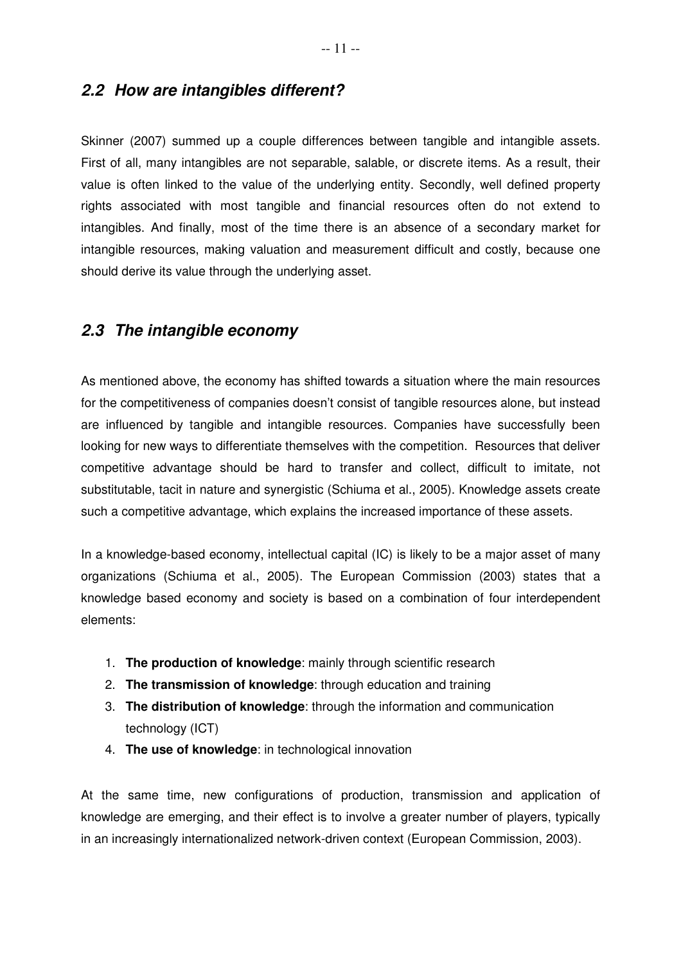## **2.2 How are intangibles different?**

Skinner (2007) summed up a couple differences between tangible and intangible assets. First of all, many intangibles are not separable, salable, or discrete items. As a result, their value is often linked to the value of the underlying entity. Secondly, well defined property rights associated with most tangible and financial resources often do not extend to intangibles. And finally, most of the time there is an absence of a secondary market for intangible resources, making valuation and measurement difficult and costly, because one should derive its value through the underlying asset.

### **2.3 The intangible economy**

As mentioned above, the economy has shifted towards a situation where the main resources for the competitiveness of companies doesn't consist of tangible resources alone, but instead are influenced by tangible and intangible resources. Companies have successfully been looking for new ways to differentiate themselves with the competition. Resources that deliver competitive advantage should be hard to transfer and collect, difficult to imitate, not substitutable, tacit in nature and synergistic (Schiuma et al., 2005). Knowledge assets create such a competitive advantage, which explains the increased importance of these assets.

In a knowledge-based economy, intellectual capital (IC) is likely to be a major asset of many organizations (Schiuma et al., 2005). The European Commission (2003) states that a knowledge based economy and society is based on a combination of four interdependent elements:

- 1. **The production of knowledge**: mainly through scientific research
- 2. **The transmission of knowledge**: through education and training
- 3. **The distribution of knowledge**: through the information and communication technology (ICT)
- 4. **The use of knowledge**: in technological innovation

At the same time, new configurations of production, transmission and application of knowledge are emerging, and their effect is to involve a greater number of players, typically in an increasingly internationalized network-driven context (European Commission, 2003).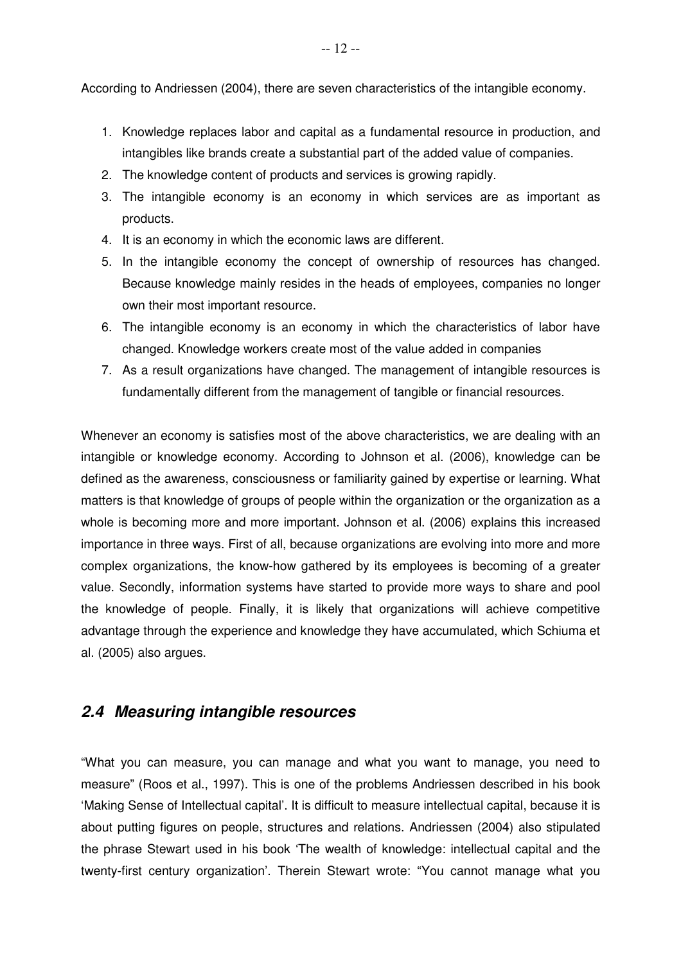According to Andriessen (2004), there are seven characteristics of the intangible economy.

- 1. Knowledge replaces labor and capital as a fundamental resource in production, and intangibles like brands create a substantial part of the added value of companies.
- 2. The knowledge content of products and services is growing rapidly.
- 3. The intangible economy is an economy in which services are as important as products.
- 4. It is an economy in which the economic laws are different.
- 5. In the intangible economy the concept of ownership of resources has changed. Because knowledge mainly resides in the heads of employees, companies no longer own their most important resource.
- 6. The intangible economy is an economy in which the characteristics of labor have changed. Knowledge workers create most of the value added in companies
- 7. As a result organizations have changed. The management of intangible resources is fundamentally different from the management of tangible or financial resources.

Whenever an economy is satisfies most of the above characteristics, we are dealing with an intangible or knowledge economy. According to Johnson et al. (2006), knowledge can be defined as the awareness, consciousness or familiarity gained by expertise or learning. What matters is that knowledge of groups of people within the organization or the organization as a whole is becoming more and more important. Johnson et al. (2006) explains this increased importance in three ways. First of all, because organizations are evolving into more and more complex organizations, the know-how gathered by its employees is becoming of a greater value. Secondly, information systems have started to provide more ways to share and pool the knowledge of people. Finally, it is likely that organizations will achieve competitive advantage through the experience and knowledge they have accumulated, which Schiuma et al. (2005) also argues.

## **2.4 Measuring intangible resources**

"What you can measure, you can manage and what you want to manage, you need to measure" (Roos et al., 1997). This is one of the problems Andriessen described in his book 'Making Sense of Intellectual capital'. It is difficult to measure intellectual capital, because it is about putting figures on people, structures and relations. Andriessen (2004) also stipulated the phrase Stewart used in his book 'The wealth of knowledge: intellectual capital and the twenty-first century organization'. Therein Stewart wrote: "You cannot manage what you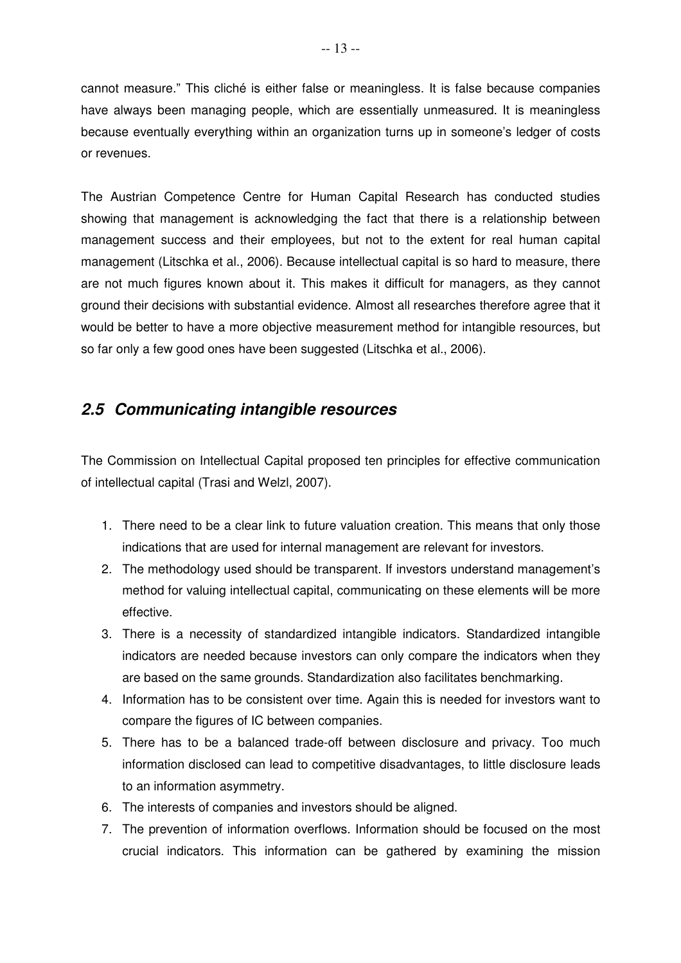cannot measure." This cliché is either false or meaningless. It is false because companies have always been managing people, which are essentially unmeasured. It is meaningless because eventually everything within an organization turns up in someone's ledger of costs or revenues.

The Austrian Competence Centre for Human Capital Research has conducted studies showing that management is acknowledging the fact that there is a relationship between management success and their employees, but not to the extent for real human capital management (Litschka et al., 2006). Because intellectual capital is so hard to measure, there are not much figures known about it. This makes it difficult for managers, as they cannot ground their decisions with substantial evidence. Almost all researches therefore agree that it would be better to have a more objective measurement method for intangible resources, but so far only a few good ones have been suggested (Litschka et al., 2006).

## **2.5 Communicating intangible resources**

The Commission on Intellectual Capital proposed ten principles for effective communication of intellectual capital (Trasi and Welzl, 2007).

- 1. There need to be a clear link to future valuation creation. This means that only those indications that are used for internal management are relevant for investors.
- 2. The methodology used should be transparent. If investors understand management's method for valuing intellectual capital, communicating on these elements will be more effective.
- 3. There is a necessity of standardized intangible indicators. Standardized intangible indicators are needed because investors can only compare the indicators when they are based on the same grounds. Standardization also facilitates benchmarking.
- 4. Information has to be consistent over time. Again this is needed for investors want to compare the figures of IC between companies.
- 5. There has to be a balanced trade-off between disclosure and privacy. Too much information disclosed can lead to competitive disadvantages, to little disclosure leads to an information asymmetry.
- 6. The interests of companies and investors should be aligned.
- 7. The prevention of information overflows. Information should be focused on the most crucial indicators. This information can be gathered by examining the mission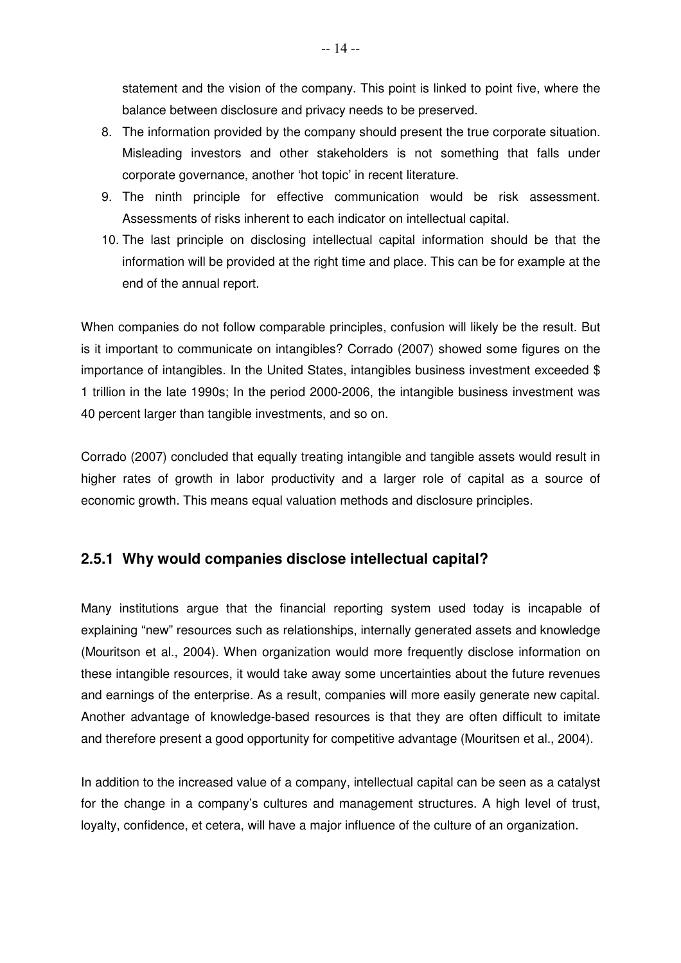statement and the vision of the company. This point is linked to point five, where the balance between disclosure and privacy needs to be preserved.

- 8. The information provided by the company should present the true corporate situation. Misleading investors and other stakeholders is not something that falls under corporate governance, another 'hot topic' in recent literature.
- 9. The ninth principle for effective communication would be risk assessment. Assessments of risks inherent to each indicator on intellectual capital.
- 10. The last principle on disclosing intellectual capital information should be that the information will be provided at the right time and place. This can be for example at the end of the annual report.

When companies do not follow comparable principles, confusion will likely be the result. But is it important to communicate on intangibles? Corrado (2007) showed some figures on the importance of intangibles. In the United States, intangibles business investment exceeded \$ 1 trillion in the late 1990s; In the period 2000-2006, the intangible business investment was 40 percent larger than tangible investments, and so on.

Corrado (2007) concluded that equally treating intangible and tangible assets would result in higher rates of growth in labor productivity and a larger role of capital as a source of economic growth. This means equal valuation methods and disclosure principles.

#### **2.5.1 Why would companies disclose intellectual capital?**

Many institutions argue that the financial reporting system used today is incapable of explaining "new" resources such as relationships, internally generated assets and knowledge (Mouritson et al., 2004). When organization would more frequently disclose information on these intangible resources, it would take away some uncertainties about the future revenues and earnings of the enterprise. As a result, companies will more easily generate new capital. Another advantage of knowledge-based resources is that they are often difficult to imitate and therefore present a good opportunity for competitive advantage (Mouritsen et al., 2004).

In addition to the increased value of a company, intellectual capital can be seen as a catalyst for the change in a company's cultures and management structures. A high level of trust, loyalty, confidence, et cetera, will have a major influence of the culture of an organization.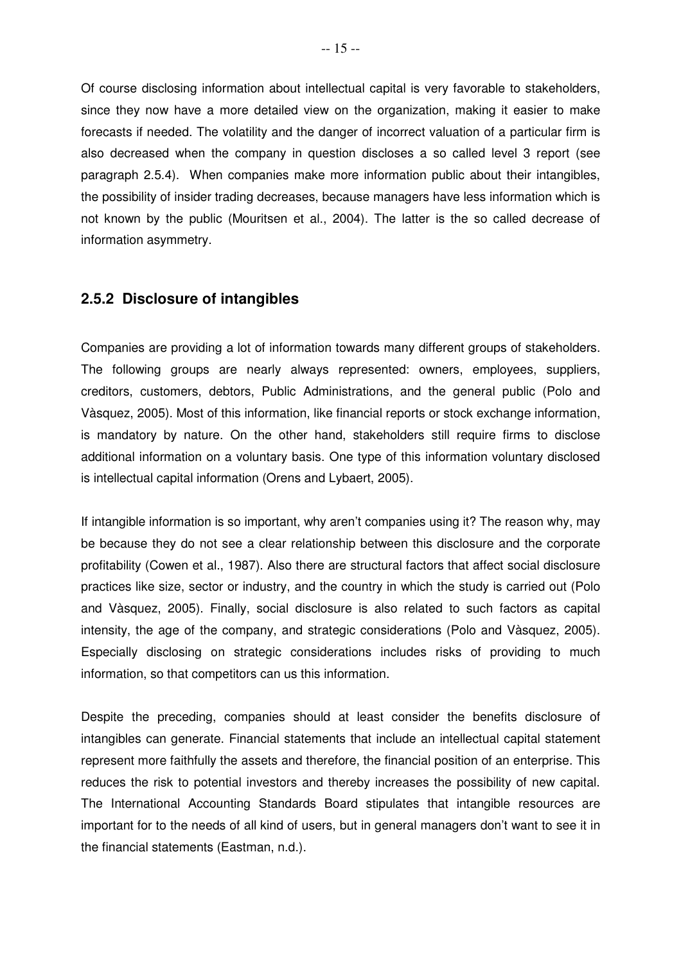Of course disclosing information about intellectual capital is very favorable to stakeholders, since they now have a more detailed view on the organization, making it easier to make forecasts if needed. The volatility and the danger of incorrect valuation of a particular firm is also decreased when the company in question discloses a so called level 3 report (see paragraph 2.5.4). When companies make more information public about their intangibles, the possibility of insider trading decreases, because managers have less information which is not known by the public (Mouritsen et al., 2004). The latter is the so called decrease of information asymmetry.

#### **2.5.2 Disclosure of intangibles**

Companies are providing a lot of information towards many different groups of stakeholders. The following groups are nearly always represented: owners, employees, suppliers, creditors, customers, debtors, Public Administrations, and the general public (Polo and Vàsquez, 2005). Most of this information, like financial reports or stock exchange information, is mandatory by nature. On the other hand, stakeholders still require firms to disclose additional information on a voluntary basis. One type of this information voluntary disclosed is intellectual capital information (Orens and Lybaert, 2005).

If intangible information is so important, why aren't companies using it? The reason why, may be because they do not see a clear relationship between this disclosure and the corporate profitability (Cowen et al., 1987). Also there are structural factors that affect social disclosure practices like size, sector or industry, and the country in which the study is carried out (Polo and Vàsquez, 2005). Finally, social disclosure is also related to such factors as capital intensity, the age of the company, and strategic considerations (Polo and Vàsquez, 2005). Especially disclosing on strategic considerations includes risks of providing to much information, so that competitors can us this information.

Despite the preceding, companies should at least consider the benefits disclosure of intangibles can generate. Financial statements that include an intellectual capital statement represent more faithfully the assets and therefore, the financial position of an enterprise. This reduces the risk to potential investors and thereby increases the possibility of new capital. The International Accounting Standards Board stipulates that intangible resources are important for to the needs of all kind of users, but in general managers don't want to see it in the financial statements (Eastman, n.d.).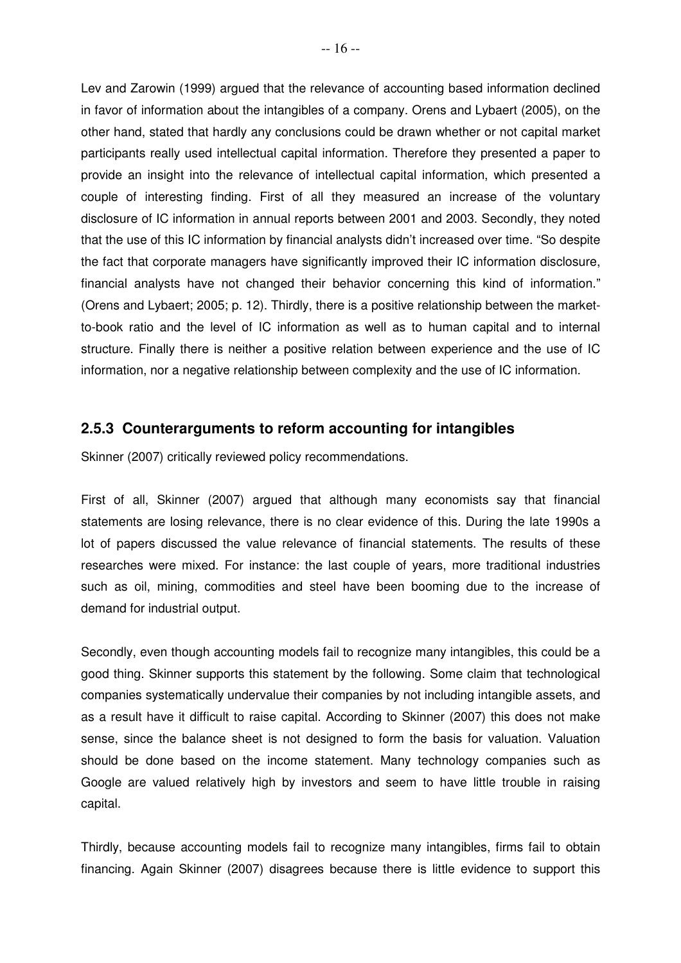Lev and Zarowin (1999) argued that the relevance of accounting based information declined in favor of information about the intangibles of a company. Orens and Lybaert (2005), on the other hand, stated that hardly any conclusions could be drawn whether or not capital market participants really used intellectual capital information. Therefore they presented a paper to provide an insight into the relevance of intellectual capital information, which presented a couple of interesting finding. First of all they measured an increase of the voluntary disclosure of IC information in annual reports between 2001 and 2003. Secondly, they noted that the use of this IC information by financial analysts didn't increased over time. "So despite the fact that corporate managers have significantly improved their IC information disclosure, financial analysts have not changed their behavior concerning this kind of information." (Orens and Lybaert; 2005; p. 12). Thirdly, there is a positive relationship between the marketto-book ratio and the level of IC information as well as to human capital and to internal structure. Finally there is neither a positive relation between experience and the use of IC information, nor a negative relationship between complexity and the use of IC information.

#### **2.5.3 Counterarguments to reform accounting for intangibles**

Skinner (2007) critically reviewed policy recommendations.

First of all, Skinner (2007) argued that although many economists say that financial statements are losing relevance, there is no clear evidence of this. During the late 1990s a lot of papers discussed the value relevance of financial statements. The results of these researches were mixed. For instance: the last couple of years, more traditional industries such as oil, mining, commodities and steel have been booming due to the increase of demand for industrial output.

Secondly, even though accounting models fail to recognize many intangibles, this could be a good thing. Skinner supports this statement by the following. Some claim that technological companies systematically undervalue their companies by not including intangible assets, and as a result have it difficult to raise capital. According to Skinner (2007) this does not make sense, since the balance sheet is not designed to form the basis for valuation. Valuation should be done based on the income statement. Many technology companies such as Google are valued relatively high by investors and seem to have little trouble in raising capital.

Thirdly, because accounting models fail to recognize many intangibles, firms fail to obtain financing. Again Skinner (2007) disagrees because there is little evidence to support this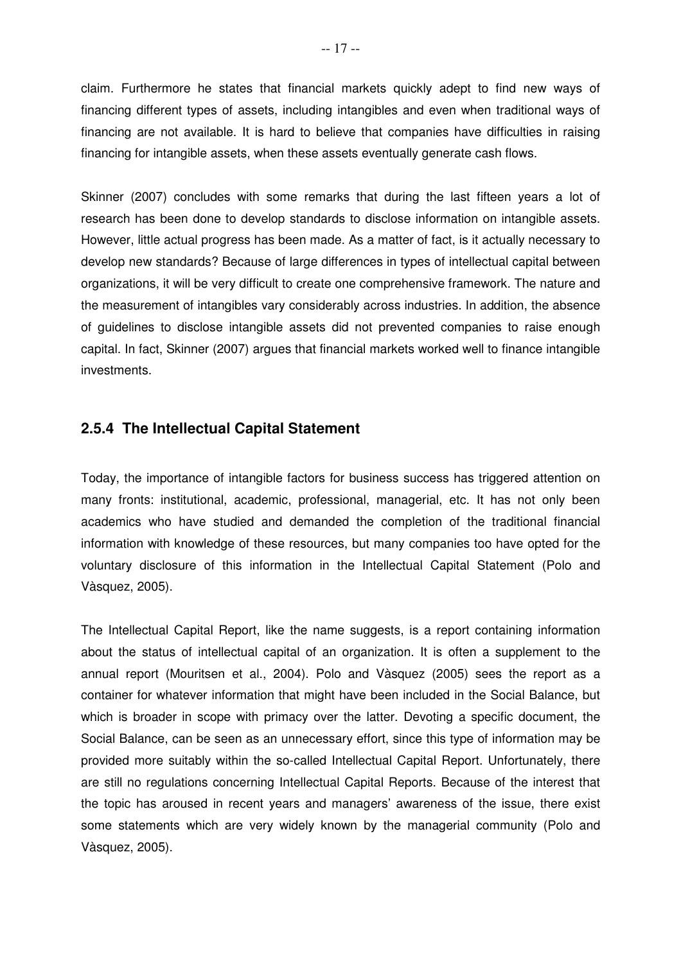claim. Furthermore he states that financial markets quickly adept to find new ways of financing different types of assets, including intangibles and even when traditional ways of financing are not available. It is hard to believe that companies have difficulties in raising financing for intangible assets, when these assets eventually generate cash flows.

Skinner (2007) concludes with some remarks that during the last fifteen years a lot of research has been done to develop standards to disclose information on intangible assets. However, little actual progress has been made. As a matter of fact, is it actually necessary to develop new standards? Because of large differences in types of intellectual capital between organizations, it will be very difficult to create one comprehensive framework. The nature and the measurement of intangibles vary considerably across industries. In addition, the absence of guidelines to disclose intangible assets did not prevented companies to raise enough capital. In fact, Skinner (2007) argues that financial markets worked well to finance intangible investments.

#### **2.5.4 The Intellectual Capital Statement**

Today, the importance of intangible factors for business success has triggered attention on many fronts: institutional, academic, professional, managerial, etc. It has not only been academics who have studied and demanded the completion of the traditional financial information with knowledge of these resources, but many companies too have opted for the voluntary disclosure of this information in the Intellectual Capital Statement (Polo and Vàsquez, 2005).

The Intellectual Capital Report, like the name suggests, is a report containing information about the status of intellectual capital of an organization. It is often a supplement to the annual report (Mouritsen et al., 2004). Polo and Vàsquez (2005) sees the report as a container for whatever information that might have been included in the Social Balance, but which is broader in scope with primacy over the latter. Devoting a specific document, the Social Balance, can be seen as an unnecessary effort, since this type of information may be provided more suitably within the so-called Intellectual Capital Report. Unfortunately, there are still no regulations concerning Intellectual Capital Reports. Because of the interest that the topic has aroused in recent years and managers' awareness of the issue, there exist some statements which are very widely known by the managerial community (Polo and Vàsquez, 2005).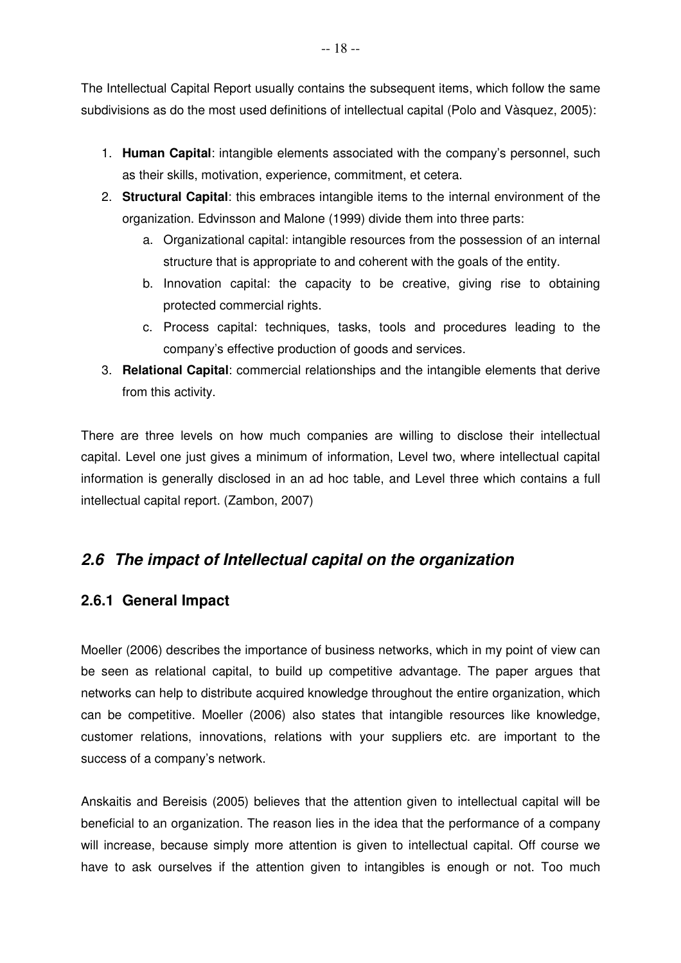The Intellectual Capital Report usually contains the subsequent items, which follow the same subdivisions as do the most used definitions of intellectual capital (Polo and Vàsquez, 2005):

- 1. **Human Capital**: intangible elements associated with the company's personnel, such as their skills, motivation, experience, commitment, et cetera.
- 2. **Structural Capital**: this embraces intangible items to the internal environment of the organization. Edvinsson and Malone (1999) divide them into three parts:
	- a. Organizational capital: intangible resources from the possession of an internal structure that is appropriate to and coherent with the goals of the entity.
	- b. Innovation capital: the capacity to be creative, giving rise to obtaining protected commercial rights.
	- c. Process capital: techniques, tasks, tools and procedures leading to the company's effective production of goods and services.
- 3. **Relational Capital**: commercial relationships and the intangible elements that derive from this activity.

There are three levels on how much companies are willing to disclose their intellectual capital. Level one just gives a minimum of information, Level two, where intellectual capital information is generally disclosed in an ad hoc table, and Level three which contains a full intellectual capital report. (Zambon, 2007)

## **2.6 The impact of Intellectual capital on the organization**

## **2.6.1 General Impact**

Moeller (2006) describes the importance of business networks, which in my point of view can be seen as relational capital, to build up competitive advantage. The paper argues that networks can help to distribute acquired knowledge throughout the entire organization, which can be competitive. Moeller (2006) also states that intangible resources like knowledge, customer relations, innovations, relations with your suppliers etc. are important to the success of a company's network.

Anskaitis and Bereisis (2005) believes that the attention given to intellectual capital will be beneficial to an organization. The reason lies in the idea that the performance of a company will increase, because simply more attention is given to intellectual capital. Off course we have to ask ourselves if the attention given to intangibles is enough or not. Too much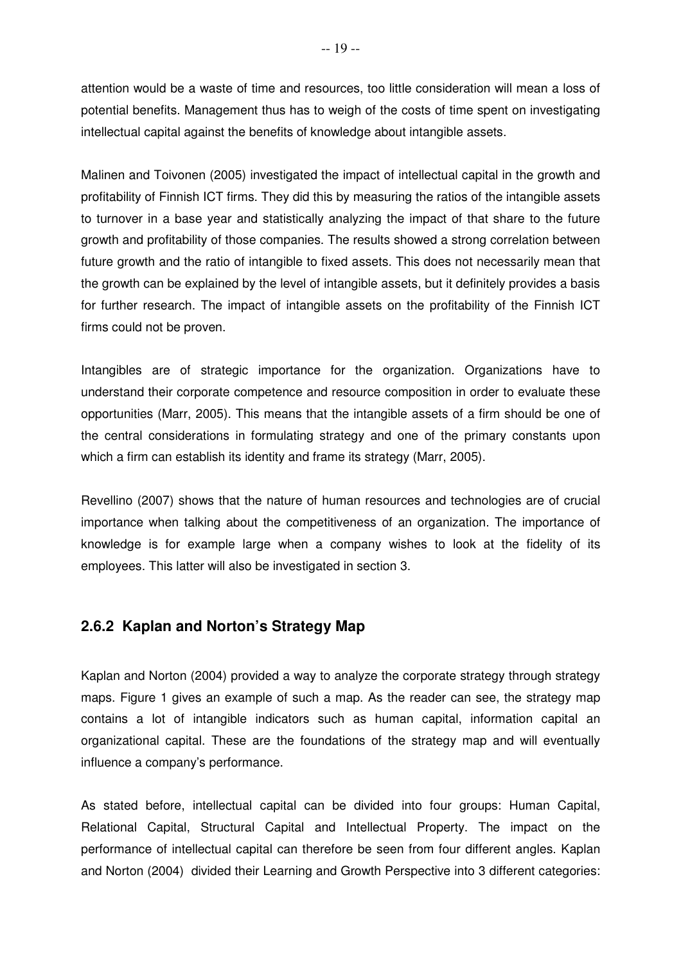attention would be a waste of time and resources, too little consideration will mean a loss of potential benefits. Management thus has to weigh of the costs of time spent on investigating intellectual capital against the benefits of knowledge about intangible assets.

Malinen and Toivonen (2005) investigated the impact of intellectual capital in the growth and profitability of Finnish ICT firms. They did this by measuring the ratios of the intangible assets to turnover in a base year and statistically analyzing the impact of that share to the future growth and profitability of those companies. The results showed a strong correlation between future growth and the ratio of intangible to fixed assets. This does not necessarily mean that the growth can be explained by the level of intangible assets, but it definitely provides a basis for further research. The impact of intangible assets on the profitability of the Finnish ICT firms could not be proven.

Intangibles are of strategic importance for the organization. Organizations have to understand their corporate competence and resource composition in order to evaluate these opportunities (Marr, 2005). This means that the intangible assets of a firm should be one of the central considerations in formulating strategy and one of the primary constants upon which a firm can establish its identity and frame its strategy (Marr, 2005).

Revellino (2007) shows that the nature of human resources and technologies are of crucial importance when talking about the competitiveness of an organization. The importance of knowledge is for example large when a company wishes to look at the fidelity of its employees. This latter will also be investigated in section 3.

#### **2.6.2 Kaplan and Norton's Strategy Map**

Kaplan and Norton (2004) provided a way to analyze the corporate strategy through strategy maps. Figure 1 gives an example of such a map. As the reader can see, the strategy map contains a lot of intangible indicators such as human capital, information capital an organizational capital. These are the foundations of the strategy map and will eventually influence a company's performance.

As stated before, intellectual capital can be divided into four groups: Human Capital, Relational Capital, Structural Capital and Intellectual Property. The impact on the performance of intellectual capital can therefore be seen from four different angles. Kaplan and Norton (2004) divided their Learning and Growth Perspective into 3 different categories: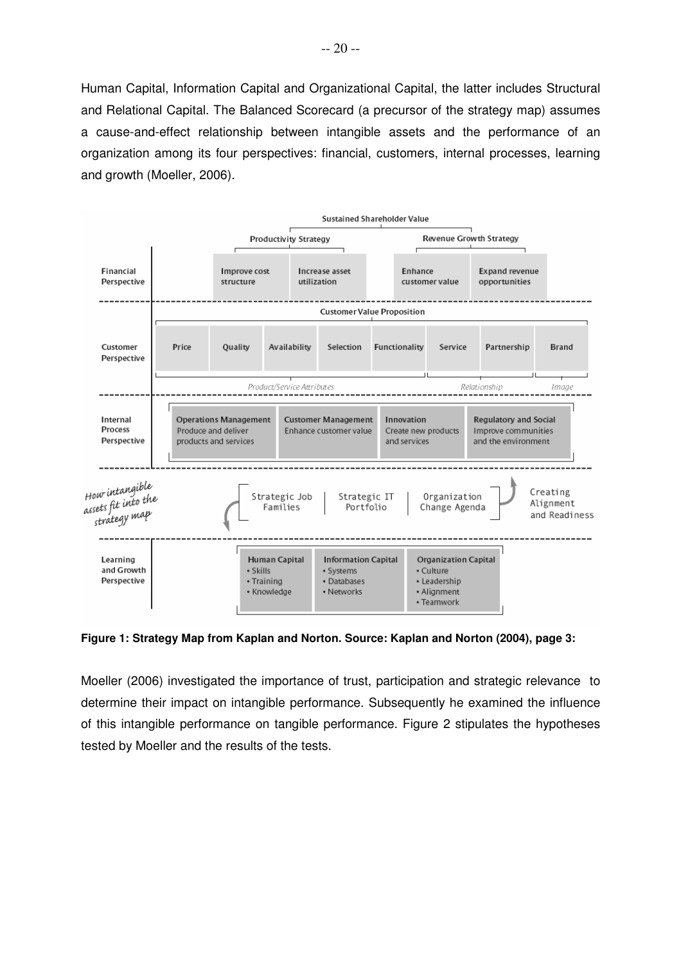Human Capital, Information Capital and Organizational Capital, the latter includes Structural and Relational Capital. The Balanced Scorecard (a precursor of the strategy map) assumes a cause-and-effect relationship between intangible assets and the performance of an organization among its four perspectives: financial, customers, internal processes, learning and growth (Moeller, 2006).



**Figure 1: Strategy Map from Kaplan and Norton. Source: Kaplan and Norton (2004), page 3:** 

Moeller (2006) investigated the importance of trust, participation and strategic relevance to determine their impact on intangible performance. Subsequently he examined the influence of this intangible performance on tangible performance. Figure 2 stipulates the hypotheses tested by Moeller and the results of the tests.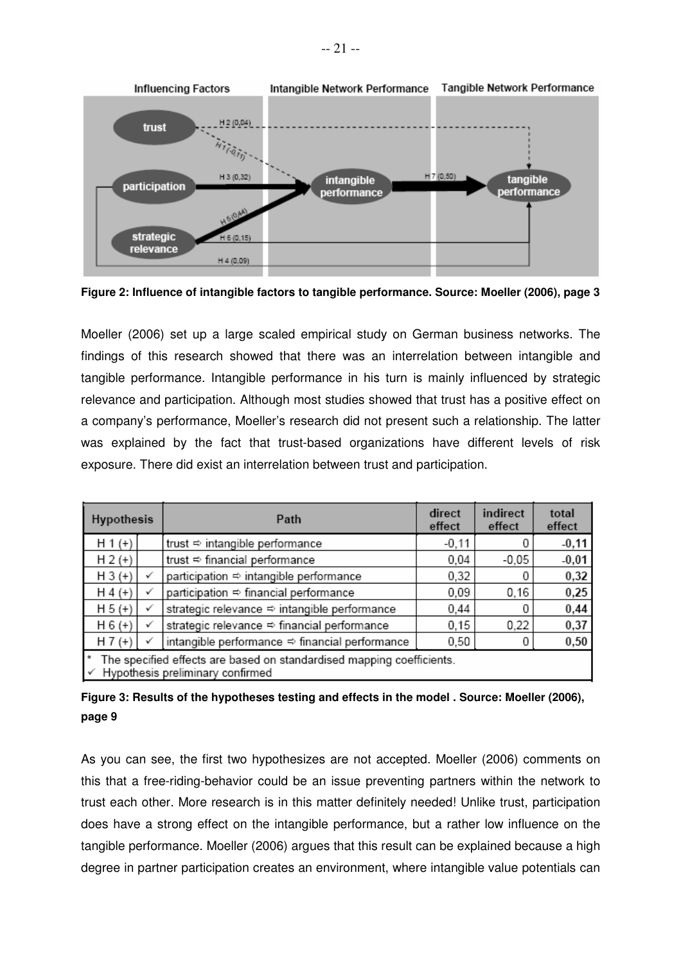

**Figure 2: Influence of intangible factors to tangible performance. Source: Moeller (2006), page 3** 

Moeller (2006) set up a large scaled empirical study on German business networks. The findings of this research showed that there was an interrelation between intangible and tangible performance. Intangible performance in his turn is mainly influenced by strategic relevance and participation. Although most studies showed that trust has a positive effect on a company's performance, Moeller's research did not present such a relationship. The latter was explained by the fact that trust-based organizations have different levels of risk exposure. There did exist an interrelation between trust and participation.

| <b>Hypothesis</b>                                                                                              |   | Path                                           | direct<br>effect | indirect<br>effect | total<br>effect |
|----------------------------------------------------------------------------------------------------------------|---|------------------------------------------------|------------------|--------------------|-----------------|
| $H 1 (+)$                                                                                                      |   | trust ⇔ intangible performance                 | $-0,11$          |                    | $-0,11$         |
| $H 2 (+)$                                                                                                      |   | trust ⇒ financial performance                  | 0.04             | $-0.05$            | $-0,01$         |
| $H 3 (+)$                                                                                                      |   | participation ⇒ intangible performance         | 0,32             |                    | 0,32            |
| $H4 (+)$                                                                                                       |   | participation ⇒ financial performance          | 0.09             | 0,16               | 0,25            |
| $H 5 (+)$                                                                                                      |   | strategic relevance ⇒ intangible performance   | 0,44             |                    | 0,44            |
| $H 6 (+)$                                                                                                      | ✓ | strategic relevance ⇔ financial performance    | 0.15             | 0,22               | 0,37            |
| $H7 (+)$                                                                                                       |   | intangible performance ⇔ financial performance | 0,50             |                    | 0,50            |
| The specified effects are based on standardised mapping coefficients.<br>Hypothesis preliminary confirmed<br>√ |   |                                                |                  |                    |                 |

**Figure 3: Results of the hypotheses testing and effects in the model . Source: Moeller (2006), page 9**

As you can see, the first two hypothesizes are not accepted. Moeller (2006) comments on this that a free-riding-behavior could be an issue preventing partners within the network to trust each other. More research is in this matter definitely needed! Unlike trust, participation does have a strong effect on the intangible performance, but a rather low influence on the tangible performance. Moeller (2006) argues that this result can be explained because a high degree in partner participation creates an environment, where intangible value potentials can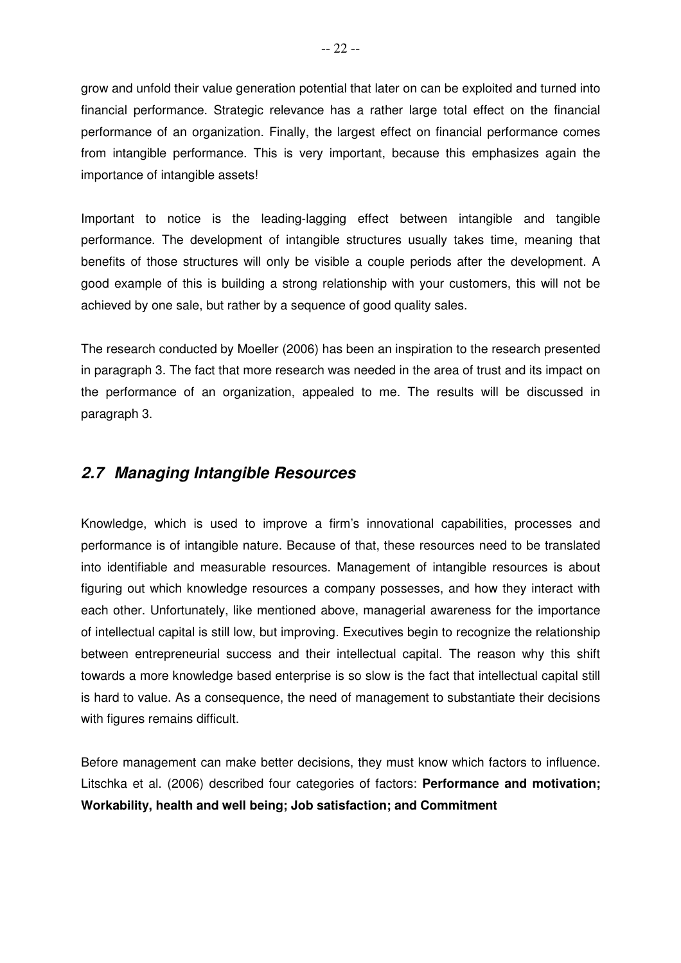grow and unfold their value generation potential that later on can be exploited and turned into financial performance. Strategic relevance has a rather large total effect on the financial performance of an organization. Finally, the largest effect on financial performance comes from intangible performance. This is very important, because this emphasizes again the importance of intangible assets!

Important to notice is the leading-lagging effect between intangible and tangible performance. The development of intangible structures usually takes time, meaning that benefits of those structures will only be visible a couple periods after the development. A good example of this is building a strong relationship with your customers, this will not be achieved by one sale, but rather by a sequence of good quality sales.

The research conducted by Moeller (2006) has been an inspiration to the research presented in paragraph 3. The fact that more research was needed in the area of trust and its impact on the performance of an organization, appealed to me. The results will be discussed in paragraph 3.

### **2.7 Managing Intangible Resources**

Knowledge, which is used to improve a firm's innovational capabilities, processes and performance is of intangible nature. Because of that, these resources need to be translated into identifiable and measurable resources. Management of intangible resources is about figuring out which knowledge resources a company possesses, and how they interact with each other. Unfortunately, like mentioned above, managerial awareness for the importance of intellectual capital is still low, but improving. Executives begin to recognize the relationship between entrepreneurial success and their intellectual capital. The reason why this shift towards a more knowledge based enterprise is so slow is the fact that intellectual capital still is hard to value. As a consequence, the need of management to substantiate their decisions with figures remains difficult.

Before management can make better decisions, they must know which factors to influence. Litschka et al. (2006) described four categories of factors: **Performance and motivation; Workability, health and well being; Job satisfaction; and Commitment**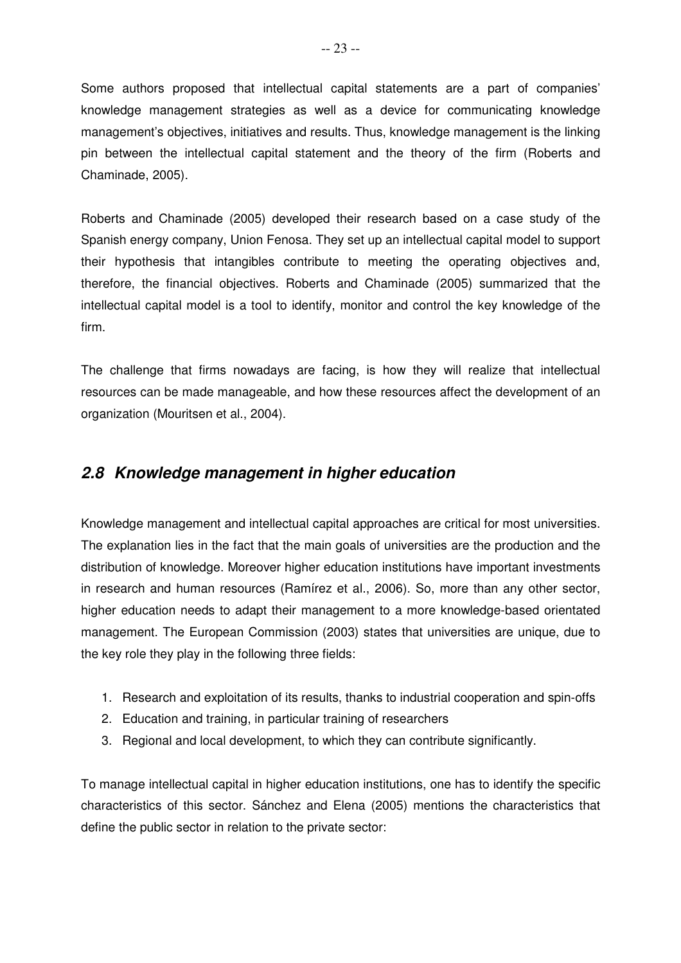Some authors proposed that intellectual capital statements are a part of companies' knowledge management strategies as well as a device for communicating knowledge management's objectives, initiatives and results. Thus, knowledge management is the linking pin between the intellectual capital statement and the theory of the firm (Roberts and Chaminade, 2005).

Roberts and Chaminade (2005) developed their research based on a case study of the Spanish energy company, Union Fenosa. They set up an intellectual capital model to support their hypothesis that intangibles contribute to meeting the operating objectives and, therefore, the financial objectives. Roberts and Chaminade (2005) summarized that the intellectual capital model is a tool to identify, monitor and control the key knowledge of the firm.

The challenge that firms nowadays are facing, is how they will realize that intellectual resources can be made manageable, and how these resources affect the development of an organization (Mouritsen et al., 2004).

## **2.8 Knowledge management in higher education**

Knowledge management and intellectual capital approaches are critical for most universities. The explanation lies in the fact that the main goals of universities are the production and the distribution of knowledge. Moreover higher education institutions have important investments in research and human resources (Ramírez et al., 2006). So, more than any other sector, higher education needs to adapt their management to a more knowledge-based orientated management. The European Commission (2003) states that universities are unique, due to the key role they play in the following three fields:

- 1. Research and exploitation of its results, thanks to industrial cooperation and spin-offs
- 2. Education and training, in particular training of researchers
- 3. Regional and local development, to which they can contribute significantly.

To manage intellectual capital in higher education institutions, one has to identify the specific characteristics of this sector. Sánchez and Elena (2005) mentions the characteristics that define the public sector in relation to the private sector: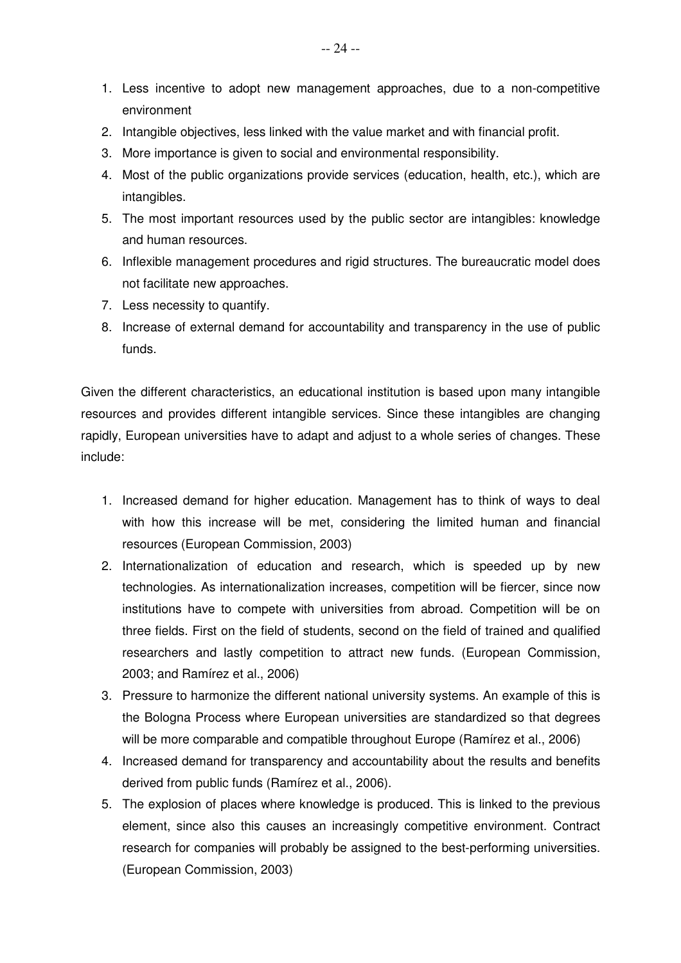- 1. Less incentive to adopt new management approaches, due to a non-competitive environment
- 2. Intangible objectives, less linked with the value market and with financial profit.
- 3. More importance is given to social and environmental responsibility.
- 4. Most of the public organizations provide services (education, health, etc.), which are intangibles.
- 5. The most important resources used by the public sector are intangibles: knowledge and human resources.
- 6. Inflexible management procedures and rigid structures. The bureaucratic model does not facilitate new approaches.
- 7. Less necessity to quantify.
- 8. Increase of external demand for accountability and transparency in the use of public funds.

Given the different characteristics, an educational institution is based upon many intangible resources and provides different intangible services. Since these intangibles are changing rapidly, European universities have to adapt and adjust to a whole series of changes. These include:

- 1. Increased demand for higher education. Management has to think of ways to deal with how this increase will be met, considering the limited human and financial resources (European Commission, 2003)
- 2. Internationalization of education and research, which is speeded up by new technologies. As internationalization increases, competition will be fiercer, since now institutions have to compete with universities from abroad. Competition will be on three fields. First on the field of students, second on the field of trained and qualified researchers and lastly competition to attract new funds. (European Commission, 2003; and Ramírez et al., 2006)
- 3. Pressure to harmonize the different national university systems. An example of this is the Bologna Process where European universities are standardized so that degrees will be more comparable and compatible throughout Europe (Ramírez et al., 2006)
- 4. Increased demand for transparency and accountability about the results and benefits derived from public funds (Ramírez et al., 2006).
- 5. The explosion of places where knowledge is produced. This is linked to the previous element, since also this causes an increasingly competitive environment. Contract research for companies will probably be assigned to the best-performing universities. (European Commission, 2003)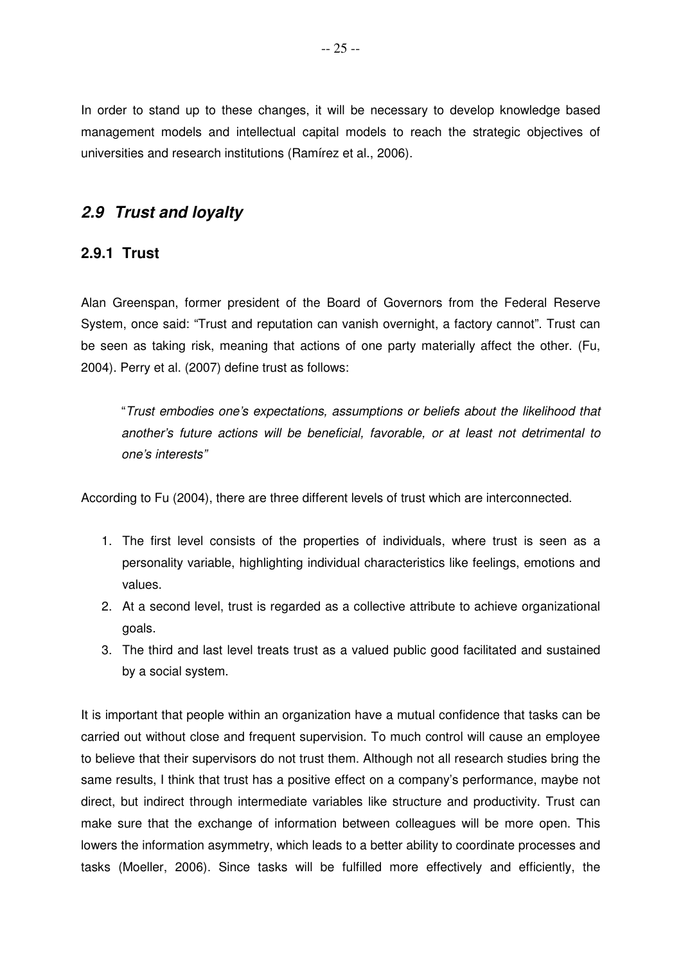In order to stand up to these changes, it will be necessary to develop knowledge based management models and intellectual capital models to reach the strategic objectives of universities and research institutions (Ramírez et al., 2006).

## **2.9 Trust and loyalty**

#### **2.9.1 Trust**

Alan Greenspan, former president of the Board of Governors from the Federal Reserve System, once said: "Trust and reputation can vanish overnight, a factory cannot". Trust can be seen as taking risk, meaning that actions of one party materially affect the other. (Fu, 2004). Perry et al. (2007) define trust as follows:

"Trust embodies one's expectations, assumptions or beliefs about the likelihood that another's future actions will be beneficial, favorable, or at least not detrimental to one's interests"

According to Fu (2004), there are three different levels of trust which are interconnected.

- 1. The first level consists of the properties of individuals, where trust is seen as a personality variable, highlighting individual characteristics like feelings, emotions and values.
- 2. At a second level, trust is regarded as a collective attribute to achieve organizational goals.
- 3. The third and last level treats trust as a valued public good facilitated and sustained by a social system.

It is important that people within an organization have a mutual confidence that tasks can be carried out without close and frequent supervision. To much control will cause an employee to believe that their supervisors do not trust them. Although not all research studies bring the same results, I think that trust has a positive effect on a company's performance, maybe not direct, but indirect through intermediate variables like structure and productivity. Trust can make sure that the exchange of information between colleagues will be more open. This lowers the information asymmetry, which leads to a better ability to coordinate processes and tasks (Moeller, 2006). Since tasks will be fulfilled more effectively and efficiently, the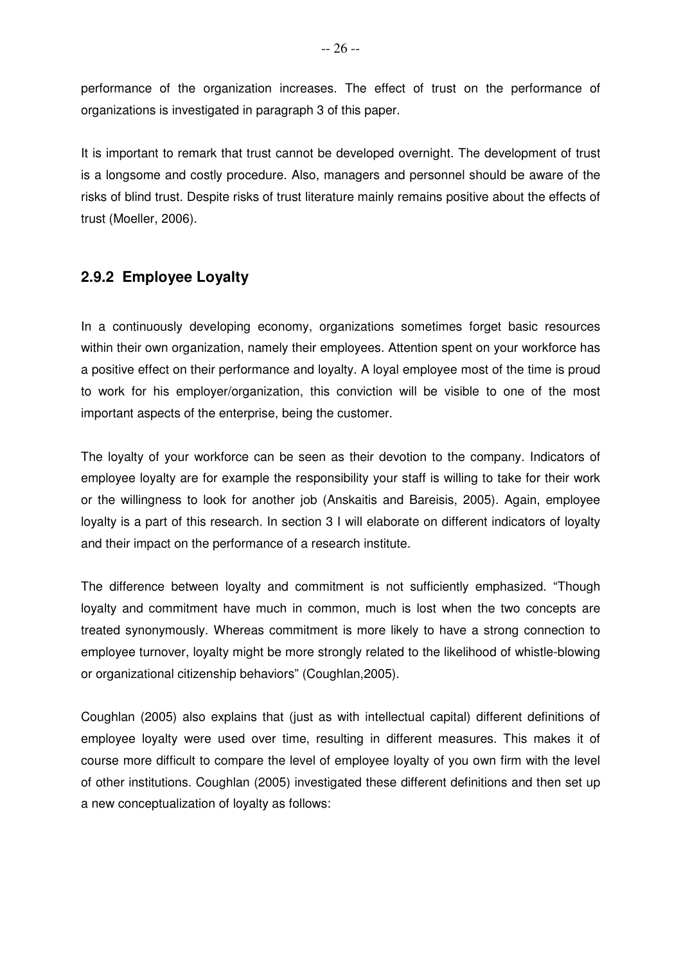performance of the organization increases. The effect of trust on the performance of organizations is investigated in paragraph 3 of this paper.

It is important to remark that trust cannot be developed overnight. The development of trust is a longsome and costly procedure. Also, managers and personnel should be aware of the risks of blind trust. Despite risks of trust literature mainly remains positive about the effects of trust (Moeller, 2006).

### **2.9.2 Employee Loyalty**

In a continuously developing economy, organizations sometimes forget basic resources within their own organization, namely their employees. Attention spent on your workforce has a positive effect on their performance and loyalty. A loyal employee most of the time is proud to work for his employer/organization, this conviction will be visible to one of the most important aspects of the enterprise, being the customer.

The loyalty of your workforce can be seen as their devotion to the company. Indicators of employee loyalty are for example the responsibility your staff is willing to take for their work or the willingness to look for another job (Anskaitis and Bareisis, 2005). Again, employee loyalty is a part of this research. In section 3 I will elaborate on different indicators of loyalty and their impact on the performance of a research institute.

The difference between loyalty and commitment is not sufficiently emphasized. "Though loyalty and commitment have much in common, much is lost when the two concepts are treated synonymously. Whereas commitment is more likely to have a strong connection to employee turnover, loyalty might be more strongly related to the likelihood of whistle-blowing or organizational citizenship behaviors" (Coughlan,2005).

Coughlan (2005) also explains that (just as with intellectual capital) different definitions of employee loyalty were used over time, resulting in different measures. This makes it of course more difficult to compare the level of employee loyalty of you own firm with the level of other institutions. Coughlan (2005) investigated these different definitions and then set up a new conceptualization of loyalty as follows: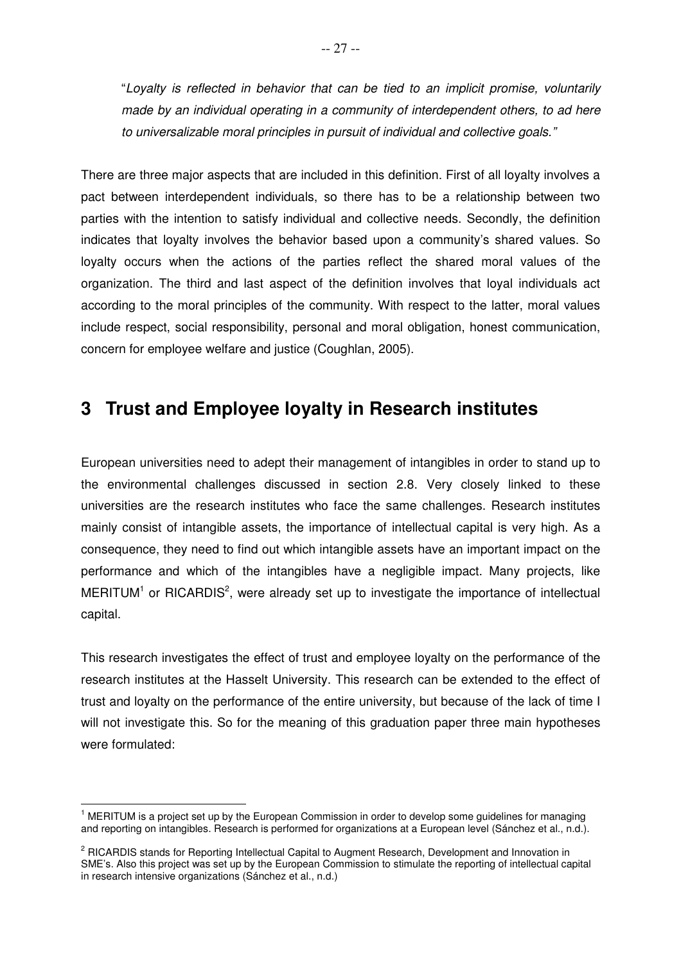"Loyalty is reflected in behavior that can be tied to an implicit promise, voluntarily made by an individual operating in a community of interdependent others, to ad here to universalizable moral principles in pursuit of individual and collective goals."

There are three major aspects that are included in this definition. First of all loyalty involves a pact between interdependent individuals, so there has to be a relationship between two parties with the intention to satisfy individual and collective needs. Secondly, the definition indicates that loyalty involves the behavior based upon a community's shared values. So loyalty occurs when the actions of the parties reflect the shared moral values of the organization. The third and last aspect of the definition involves that loyal individuals act according to the moral principles of the community. With respect to the latter, moral values include respect, social responsibility, personal and moral obligation, honest communication, concern for employee welfare and justice (Coughlan, 2005).

## **3 Trust and Employee loyalty in Research institutes**

European universities need to adept their management of intangibles in order to stand up to the environmental challenges discussed in section 2.8. Very closely linked to these universities are the research institutes who face the same challenges. Research institutes mainly consist of intangible assets, the importance of intellectual capital is very high. As a consequence, they need to find out which intangible assets have an important impact on the performance and which of the intangibles have a negligible impact. Many projects, like  $MERITUM<sup>1</sup>$  or RICARDIS<sup>2</sup>, were already set up to investigate the importance of intellectual capital.

This research investigates the effect of trust and employee loyalty on the performance of the research institutes at the Hasselt University. This research can be extended to the effect of trust and loyalty on the performance of the entire university, but because of the lack of time I will not investigate this. So for the meaning of this graduation paper three main hypotheses were formulated:

 $\overline{\phantom{a}}$  $1$  MERITUM is a project set up by the European Commission in order to develop some guidelines for managing and reporting on intangibles. Research is performed for organizations at a European level (Sánchez et al., n.d.).

<sup>&</sup>lt;sup>2</sup> RICARDIS stands for Reporting Intellectual Capital to Augment Research, Development and Innovation in SME's. Also this project was set up by the European Commission to stimulate the reporting of intellectual capital in research intensive organizations (Sánchez et al., n.d.)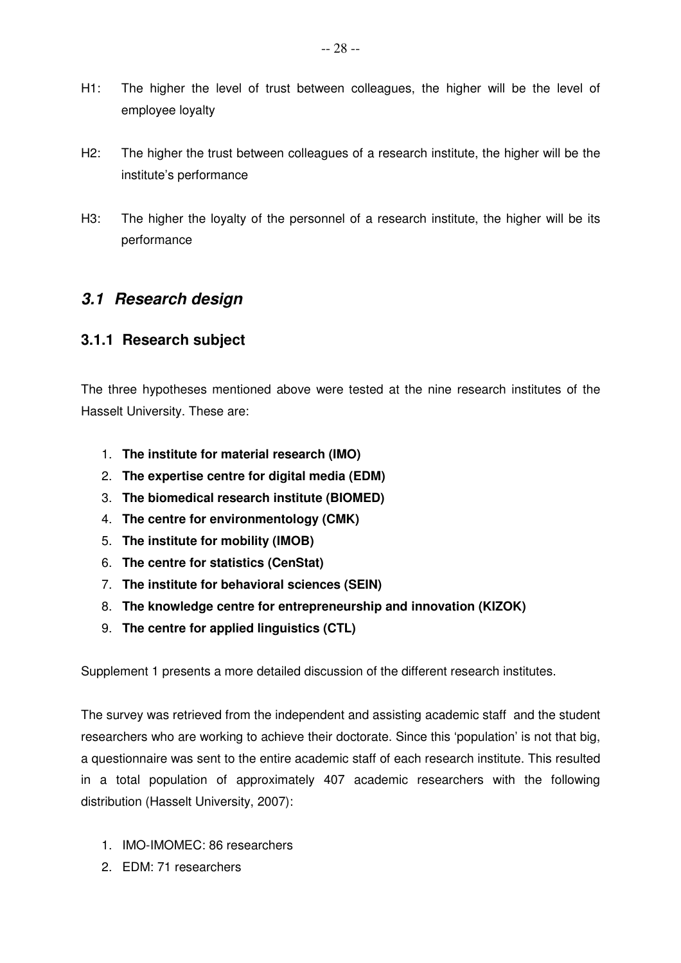- H1: The higher the level of trust between colleagues, the higher will be the level of employee loyalty
- H2: The higher the trust between colleagues of a research institute, the higher will be the institute's performance
- H3: The higher the loyalty of the personnel of a research institute, the higher will be its performance

## **3.1 Research design**

### **3.1.1 Research subject**

The three hypotheses mentioned above were tested at the nine research institutes of the Hasselt University. These are:

- 1. **The institute for material research (IMO)**
- 2. **The expertise centre for digital media (EDM)**
- 3. **The biomedical research institute (BIOMED)**
- 4. **The centre for environmentology (CMK)**
- 5. **The institute for mobility (IMOB)**
- 6. **The centre for statistics (CenStat)**
- 7. **The institute for behavioral sciences (SEIN)**
- 8. **The knowledge centre for entrepreneurship and innovation (KIZOK)**
- 9. **The centre for applied linguistics (CTL)**

Supplement 1 presents a more detailed discussion of the different research institutes.

The survey was retrieved from the independent and assisting academic staff and the student researchers who are working to achieve their doctorate. Since this 'population' is not that big, a questionnaire was sent to the entire academic staff of each research institute. This resulted in a total population of approximately 407 academic researchers with the following distribution (Hasselt University, 2007):

- 1. IMO-IMOMEC: 86 researchers
- 2. EDM: 71 researchers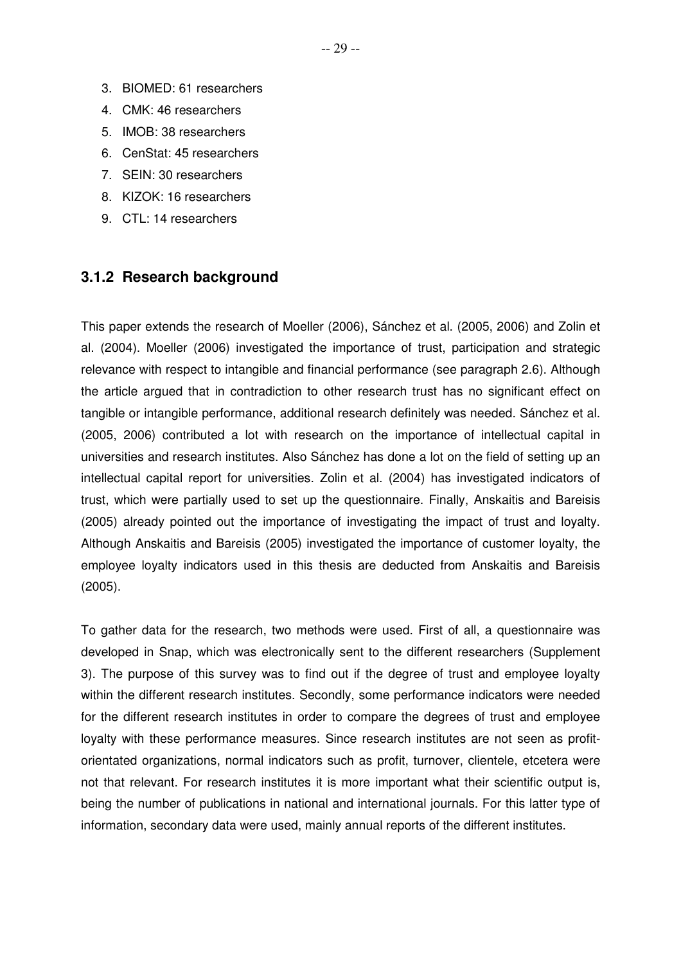- 3. BIOMED: 61 researchers
- 4. CMK: 46 researchers
- 5. IMOB: 38 researchers
- 6. CenStat: 45 researchers
- 7. SEIN: 30 researchers
- 8. KIZOK: 16 researchers
- 9. CTL: 14 researchers

#### **3.1.2 Research background**

This paper extends the research of Moeller (2006), Sánchez et al. (2005, 2006) and Zolin et al. (2004). Moeller (2006) investigated the importance of trust, participation and strategic relevance with respect to intangible and financial performance (see paragraph 2.6). Although the article argued that in contradiction to other research trust has no significant effect on tangible or intangible performance, additional research definitely was needed. Sánchez et al. (2005, 2006) contributed a lot with research on the importance of intellectual capital in universities and research institutes. Also Sánchez has done a lot on the field of setting up an intellectual capital report for universities. Zolin et al. (2004) has investigated indicators of trust, which were partially used to set up the questionnaire. Finally, Anskaitis and Bareisis (2005) already pointed out the importance of investigating the impact of trust and loyalty. Although Anskaitis and Bareisis (2005) investigated the importance of customer loyalty, the employee loyalty indicators used in this thesis are deducted from Anskaitis and Bareisis (2005).

To gather data for the research, two methods were used. First of all, a questionnaire was developed in Snap, which was electronically sent to the different researchers (Supplement 3). The purpose of this survey was to find out if the degree of trust and employee loyalty within the different research institutes. Secondly, some performance indicators were needed for the different research institutes in order to compare the degrees of trust and employee loyalty with these performance measures. Since research institutes are not seen as profitorientated organizations, normal indicators such as profit, turnover, clientele, etcetera were not that relevant. For research institutes it is more important what their scientific output is, being the number of publications in national and international journals. For this latter type of information, secondary data were used, mainly annual reports of the different institutes.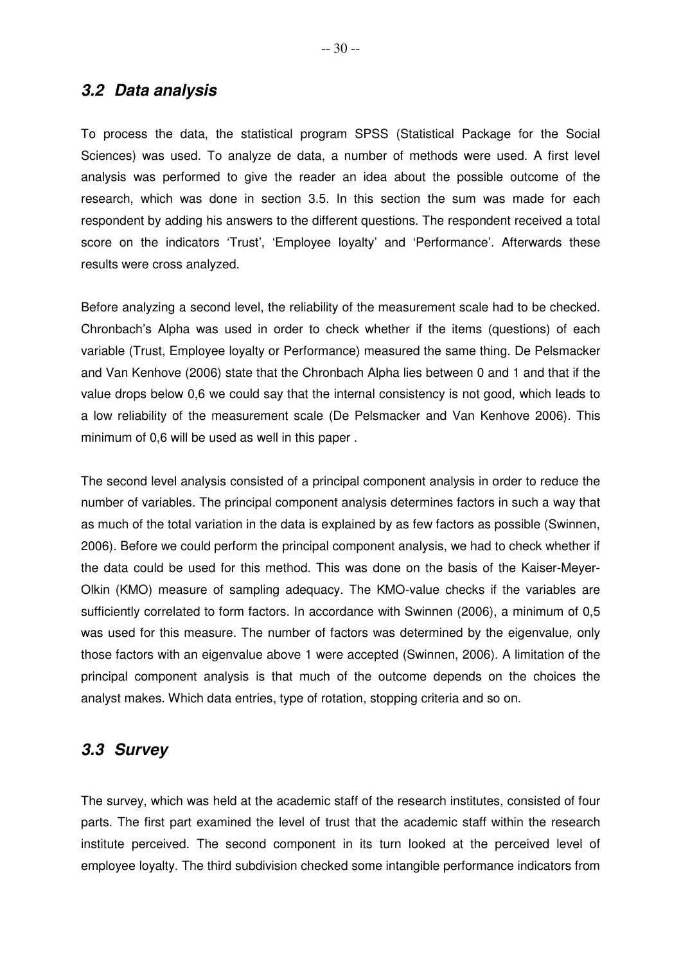#### **3.2 Data analysis**

To process the data, the statistical program SPSS (Statistical Package for the Social Sciences) was used. To analyze de data, a number of methods were used. A first level analysis was performed to give the reader an idea about the possible outcome of the research, which was done in section 3.5. In this section the sum was made for each respondent by adding his answers to the different questions. The respondent received a total score on the indicators 'Trust', 'Employee loyalty' and 'Performance'. Afterwards these results were cross analyzed.

Before analyzing a second level, the reliability of the measurement scale had to be checked. Chronbach's Alpha was used in order to check whether if the items (questions) of each variable (Trust, Employee loyalty or Performance) measured the same thing. De Pelsmacker and Van Kenhove (2006) state that the Chronbach Alpha lies between 0 and 1 and that if the value drops below 0,6 we could say that the internal consistency is not good, which leads to a low reliability of the measurement scale (De Pelsmacker and Van Kenhove 2006). This minimum of 0,6 will be used as well in this paper .

The second level analysis consisted of a principal component analysis in order to reduce the number of variables. The principal component analysis determines factors in such a way that as much of the total variation in the data is explained by as few factors as possible (Swinnen, 2006). Before we could perform the principal component analysis, we had to check whether if the data could be used for this method. This was done on the basis of the Kaiser-Meyer-Olkin (KMO) measure of sampling adequacy. The KMO-value checks if the variables are sufficiently correlated to form factors. In accordance with Swinnen (2006), a minimum of 0,5 was used for this measure. The number of factors was determined by the eigenvalue, only those factors with an eigenvalue above 1 were accepted (Swinnen, 2006). A limitation of the principal component analysis is that much of the outcome depends on the choices the analyst makes. Which data entries, type of rotation, stopping criteria and so on.

#### **3.3 Survey**

The survey, which was held at the academic staff of the research institutes, consisted of four parts. The first part examined the level of trust that the academic staff within the research institute perceived. The second component in its turn looked at the perceived level of employee loyalty. The third subdivision checked some intangible performance indicators from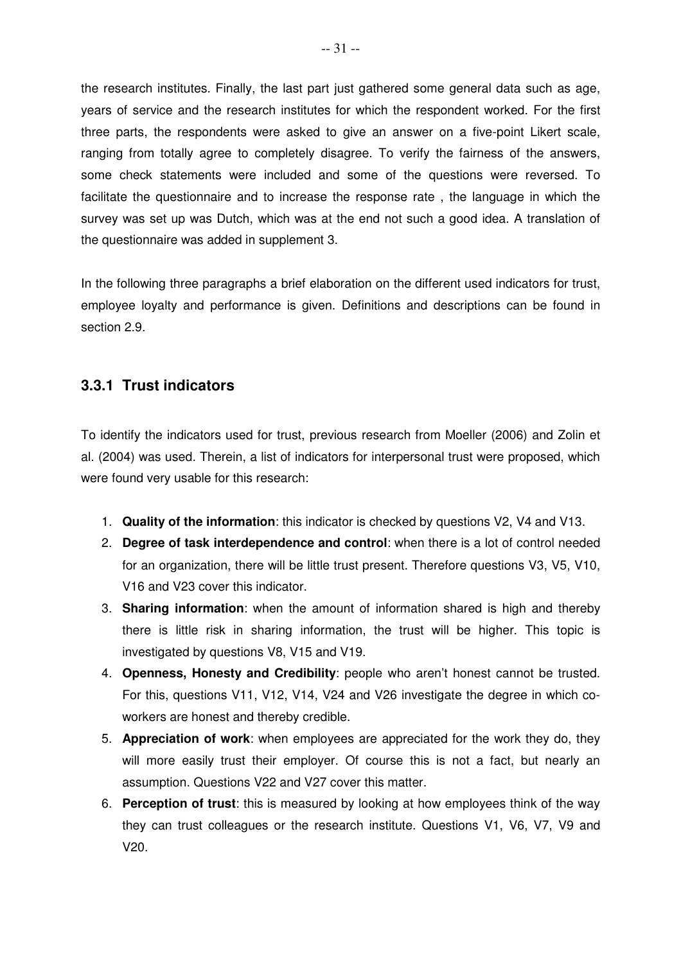the research institutes. Finally, the last part just gathered some general data such as age, years of service and the research institutes for which the respondent worked. For the first three parts, the respondents were asked to give an answer on a five-point Likert scale, ranging from totally agree to completely disagree. To verify the fairness of the answers, some check statements were included and some of the questions were reversed. To facilitate the questionnaire and to increase the response rate , the language in which the survey was set up was Dutch, which was at the end not such a good idea. A translation of the questionnaire was added in supplement 3.

In the following three paragraphs a brief elaboration on the different used indicators for trust, employee loyalty and performance is given. Definitions and descriptions can be found in section 2.9.

#### **3.3.1 Trust indicators**

To identify the indicators used for trust, previous research from Moeller (2006) and Zolin et al. (2004) was used. Therein, a list of indicators for interpersonal trust were proposed, which were found very usable for this research:

- 1. **Quality of the information**: this indicator is checked by questions V2, V4 and V13.
- 2. **Degree of task interdependence and control**: when there is a lot of control needed for an organization, there will be little trust present. Therefore questions V3, V5, V10, V16 and V23 cover this indicator.
- 3. **Sharing information**: when the amount of information shared is high and thereby there is little risk in sharing information, the trust will be higher. This topic is investigated by questions V8, V15 and V19.
- 4. **Openness, Honesty and Credibility**: people who aren't honest cannot be trusted. For this, questions V11, V12, V14, V24 and V26 investigate the degree in which coworkers are honest and thereby credible.
- 5. **Appreciation of work**: when employees are appreciated for the work they do, they will more easily trust their employer. Of course this is not a fact, but nearly an assumption. Questions V22 and V27 cover this matter.
- 6. **Perception of trust**: this is measured by looking at how employees think of the way they can trust colleagues or the research institute. Questions V1, V6, V7, V9 and V20.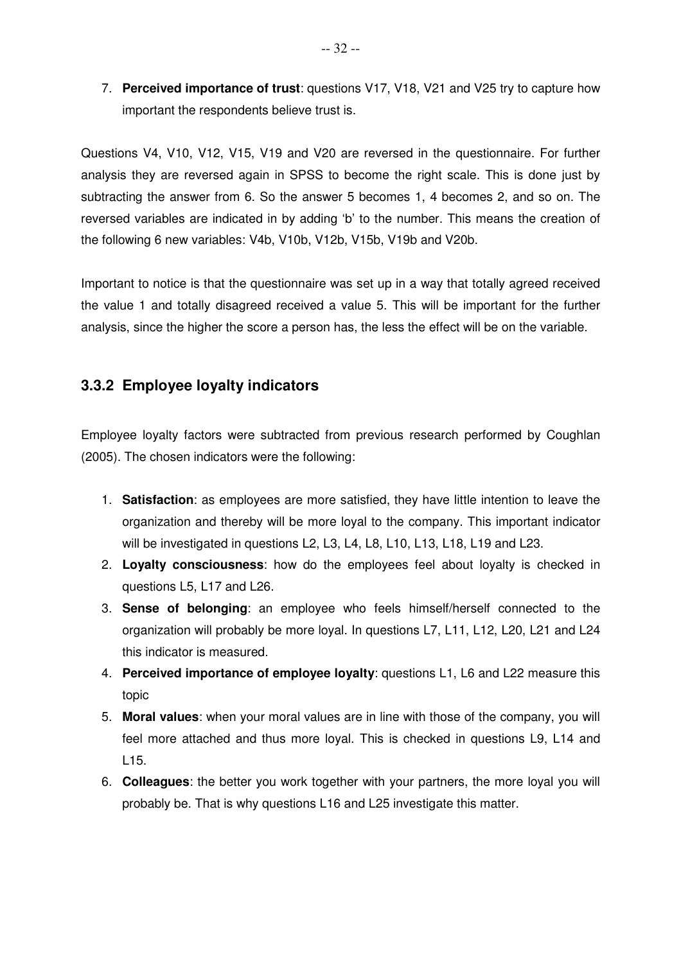7. **Perceived importance of trust**: questions V17, V18, V21 and V25 try to capture how important the respondents believe trust is.

Questions V4, V10, V12, V15, V19 and V20 are reversed in the questionnaire. For further analysis they are reversed again in SPSS to become the right scale. This is done just by subtracting the answer from 6. So the answer 5 becomes 1, 4 becomes 2, and so on. The reversed variables are indicated in by adding 'b' to the number. This means the creation of the following 6 new variables: V4b, V10b, V12b, V15b, V19b and V20b.

Important to notice is that the questionnaire was set up in a way that totally agreed received the value 1 and totally disagreed received a value 5. This will be important for the further analysis, since the higher the score a person has, the less the effect will be on the variable.

## **3.3.2 Employee loyalty indicators**

Employee loyalty factors were subtracted from previous research performed by Coughlan (2005). The chosen indicators were the following:

- 1. **Satisfaction**: as employees are more satisfied, they have little intention to leave the organization and thereby will be more loyal to the company. This important indicator will be investigated in questions L2, L3, L4, L8, L10, L13, L18, L19 and L23.
- 2. **Loyalty consciousness**: how do the employees feel about loyalty is checked in questions L5, L17 and L26.
- 3. **Sense of belonging**: an employee who feels himself/herself connected to the organization will probably be more loyal. In questions L7, L11, L12, L20, L21 and L24 this indicator is measured.
- 4. **Perceived importance of employee loyalty**: questions L1, L6 and L22 measure this topic
- 5. **Moral values**: when your moral values are in line with those of the company, you will feel more attached and thus more loyal. This is checked in questions L9, L14 and L15.
- 6. **Colleagues**: the better you work together with your partners, the more loyal you will probably be. That is why questions L16 and L25 investigate this matter.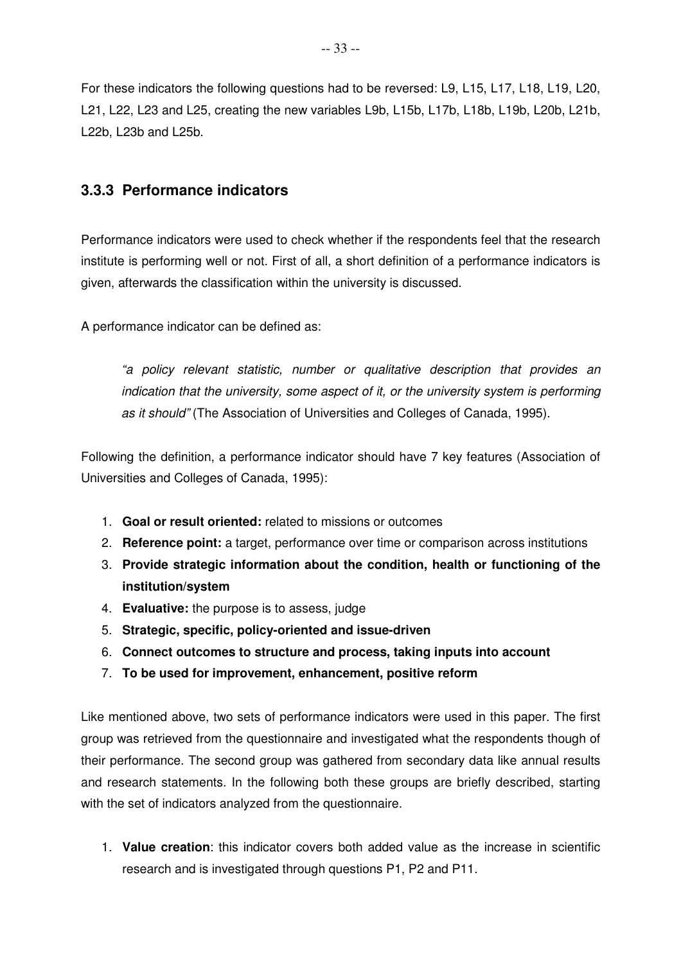For these indicators the following questions had to be reversed: L9, L15, L17, L18, L19, L20, L21, L22, L23 and L25, creating the new variables L9b, L15b, L17b, L18b, L19b, L20b, L21b, L22b, L23b and L25b.

#### **3.3.3 Performance indicators**

Performance indicators were used to check whether if the respondents feel that the research institute is performing well or not. First of all, a short definition of a performance indicators is given, afterwards the classification within the university is discussed.

A performance indicator can be defined as:

"a policy relevant statistic, number or qualitative description that provides an indication that the university, some aspect of it, or the university system is performing as it should" (The Association of Universities and Colleges of Canada, 1995).

Following the definition, a performance indicator should have 7 key features (Association of Universities and Colleges of Canada, 1995):

- 1. **Goal or result oriented:** related to missions or outcomes
- 2. **Reference point:** a target, performance over time or comparison across institutions
- 3. **Provide strategic information about the condition, health or functioning of the institution/system**
- 4. **Evaluative:** the purpose is to assess, judge
- 5. **Strategic, specific, policy-oriented and issue-driven**
- 6. **Connect outcomes to structure and process, taking inputs into account**
- 7. **To be used for improvement, enhancement, positive reform**

Like mentioned above, two sets of performance indicators were used in this paper. The first group was retrieved from the questionnaire and investigated what the respondents though of their performance. The second group was gathered from secondary data like annual results and research statements. In the following both these groups are briefly described, starting with the set of indicators analyzed from the questionnaire.

1. **Value creation**: this indicator covers both added value as the increase in scientific research and is investigated through questions P1, P2 and P11.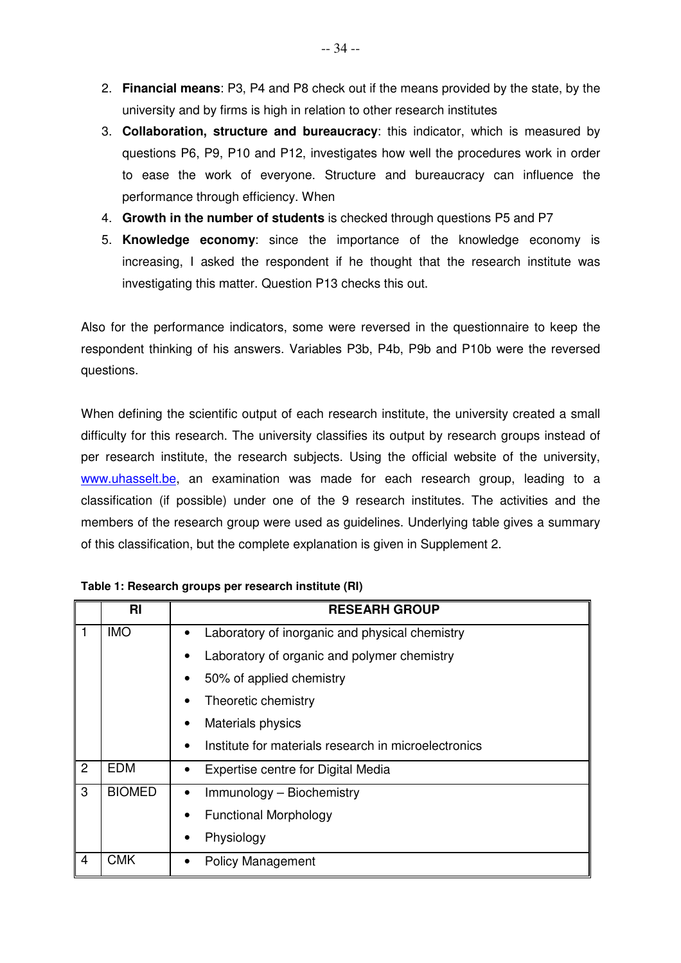- 2. **Financial means**: P3, P4 and P8 check out if the means provided by the state, by the university and by firms is high in relation to other research institutes
- 3. **Collaboration, structure and bureaucracy**: this indicator, which is measured by questions P6, P9, P10 and P12, investigates how well the procedures work in order to ease the work of everyone. Structure and bureaucracy can influence the performance through efficiency. When
- 4. **Growth in the number of students** is checked through questions P5 and P7
- 5. **Knowledge economy**: since the importance of the knowledge economy is increasing, I asked the respondent if he thought that the research institute was investigating this matter. Question P13 checks this out.

Also for the performance indicators, some were reversed in the questionnaire to keep the respondent thinking of his answers. Variables P3b, P4b, P9b and P10b were the reversed questions.

When defining the scientific output of each research institute, the university created a small difficulty for this research. The university classifies its output by research groups instead of per research institute, the research subjects. Using the official website of the university, www.uhasselt.be, an examination was made for each research group, leading to a classification (if possible) under one of the 9 research institutes. The activities and the members of the research group were used as guidelines. Underlying table gives a summary of this classification, but the complete explanation is given in Supplement 2.

|   | <b>RI</b>     | <b>RESEARH GROUP</b>                                        |
|---|---------------|-------------------------------------------------------------|
|   | <b>IMO</b>    | Laboratory of inorganic and physical chemistry<br>$\bullet$ |
|   |               | Laboratory of organic and polymer chemistry                 |
|   |               | 50% of applied chemistry                                    |
|   |               | Theoretic chemistry                                         |
|   |               | Materials physics                                           |
|   |               | Institute for materials research in microelectronics        |
| 2 | <b>EDM</b>    | Expertise centre for Digital Media                          |
| 3 | <b>BIOMED</b> | Immunology - Biochemistry                                   |
|   |               | <b>Functional Morphology</b>                                |
|   |               | Physiology                                                  |
| 4 | <b>CMK</b>    | <b>Policy Management</b>                                    |

**Table 1: Research groups per research institute (RI)**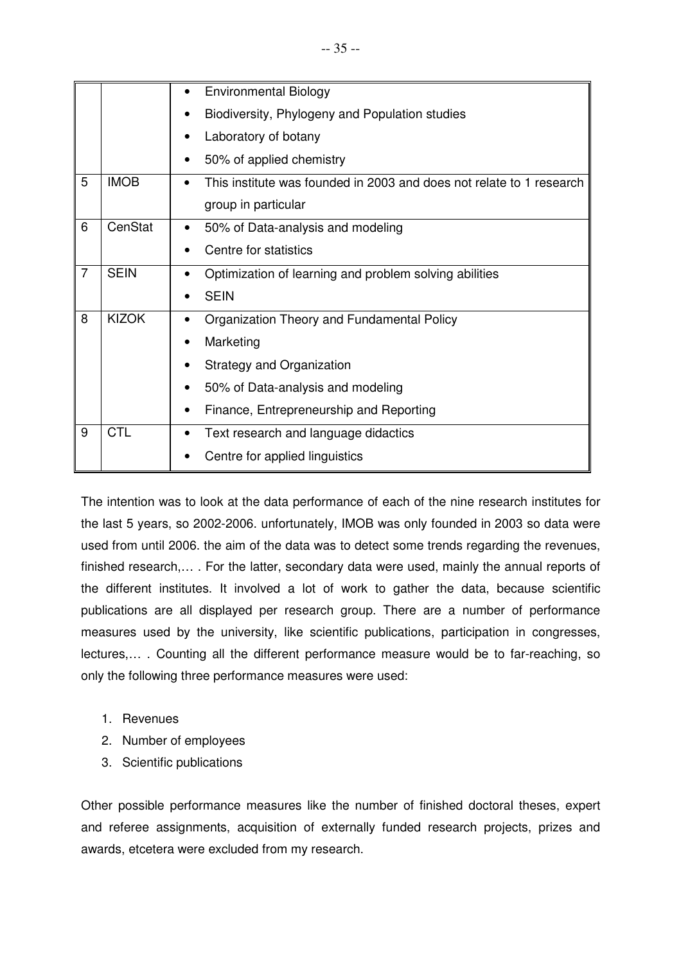|                |              | <b>Environmental Biology</b>                                                      |
|----------------|--------------|-----------------------------------------------------------------------------------|
|                |              | Biodiversity, Phylogeny and Population studies                                    |
|                |              | Laboratory of botany                                                              |
|                |              | 50% of applied chemistry                                                          |
| 5              | <b>IMOB</b>  | This institute was founded in 2003 and does not relate to 1 research<br>$\bullet$ |
|                |              | group in particular                                                               |
| 6              | CenStat      | 50% of Data-analysis and modeling                                                 |
|                |              | Centre for statistics                                                             |
| $\overline{7}$ | <b>SEIN</b>  | Optimization of learning and problem solving abilities<br>$\bullet$               |
|                |              | <b>SEIN</b>                                                                       |
| 8              | <b>KIZOK</b> | Organization Theory and Fundamental Policy<br>$\bullet$                           |
|                |              | Marketing                                                                         |
|                |              | Strategy and Organization                                                         |
|                |              | 50% of Data-analysis and modeling                                                 |
|                |              | Finance, Entrepreneurship and Reporting                                           |
| 9              | <b>CTL</b>   | Text research and language didactics                                              |
|                |              | Centre for applied linguistics                                                    |

The intention was to look at the data performance of each of the nine research institutes for the last 5 years, so 2002-2006. unfortunately, IMOB was only founded in 2003 so data were used from until 2006. the aim of the data was to detect some trends regarding the revenues, finished research,… . For the latter, secondary data were used, mainly the annual reports of the different institutes. It involved a lot of work to gather the data, because scientific publications are all displayed per research group. There are a number of performance measures used by the university, like scientific publications, participation in congresses, lectures,… . Counting all the different performance measure would be to far-reaching, so only the following three performance measures were used:

- 1. Revenues
- 2. Number of employees
- 3. Scientific publications

Other possible performance measures like the number of finished doctoral theses, expert and referee assignments, acquisition of externally funded research projects, prizes and awards, etcetera were excluded from my research.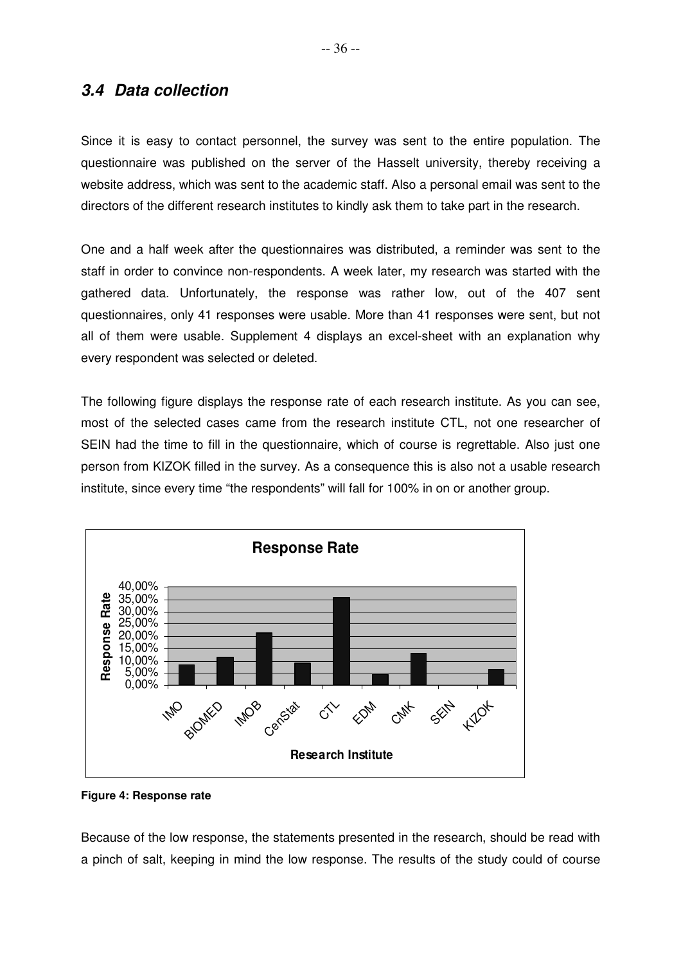## **3.4 Data collection**

Since it is easy to contact personnel, the survey was sent to the entire population. The questionnaire was published on the server of the Hasselt university, thereby receiving a website address, which was sent to the academic staff. Also a personal email was sent to the directors of the different research institutes to kindly ask them to take part in the research.

One and a half week after the questionnaires was distributed, a reminder was sent to the staff in order to convince non-respondents. A week later, my research was started with the gathered data. Unfortunately, the response was rather low, out of the 407 sent questionnaires, only 41 responses were usable. More than 41 responses were sent, but not all of them were usable. Supplement 4 displays an excel-sheet with an explanation why every respondent was selected or deleted.

The following figure displays the response rate of each research institute. As you can see, most of the selected cases came from the research institute CTL, not one researcher of SEIN had the time to fill in the questionnaire, which of course is regrettable. Also just one person from KIZOK filled in the survey. As a consequence this is also not a usable research institute, since every time "the respondents" will fall for 100% in on or another group.



**Figure 4: Response rate** 

Because of the low response, the statements presented in the research, should be read with a pinch of salt, keeping in mind the low response. The results of the study could of course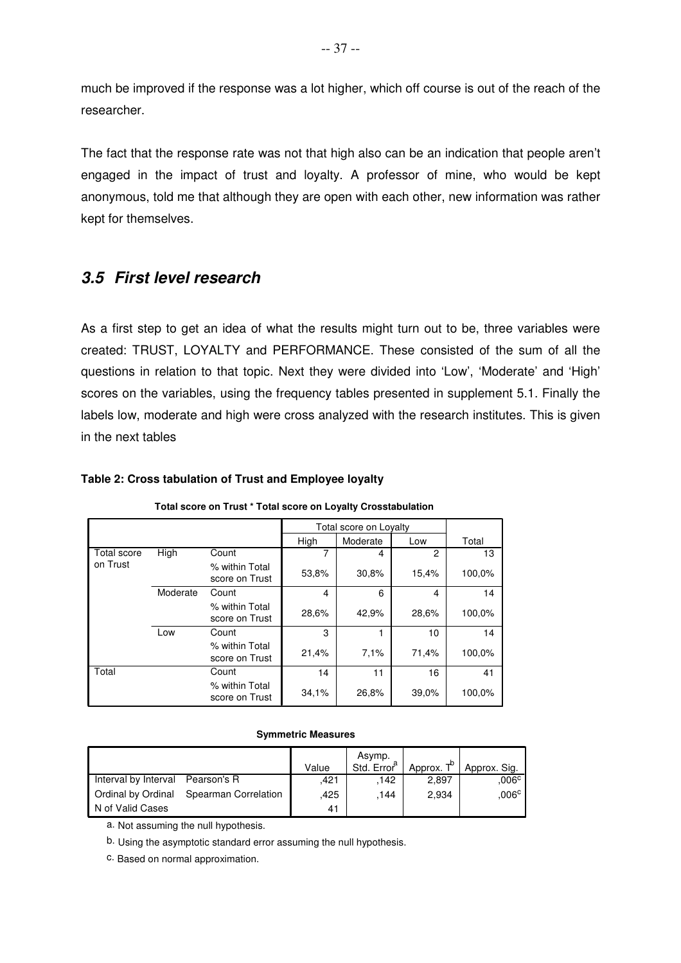much be improved if the response was a lot higher, which off course is out of the reach of the researcher.

The fact that the response rate was not that high also can be an indication that people aren't engaged in the impact of trust and loyalty. A professor of mine, who would be kept anonymous, told me that although they are open with each other, new information was rather kept for themselves.

## **3.5 First level research**

As a first step to get an idea of what the results might turn out to be, three variables were created: TRUST, LOYALTY and PERFORMANCE. These consisted of the sum of all the questions in relation to that topic. Next they were divided into 'Low', 'Moderate' and 'High' scores on the variables, using the frequency tables presented in supplement 5.1. Finally the labels low, moderate and high were cross analyzed with the research institutes. This is given in the next tables

### **Table 2: Cross tabulation of Trust and Employee loyalty**

|             |          |                                  |       | Total score on Loyalty |               |        |
|-------------|----------|----------------------------------|-------|------------------------|---------------|--------|
|             |          |                                  | High  | Moderate               | Low           | Total  |
| Total score | High     | Count                            |       | 4                      | $\mathcal{P}$ | 13     |
| on Trust    |          | % within Total<br>score on Trust | 53,8% | 30,8%                  | 15,4%         | 100,0% |
|             | Moderate | Count                            | 4     | 6                      | 4             | 14     |
|             |          | % within Total<br>score on Trust | 28.6% | 42,9%                  | 28.6%         | 100,0% |
|             | Low      | Count                            | 3     |                        | 10            | 14     |
|             |          | % within Total<br>score on Trust | 21,4% | 7.1%                   | 71,4%         | 100,0% |
| Total       |          | Count                            | 14    | 11                     | 16            | 41     |
|             |          | % within Total<br>score on Trust | 34.1% | 26,8%                  | 39.0%         | 100,0% |

**Total score on Trust \* Total score on Loyalty Crosstabulation**

#### **Symmetric Measures**

|                      |                      | Value | Asymp.<br>Std. Error <sup>a</sup> | Approx. T <sup>b</sup> | Approx. Sig.   |
|----------------------|----------------------|-------|-----------------------------------|------------------------|----------------|
| Interval by Interval | Pearson's R          | .421  | .142                              | 2.897                  | .006c          |
| Ordinal by Ordinal   | Spearman Correlation | .425  | .144                              | 2,934                  | $,006^{\circ}$ |
| N of Valid Cases     |                      | 41    |                                   |                        |                |

a. Not assuming the null hypothesis.

b. Using the asymptotic standard error assuming the null hypothesis.

c. Based on normal approximation.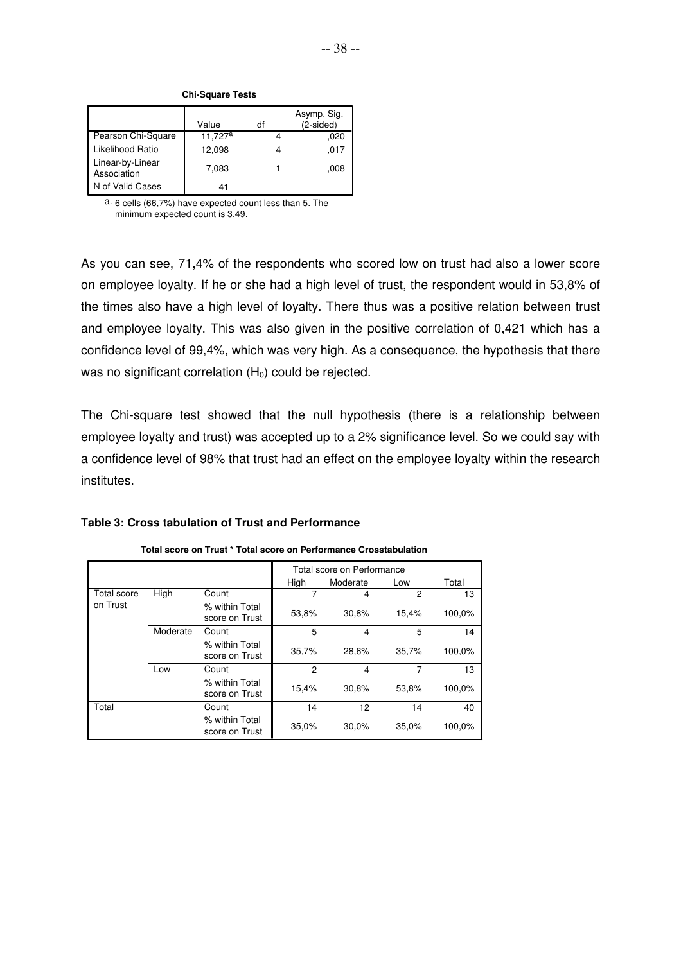|                                 | Value               | df | Asymp. Sig.<br>$(2-sided)$ |
|---------------------------------|---------------------|----|----------------------------|
| Pearson Chi-Square              | 11,727 <sup>a</sup> |    | .020                       |
| Likelihood Ratio                | 12,098              | 4  | ,017                       |
| Linear-by-Linear<br>Association | 7,083               |    | .008                       |
| N of Valid Cases                | 41                  |    |                            |

**Chi-Square Tests**

a. 6 cells (66,7%) have expected count less than 5. The minimum expected count is 3,49.

As you can see, 71,4% of the respondents who scored low on trust had also a lower score on employee loyalty. If he or she had a high level of trust, the respondent would in 53,8% of the times also have a high level of loyalty. There thus was a positive relation between trust and employee loyalty. This was also given in the positive correlation of 0,421 which has a confidence level of 99,4%, which was very high. As a consequence, the hypothesis that there was no significant correlation  $(H_0)$  could be rejected.

The Chi-square test showed that the null hypothesis (there is a relationship between employee loyalty and trust) was accepted up to a 2% significance level. So we could say with a confidence level of 98% that trust had an effect on the employee loyalty within the research institutes.

| Table 3: Cross tabulation of Trust and Performance |  |  |  |
|----------------------------------------------------|--|--|--|
|----------------------------------------------------|--|--|--|

|                    |             |                                  | Total score on Performance |          |       |        |
|--------------------|-------------|----------------------------------|----------------------------|----------|-------|--------|
|                    |             |                                  | High                       | Moderate | Low   | Total  |
| <b>Total score</b> | <b>High</b> | Count                            |                            | 4        | 2     | 13     |
| on Trust           |             | % within Total<br>score on Trust | 53,8%                      | 30,8%    | 15,4% | 100,0% |
|                    | Moderate    | Count                            | 5                          | 4        | 5     | 14     |
|                    |             | % within Total<br>score on Trust | 35,7%                      | 28,6%    | 35,7% | 100,0% |
|                    | Low         | Count                            | $\overline{2}$             | 4        | 7     | 13     |
|                    |             | % within Total<br>score on Trust | 15,4%                      | 30,8%    | 53,8% | 100,0% |
| Total              |             | Count                            | 14                         | 12       | 14    | 40     |
|                    |             | % within Total<br>score on Trust | 35,0%                      | 30,0%    | 35,0% | 100,0% |

**Total score on Trust \* Total score on Performance Crosstabulation**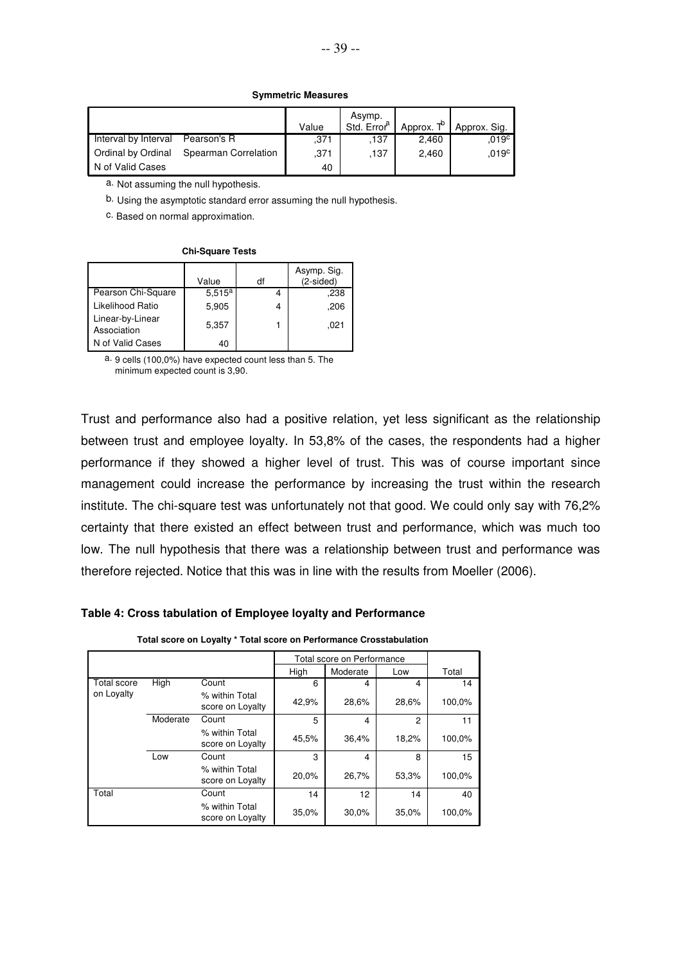#### **Symmetric Measures**

|                      |                      | Value | Asymp.<br>Std. Error <sup>a</sup> | Approx. T <sup>b</sup> | Approx. Sig.      |
|----------------------|----------------------|-------|-----------------------------------|------------------------|-------------------|
| Interval by Interval | Pearson's R          | .371  | .137                              | 2.460                  | .019 <sup>c</sup> |
| Ordinal by Ordinal   | Spearman Correlation | .371  | .137                              | 2,460                  | .019 <sup>c</sup> |
| N of Valid Cases     |                      | 40    |                                   |                        |                   |

a. Not assuming the null hypothesis.

b. Using the asymptotic standard error assuming the null hypothesis.

c. Based on normal approximation.

#### **Chi-Square Tests**

|                                 | Value       | df | Asymp. Sig.<br>$(2-sided)$ |
|---------------------------------|-------------|----|----------------------------|
| Pearson Chi-Square              | $5.515^{a}$ |    | .238                       |
| Likelihood Ratio                | 5,905       | 4  | .206                       |
| Linear-by-Linear<br>Association | 5,357       |    | .021                       |
| N of Valid Cases                | 40          |    |                            |

a. 9 cells (100,0%) have expected count less than 5. The minimum expected count is 3,90.

Trust and performance also had a positive relation, yet less significant as the relationship between trust and employee loyalty. In 53,8% of the cases, the respondents had a higher performance if they showed a higher level of trust. This was of course important since management could increase the performance by increasing the trust within the research institute. The chi-square test was unfortunately not that good. We could only say with 76,2% certainty that there existed an effect between trust and performance, which was much too low. The null hypothesis that there was a relationship between trust and performance was therefore rejected. Notice that this was in line with the results from Moeller (2006).

#### **Table 4: Cross tabulation of Employee loyalty and Performance**

|                    |          |                                    |       | Total score on Performance |               |        |
|--------------------|----------|------------------------------------|-------|----------------------------|---------------|--------|
|                    |          |                                    | High  | Moderate                   | Low           | Total  |
| <b>Total score</b> | High     | Count                              | 6     | 4                          | 4             | 14     |
| on Loyalty         |          | % within Total<br>score on Loyalty | 42,9% | 28,6%                      | 28,6%         | 100,0% |
|                    | Moderate | Count                              | 5     | 4                          | $\mathcal{P}$ | 11     |
|                    |          | % within Total<br>score on Loyalty | 45,5% | 36,4%                      | 18,2%         | 100,0% |
|                    | Low      | Count                              | 3     | 4                          | 8             | 15     |
|                    |          | % within Total<br>score on Loyalty | 20,0% | 26,7%                      | 53,3%         | 100,0% |
| Total              |          | Count                              | 14    | 12                         | 14            | 40     |
|                    |          | % within Total<br>score on Loyalty | 35,0% | 30,0%                      | 35,0%         | 100,0% |

**Total score on Loyalty \* Total score on Performance Crosstabulation**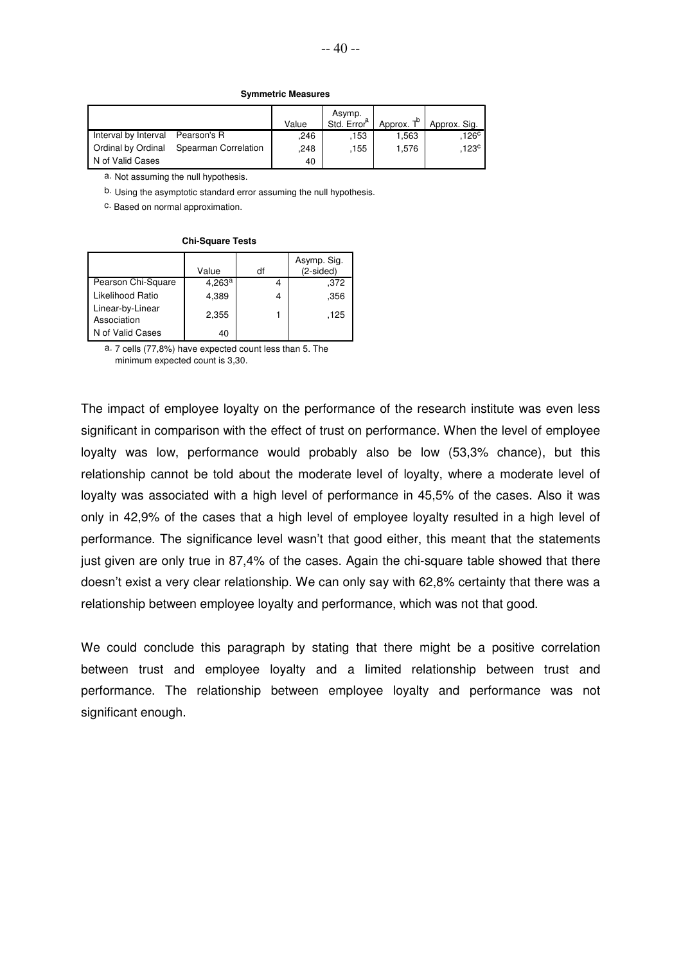#### **Symmetric Measures**

|                           |                      | Value | Asymp.<br>Std. Error <sup>a</sup> | Approx. T <sup>b</sup> | Approx. Sig.     |
|---------------------------|----------------------|-------|-----------------------------------|------------------------|------------------|
| Interval by Interval      | Pearson's R          | .246  | .153                              | 1.563                  | 126 <sup>c</sup> |
| <b>Ordinal by Ordinal</b> | Spearman Correlation | .248  | .155                              | 1.576                  | $123^{\circ}$    |
| N of Valid Cases          |                      | 40    |                                   |                        |                  |

a. Not assuming the null hypothesis.

b. Using the asymptotic standard error assuming the null hypothesis.

c. Based on normal approximation.

#### **Chi-Square Tests**

|                                 | Value     | df | Asymp. Sig.<br>$(2-sided)$ |
|---------------------------------|-----------|----|----------------------------|
| Pearson Chi-Square              | $4,263^a$ |    | .372                       |
| Likelihood Ratio                | 4,389     | 4  | .356                       |
| Linear-by-Linear<br>Association | 2,355     |    | .125                       |
| N of Valid Cases                | 40        |    |                            |

a. 7 cells (77,8%) have expected count less than 5. The minimum expected count is 3,30.

The impact of employee loyalty on the performance of the research institute was even less significant in comparison with the effect of trust on performance. When the level of employee loyalty was low, performance would probably also be low (53,3% chance), but this relationship cannot be told about the moderate level of loyalty, where a moderate level of loyalty was associated with a high level of performance in 45,5% of the cases. Also it was only in 42,9% of the cases that a high level of employee loyalty resulted in a high level of performance. The significance level wasn't that good either, this meant that the statements just given are only true in 87,4% of the cases. Again the chi-square table showed that there doesn't exist a very clear relationship. We can only say with 62,8% certainty that there was a relationship between employee loyalty and performance, which was not that good.

We could conclude this paragraph by stating that there might be a positive correlation between trust and employee loyalty and a limited relationship between trust and performance. The relationship between employee loyalty and performance was not significant enough.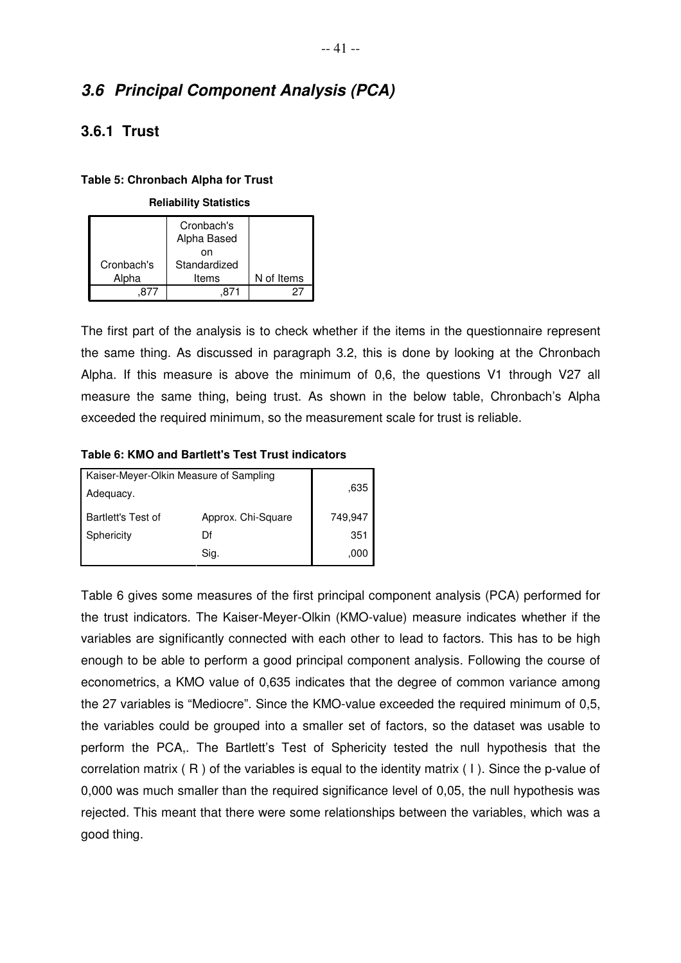# **3.6 Principal Component Analysis (PCA)**

## **3.6.1 Trust**

### **Table 5: Chronbach Alpha for Trust**

#### **Reliability Statistics**

|            | Cronbach's<br>Alpha Based |            |
|------------|---------------------------|------------|
|            | nn                        |            |
| Cronbach's | Standardized              |            |
| Alpha      | Items                     | N of Items |
|            |                           |            |

The first part of the analysis is to check whether if the items in the questionnaire represent the same thing. As discussed in paragraph 3.2, this is done by looking at the Chronbach Alpha. If this measure is above the minimum of 0,6, the questions V1 through V27 all measure the same thing, being trust. As shown in the below table, Chronbach's Alpha exceeded the required minimum, so the measurement scale for trust is reliable.

### **Table 6: KMO and Bartlett's Test Trust indicators**

| Kaiser-Meyer-Olkin Measure of Sampling |                    |         |  |  |
|----------------------------------------|--------------------|---------|--|--|
| Adequacy.                              | .635               |         |  |  |
| <b>Bartlett's Test of</b>              | Approx. Chi-Square | 749,947 |  |  |
| Sphericity                             | Df                 |         |  |  |
|                                        | Sig.               | .000    |  |  |

Table 6 gives some measures of the first principal component analysis (PCA) performed for the trust indicators. The Kaiser-Meyer-Olkin (KMO-value) measure indicates whether if the variables are significantly connected with each other to lead to factors. This has to be high enough to be able to perform a good principal component analysis. Following the course of econometrics, a KMO value of 0,635 indicates that the degree of common variance among the 27 variables is "Mediocre". Since the KMO-value exceeded the required minimum of 0,5, the variables could be grouped into a smaller set of factors, so the dataset was usable to perform the PCA,. The Bartlett's Test of Sphericity tested the null hypothesis that the correlation matrix ( R ) of the variables is equal to the identity matrix ( I ). Since the p-value of 0,000 was much smaller than the required significance level of 0,05, the null hypothesis was rejected. This meant that there were some relationships between the variables, which was a good thing.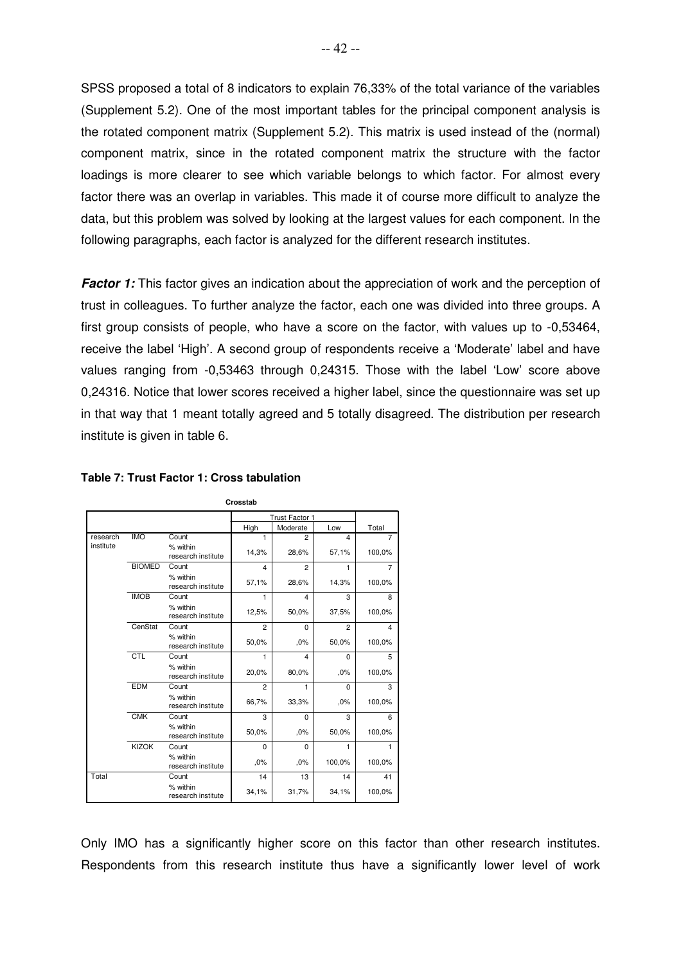SPSS proposed a total of 8 indicators to explain 76,33% of the total variance of the variables (Supplement 5.2). One of the most important tables for the principal component analysis is the rotated component matrix (Supplement 5.2). This matrix is used instead of the (normal) component matrix, since in the rotated component matrix the structure with the factor loadings is more clearer to see which variable belongs to which factor. For almost every factor there was an overlap in variables. This made it of course more difficult to analyze the data, but this problem was solved by looking at the largest values for each component. In the following paragraphs, each factor is analyzed for the different research institutes.

**Factor 1:** This factor gives an indication about the appreciation of work and the perception of trust in colleagues. To further analyze the factor, each one was divided into three groups. A first group consists of people, who have a score on the factor, with values up to -0,53464, receive the label 'High'. A second group of respondents receive a 'Moderate' label and have values ranging from -0,53463 through 0,24315. Those with the label 'Low' score above 0,24316. Notice that lower scores received a higher label, since the questionnaire was set up in that way that 1 meant totally agreed and 5 totally disagreed. The distribution per research institute is given in table 6.

|           |               |                                | ບເບວວເແນ                |                |                |                |
|-----------|---------------|--------------------------------|-------------------------|----------------|----------------|----------------|
|           |               |                                |                         | Trust Factor 1 |                |                |
|           |               |                                | High                    | Moderate       | Low            | Total          |
| research  | <b>IMO</b>    | Count                          | 1                       | $\overline{2}$ | $\overline{4}$ | $\overline{7}$ |
| institute |               | % within<br>research institute | 14,3%                   | 28,6%          | 57,1%          | 100,0%         |
|           | <b>BIOMED</b> | Count                          | $\overline{\mathbf{4}}$ | $\overline{2}$ | 1              | 7              |
|           |               | % within<br>research institute | 57,1%                   | 28,6%          | 14,3%          | 100,0%         |
|           | <b>IMOB</b>   | Count                          | 1                       | 4              | 3              | 8              |
|           |               | % within<br>research institute | 12,5%                   | 50,0%          | 37,5%          | 100,0%         |
|           | CenStat       | Count                          | $\overline{2}$          | $\Omega$       | $\overline{2}$ | $\overline{4}$ |
|           |               | % within<br>research institute | 50,0%                   | .0%            | 50,0%          | 100,0%         |
|           | CTL           | Count                          | 1                       | $\overline{4}$ | $\Omega$       | 5              |
|           |               | % within<br>research institute | 20,0%                   | 80,0%          | ,0%            | 100,0%         |
|           | <b>EDM</b>    | Count                          | $\overline{2}$          | 1              | $\Omega$       | 3              |
|           |               | % within<br>research institute | 66,7%                   | 33,3%          | .0%            | 100,0%         |
|           | <b>CMK</b>    | Count                          | 3                       | 0              | 3              | 6              |
|           |               | % within<br>research institute | 50,0%                   | ,0%            | 50,0%          | 100,0%         |
|           | <b>KIZOK</b>  | Count                          | $\Omega$                | $\Omega$       | 1              | 1              |
|           |               | % within<br>research institute | ,0%                     | ,0%            | 100,0%         | 100,0%         |
| Total     |               | Count                          | 14                      | 13             | 14             | 41             |
|           |               | % within<br>research institute | 34,1%                   | 31,7%          | 34,1%          | 100,0%         |

**Crosstab**

#### **Table 7: Trust Factor 1: Cross tabulation**

Only IMO has a significantly higher score on this factor than other research institutes. Respondents from this research institute thus have a significantly lower level of work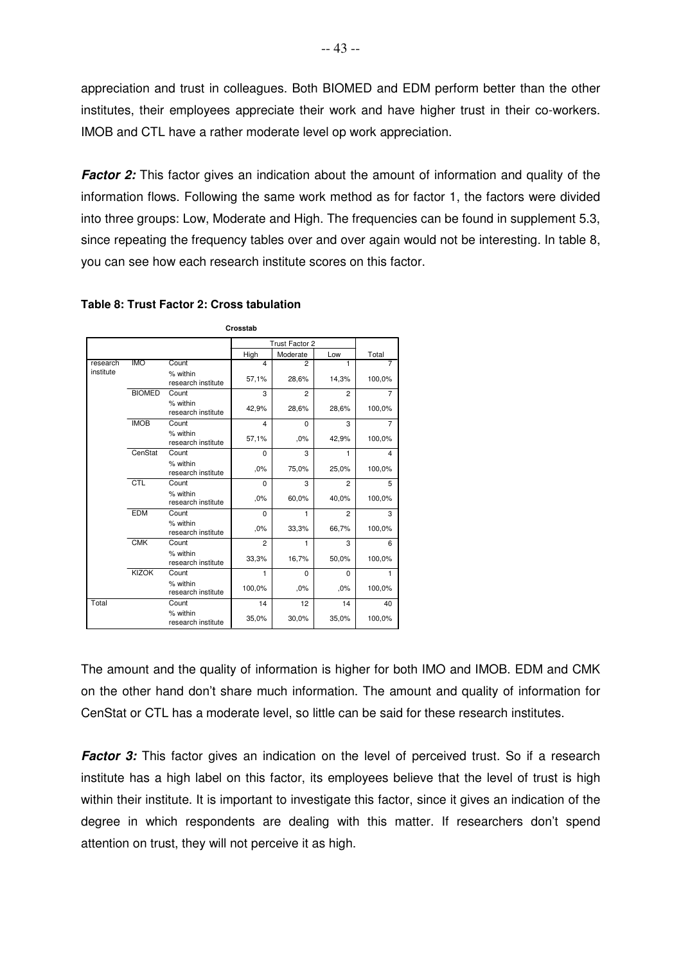appreciation and trust in colleagues. Both BIOMED and EDM perform better than the other institutes, their employees appreciate their work and have higher trust in their co-workers. IMOB and CTL have a rather moderate level op work appreciation.

**Factor 2:** This factor gives an indication about the amount of information and quality of the information flows. Following the same work method as for factor 1, the factors were divided into three groups: Low, Moderate and High. The frequencies can be found in supplement 5.3, since repeating the frequency tables over and over again would not be interesting. In table 8, you can see how each research institute scores on this factor.

|           |               |                                | Crosstab       |                |                |                |
|-----------|---------------|--------------------------------|----------------|----------------|----------------|----------------|
|           |               |                                |                | Trust Factor 2 |                |                |
|           |               |                                | High           | Moderate       | Low            | Total          |
| research  | <b>IMO</b>    | Count                          | 4              | $\mathfrak{p}$ | 1              | 7              |
| institute |               | % within<br>research institute | 57,1%          | 28,6%          | 14,3%          | 100,0%         |
|           | <b>BIOMED</b> | Count                          | 3              | $\overline{2}$ | $\overline{2}$ | $\overline{7}$ |
|           |               | % within<br>research institute | 42,9%          | 28,6%          | 28,6%          | 100,0%         |
|           | <b>IMOB</b>   | Count                          | 4              | 0              | 3              | 7              |
|           |               | % within<br>research institute | 57,1%          | .0%            | 42,9%          | 100,0%         |
|           | CenStat       | Count                          | 0              | 3              | 1              | 4              |
|           |               | % within<br>research institute | ,0%            | 75,0%          | 25,0%          | 100,0%         |
|           | CTL           | Count                          | $\Omega$       | 3              | $\overline{2}$ | 5              |
|           |               | % within<br>research institute | ,0%            | 60,0%          | 40,0%          | 100,0%         |
|           | <b>EDM</b>    | Count                          | $\Omega$       | 1              | $\overline{2}$ | 3              |
|           |               | % within<br>research institute | ,0%            | 33,3%          | 66,7%          | 100,0%         |
|           | <b>CMK</b>    | Count                          | $\overline{2}$ | 1              | 3              | 6              |
|           |               | % within<br>research institute | 33,3%          | 16,7%          | 50,0%          | 100,0%         |
|           | <b>KIZOK</b>  | Count                          | 1              | $\Omega$       | $\Omega$       | 1              |
|           |               | % within<br>research institute | 100,0%         | .0%            | .0%            | 100,0%         |
| Total     |               | Count                          | 14             | 12             | 14             | 40             |
|           |               | % within<br>research institute | 35,0%          | 30,0%          | 35,0%          | 100,0%         |

#### **Table 8: Trust Factor 2: Cross tabulation**

The amount and the quality of information is higher for both IMO and IMOB. EDM and CMK on the other hand don't share much information. The amount and quality of information for CenStat or CTL has a moderate level, so little can be said for these research institutes.

**Factor 3:** This factor gives an indication on the level of perceived trust. So if a research institute has a high label on this factor, its employees believe that the level of trust is high within their institute. It is important to investigate this factor, since it gives an indication of the degree in which respondents are dealing with this matter. If researchers don't spend attention on trust, they will not perceive it as high.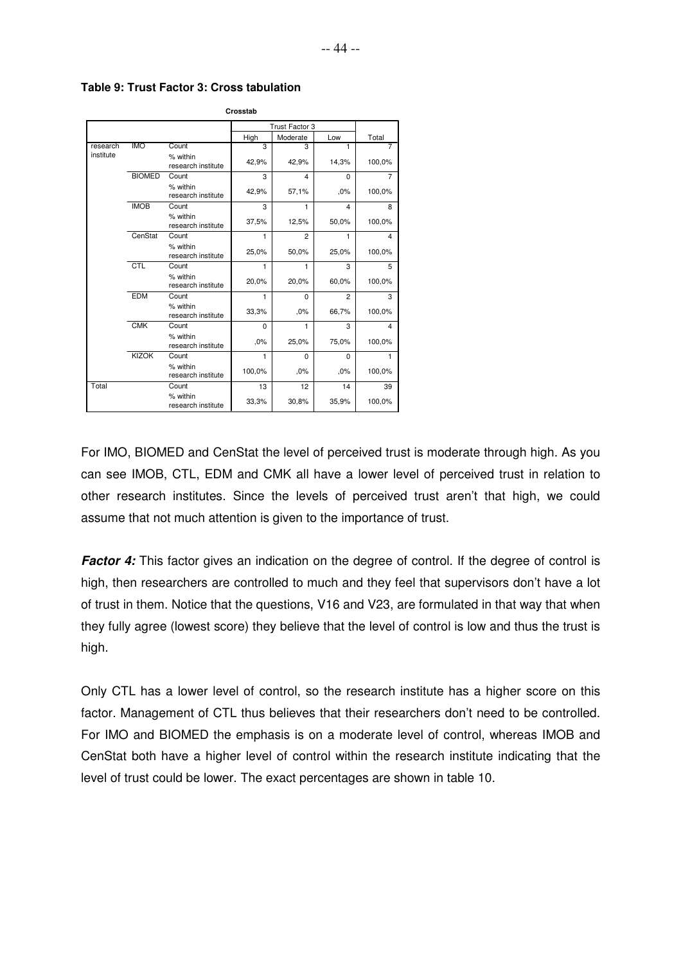|           |               |                                | Crosstab |                |                |                |
|-----------|---------------|--------------------------------|----------|----------------|----------------|----------------|
|           |               |                                |          | Trust Factor 3 |                |                |
|           |               |                                | High     | Moderate       | Low            | Total          |
| research  | <b>IMO</b>    | Count                          | 3        | 3              | 1              | 7              |
| institute |               | % within<br>research institute | 42,9%    | 42,9%          | 14,3%          | 100,0%         |
|           | <b>BIOMED</b> | Count                          | 3        | 4              | 0              | $\overline{7}$ |
|           |               | % within<br>research institute | 42,9%    | 57,1%          | ,0%            | 100,0%         |
|           | <b>IMOB</b>   | Count                          | 3        | 1              | 4              | 8              |
|           |               | % within<br>research institute | 37,5%    | 12,5%          | 50,0%          | 100,0%         |
|           | CenStat       | Count                          | 1        | $\overline{2}$ | 1              | 4              |
|           |               | % within<br>research institute | 25,0%    | 50,0%          | 25,0%          | 100,0%         |
|           | CTL           | Count                          | 1        | 1              | 3              | 5              |
|           |               | % within<br>research institute | 20,0%    | 20,0%          | 60,0%          | 100,0%         |
|           | <b>EDM</b>    | Count                          | 1        | $\Omega$       | $\overline{2}$ | 3              |
|           |               | % within<br>research institute | 33,3%    | .0%            | 66,7%          | 100,0%         |
|           | <b>CMK</b>    | Count                          | 0        | 1              | 3              | 4              |
|           |               | % within<br>research institute | .0%      | 25,0%          | 75,0%          | 100,0%         |
|           | <b>KIZOK</b>  | Count                          | 1        | $\Omega$       | $\Omega$       | 1              |
|           |               | % within<br>research institute | 100,0%   | ,0%            | .0%            | 100,0%         |
| Total     |               | Count                          | 13       | 12             | 14             | 39             |
|           |               | % within<br>research institute | 33,3%    | 30,8%          | 35,9%          | 100,0%         |

**Table 9: Trust Factor 3: Cross tabulation**

For IMO, BIOMED and CenStat the level of perceived trust is moderate through high. As you can see IMOB, CTL, EDM and CMK all have a lower level of perceived trust in relation to other research institutes. Since the levels of perceived trust aren't that high, we could assume that not much attention is given to the importance of trust.

**Factor 4:** This factor gives an indication on the degree of control. If the degree of control is high, then researchers are controlled to much and they feel that supervisors don't have a lot of trust in them. Notice that the questions, V16 and V23, are formulated in that way that when they fully agree (lowest score) they believe that the level of control is low and thus the trust is high.

Only CTL has a lower level of control, so the research institute has a higher score on this factor. Management of CTL thus believes that their researchers don't need to be controlled. For IMO and BIOMED the emphasis is on a moderate level of control, whereas IMOB and CenStat both have a higher level of control within the research institute indicating that the level of trust could be lower. The exact percentages are shown in table 10.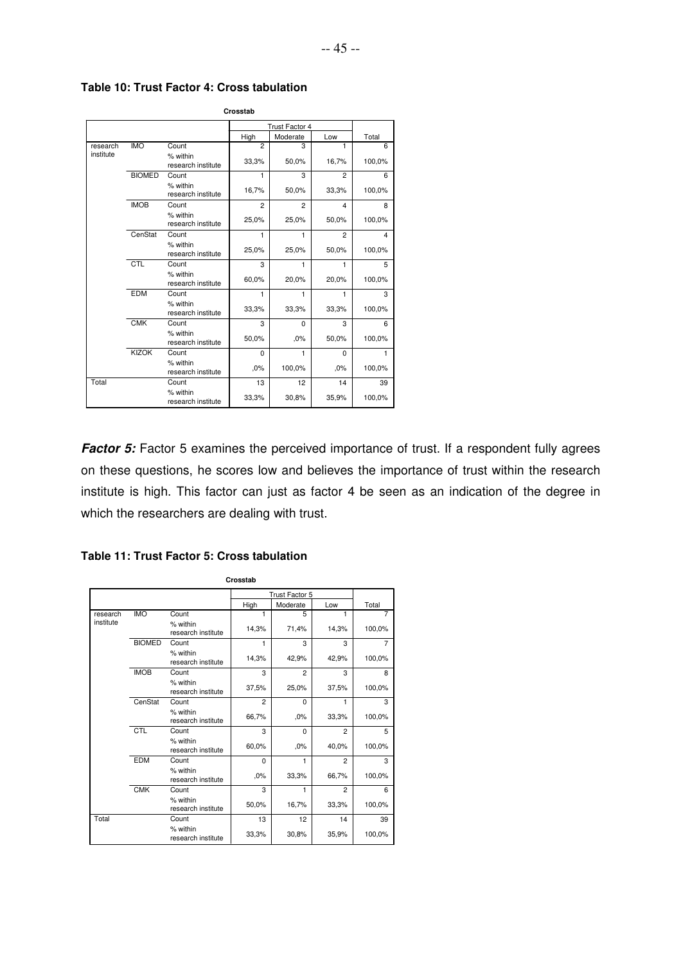|           |               |                                | Crosstab       |                       |                |        |
|-----------|---------------|--------------------------------|----------------|-----------------------|----------------|--------|
|           |               |                                |                | <b>Trust Factor 4</b> |                |        |
|           |               |                                | High           | Moderate              | Low            | Total  |
| research  | <b>IMO</b>    | Count                          | $\overline{2}$ | 3                     | 1              | 6      |
| institute |               | % within<br>research institute | 33,3%          | 50,0%                 | 16,7%          | 100,0% |
|           | <b>BIOMED</b> | Count                          | $\mathbf{1}$   | 3                     | $\overline{2}$ | 6      |
|           |               | % within<br>research institute | 16,7%          | 50,0%                 | 33,3%          | 100,0% |
|           | <b>IMOB</b>   | Count                          | $\overline{c}$ | $\overline{2}$        | $\overline{4}$ | 8      |
|           |               | % within<br>research institute | 25,0%          | 25,0%                 | 50,0%          | 100,0% |
|           | CenStat       | Count                          | 1              | 1                     | $\overline{2}$ | 4      |
|           |               | % within<br>research institute | 25,0%          | 25,0%                 | 50,0%          | 100,0% |
|           | CTL           | Count                          | 3              | 1                     | 1              | 5      |
|           |               | % within<br>research institute | 60,0%          | 20,0%                 | 20,0%          | 100,0% |
|           | <b>EDM</b>    | Count                          | 1              | 1                     | 1              | 3      |
|           |               | % within<br>research institute | 33,3%          | 33,3%                 | 33,3%          | 100,0% |
|           | <b>CMK</b>    | Count                          | 3              | $\Omega$              | 3              | 6      |
|           |               | % within<br>research institute | 50,0%          | .0%                   | 50,0%          | 100.0% |
|           | <b>KIZOK</b>  | Count                          | 0              | 1                     | $\Omega$       |        |
|           |               | % within<br>research institute | .0%            | 100,0%                | .0%            | 100,0% |
| Total     |               | Count                          | 13             | 12                    | 14             | 39     |
|           |               | % within<br>research institute | 33,3%          | 30,8%                 | 35,9%          | 100,0% |

**Table 10: Trust Factor 4: Cross tabulation** 

**Factor 5:** Factor 5 examines the perceived importance of trust. If a respondent fully agrees on these questions, he scores low and believes the importance of trust within the research institute is high. This factor can just as factor 4 be seen as an indication of the degree in which the researchers are dealing with trust.

|           |               |                                | Crosstab       |                       |                |                |
|-----------|---------------|--------------------------------|----------------|-----------------------|----------------|----------------|
|           |               |                                |                | <b>Trust Factor 5</b> |                |                |
|           |               |                                | High           | Moderate              | Low            | Total          |
| research  | <b>IMO</b>    | Count                          | 1              | 5                     | 1              | 7              |
| institute |               | % within<br>research institute | 14,3%          | 71,4%                 | 14,3%          | 100,0%         |
|           | <b>BIOMED</b> | Count                          | 1              | 3                     | 3              | $\overline{7}$ |
|           |               | % within<br>research institute | 14,3%          | 42,9%                 | 42,9%          | 100,0%         |
|           | <b>IMOB</b>   | Count                          | 3              | $\overline{2}$        | 3              | 8              |
|           |               | % within<br>research institute | 37,5%          | 25,0%                 | 37,5%          | 100,0%         |
|           | CenStat       | Count                          | $\overline{2}$ | $\Omega$              | 1              | 3              |
|           |               | % within<br>research institute | 66,7%          | .0%                   | 33,3%          | 100,0%         |
|           | <b>CTL</b>    | Count                          | 3              | 0                     | $\overline{2}$ | 5              |
|           |               | % within<br>research institute | 60,0%          | .0%                   | 40,0%          | 100,0%         |
|           | <b>EDM</b>    | Count                          | $\Omega$       | 1                     | $\overline{2}$ | 3              |
|           |               | % within<br>research institute | .0%            | 33,3%                 | 66,7%          | 100,0%         |
|           | <b>CMK</b>    | Count                          | 3              | 1                     | $\overline{c}$ | 6              |
|           |               | % within<br>research institute | 50,0%          | 16,7%                 | 33,3%          | 100,0%         |
| Total     |               | Count                          | 13             | 12                    | 14             | 39             |
|           |               | % within<br>research institute | 33,3%          | 30,8%                 | 35,9%          | 100,0%         |

**Table 11: Trust Factor 5: Cross tabulation**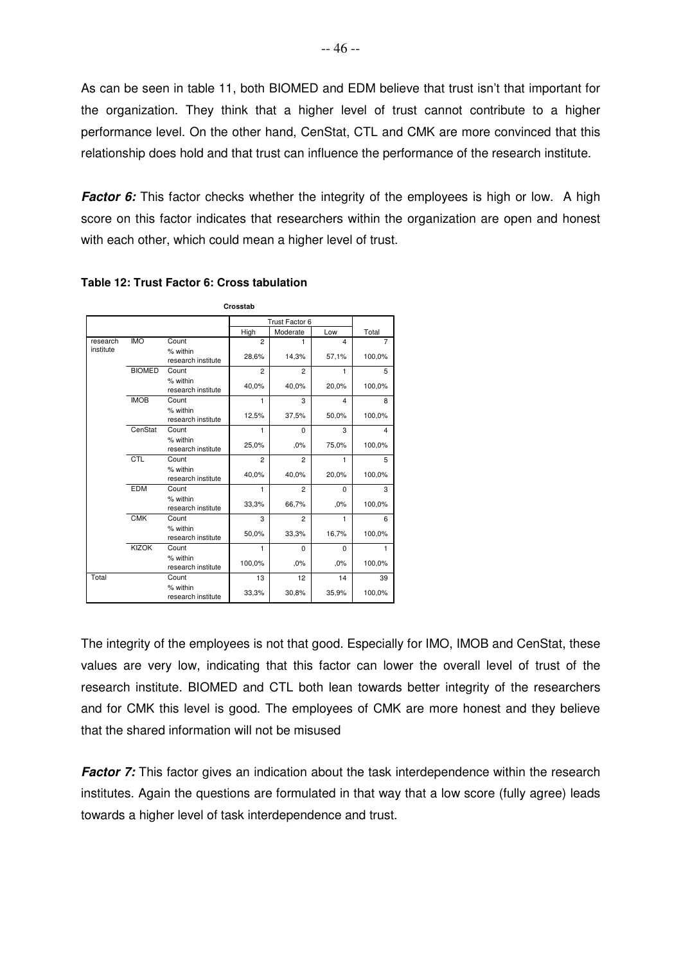As can be seen in table 11, both BIOMED and EDM believe that trust isn't that important for the organization. They think that a higher level of trust cannot contribute to a higher performance level. On the other hand, CenStat, CTL and CMK are more convinced that this relationship does hold and that trust can influence the performance of the research institute.

**Factor 6:** This factor checks whether the integrity of the employees is high or low. A high score on this factor indicates that researchers within the organization are open and honest with each other, which could mean a higher level of trust.

|           |               |                                | Crosstab       |                |                |                |
|-----------|---------------|--------------------------------|----------------|----------------|----------------|----------------|
|           |               |                                |                | Trust Factor 6 |                |                |
|           |               |                                | High           | Moderate       | Low            | Total          |
| research  | <b>IMO</b>    | Count                          | $\overline{2}$ | 1              | $\overline{4}$ | $\overline{7}$ |
| institute |               | % within<br>research institute | 28,6%          | 14,3%          | 57,1%          | 100,0%         |
|           | <b>BIOMED</b> | Count                          | $\overline{2}$ | $\overline{2}$ | 1              | 5              |
|           |               | % within<br>research institute | 40,0%          | 40,0%          | 20,0%          | 100,0%         |
|           | <b>IMOB</b>   | Count                          | 1              | 3              | $\overline{4}$ | 8              |
|           |               | % within<br>research institute | 12,5%          | 37,5%          | 50,0%          | 100,0%         |
|           | CenStat       | Count                          | 1              | 0              | 3              | $\overline{4}$ |
|           |               | % within<br>research institute | 25,0%          | ,0%            | 75,0%          | 100,0%         |
|           | CTL           | Count                          | $\overline{2}$ | $\overline{2}$ | 1              | 5              |
|           |               | % within<br>research institute | 40,0%          | 40,0%          | 20,0%          | 100,0%         |
|           | <b>EDM</b>    | Count                          | 1              | $\overline{2}$ | $\Omega$       | 3              |
|           |               | % within<br>research institute | 33,3%          | 66,7%          | .0%            | 100,0%         |
|           | <b>CMK</b>    | Count                          | 3              | $\overline{2}$ | 1              | 6              |
|           |               | % within<br>research institute | 50,0%          | 33,3%          | 16,7%          | 100,0%         |
|           | <b>KIZOK</b>  | Count                          | 1              | 0              | 0              | 1              |
|           |               | % within<br>research institute | 100,0%         | .0%            | .0%            | 100,0%         |
| Total     |               | Count                          | 13             | 12             | 14             | 39             |
|           |               | % within<br>research institute | 33,3%          | 30,8%          | 35,9%          | 100,0%         |

**Table 12: Trust Factor 6: Cross tabulation**

The integrity of the employees is not that good. Especially for IMO, IMOB and CenStat, these values are very low, indicating that this factor can lower the overall level of trust of the research institute. BIOMED and CTL both lean towards better integrity of the researchers and for CMK this level is good. The employees of CMK are more honest and they believe that the shared information will not be misused

**Factor 7:** This factor gives an indication about the task interdependence within the research institutes. Again the questions are formulated in that way that a low score (fully agree) leads towards a higher level of task interdependence and trust.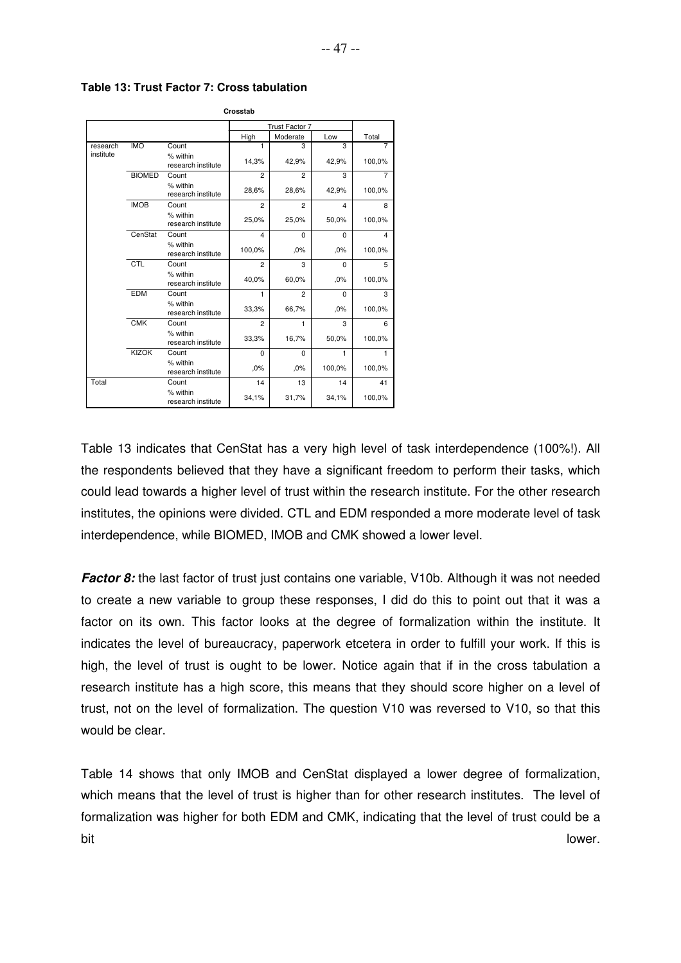|           |               |                                | Crosstab       |                |          |                |
|-----------|---------------|--------------------------------|----------------|----------------|----------|----------------|
|           |               |                                |                | Trust Factor 7 |          |                |
|           |               |                                | High           | Moderate       | Low      | Total          |
| research  | <b>IMO</b>    | Count                          | 1              | 3              | 3        | 7              |
| institute |               | % within<br>research institute | 14,3%          | 42,9%          | 42,9%    | 100,0%         |
|           | <b>BIOMED</b> | Count                          | $\overline{2}$ | $\overline{2}$ | 3        | $\overline{7}$ |
|           |               | % within<br>research institute | 28,6%          | 28,6%          | 42,9%    | 100,0%         |
|           | <b>IMOB</b>   | Count                          | $\overline{c}$ | $\overline{2}$ | 4        | 8              |
|           |               | % within<br>research institute | 25,0%          | 25,0%          | 50,0%    | 100,0%         |
|           | CenStat       | Count                          | $\overline{4}$ | $\Omega$       | $\Omega$ | 4              |
|           |               | % within<br>research institute | 100,0%         | .0%            | .0%      | 100,0%         |
|           | CTL           | Count                          | $\overline{2}$ | 3              | $\Omega$ | 5              |
|           |               | % within<br>research institute | 40,0%          | 60,0%          | .0%      | 100,0%         |
|           | <b>EDM</b>    | Count                          | 1              | $\overline{c}$ | $\Omega$ | 3              |
|           |               | % within<br>research institute | 33,3%          | 66,7%          | .0%      | 100,0%         |
|           | <b>CMK</b>    | Count                          | $\overline{c}$ | 1              | 3        | 6              |
|           |               | % within<br>research institute | 33,3%          | 16,7%          | 50,0%    | 100,0%         |
|           | <b>KIZOK</b>  | Count                          | $\Omega$       | $\Omega$       | 1        |                |
|           |               | % within<br>research institute | ,0%            | ,0%            | 100,0%   | 100,0%         |
| Total     |               | Count                          | 14             | 13             | 14       | 41             |
|           |               | % within<br>research institute | 34,1%          | 31,7%          | 34,1%    | 100,0%         |

**Table 13: Trust Factor 7: Cross tabulation**

Table 13 indicates that CenStat has a very high level of task interdependence (100%!). All the respondents believed that they have a significant freedom to perform their tasks, which could lead towards a higher level of trust within the research institute. For the other research institutes, the opinions were divided. CTL and EDM responded a more moderate level of task interdependence, while BIOMED, IMOB and CMK showed a lower level.

**Factor 8:** the last factor of trust just contains one variable, V10b. Although it was not needed to create a new variable to group these responses, I did do this to point out that it was a factor on its own. This factor looks at the degree of formalization within the institute. It indicates the level of bureaucracy, paperwork etcetera in order to fulfill your work. If this is high, the level of trust is ought to be lower. Notice again that if in the cross tabulation a research institute has a high score, this means that they should score higher on a level of trust, not on the level of formalization. The question V10 was reversed to V10, so that this would be clear.

Table 14 shows that only IMOB and CenStat displayed a lower degree of formalization, which means that the level of trust is higher than for other research institutes. The level of formalization was higher for both EDM and CMK, indicating that the level of trust could be a bit lower.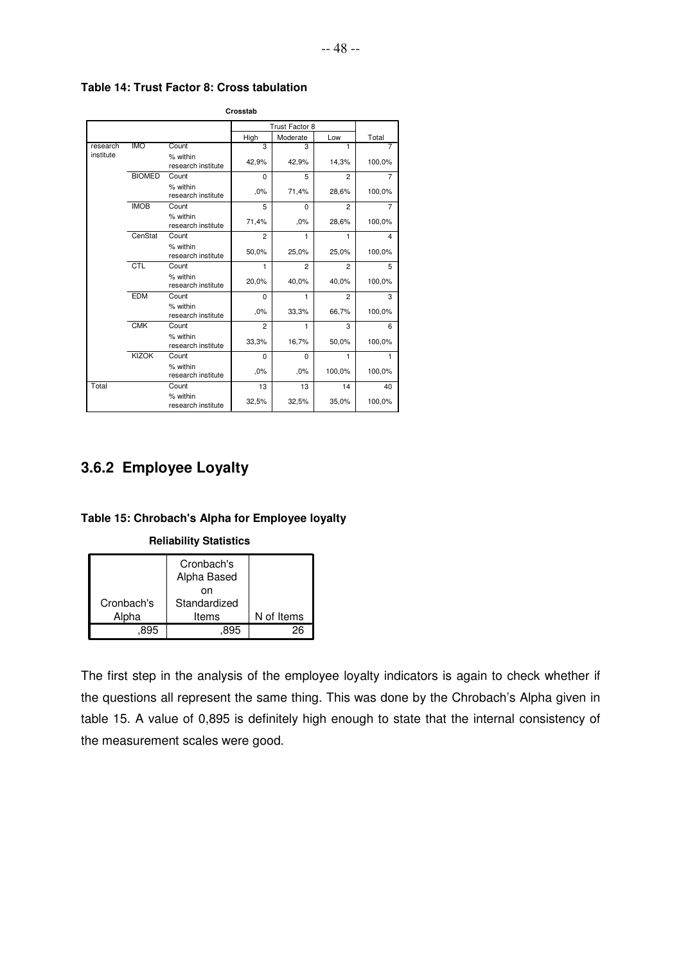|           |               |                                | Crosstab       |                |                |                |
|-----------|---------------|--------------------------------|----------------|----------------|----------------|----------------|
|           |               |                                |                | Trust Factor 8 |                |                |
|           |               |                                | High           | Moderate       | Low            | Total          |
| research  | <b>IMO</b>    | Count                          | 3              | 3              | 1              | 7              |
| institute |               | % within<br>research institute | 42,9%          | 42,9%          | 14,3%          | 100,0%         |
|           | <b>BIOMED</b> | Count                          | $\Omega$       | 5              | $\mathfrak{p}$ | $\overline{7}$ |
|           |               | % within<br>research institute | .0%            | 71,4%          | 28,6%          | 100,0%         |
|           | <b>IMOB</b>   | Count                          | 5              | $\Omega$       | $\overline{2}$ | 7              |
|           |               | % within<br>research institute | 71,4%          | .0%            | 28,6%          | 100,0%         |
|           | CenStat       | Count                          | $\overline{2}$ | 1              | 1              | 4              |
|           |               | % within<br>research institute | 50,0%          | 25,0%          | 25,0%          | 100,0%         |
|           | <b>CTL</b>    | Count                          | 1              | $\overline{2}$ | $\overline{2}$ | 5              |
|           |               | % within<br>research institute | 20,0%          | 40,0%          | 40,0%          | 100,0%         |
|           | <b>EDM</b>    | Count                          | $\Omega$       | 1              | $\overline{2}$ | 3              |
|           |               | % within<br>research institute | ,0%            | 33,3%          | 66,7%          | 100,0%         |
|           | <b>CMK</b>    | Count                          | $\overline{2}$ | 1              | 3              | 6              |
|           |               | % within<br>research institute | 33,3%          | 16,7%          | 50,0%          | 100,0%         |
|           | <b>KIZOK</b>  | Count                          | 0              | 0              | 1              | 1              |
|           |               | % within<br>research institute | .0%            | .0%            | 100,0%         | 100,0%         |
| Total     |               | Count                          | 13             | 13             | 14             | 40             |
|           |               | % within<br>research institute | 32,5%          | 32,5%          | 35,0%          | 100,0%         |

**Table 14: Trust Factor 8: Cross tabulation**

# **3.6.2 Employee Loyalty**

### **Table 15: Chrobach's Alpha for Employee loyalty**

#### **Reliability Statistics**

|            | Cronbach's<br>Alpha Based |            |
|------------|---------------------------|------------|
|            | nn                        |            |
| Cronbach's | Standardized              |            |
| Alpha      | Items                     | N of Items |
|            |                           | 26         |

The first step in the analysis of the employee loyalty indicators is again to check whether if the questions all represent the same thing. This was done by the Chrobach's Alpha given in table 15. A value of 0,895 is definitely high enough to state that the internal consistency of the measurement scales were good.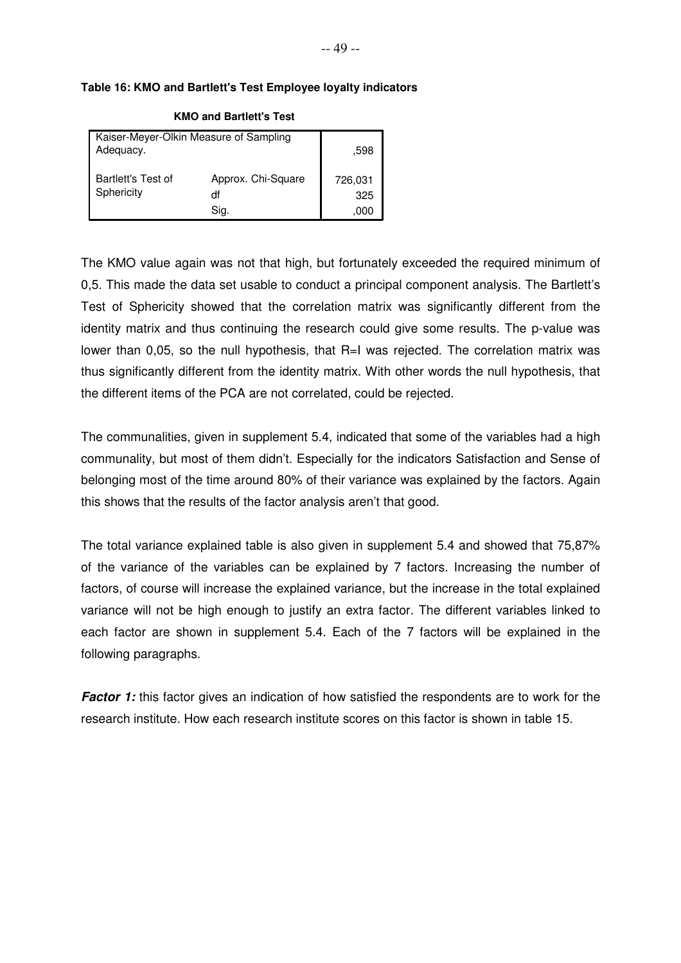#### **Table 16: KMO and Bartlett's Test Employee loyalty indicators**

| Kaiser-Meyer-Olkin Measure of Sampling<br>Adequacy. | .598                             |                        |
|-----------------------------------------------------|----------------------------------|------------------------|
| Bartlett's Test of<br>Sphericity                    | Approx. Chi-Square<br>df<br>Sia. | 726,031<br>325<br>.000 |

#### **KMO and Bartlett's Test**

The KMO value again was not that high, but fortunately exceeded the required minimum of 0,5. This made the data set usable to conduct a principal component analysis. The Bartlett's Test of Sphericity showed that the correlation matrix was significantly different from the identity matrix and thus continuing the research could give some results. The p-value was lower than 0,05, so the null hypothesis, that R=I was rejected. The correlation matrix was thus significantly different from the identity matrix. With other words the null hypothesis, that the different items of the PCA are not correlated, could be rejected.

The communalities, given in supplement 5.4, indicated that some of the variables had a high communality, but most of them didn't. Especially for the indicators Satisfaction and Sense of belonging most of the time around 80% of their variance was explained by the factors. Again this shows that the results of the factor analysis aren't that good.

The total variance explained table is also given in supplement 5.4 and showed that 75,87% of the variance of the variables can be explained by 7 factors. Increasing the number of factors, of course will increase the explained variance, but the increase in the total explained variance will not be high enough to justify an extra factor. The different variables linked to each factor are shown in supplement 5.4. Each of the 7 factors will be explained in the following paragraphs.

**Factor 1:** this factor gives an indication of how satisfied the respondents are to work for the research institute. How each research institute scores on this factor is shown in table 15.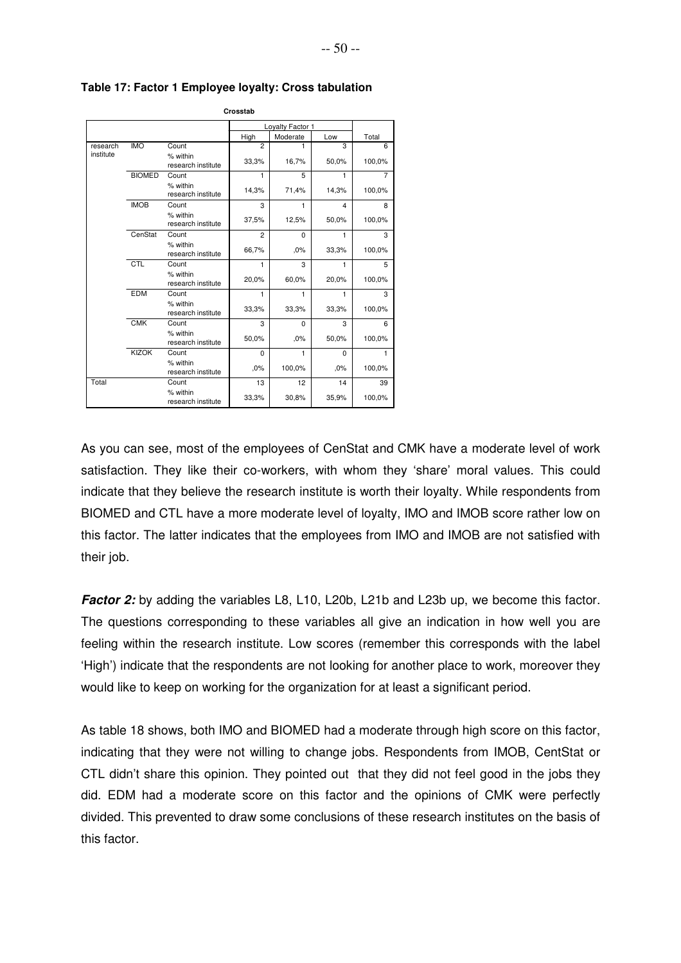|           |               |                                | Crosstab       |                  |                         |                |
|-----------|---------------|--------------------------------|----------------|------------------|-------------------------|----------------|
|           |               |                                |                | Loyalty Factor 1 |                         |                |
|           |               |                                | High           | Moderate         | Low                     | Total          |
| research  | <b>IMO</b>    | Count                          | $\overline{2}$ | 1                | $\overline{\mathbf{3}}$ | 6              |
| institute |               | % within<br>research institute | 33,3%          | 16,7%            | 50,0%                   | 100,0%         |
|           | <b>BIOMED</b> | Count                          | 1              | 5                | 1                       | $\overline{7}$ |
|           |               | % within<br>research institute | 14,3%          | 71,4%            | 14,3%                   | 100,0%         |
|           | <b>IMOB</b>   | Count                          | 3              | 1                | $\overline{4}$          | 8              |
|           |               | % within<br>research institute | 37,5%          | 12,5%            | 50,0%                   | 100,0%         |
|           | CenStat       | Count                          | $\overline{2}$ | $\Omega$         | 1                       | 3              |
|           |               | % within<br>research institute | 66,7%          | .0%              | 33,3%                   | 100,0%         |
|           | CTL           | Count                          | 1              | 3                | 1                       | 5              |
|           |               | % within<br>research institute | 20,0%          | 60,0%            | 20,0%                   | 100,0%         |
|           | <b>EDM</b>    | Count                          | 1              | 1                | 1                       | 3              |
|           |               | % within<br>research institute | 33,3%          | 33,3%            | 33,3%                   | 100,0%         |
|           | CMK           | Count                          | 3              | $\Omega$         | 3                       | 6              |
|           |               | % within<br>research institute | 50,0%          | .0%              | 50,0%                   | 100,0%         |
|           | <b>KIZOK</b>  | Count                          | $\Omega$       | 1                | $\Omega$                | 1              |
|           |               | % within<br>research institute | .0%            | 100,0%           | .0%                     | 100,0%         |
| Total     |               | Count                          | 13             | 12               | 14                      | 39             |
|           |               | % within<br>research institute | 33,3%          | 30,8%            | 35,9%                   | 100,0%         |

**Table 17: Factor 1 Employee loyalty: Cross tabulation**

As you can see, most of the employees of CenStat and CMK have a moderate level of work satisfaction. They like their co-workers, with whom they 'share' moral values. This could indicate that they believe the research institute is worth their loyalty. While respondents from BIOMED and CTL have a more moderate level of loyalty, IMO and IMOB score rather low on this factor. The latter indicates that the employees from IMO and IMOB are not satisfied with their job.

**Factor 2:** by adding the variables L8, L10, L20b, L21b and L23b up, we become this factor. The questions corresponding to these variables all give an indication in how well you are feeling within the research institute. Low scores (remember this corresponds with the label 'High') indicate that the respondents are not looking for another place to work, moreover they would like to keep on working for the organization for at least a significant period.

As table 18 shows, both IMO and BIOMED had a moderate through high score on this factor, indicating that they were not willing to change jobs. Respondents from IMOB, CentStat or CTL didn't share this opinion. They pointed out that they did not feel good in the jobs they did. EDM had a moderate score on this factor and the opinions of CMK were perfectly divided. This prevented to draw some conclusions of these research institutes on the basis of this factor.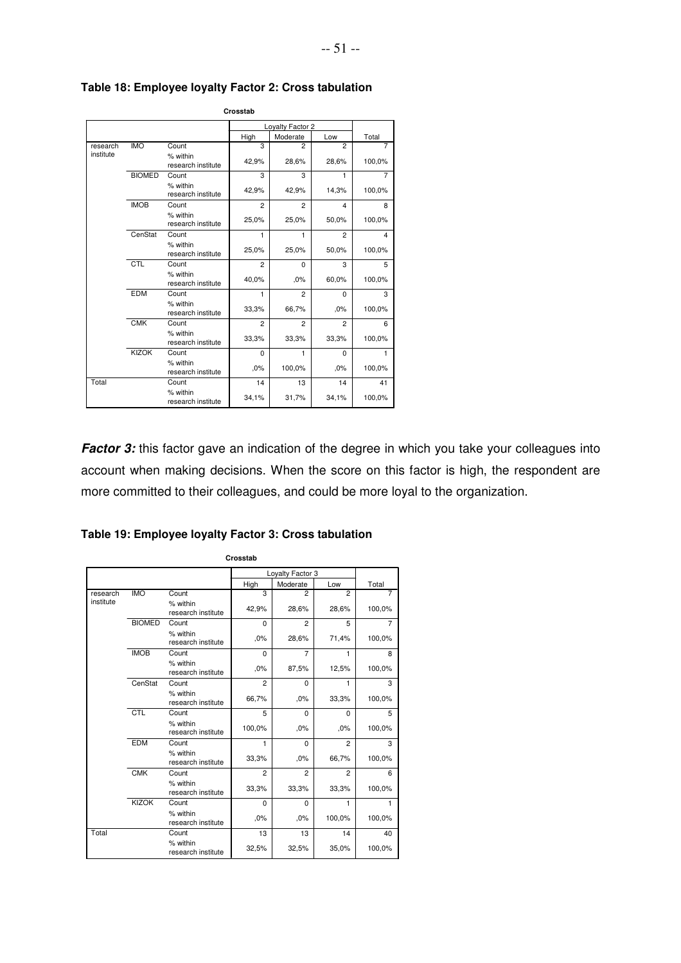|           |               |                                | Crosstab       |                  |                |                |
|-----------|---------------|--------------------------------|----------------|------------------|----------------|----------------|
|           |               |                                |                | Loyalty Factor 2 |                |                |
|           |               |                                | High           | Moderate         | Low            | Total          |
| research  | <b>IMO</b>    | Count                          | 3              | $\overline{2}$   | $\overline{2}$ | 7              |
| institute |               | % within<br>research institute | 42,9%          | 28,6%            | 28,6%          | 100,0%         |
|           | <b>BIOMED</b> | Count                          | 3              | 3                | 1              | $\overline{7}$ |
|           |               | % within<br>research institute | 42,9%          | 42,9%            | 14,3%          | 100,0%         |
|           | <b>IMOB</b>   | Count                          | $\overline{c}$ | $\overline{2}$   | $\overline{4}$ | 8              |
|           |               | % within<br>research institute | 25,0%          | 25,0%            | 50,0%          | 100,0%         |
|           | CenStat       | Count                          | 1              | 1                | $\overline{2}$ | 4              |
|           |               | % within<br>research institute | 25,0%          | 25,0%            | 50,0%          | 100,0%         |
|           | CTL           | Count                          | $\overline{2}$ | $\Omega$         | 3              | 5              |
|           |               | % within<br>research institute | 40,0%          | ,0%              | 60,0%          | 100,0%         |
|           | <b>EDM</b>    | Count                          | 1              | $\overline{2}$   | $\Omega$       | 3              |
|           |               | % within<br>research institute | 33,3%          | 66,7%            | .0%            | 100,0%         |
|           | <b>CMK</b>    | Count                          | $\overline{c}$ | $\overline{2}$   | $\overline{2}$ | 6              |
|           |               | % within<br>research institute | 33,3%          | 33,3%            | 33,3%          | 100,0%         |
|           | <b>KIZOK</b>  | Count                          | 0              | 1                | $\mathbf 0$    | 1              |
|           |               | % within<br>research institute | ,0%            | 100,0%           | .0%            | 100,0%         |
| Total     |               | Count                          | 14             | 13               | 14             | 41             |
|           |               | % within<br>research institute | 34,1%          | 31,7%            | 34,1%          | 100,0%         |

**Table 18: Employee loyalty Factor 2: Cross tabulation** 

**Factor 3:** this factor gave an indication of the degree in which you take your colleagues into account when making decisions. When the score on this factor is high, the respondent are more committed to their colleagues, and could be more loyal to the organization.

|           |               |                                | Crosstab       |                  |                |                |
|-----------|---------------|--------------------------------|----------------|------------------|----------------|----------------|
|           |               |                                |                | Loyalty Factor 3 |                |                |
|           |               |                                | High           | Moderate         | Low            | Total          |
| research  | <b>IMO</b>    | Count                          | 3              | $\overline{2}$   | $\overline{2}$ | 7              |
| institute |               | % within<br>research institute | 42,9%          | 28,6%            | 28,6%          | 100,0%         |
|           | <b>BIOMED</b> | Count                          | $\Omega$       | $\overline{2}$   | 5              | $\overline{7}$ |
|           |               | % within<br>research institute | ,0%            | 28,6%            | 71,4%          | 100,0%         |
|           | <b>IMOB</b>   | Count                          | 0              | 7                | 1              | 8              |
|           |               | % within<br>research institute | ,0%            | 87,5%            | 12,5%          | 100,0%         |
|           | CenStat       | Count                          | $\overline{2}$ | 0                | 1              | 3              |
|           |               | % within<br>research institute | 66,7%          | ,0%              | 33,3%          | 100,0%         |
|           | <b>CTL</b>    | Count                          | 5              | $\Omega$         | $\Omega$       | 5              |
|           |               | % within<br>research institute | 100,0%         | ,0%              | ,0%            | 100,0%         |
|           | <b>EDM</b>    | Count                          | 1              | 0                | $\overline{2}$ | 3              |
|           |               | % within<br>research institute | 33,3%          | .0%              | 66,7%          | 100,0%         |
|           | <b>CMK</b>    | Count                          | $\overline{c}$ | $\overline{c}$   | $\overline{2}$ | 6              |
|           |               | % within<br>research institute | 33,3%          | 33,3%            | 33,3%          | 100,0%         |
|           | <b>KIZOK</b>  | Count                          | 0              | $\mathbf 0$      | 1              | 1              |
|           |               | % within<br>research institute | ,0%            | .0%              | 100,0%         | 100,0%         |
| Total     |               | Count                          | 13             | 13               | 14             | 40             |
|           |               | % within<br>research institute | 32,5%          | 32,5%            | 35,0%          | 100,0%         |

**Table 19: Employee loyalty Factor 3: Cross tabulation**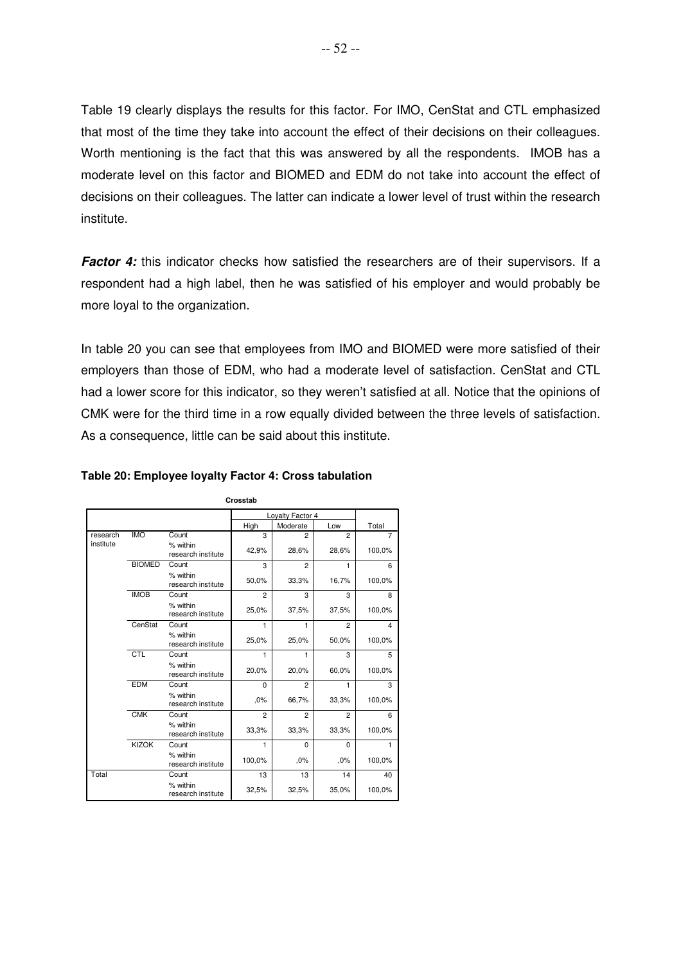Table 19 clearly displays the results for this factor. For IMO, CenStat and CTL emphasized that most of the time they take into account the effect of their decisions on their colleagues. Worth mentioning is the fact that this was answered by all the respondents. IMOB has a moderate level on this factor and BIOMED and EDM do not take into account the effect of decisions on their colleagues. The latter can indicate a lower level of trust within the research institute.

Factor 4: this indicator checks how satisfied the researchers are of their supervisors. If a respondent had a high label, then he was satisfied of his employer and would probably be more loyal to the organization.

In table 20 you can see that employees from IMO and BIOMED were more satisfied of their employers than those of EDM, who had a moderate level of satisfaction. CenStat and CTL had a lower score for this indicator, so they weren't satisfied at all. Notice that the opinions of CMK were for the third time in a row equally divided between the three levels of satisfaction. As a consequence, little can be said about this institute.

|           |               |                                | Crosstab                |                  |                |                |
|-----------|---------------|--------------------------------|-------------------------|------------------|----------------|----------------|
|           |               |                                |                         | Loyalty Factor 4 |                |                |
|           |               |                                | High                    | Moderate         | Low            | Total          |
| research  | <b>IMO</b>    | Count                          | $\overline{\mathbf{3}}$ | $\overline{c}$   | $\overline{2}$ | 7              |
| institute |               | % within<br>research institute | 42,9%                   | 28,6%            | 28,6%          | 100,0%         |
|           | <b>BIOMED</b> | Count                          | 3                       | $\overline{2}$   | 1              | 6              |
|           |               | % within<br>research institute | 50,0%                   | 33,3%            | 16,7%          | 100,0%         |
|           | <b>IMOB</b>   | Count                          | 2                       | 3                | 3              | 8              |
|           |               | % within<br>research institute | 25,0%                   | 37,5%            | 37,5%          | 100,0%         |
|           | CenStat       | Count                          | 1                       | 1                | $\overline{2}$ | $\overline{4}$ |
|           |               | % within<br>research institute | 25,0%                   | 25,0%            | 50,0%          | 100,0%         |
|           | <b>CTL</b>    | Count                          | 1                       | 1                | 3              | 5              |
|           |               | % within<br>research institute | 20,0%                   | 20,0%            | 60,0%          | 100,0%         |
|           | <b>EDM</b>    | Count                          | 0                       | $\overline{2}$   | 1              | 3              |
|           |               | % within<br>research institute | ,0%                     | 66,7%            | 33,3%          | 100,0%         |
|           | CMK           | Count                          | $\overline{c}$          | $\overline{2}$   | $\overline{2}$ | 6              |
|           |               | % within<br>research institute | 33,3%                   | 33,3%            | 33,3%          | 100,0%         |
|           | <b>KIZOK</b>  | Count                          | 1                       | $\Omega$         | $\Omega$       | 1              |
|           |               | % within<br>research institute | 100,0%                  | .0%              | .0%            | 100,0%         |
| Total     |               | Count                          | 13                      | 13               | 14             | 40             |
|           |               | % within<br>research institute | 32,5%                   | 32,5%            | 35,0%          | 100,0%         |

#### **Table 20: Employee loyalty Factor 4: Cross tabulation**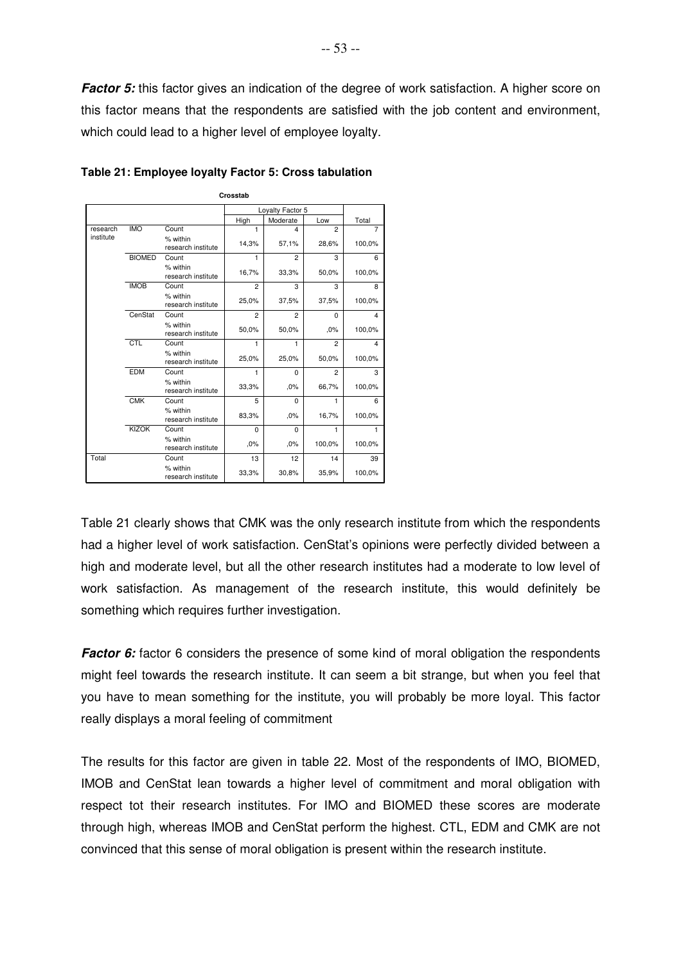**Factor 5:** this factor gives an indication of the degree of work satisfaction. A higher score on this factor means that the respondents are satisfied with the job content and environment, which could lead to a higher level of employee loyalty.

|           |               |                                | Crosstab       |                  |                |                         |
|-----------|---------------|--------------------------------|----------------|------------------|----------------|-------------------------|
|           |               |                                |                | Loyalty Factor 5 |                |                         |
|           |               |                                | High           | Moderate         | Low            | Total                   |
| research  | <b>IMO</b>    | Count                          | 1              | 4                | $\overline{2}$ | 7                       |
| institute |               | % within<br>research institute | 14,3%          | 57,1%            | 28,6%          | 100,0%                  |
|           | <b>BIOMED</b> | Count                          | 1              | $\overline{2}$   | 3              | 6                       |
|           |               | % within<br>research institute | 16,7%          | 33,3%            | 50,0%          | 100,0%                  |
|           | <b>IMOB</b>   | Count                          | $\overline{2}$ | 3                | 3              | 8                       |
|           |               | % within<br>research institute | 25,0%          | 37,5%            | 37,5%          | 100,0%                  |
|           | CenStat       | Count                          | $\overline{2}$ | $\overline{2}$   | $\Omega$       | 4                       |
|           |               | % within<br>research institute | 50,0%          | 50,0%            | ,0%            | 100,0%                  |
|           | CTL           | Count                          | 1              | 1                | $\overline{2}$ | $\overline{\mathbf{4}}$ |
|           |               | % within<br>research institute | 25,0%          | 25,0%            | 50,0%          | 100,0%                  |
|           | <b>EDM</b>    | Count                          | 1              | $\Omega$         | $\overline{2}$ | 3                       |
|           |               | % within<br>research institute | 33,3%          | .0%              | 66,7%          | 100,0%                  |
|           | <b>CMK</b>    | Count                          | 5              | $\Omega$         | 1              | 6                       |
|           |               | % within<br>research institute | 83,3%          | .0%              | 16,7%          | 100,0%                  |
|           | <b>KIZOK</b>  | Count                          | $\Omega$       | $\Omega$         | 1              | 1                       |
|           |               | % within<br>research institute | .0%            | .0%              | 100,0%         | 100,0%                  |
| Total     |               | Count                          | 13             | 12               | 14             | 39                      |
|           |               | % within<br>research institute | 33,3%          | 30,8%            | 35,9%          | 100,0%                  |

**Table 21: Employee loyalty Factor 5: Cross tabulation**

Table 21 clearly shows that CMK was the only research institute from which the respondents had a higher level of work satisfaction. CenStat's opinions were perfectly divided between a high and moderate level, but all the other research institutes had a moderate to low level of work satisfaction. As management of the research institute, this would definitely be something which requires further investigation.

**Factor 6:** factor 6 considers the presence of some kind of moral obligation the respondents might feel towards the research institute. It can seem a bit strange, but when you feel that you have to mean something for the institute, you will probably be more loyal. This factor really displays a moral feeling of commitment

The results for this factor are given in table 22. Most of the respondents of IMO, BIOMED, IMOB and CenStat lean towards a higher level of commitment and moral obligation with respect tot their research institutes. For IMO and BIOMED these scores are moderate through high, whereas IMOB and CenStat perform the highest. CTL, EDM and CMK are not convinced that this sense of moral obligation is present within the research institute.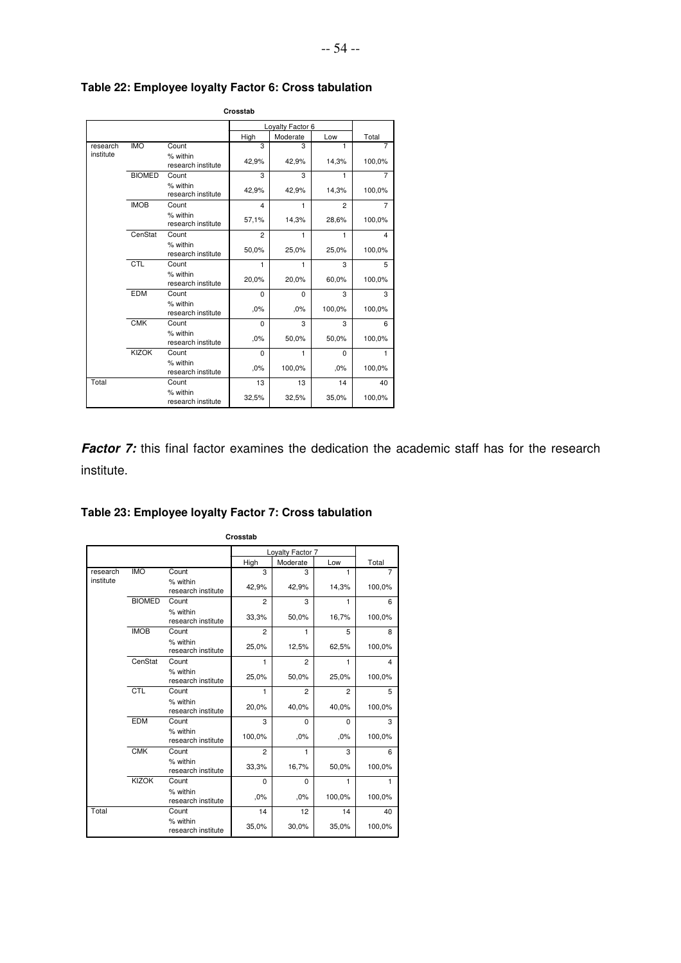|           |               |                                | Crosstab                |                  |                |                |
|-----------|---------------|--------------------------------|-------------------------|------------------|----------------|----------------|
|           |               |                                |                         | Loyalty Factor 6 |                |                |
|           |               |                                | High                    | Moderate         | Low            | Total          |
| research  | <b>IMO</b>    | Count                          | 3                       | з                | 1              | 7              |
| institute |               | % within<br>research institute | 42,9%                   | 42,9%            | 14,3%          | 100,0%         |
|           | <b>BIOMED</b> | Count                          | 3                       | 3                | 1              | $\overline{7}$ |
|           |               | % within<br>research institute | 42,9%                   | 42,9%            | 14,3%          | 100,0%         |
|           | <b>IMOB</b>   | Count                          | $\overline{\mathbf{4}}$ | 1                | $\overline{2}$ | 7              |
|           |               | % within<br>research institute | 57,1%                   | 14,3%            | 28,6%          | 100,0%         |
|           | CenStat       | Count                          | $\overline{2}$          | 1                | 1              | 4              |
|           |               | % within<br>research institute | 50,0%                   | 25,0%            | 25,0%          | 100,0%         |
|           | CTL           | Count                          | 1                       | 1                | 3              | 5              |
|           |               | % within<br>research institute | 20,0%                   | 20,0%            | 60,0%          | 100,0%         |
|           | <b>EDM</b>    | Count                          | $\Omega$                | $\Omega$         | 3              | 3              |
|           |               | % within<br>research institute | .0%                     | .0%              | 100,0%         | 100,0%         |
|           | <b>CMK</b>    | Count                          | 0                       | 3                | 3              | 6              |
|           |               | % within<br>research institute | .0%                     | 50,0%            | 50,0%          | 100,0%         |
|           | <b>KIZOK</b>  | Count                          | $\Omega$                | 1                | $\Omega$       | 1              |
|           |               | % within<br>research institute | .0%                     | 100,0%           | .0%            | 100,0%         |
| Total     |               | Count                          | 13                      | 13               | 14             | 40             |
|           |               | % within<br>research institute | 32,5%                   | 32,5%            | 35,0%          | 100,0%         |

## **Table 22: Employee loyalty Factor 6: Cross tabulation**

**Factor 7:** this final factor examines the dedication the academic staff has for the research institute.

-- 54 --

## **Table 23: Employee loyalty Factor 7: Cross tabulation**

|           |               |                                | Crosstab       |                  |                |        |
|-----------|---------------|--------------------------------|----------------|------------------|----------------|--------|
|           |               |                                |                | Loyalty Factor 7 |                |        |
|           |               |                                | High           | Moderate         | Low            | Total  |
| research  | <b>IMO</b>    | Count                          | 3              | 3                | 1              | 7      |
| institute |               | % within<br>research institute | 42,9%          | 42,9%            | 14,3%          | 100,0% |
|           | <b>BIOMED</b> | Count                          | $\overline{2}$ | 3                | 1              | 6      |
|           |               | % within<br>research institute | 33,3%          | 50,0%            | 16,7%          | 100,0% |
|           | <b>IMOB</b>   | Count                          | $\overline{2}$ | 1                | 5              | 8      |
|           |               | % within<br>research institute | 25,0%          | 12,5%            | 62,5%          | 100,0% |
|           | CenStat       | Count                          | 1              | $\overline{2}$   | 1              | 4      |
|           |               | % within<br>research institute | 25,0%          | 50,0%            | 25,0%          | 100,0% |
|           | CTL           | Count                          | 1              | $\overline{2}$   | $\mathfrak{p}$ | 5      |
|           |               | % within<br>research institute | 20,0%          | 40,0%            | 40,0%          | 100,0% |
|           | <b>EDM</b>    | Count                          | 3              | $\Omega$         | $\Omega$       | 3      |
|           |               | % within<br>research institute | 100,0%         | .0%              | .0%            | 100,0% |
|           | <b>CMK</b>    | Count                          | $\overline{2}$ | 1                | 3              | 6      |
|           |               | % within<br>research institute | 33,3%          | 16,7%            | 50,0%          | 100,0% |
|           | <b>KIZOK</b>  | Count                          | $\Omega$       | $\Omega$         | 1              | 1      |
|           |               | % within<br>research institute | .0%            | .0%              | 100,0%         | 100,0% |
| Total     |               | Count                          | 14             | 12               | 14             | 40     |
|           |               | % within<br>research institute | 35,0%          | 30,0%            | 35,0%          | 100,0% |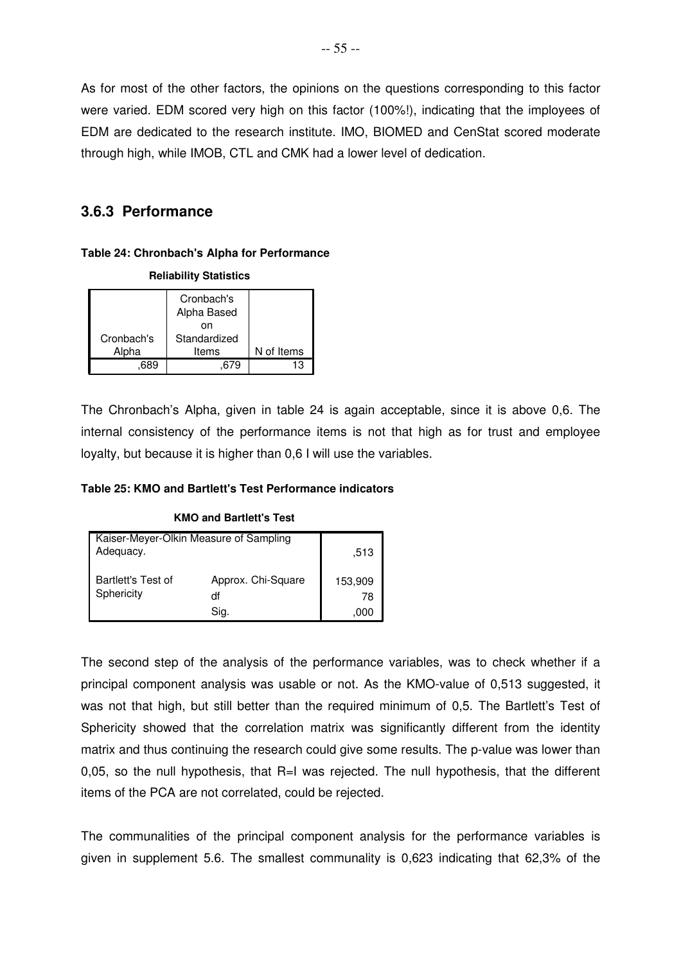As for most of the other factors, the opinions on the questions corresponding to this factor were varied. EDM scored very high on this factor (100%!), indicating that the imployees of EDM are dedicated to the research institute. IMO, BIOMED and CenStat scored moderate through high, while IMOB, CTL and CMK had a lower level of dedication.

## **3.6.3 Performance**

### **Table 24: Chronbach's Alpha for Performance**

**Reliability Statistics**

| <b>NUMBER OF PROPERTY</b> |                           |            |  |  |  |  |
|---------------------------|---------------------------|------------|--|--|--|--|
|                           | Cronbach's<br>Alpha Based |            |  |  |  |  |
|                           | nn                        |            |  |  |  |  |
| Cronbach's                | Standardized              |            |  |  |  |  |
| Alpha                     | Items                     | N of Items |  |  |  |  |
|                           |                           | 13         |  |  |  |  |

The Chronbach's Alpha, given in table 24 is again acceptable, since it is above 0,6. The internal consistency of the performance items is not that high as for trust and employee loyalty, but because it is higher than 0,6 I will use the variables.

### **Table 25: KMO and Bartlett's Test Performance indicators**

| Kaiser-Meyer-Olkin Measure of Sampling<br>Adequacy. | .513                             |                       |
|-----------------------------------------------------|----------------------------------|-----------------------|
| Bartlett's Test of<br>Sphericity                    | Approx. Chi-Square<br>df<br>Sia. | 153,909<br>78<br>.000 |

#### **KMO and Bartlett's Test**

The second step of the analysis of the performance variables, was to check whether if a principal component analysis was usable or not. As the KMO-value of 0,513 suggested, it was not that high, but still better than the required minimum of 0,5. The Bartlett's Test of Sphericity showed that the correlation matrix was significantly different from the identity matrix and thus continuing the research could give some results. The p-value was lower than 0,05, so the null hypothesis, that R=I was rejected. The null hypothesis, that the different items of the PCA are not correlated, could be rejected.

The communalities of the principal component analysis for the performance variables is given in supplement 5.6. The smallest communality is 0,623 indicating that 62,3% of the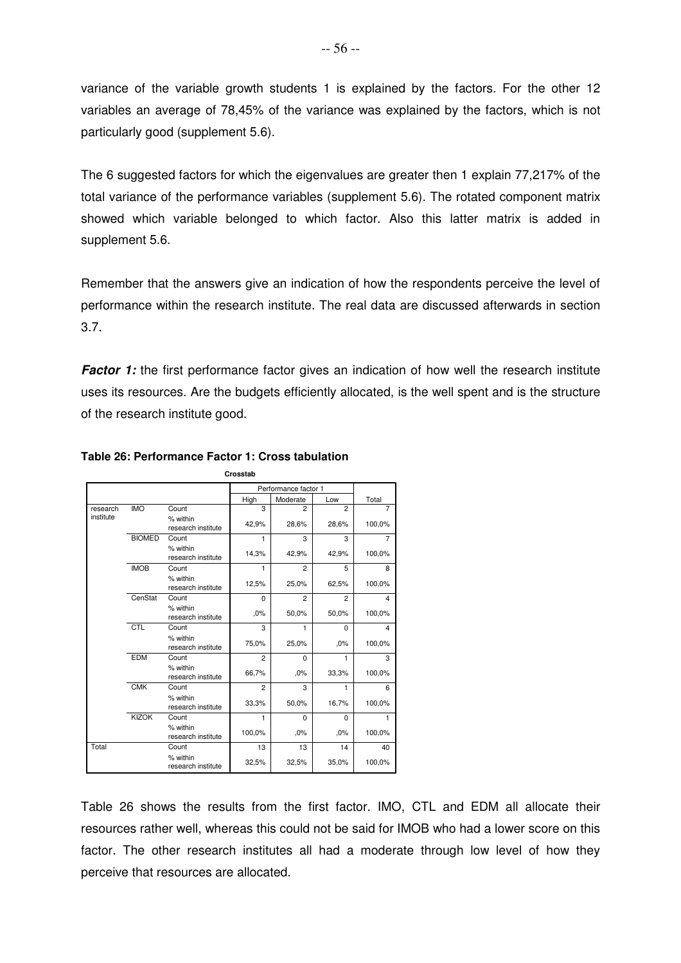variance of the variable growth students 1 is explained by the factors. For the other 12 variables an average of 78,45% of the variance was explained by the factors, which is not particularly good (supplement 5.6).

The 6 suggested factors for which the eigenvalues are greater then 1 explain 77,217% of the total variance of the performance variables (supplement 5.6). The rotated component matrix showed which variable belonged to which factor. Also this latter matrix is added in supplement 5.6.

Remember that the answers give an indication of how the respondents perceive the level of performance within the research institute. The real data are discussed afterwards in section 3.7.

**Factor 1:** the first performance factor gives an indication of how well the research institute uses its resources. Are the budgets efficiently allocated, is the well spent and is the structure of the research institute good.

|           |               |                                | Crosstab                |                      |                |        |
|-----------|---------------|--------------------------------|-------------------------|----------------------|----------------|--------|
|           |               |                                |                         | Performance factor 1 |                |        |
|           |               |                                | High                    | Moderate             | Low            | Total  |
| research  | <b>IMO</b>    | Count                          | $\overline{\mathbf{3}}$ | $\overline{2}$       | $\overline{2}$ |        |
| institute |               | % within<br>research institute | 42,9%                   | 28,6%                | 28,6%          | 100,0% |
|           | <b>BIOMED</b> | Count                          | 1                       | 3                    | 3              | 7      |
|           |               | % within<br>research institute | 14,3%                   | 42,9%                | 42,9%          | 100,0% |
|           | <b>IMOB</b>   | Count                          | 1                       | $\overline{2}$       | 5              | 8      |
|           |               | % within<br>research institute | 12,5%                   | 25,0%                | 62,5%          | 100,0% |
|           | CenStat       | Count                          | $\Omega$                | $\overline{2}$       | $\overline{2}$ | 4      |
|           |               | % within<br>research institute | .0%                     | 50,0%                | 50,0%          | 100,0% |
|           | <b>CTL</b>    | Count                          | 3                       | 1                    | $\Omega$       | 4      |
|           |               | % within<br>research institute | 75,0%                   | 25,0%                | .0%            | 100,0% |
|           | <b>EDM</b>    | Count                          | $\overline{2}$          | $\Omega$             | 1              | 3      |
|           |               | % within<br>research institute | 66,7%                   | ,0%                  | 33,3%          | 100,0% |
|           | <b>CMK</b>    | Count                          | $\overline{2}$          | 3                    | 1              | 6      |
|           |               | % within<br>research institute | 33,3%                   | 50,0%                | 16,7%          | 100,0% |
|           | <b>KIZOK</b>  | Count                          | 1                       | $\Omega$             | $\Omega$       | 1      |
|           |               | % within<br>research institute | 100,0%                  | .0%                  | .0%            | 100,0% |
| Total     |               | Count                          | 13                      | 13                   | 14             | 40     |
|           |               | % within<br>research institute | 32,5%                   | 32,5%                | 35,0%          | 100,0% |

### **Table 26: Performance Factor 1: Cross tabulation**

Table 26 shows the results from the first factor. IMO, CTL and EDM all allocate their resources rather well, whereas this could not be said for IMOB who had a lower score on this factor. The other research institutes all had a moderate through low level of how they perceive that resources are allocated.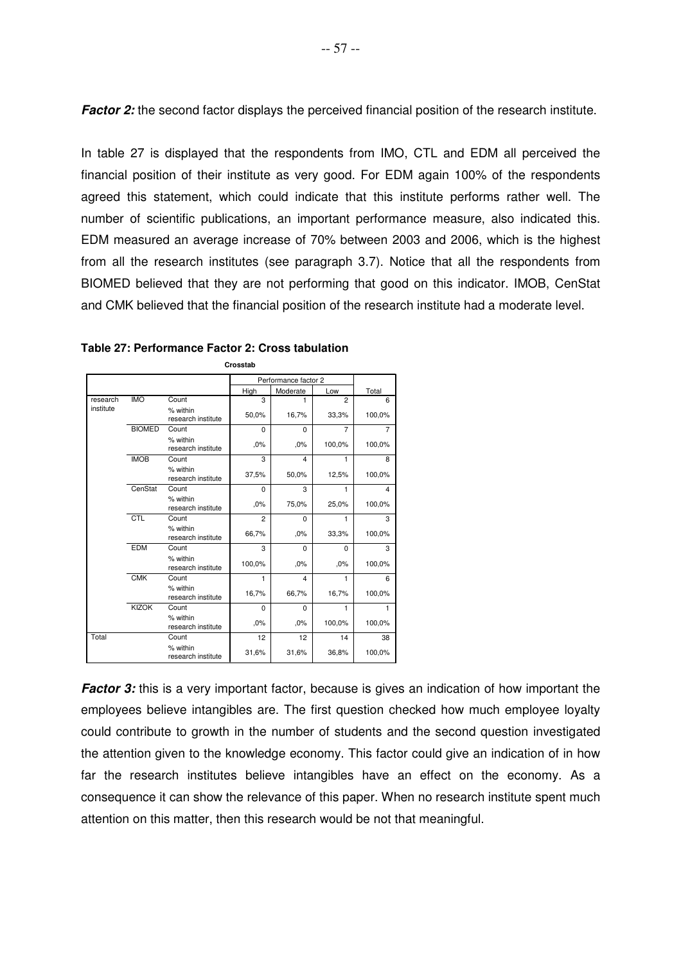**Factor 2:** the second factor displays the perceived financial position of the research institute.

In table 27 is displayed that the respondents from IMO, CTL and EDM all perceived the financial position of their institute as very good. For EDM again 100% of the respondents agreed this statement, which could indicate that this institute performs rather well. The number of scientific publications, an important performance measure, also indicated this. EDM measured an average increase of 70% between 2003 and 2006, which is the highest from all the research institutes (see paragraph 3.7). Notice that all the respondents from BIOMED believed that they are not performing that good on this indicator. IMOB, CenStat and CMK believed that the financial position of the research institute had a moderate level.

|           |               |                                |                | Performance factor 2    |                |        |
|-----------|---------------|--------------------------------|----------------|-------------------------|----------------|--------|
|           |               |                                | High           | Moderate                | Low            | Total  |
| research  | <b>IMO</b>    | Count                          | 3              | 1                       | $\overline{2}$ | 6      |
| institute |               | % within<br>research institute | 50,0%          | 16,7%                   | 33,3%          | 100,0% |
|           | <b>BIOMED</b> | Count                          | $\Omega$       | $\Omega$                | $\overline{7}$ | 7      |
|           |               | % within<br>research institute | ,0%            | ,0%                     | 100,0%         | 100,0% |
|           | <b>IMOB</b>   | Count                          | 3              | $\overline{\mathbf{A}}$ | 1              | 8      |
|           |               | % within<br>research institute | 37,5%          | 50,0%                   | 12,5%          | 100,0% |
|           | CenStat       | Count                          | $\Omega$       | 3                       | 1              | 4      |
|           |               | % within<br>research institute | .0%            | 75,0%                   | 25,0%          | 100,0% |
|           | CTL           | Count                          | $\overline{2}$ | $\mathbf 0$             | 1              | 3      |
|           |               | % within<br>research institute | 66,7%          | ,0%                     | 33,3%          | 100,0% |
|           | <b>EDM</b>    | Count                          | 3              | $\Omega$                | $\Omega$       | 3      |
|           |               | % within<br>research institute | 100,0%         | .0%                     | .0%            | 100,0% |
|           | <b>CMK</b>    | Count                          | 1              | 4                       | 1              | 6      |
|           |               | % within<br>research institute | 16,7%          | 66,7%                   | 16,7%          | 100,0% |
|           | <b>KIZOK</b>  | Count                          | $\Omega$       | $\Omega$                | 1              | 1      |
|           |               | % within<br>research institute | .0%            | .0%                     | 100,0%         | 100,0% |
| Total     |               | Count                          | 12             | 12                      | 14             | 38     |
|           |               | % within<br>research institute | 31,6%          | 31,6%                   | 36,8%          | 100,0% |

**Crosstab**

**Factor 3:** this is a very important factor, because is gives an indication of how important the employees believe intangibles are. The first question checked how much employee loyalty could contribute to growth in the number of students and the second question investigated the attention given to the knowledge economy. This factor could give an indication of in how far the research institutes believe intangibles have an effect on the economy. As a consequence it can show the relevance of this paper. When no research institute spent much attention on this matter, then this research would be not that meaningful.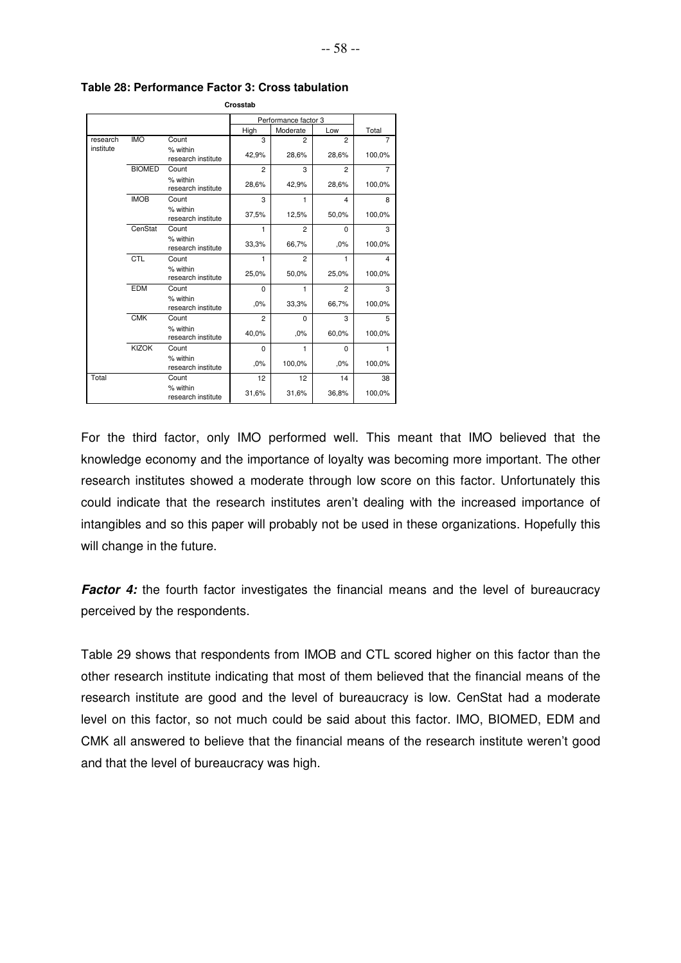|           |               |                                | Crosstab       |                      |                |                |
|-----------|---------------|--------------------------------|----------------|----------------------|----------------|----------------|
|           |               |                                |                | Performance factor 3 |                |                |
|           |               |                                | High           | Moderate             | Low            | Total          |
| research  | <b>IMO</b>    | Count                          | 3              | $\overline{2}$       | $\overline{c}$ | 7              |
| institute |               | % within<br>research institute | 42,9%          | 28,6%                | 28,6%          | 100,0%         |
|           | <b>BIOMED</b> | Count                          | 2              | 3                    | $\overline{c}$ | $\overline{7}$ |
|           |               | % within<br>research institute | 28,6%          | 42,9%                | 28,6%          | 100,0%         |
|           | <b>IMOB</b>   | Count                          | 3              | 1                    | $\overline{4}$ | 8              |
|           |               | % within<br>research institute | 37,5%          | 12,5%                | 50,0%          | 100,0%         |
|           | CenStat       | Count                          | 1              | $\overline{2}$       | $\Omega$       | 3              |
|           |               | % within<br>research institute | 33,3%          | 66,7%                | .0%            | 100,0%         |
|           | CTL           | Count                          | 1              | $\overline{2}$       | 1              | 4              |
|           |               | % within<br>research institute | 25,0%          | 50,0%                | 25,0%          | 100,0%         |
|           | <b>EDM</b>    | Count                          | 0              | 1                    | $\overline{c}$ | 3              |
|           |               | % within<br>research institute | ,0%            | 33,3%                | 66,7%          | 100,0%         |
|           | <b>CMK</b>    | Count                          | $\overline{2}$ | $\mathbf 0$          | 3              | 5              |
|           |               | % within<br>research institute | 40,0%          | .0%                  | 60,0%          | 100,0%         |
|           | <b>KIZOK</b>  | Count                          | $\Omega$       | 1                    | $\Omega$       | 1              |
|           |               | % within<br>research institute | .0%            | 100,0%               | .0%            | 100,0%         |
| Total     |               | Count                          | 12             | 12                   | 14             | 38             |
|           |               | % within<br>research institute | 31,6%          | 31,6%                | 36,8%          | 100,0%         |

**Table 28: Performance Factor 3: Cross tabulation**

For the third factor, only IMO performed well. This meant that IMO believed that the knowledge economy and the importance of loyalty was becoming more important. The other research institutes showed a moderate through low score on this factor. Unfortunately this could indicate that the research institutes aren't dealing with the increased importance of intangibles and so this paper will probably not be used in these organizations. Hopefully this will change in the future.

**Factor 4:** the fourth factor investigates the financial means and the level of bureaucracy perceived by the respondents.

Table 29 shows that respondents from IMOB and CTL scored higher on this factor than the other research institute indicating that most of them believed that the financial means of the research institute are good and the level of bureaucracy is low. CenStat had a moderate level on this factor, so not much could be said about this factor. IMO, BIOMED, EDM and CMK all answered to believe that the financial means of the research institute weren't good and that the level of bureaucracy was high.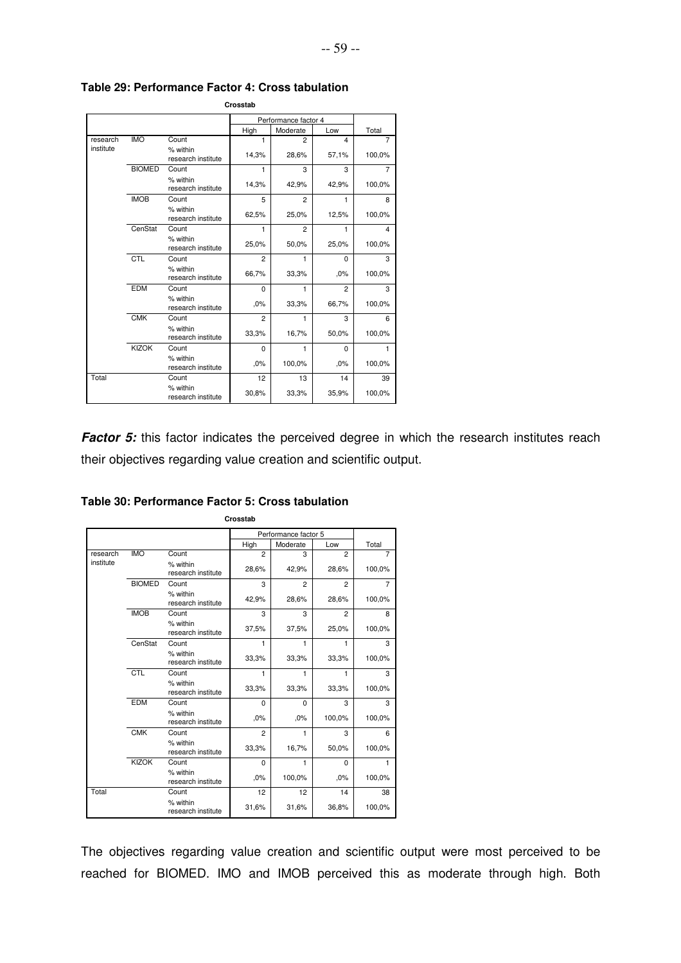| Crosstab  |               |                                |                      |                |                         |                |  |  |  |
|-----------|---------------|--------------------------------|----------------------|----------------|-------------------------|----------------|--|--|--|
|           |               |                                | Performance factor 4 |                |                         |                |  |  |  |
|           |               |                                | High                 | Moderate       | Low                     | Total          |  |  |  |
| research  | <b>IMO</b>    | Count                          | 1                    | $\overline{2}$ | $\overline{\mathbf{A}}$ | $\overline{7}$ |  |  |  |
| institute |               | % within<br>research institute | 14,3%                | 28,6%          | 57,1%                   | 100,0%         |  |  |  |
|           | <b>BIOMED</b> | Count                          | 1                    | 3              | 3                       | 7              |  |  |  |
|           |               | % within<br>research institute | 14,3%                | 42,9%          | 42,9%                   | 100,0%         |  |  |  |
|           | <b>IMOB</b>   | Count                          | 5                    | 2              | 1                       | 8              |  |  |  |
|           |               | % within<br>research institute | 62,5%                | 25,0%          | 12,5%                   | 100,0%         |  |  |  |
|           | CenStat       | Count                          | 1                    | $\overline{2}$ | 1                       | 4              |  |  |  |
|           |               | % within<br>research institute | 25,0%                | 50,0%          | 25,0%                   | 100,0%         |  |  |  |
|           | CTL           | Count                          | $\overline{2}$       | 1              | $\Omega$                | 3              |  |  |  |
|           |               | % within<br>research institute | 66,7%                | 33,3%          | .0%                     | 100,0%         |  |  |  |
|           | <b>EDM</b>    | Count                          | $\Omega$             | 1              | $\overline{2}$          | 3              |  |  |  |
|           |               | % within<br>research institute | ,0%                  | 33,3%          | 66,7%                   | 100,0%         |  |  |  |
|           | <b>CMK</b>    | Count                          | $\overline{2}$       | 1              | 3                       | 6              |  |  |  |
|           |               | % within<br>research institute | 33,3%                | 16,7%          | 50,0%                   | 100.0%         |  |  |  |
|           | <b>KIZOK</b>  | Count                          | $\Omega$             | 1              | $\Omega$                | 1              |  |  |  |
|           |               | % within<br>research institute | .0%                  | 100.0%         | .0%                     | 100.0%         |  |  |  |
| Total     |               | Count                          | 12                   | 13             | 14                      | 39             |  |  |  |
|           |               | % within<br>research institute | 30,8%                | 33,3%          | 35,9%                   | 100,0%         |  |  |  |

#### **Table 29: Performance Factor 4: Cross tabulation**

**Factor 5:** this factor indicates the perceived degree in which the research institutes reach their objectives regarding value creation and scientific output.

|           |               |                                |                | Performance factor 5 |                |                |  |
|-----------|---------------|--------------------------------|----------------|----------------------|----------------|----------------|--|
|           |               |                                | High           | Moderate             | Low            | Total          |  |
| research  | <b>IMO</b>    | Count                          | $\overline{2}$ | 3                    | $\overline{2}$ | 7              |  |
| institute |               | % within<br>research institute | 28,6%          | 42,9%                | 28,6%          | 100,0%         |  |
|           | <b>BIOMED</b> | Count                          | 3              | $\overline{2}$       | $\overline{2}$ | $\overline{7}$ |  |
|           |               | % within<br>research institute | 42,9%          | 28,6%                | 28,6%          | 100,0%         |  |
|           | <b>IMOB</b>   | Count                          | 3              | 3                    | $\overline{2}$ | 8              |  |
|           |               | % within<br>research institute | 37,5%          | 37,5%                | 25,0%          | 100,0%         |  |
|           | CenStat       | Count                          | 1              | 1                    | 1              | 3              |  |
|           |               | % within<br>research institute | 33,3%          | 33,3%                | 33,3%          | 100,0%         |  |
|           | CTL           | Count                          | 1              | 1                    | 1              | 3              |  |
|           |               | % within<br>research institute | 33,3%          | 33,3%                | 33,3%          | 100,0%         |  |
|           | <b>EDM</b>    | Count                          | $\mathbf 0$    | 0                    | 3              | 3              |  |
|           |               | % within<br>research institute | .0%            | ,0%                  | 100,0%         | 100,0%         |  |
|           | <b>CMK</b>    | Count                          | $\overline{2}$ | 1                    | 3              | 6              |  |
|           |               | % within<br>research institute | 33,3%          | 16,7%                | 50,0%          | 100,0%         |  |
|           | <b>KIZOK</b>  | Count                          | $\Omega$       | 1                    | $\Omega$       | 1              |  |
|           |               | % within<br>research institute | .0%            | 100,0%               | .0%            | 100,0%         |  |
| Total     |               | Count                          | 12             | 12                   | 14             | 38             |  |
|           |               | % within<br>research institute | 31,6%          | 31,6%                | 36,8%          | 100,0%         |  |

#### **Table 30: Performance Factor 5: Cross tabulation**

The objectives regarding value creation and scientific output were most perceived to be reached for BIOMED. IMO and IMOB perceived this as moderate through high. Both

**Crosstab**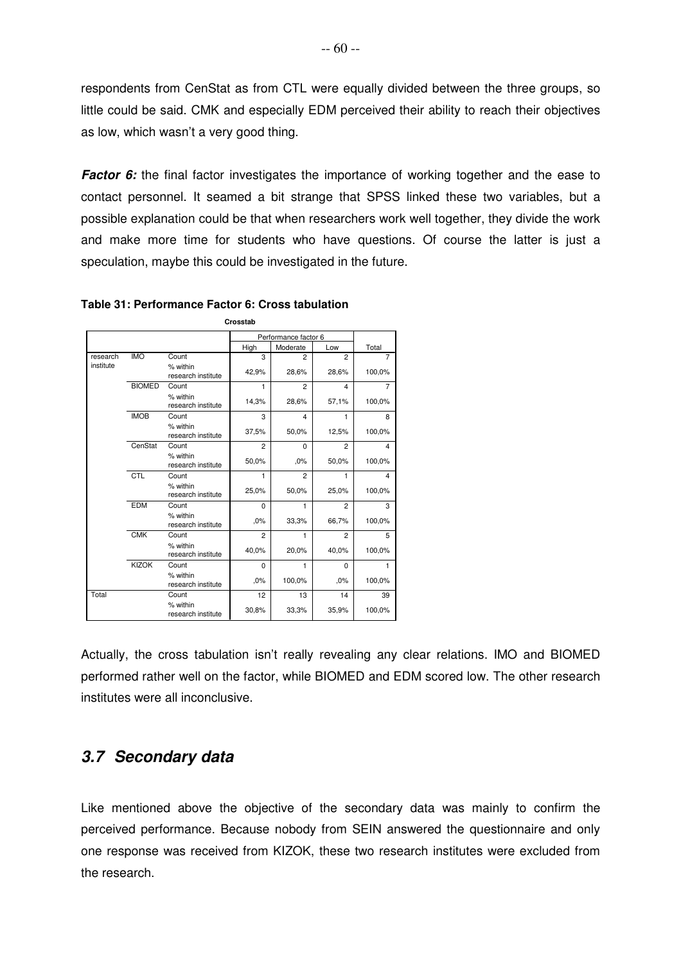respondents from CenStat as from CTL were equally divided between the three groups, so little could be said. CMK and especially EDM perceived their ability to reach their objectives as low, which wasn't a very good thing.

**Factor 6:** the final factor investigates the importance of working together and the ease to contact personnel. It seamed a bit strange that SPSS linked these two variables, but a possible explanation could be that when researchers work well together, they divide the work and make more time for students who have questions. Of course the latter is just a speculation, maybe this could be investigated in the future.

|           |               |                                | Performance factor 6 |                |                |        |
|-----------|---------------|--------------------------------|----------------------|----------------|----------------|--------|
|           |               |                                | High                 | Moderate       | Low            | Total  |
| research  | <b>IMO</b>    | Count                          | 3                    | $\overline{2}$ | $\overline{2}$ | 7      |
| institute |               | % within<br>research institute | 42,9%                | 28,6%          | 28,6%          | 100,0% |
|           | <b>BIOMED</b> | Count                          | 1                    | $\overline{2}$ | 4              | 7      |
|           |               | % within<br>research institute | 14,3%                | 28,6%          | 57,1%          | 100,0% |
|           | <b>IMOB</b>   | Count                          | 3                    | 4              | 1              | 8      |
|           |               | % within<br>research institute | 37,5%                | 50,0%          | 12,5%          | 100,0% |
|           | CenStat       | Count                          | $\overline{2}$       | $\Omega$       | $\overline{2}$ | 4      |
|           |               | % within<br>research institute | 50,0%                | .0%            | 50,0%          | 100,0% |
|           | CTL           | Count                          | 1                    | $\overline{2}$ | 1              | 4      |
|           |               | % within<br>research institute | 25,0%                | 50,0%          | 25,0%          | 100,0% |
|           | <b>EDM</b>    | Count                          | $\Omega$             | 1              | $\overline{2}$ | 3      |
|           |               | % within<br>research institute | .0%                  | 33,3%          | 66,7%          | 100,0% |
|           | <b>CMK</b>    | Count                          | $\overline{2}$       | 1              | $\overline{2}$ | 5      |
|           |               | % within<br>research institute | 40,0%                | 20,0%          | 40,0%          | 100,0% |
|           | <b>KIZOK</b>  | Count                          | $\Omega$             | 1              | $\Omega$       | 1      |
|           |               | % within<br>research institute | .0%                  | 100,0%         | .0%            | 100,0% |
| Total     |               | Count                          | 12                   | 13             | 14             | 39     |
|           |               | % within<br>research institute | 30,8%                | 33,3%          | 35,9%          | 100,0% |

**Table 31: Performance Factor 6: Cross tabulation**

**Crosstab**

Actually, the cross tabulation isn't really revealing any clear relations. IMO and BIOMED performed rather well on the factor, while BIOMED and EDM scored low. The other research institutes were all inconclusive.

## **3.7 Secondary data**

Like mentioned above the objective of the secondary data was mainly to confirm the perceived performance. Because nobody from SEIN answered the questionnaire and only one response was received from KIZOK, these two research institutes were excluded from the research.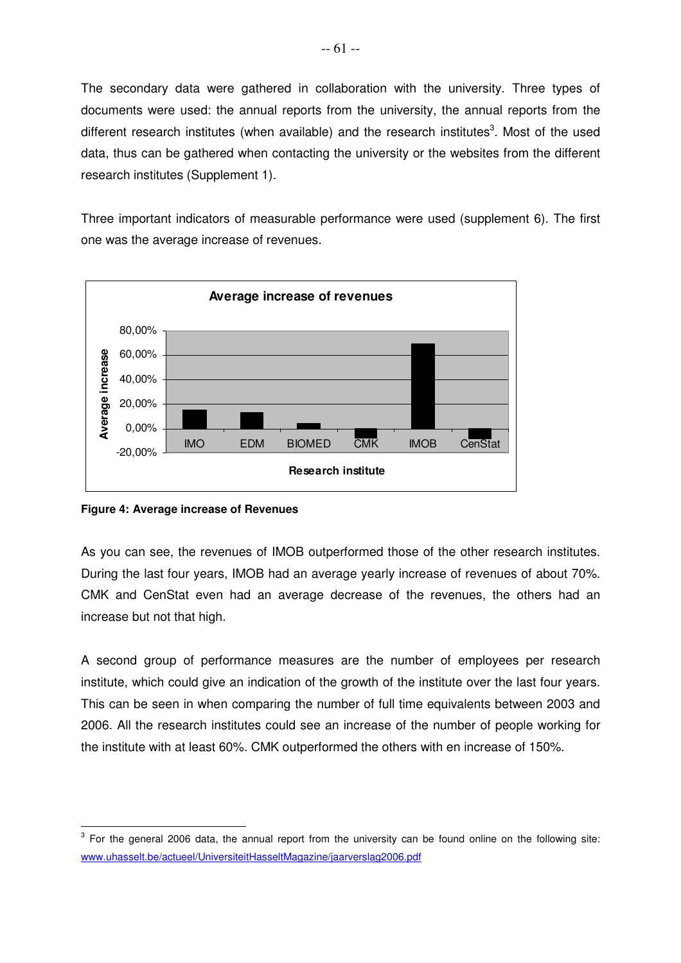The secondary data were gathered in collaboration with the university. Three types of documents were used: the annual reports from the university, the annual reports from the different research institutes (when available) and the research institutes<sup>3</sup>. Most of the used data, thus can be gathered when contacting the university or the websites from the different research institutes (Supplement 1).

Three important indicators of measurable performance were used (supplement 6). The first one was the average increase of revenues.



**Figure 4: Average increase of Revenues** 

As you can see, the revenues of IMOB outperformed those of the other research institutes. During the last four years, IMOB had an average yearly increase of revenues of about 70%. CMK and CenStat even had an average decrease of the revenues, the others had an increase but not that high.

A second group of performance measures are the number of employees per research institute, which could give an indication of the growth of the institute over the last four years. This can be seen in when comparing the number of full time equivalents between 2003 and 2006. All the research institutes could see an increase of the number of people working for the institute with at least 60%. CMK outperformed the others with en increase of 150%.

 $\overline{a}$  $3$  For the general 2006 data, the annual report from the university can be found online on the following site: www.uhasselt.be/actueel/UniversiteitHasseltMagazine/jaarverslag2006.pdf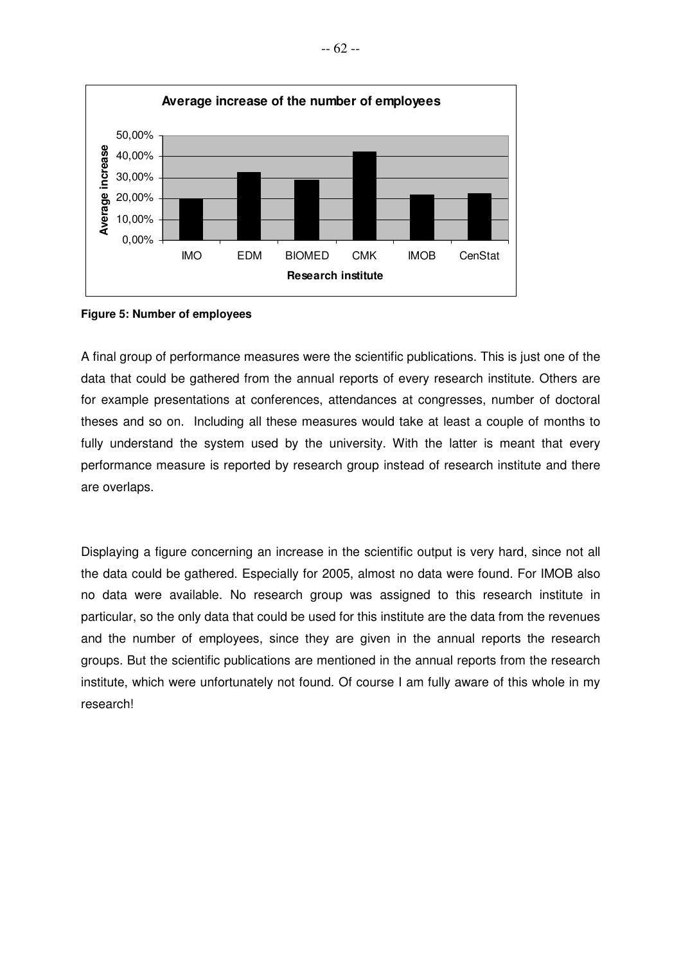

**Figure 5: Number of employees**

A final group of performance measures were the scientific publications. This is just one of the data that could be gathered from the annual reports of every research institute. Others are for example presentations at conferences, attendances at congresses, number of doctoral theses and so on. Including all these measures would take at least a couple of months to fully understand the system used by the university. With the latter is meant that every performance measure is reported by research group instead of research institute and there are overlaps.

Displaying a figure concerning an increase in the scientific output is very hard, since not all the data could be gathered. Especially for 2005, almost no data were found. For IMOB also no data were available. No research group was assigned to this research institute in particular, so the only data that could be used for this institute are the data from the revenues and the number of employees, since they are given in the annual reports the research groups. But the scientific publications are mentioned in the annual reports from the research institute, which were unfortunately not found. Of course I am fully aware of this whole in my research!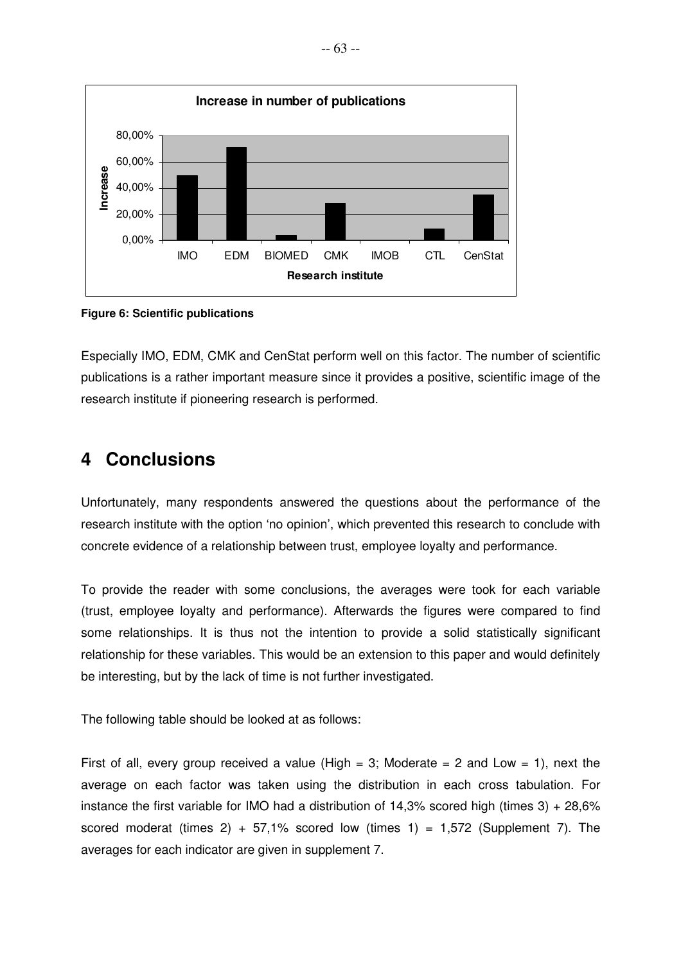

**Figure 6: Scientific publications** 

Especially IMO, EDM, CMK and CenStat perform well on this factor. The number of scientific publications is a rather important measure since it provides a positive, scientific image of the research institute if pioneering research is performed.

# **4 Conclusions**

Unfortunately, many respondents answered the questions about the performance of the research institute with the option 'no opinion', which prevented this research to conclude with concrete evidence of a relationship between trust, employee loyalty and performance.

To provide the reader with some conclusions, the averages were took for each variable (trust, employee loyalty and performance). Afterwards the figures were compared to find some relationships. It is thus not the intention to provide a solid statistically significant relationship for these variables. This would be an extension to this paper and would definitely be interesting, but by the lack of time is not further investigated.

The following table should be looked at as follows:

First of all, every group received a value (High  $= 3$ ; Moderate  $= 2$  and Low  $= 1$ ), next the average on each factor was taken using the distribution in each cross tabulation. For instance the first variable for IMO had a distribution of 14,3% scored high (times 3) + 28,6% scored moderat (times 2) + 57,1% scored low (times 1) = 1,572 (Supplement 7). The averages for each indicator are given in supplement 7.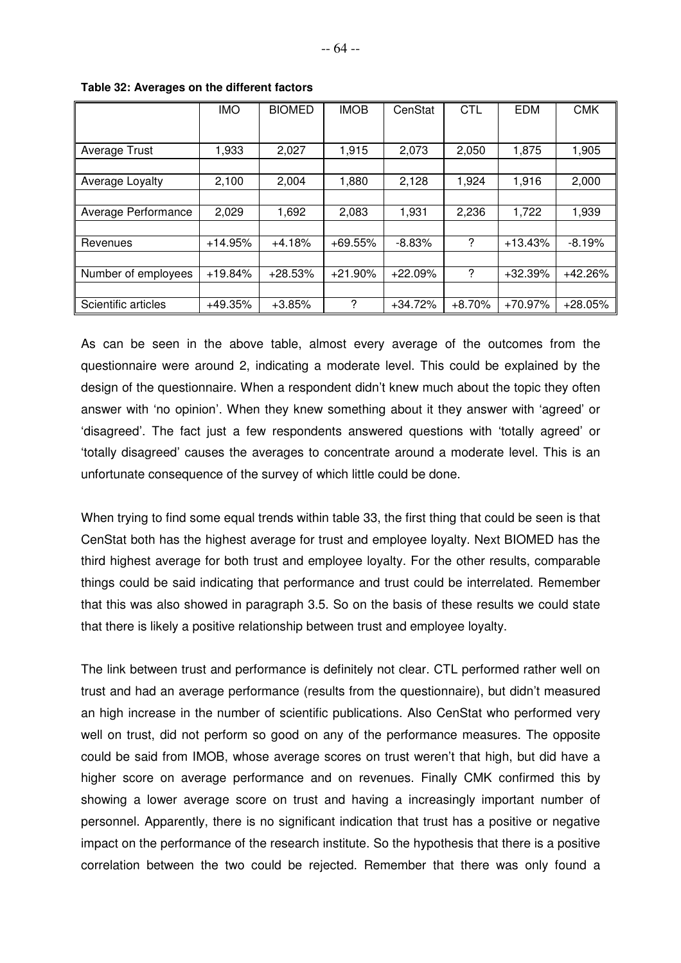|                     | <b>IMO</b> | <b>BIOMED</b> | <b>IMOB</b> | CenStat   | <b>CTL</b> | <b>EDM</b> | <b>CMK</b> |
|---------------------|------------|---------------|-------------|-----------|------------|------------|------------|
|                     |            |               |             |           |            |            |            |
| Average Trust       | 1,933      | 2,027         | 1,915       | 2,073     | 2,050      | 1,875      | 1,905      |
|                     |            |               |             |           |            |            |            |
| Average Loyalty     | 2,100      | 2,004         | 1,880       | 2,128     | 1,924      | 1,916      | 2,000      |
|                     |            |               |             |           |            |            |            |
| Average Performance | 2,029      | 1,692         | 2,083       | 1,931     | 2,236      | 1,722      | 1,939      |
|                     |            |               |             |           |            |            |            |
| Revenues            | $+14.95%$  | $+4.18%$      | $+69.55%$   | $-8.83%$  | ?          | $+13.43%$  | $-8.19%$   |
|                     |            |               |             |           |            |            |            |
| Number of employees | $+19.84%$  | $+28.53%$     | $+21.90%$   | $+22.09%$ | ?          | $+32.39%$  | $+42.26%$  |
|                     |            |               |             |           |            |            |            |
| Scientific articles | $+49.35%$  | $+3.85%$      | ?           | $+34.72%$ | $+8.70%$   | +70.97%    | $+28.05%$  |

**Table 32: Averages on the different factors**

As can be seen in the above table, almost every average of the outcomes from the questionnaire were around 2, indicating a moderate level. This could be explained by the design of the questionnaire. When a respondent didn't knew much about the topic they often answer with 'no opinion'. When they knew something about it they answer with 'agreed' or 'disagreed'. The fact just a few respondents answered questions with 'totally agreed' or 'totally disagreed' causes the averages to concentrate around a moderate level. This is an unfortunate consequence of the survey of which little could be done.

When trying to find some equal trends within table 33, the first thing that could be seen is that CenStat both has the highest average for trust and employee loyalty. Next BIOMED has the third highest average for both trust and employee loyalty. For the other results, comparable things could be said indicating that performance and trust could be interrelated. Remember that this was also showed in paragraph 3.5. So on the basis of these results we could state that there is likely a positive relationship between trust and employee loyalty.

The link between trust and performance is definitely not clear. CTL performed rather well on trust and had an average performance (results from the questionnaire), but didn't measured an high increase in the number of scientific publications. Also CenStat who performed very well on trust, did not perform so good on any of the performance measures. The opposite could be said from IMOB, whose average scores on trust weren't that high, but did have a higher score on average performance and on revenues. Finally CMK confirmed this by showing a lower average score on trust and having a increasingly important number of personnel. Apparently, there is no significant indication that trust has a positive or negative impact on the performance of the research institute. So the hypothesis that there is a positive correlation between the two could be rejected. Remember that there was only found a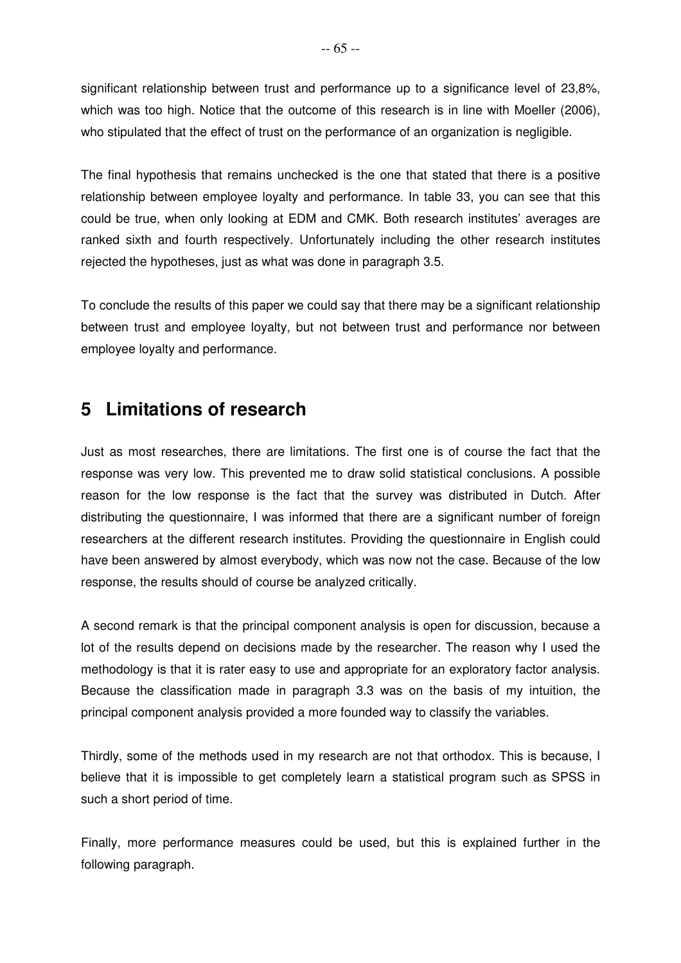significant relationship between trust and performance up to a significance level of 23,8%, which was too high. Notice that the outcome of this research is in line with Moeller (2006), who stipulated that the effect of trust on the performance of an organization is negligible.

The final hypothesis that remains unchecked is the one that stated that there is a positive relationship between employee loyalty and performance. In table 33, you can see that this could be true, when only looking at EDM and CMK. Both research institutes' averages are ranked sixth and fourth respectively. Unfortunately including the other research institutes rejected the hypotheses, just as what was done in paragraph 3.5.

To conclude the results of this paper we could say that there may be a significant relationship between trust and employee loyalty, but not between trust and performance nor between employee loyalty and performance.

# **5 Limitations of research**

Just as most researches, there are limitations. The first one is of course the fact that the response was very low. This prevented me to draw solid statistical conclusions. A possible reason for the low response is the fact that the survey was distributed in Dutch. After distributing the questionnaire, I was informed that there are a significant number of foreign researchers at the different research institutes. Providing the questionnaire in English could have been answered by almost everybody, which was now not the case. Because of the low response, the results should of course be analyzed critically.

A second remark is that the principal component analysis is open for discussion, because a lot of the results depend on decisions made by the researcher. The reason why I used the methodology is that it is rater easy to use and appropriate for an exploratory factor analysis. Because the classification made in paragraph 3.3 was on the basis of my intuition, the principal component analysis provided a more founded way to classify the variables.

Thirdly, some of the methods used in my research are not that orthodox. This is because, I believe that it is impossible to get completely learn a statistical program such as SPSS in such a short period of time.

Finally, more performance measures could be used, but this is explained further in the following paragraph.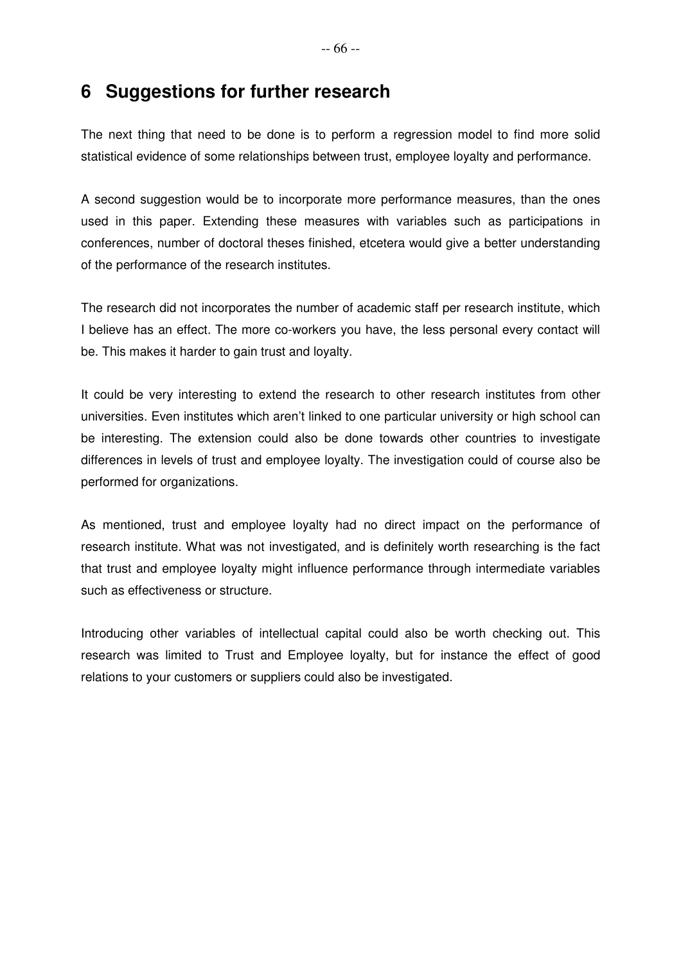# **6 Suggestions for further research**

The next thing that need to be done is to perform a regression model to find more solid statistical evidence of some relationships between trust, employee loyalty and performance.

A second suggestion would be to incorporate more performance measures, than the ones used in this paper. Extending these measures with variables such as participations in conferences, number of doctoral theses finished, etcetera would give a better understanding of the performance of the research institutes.

The research did not incorporates the number of academic staff per research institute, which I believe has an effect. The more co-workers you have, the less personal every contact will be. This makes it harder to gain trust and loyalty.

It could be very interesting to extend the research to other research institutes from other universities. Even institutes which aren't linked to one particular university or high school can be interesting. The extension could also be done towards other countries to investigate differences in levels of trust and employee loyalty. The investigation could of course also be performed for organizations.

As mentioned, trust and employee loyalty had no direct impact on the performance of research institute. What was not investigated, and is definitely worth researching is the fact that trust and employee loyalty might influence performance through intermediate variables such as effectiveness or structure.

Introducing other variables of intellectual capital could also be worth checking out. This research was limited to Trust and Employee loyalty, but for instance the effect of good relations to your customers or suppliers could also be investigated.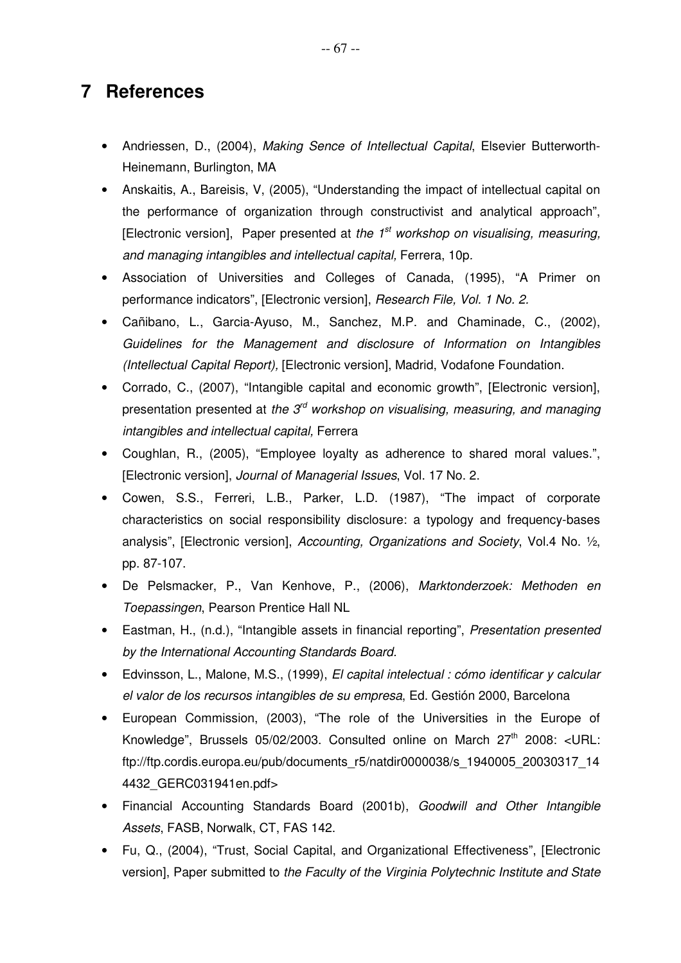# **7 References**

- Andriessen, D., (2004), Making Sence of Intellectual Capital, Elsevier Butterworth-Heinemann, Burlington, MA
- Anskaitis, A., Bareisis, V, (2005), "Understanding the impact of intellectual capital on the performance of organization through constructivist and analytical approach", [Electronic version], Paper presented at the  $1<sup>st</sup>$  workshop on visualising, measuring, and managing intangibles and intellectual capital, Ferrera, 10p.
- Association of Universities and Colleges of Canada, (1995), "A Primer on performance indicators", [Electronic version], Research File, Vol. 1 No. 2.
- Cañibano, L., Garcia-Ayuso, M., Sanchez, M.P. and Chaminade, C., (2002), Guidelines for the Management and disclosure of Information on Intangibles (Intellectual Capital Report), [Electronic version], Madrid, Vodafone Foundation.
- Corrado, C., (2007), "Intangible capital and economic growth", [Electronic version], presentation presented at the  $3<sup>rd</sup>$  workshop on visualising, measuring, and managing intangibles and intellectual capital, Ferrera
- Coughlan, R., (2005), "Employee loyalty as adherence to shared moral values.", [Electronic version], Journal of Managerial Issues, Vol. 17 No. 2.
- Cowen, S.S., Ferreri, L.B., Parker, L.D. (1987), "The impact of corporate characteristics on social responsibility disclosure: a typology and frequency-bases analysis", [Electronic version], Accounting, Organizations and Society, Vol.4 No. ½, pp. 87-107.
- De Pelsmacker, P., Van Kenhove, P., (2006), Marktonderzoek: Methoden en Toepassingen, Pearson Prentice Hall NL
- Eastman, H., (n.d.), "Intangible assets in financial reporting", Presentation presented by the International Accounting Standards Board.
- Edvinsson, L., Malone, M.S., (1999), El capital intelectual : cómo identificar y calcular el valor de los recursos intangibles de su empresa, Ed. Gestión 2000, Barcelona
- European Commission, (2003), "The role of the Universities in the Europe of Knowledge", Brussels 05/02/2003. Consulted online on March  $27<sup>th</sup>$  2008: <URL: ftp://ftp.cordis.europa.eu/pub/documents\_r5/natdir0000038/s\_1940005\_20030317\_14 4432\_GERC031941en.pdf>
- Financial Accounting Standards Board (2001b), Goodwill and Other Intangible Assets, FASB, Norwalk, CT, FAS 142.
- Fu, Q., (2004), "Trust, Social Capital, and Organizational Effectiveness", [Electronic version], Paper submitted to the Faculty of the Virginia Polytechnic Institute and State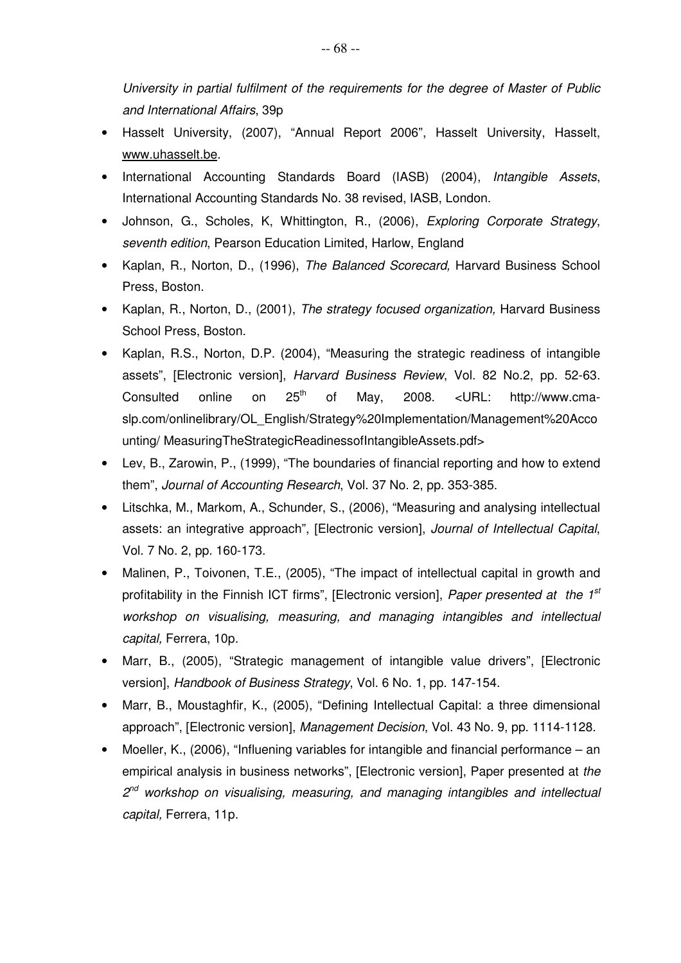University in partial fulfilment of the requirements for the degree of Master of Public and International Affairs, 39p

- Hasselt University, (2007), "Annual Report 2006", Hasselt University, Hasselt, www.uhasselt.be.
- International Accounting Standards Board (IASB) (2004), Intangible Assets, International Accounting Standards No. 38 revised, IASB, London.
- Johnson, G., Scholes, K. Whittington, R., (2006), Exploring Corporate Strategy, seventh edition, Pearson Education Limited, Harlow, England
- Kaplan, R., Norton, D., (1996), The Balanced Scorecard, Harvard Business School Press, Boston.
- Kaplan, R., Norton, D., (2001), The strategy focused organization, Harvard Business School Press, Boston.
- Kaplan, R.S., Norton, D.P. (2004), "Measuring the strategic readiness of intangible assets", [Electronic version], Harvard Business Review, Vol. 82 No.2, pp. 52-63. Consulted online on  $25<sup>th</sup>$  of May, 2008. <URL: http://www.cmaslp.com/onlinelibrary/OL\_English/Strategy%20Implementation/Management%20Acco unting/ MeasuringTheStrategicReadinessofIntangibleAssets.pdf>
- Lev, B., Zarowin, P., (1999), "The boundaries of financial reporting and how to extend them", Journal of Accounting Research, Vol. 37 No. 2, pp. 353-385.
- Litschka, M., Markom, A., Schunder, S., (2006), "Measuring and analysing intellectual assets: an integrative approach", [Electronic version], Journal of Intellectual Capital, Vol. 7 No. 2, pp. 160-173.
- Malinen, P., Toivonen, T.E., (2005), "The impact of intellectual capital in growth and profitability in the Finnish ICT firms", [Electronic version], Paper presented at the 1<sup>st</sup> workshop on visualising, measuring, and managing intangibles and intellectual capital, Ferrera, 10p.
- Marr, B., (2005), "Strategic management of intangible value drivers", [Electronic version], Handbook of Business Strategy, Vol. 6 No. 1, pp. 147-154.
- Marr, B., Moustaghfir, K., (2005), "Defining Intellectual Capital: a three dimensional approach", [Electronic version], Management Decision, Vol. 43 No. 9, pp. 1114-1128.
- Moeller, K., (2006), "Influening variables for intangible and financial performance an empirical analysis in business networks", [Electronic version], Paper presented at the 2<sup>nd</sup> workshop on visualising, measuring, and managing intangibles and intellectual capital, Ferrera, 11p.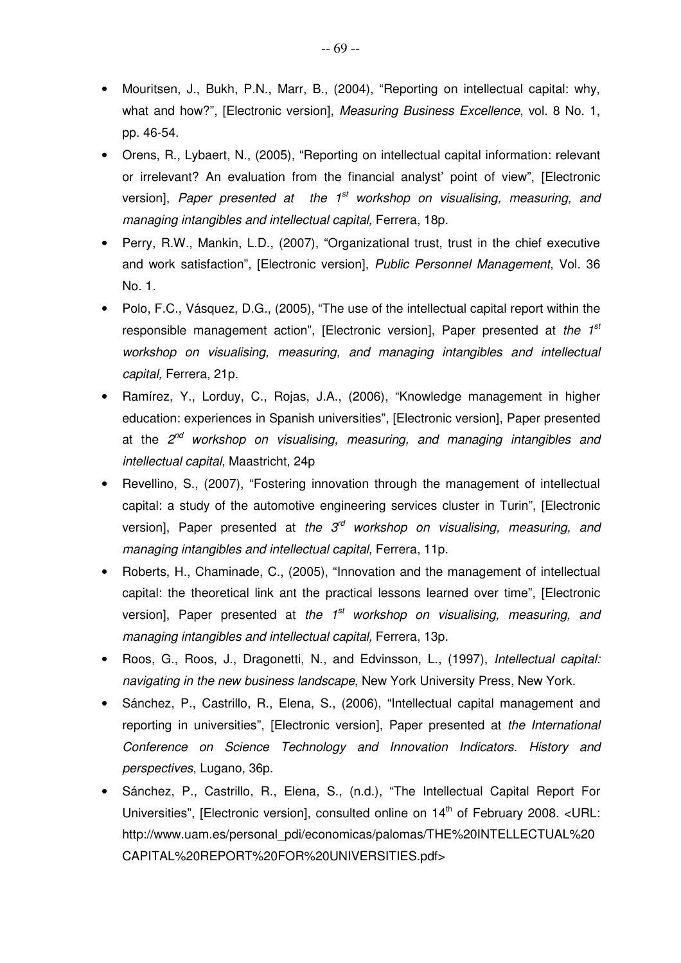- Mouritsen, J., Bukh, P.N., Marr, B., (2004), "Reporting on intellectual capital: why, what and how?", [Electronic version], Measuring Business Excellence, vol. 8 No. 1, pp. 46-54.
- Orens, R., Lybaert, N., (2005), "Reporting on intellectual capital information: relevant or irrelevant? An evaluation from the financial analyst' point of view", [Electronic version], Paper presented at the  $1<sup>st</sup>$  workshop on visualising, measuring, and managing intangibles and intellectual capital, Ferrera, 18p.
- Perry, R.W., Mankin, L.D., (2007), "Organizational trust, trust in the chief executive and work satisfaction", [Electronic version], Public Personnel Management, Vol. 36 No. 1.
- Polo, F.C., Vásquez, D.G., (2005), "The use of the intellectual capital report within the responsible management action", [Electronic version], Paper presented at the  $1<sup>st</sup>$ workshop on visualising, measuring, and managing intangibles and intellectual capital, Ferrera, 21p.
- Ramírez, Y., Lorduy, C., Rojas, J.A., (2006), "Knowledge management in higher education: experiences in Spanish universities", [Electronic version], Paper presented at the 2<sup>nd</sup> workshop on visualising, measuring, and managing intangibles and intellectual capital, Maastricht, 24p
- Revellino, S., (2007), "Fostering innovation through the management of intellectual capital: a study of the automotive engineering services cluster in Turin", [Electronic version], Paper presented at the  $3<sup>rd</sup>$  workshop on visualising, measuring, and managing intangibles and intellectual capital, Ferrera, 11p.
- Roberts, H., Chaminade, C., (2005), "Innovation and the management of intellectual capital: the theoretical link ant the practical lessons learned over time", [Electronic version], Paper presented at the  $1<sup>st</sup>$  workshop on visualising, measuring, and managing intangibles and intellectual capital, Ferrera, 13p.
- Roos, G., Roos, J., Dragonetti, N., and Edvinsson, L., (1997), *Intellectual capital:* navigating in the new business landscape, New York University Press, New York.
- Sánchez, P., Castrillo, R., Elena, S., (2006), "Intellectual capital management and reporting in universities", [Electronic version], Paper presented at the International Conference on Science Technology and Innovation Indicators. History and perspectives, Lugano, 36p.
- Sánchez, P., Castrillo, R., Elena, S., (n.d.), "The Intellectual Capital Report For Universities", [Electronic version], consulted online on  $14<sup>th</sup>$  of February 2008. <URL: http://www.uam.es/personal\_pdi/economicas/palomas/THE%20INTELLECTUAL%20 CAPITAL%20REPORT%20FOR%20UNIVERSITIES.pdf>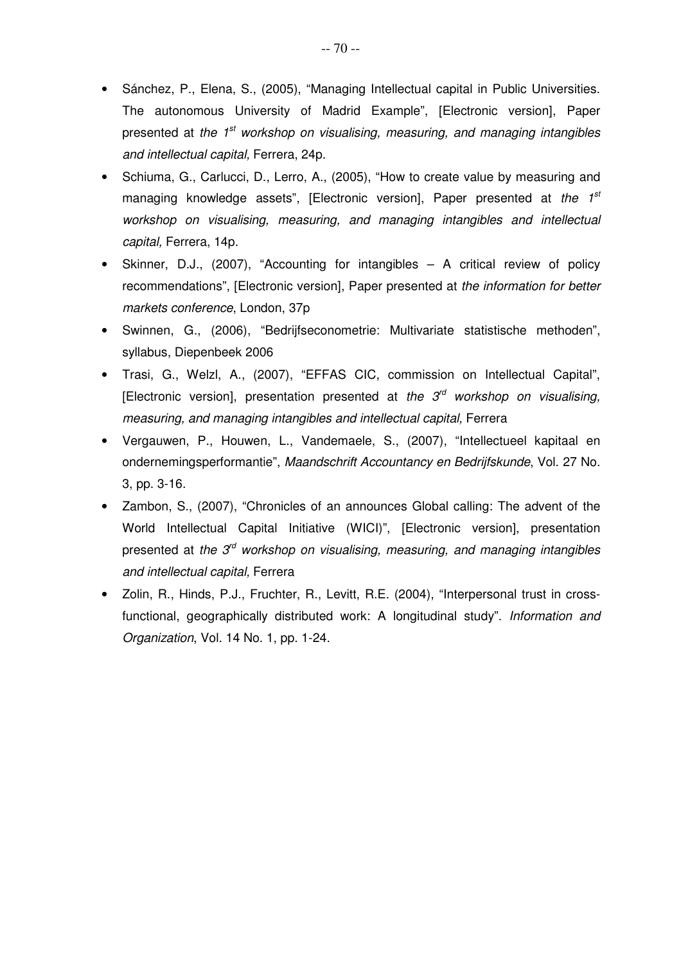- Sánchez, P., Elena, S., (2005), "Managing Intellectual capital in Public Universities. The autonomous University of Madrid Example", [Electronic version], Paper presented at the  $1<sup>st</sup>$  workshop on visualising, measuring, and managing intangibles and intellectual capital, Ferrera, 24p.
- Schiuma, G., Carlucci, D., Lerro, A., (2005), "How to create value by measuring and managing knowledge assets", [Electronic version], Paper presented at the  $1^{st}$ workshop on visualising, measuring, and managing intangibles and intellectual capital, Ferrera, 14p.
- Skinner, D.J., (2007), "Accounting for intangibles A critical review of policy recommendations", [Electronic version], Paper presented at the information for better markets conference, London, 37p
- Swinnen, G., (2006), "Bedrijfseconometrie: Multivariate statistische methoden", syllabus, Diepenbeek 2006
- Trasi, G., Welzl, A., (2007), "EFFAS CIC, commission on Intellectual Capital", [Electronic version], presentation presented at the  $3<sup>rd</sup>$  workshop on visualising, measuring, and managing intangibles and intellectual capital, Ferrera
- Vergauwen, P., Houwen, L., Vandemaele, S., (2007), "Intellectueel kapitaal en ondernemingsperformantie", Maandschrift Accountancy en Bedrijfskunde, Vol. 27 No. 3, pp. 3-16.
- Zambon, S., (2007), "Chronicles of an announces Global calling: The advent of the World Intellectual Capital Initiative (WICI)", [Electronic version], presentation presented at the  $3<sup>rd</sup>$  workshop on visualising, measuring, and managing intangibles and intellectual capital, Ferrera
- Zolin, R., Hinds, P.J., Fruchter, R., Levitt, R.E. (2004), "Interpersonal trust in crossfunctional, geographically distributed work: A longitudinal study". Information and Organization, Vol. 14 No. 1, pp. 1-24.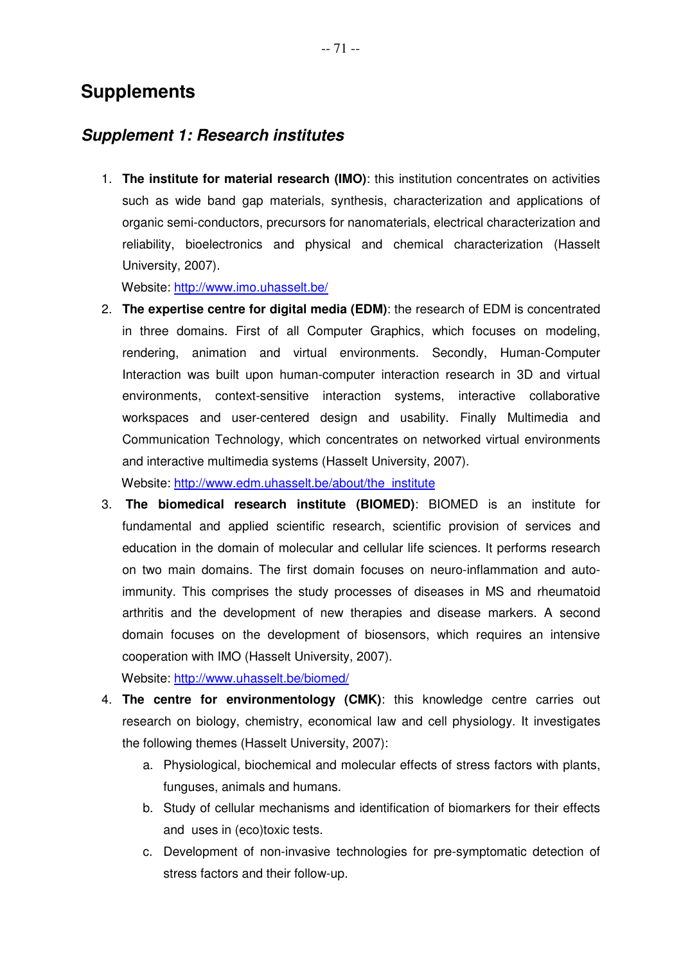# **Supplements**

# **Supplement 1: Research institutes**

1. **The institute for material research (IMO)**: this institution concentrates on activities such as wide band gap materials, synthesis, characterization and applications of organic semi-conductors, precursors for nanomaterials, electrical characterization and reliability, bioelectronics and physical and chemical characterization (Hasselt University, 2007).

Website: http://www.imo.uhasselt.be/

2. **The expertise centre for digital media (EDM)**: the research of EDM is concentrated in three domains. First of all Computer Graphics, which focuses on modeling, rendering, animation and virtual environments. Secondly, Human-Computer Interaction was built upon human-computer interaction research in 3D and virtual environments, context-sensitive interaction systems, interactive collaborative workspaces and user-centered design and usability. Finally Multimedia and Communication Technology, which concentrates on networked virtual environments and interactive multimedia systems (Hasselt University, 2007). Website: http://www.edm.uhasselt.be/about/the\_institute

3. **The biomedical research institute (BIOMED)**: BIOMED is an institute for fundamental and applied scientific research, scientific provision of services and education in the domain of molecular and cellular life sciences. It performs research on two main domains. The first domain focuses on neuro-inflammation and autoimmunity. This comprises the study processes of diseases in MS and rheumatoid arthritis and the development of new therapies and disease markers. A second domain focuses on the development of biosensors, which requires an intensive cooperation with IMO (Hasselt University, 2007).

Website: http://www.uhasselt.be/biomed/

- 4. **The centre for environmentology (CMK)**: this knowledge centre carries out research on biology, chemistry, economical law and cell physiology. It investigates the following themes (Hasselt University, 2007):
	- a. Physiological, biochemical and molecular effects of stress factors with plants, funguses, animals and humans.
	- b. Study of cellular mechanisms and identification of biomarkers for their effects and uses in (eco)toxic tests.
	- c. Development of non-invasive technologies for pre-symptomatic detection of stress factors and their follow-up.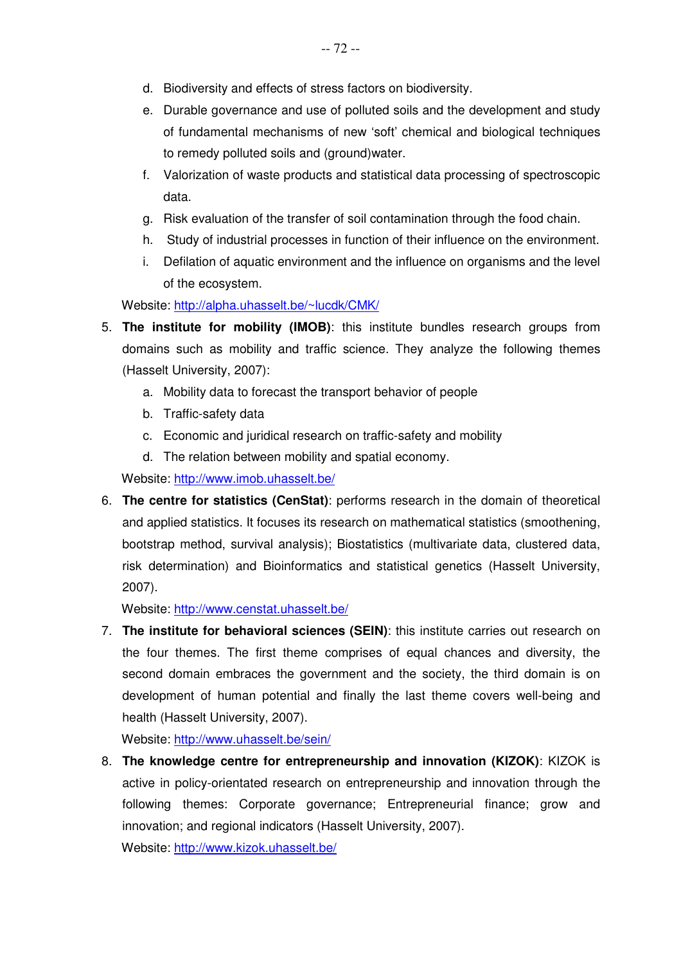- d. Biodiversity and effects of stress factors on biodiversity.
- e. Durable governance and use of polluted soils and the development and study of fundamental mechanisms of new 'soft' chemical and biological techniques to remedy polluted soils and (ground)water.
- f. Valorization of waste products and statistical data processing of spectroscopic data.
- g. Risk evaluation of the transfer of soil contamination through the food chain.
- h. Study of industrial processes in function of their influence on the environment.
- i. Defilation of aquatic environment and the influence on organisms and the level of the ecosystem.

Website: http://alpha.uhasselt.be/~lucdk/CMK/

- 5. **The institute for mobility (IMOB)**: this institute bundles research groups from domains such as mobility and traffic science. They analyze the following themes (Hasselt University, 2007):
	- a. Mobility data to forecast the transport behavior of people
	- b. Traffic-safety data
	- c. Economic and juridical research on traffic-safety and mobility
	- d. The relation between mobility and spatial economy.

Website: http://www.imob.uhasselt.be/

6. **The centre for statistics (CenStat)**: performs research in the domain of theoretical and applied statistics. It focuses its research on mathematical statistics (smoothening, bootstrap method, survival analysis); Biostatistics (multivariate data, clustered data, risk determination) and Bioinformatics and statistical genetics (Hasselt University, 2007).

Website: http://www.censtat.uhasselt.be/

7. **The institute for behavioral sciences (SEIN)**: this institute carries out research on the four themes. The first theme comprises of equal chances and diversity, the second domain embraces the government and the society, the third domain is on development of human potential and finally the last theme covers well-being and health (Hasselt University, 2007).

Website: http://www.uhasselt.be/sein/

8. **The knowledge centre for entrepreneurship and innovation (KIZOK)**: KIZOK is active in policy-orientated research on entrepreneurship and innovation through the following themes: Corporate governance; Entrepreneurial finance; grow and innovation; and regional indicators (Hasselt University, 2007).

Website: http://www.kizok.uhasselt.be/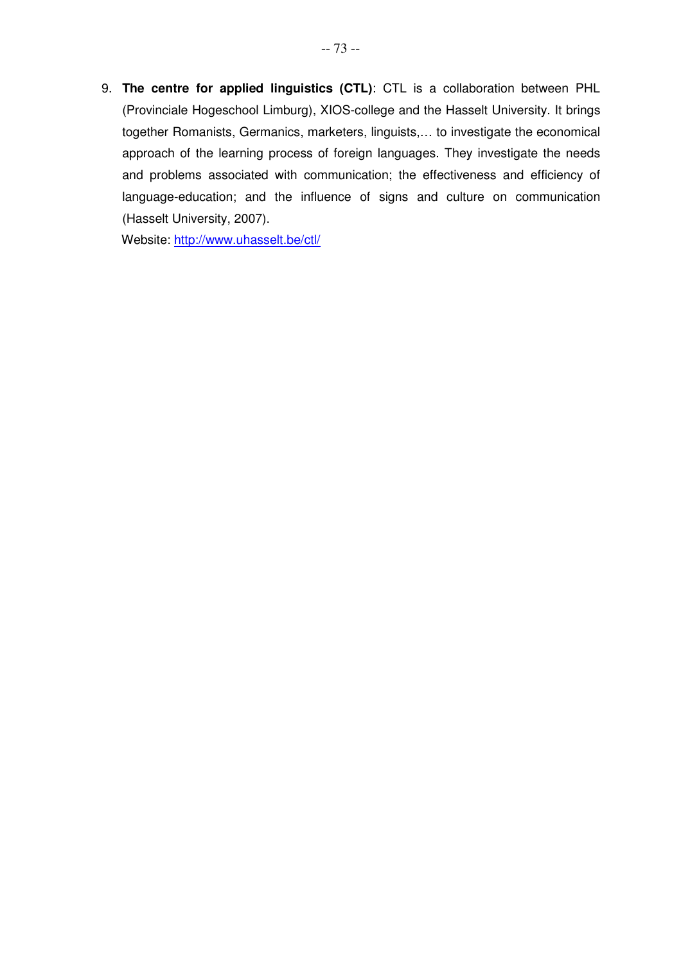9. **The centre for applied linguistics (CTL)**: CTL is a collaboration between PHL (Provinciale Hogeschool Limburg), XIOS-college and the Hasselt University. It brings together Romanists, Germanics, marketers, linguists,… to investigate the economical approach of the learning process of foreign languages. They investigate the needs and problems associated with communication; the effectiveness and efficiency of language-education; and the influence of signs and culture on communication (Hasselt University, 2007).

Website: http://www.uhasselt.be/ctl/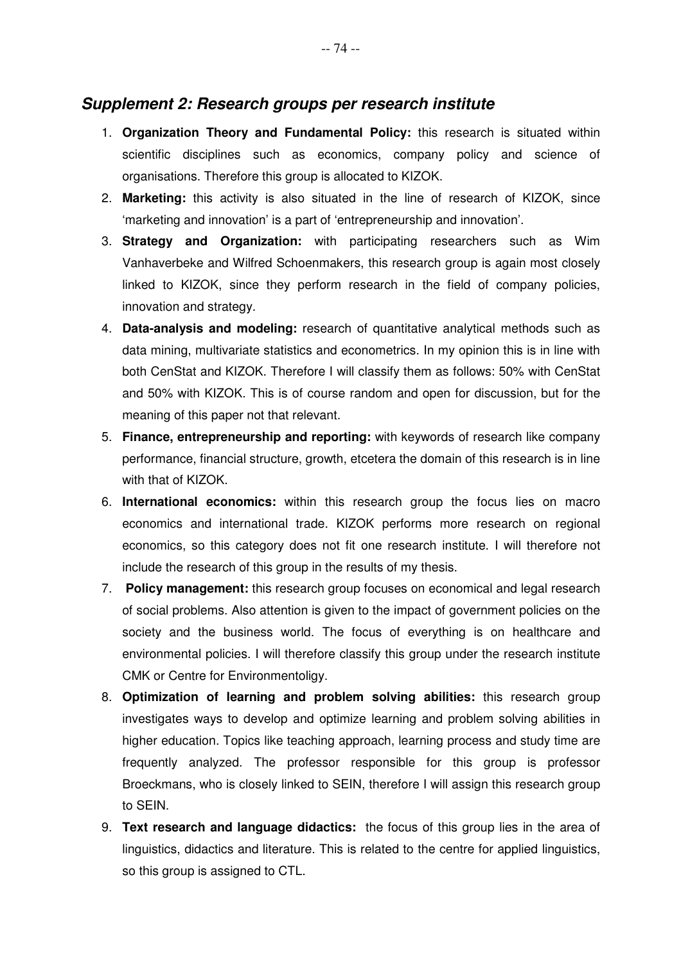- 1. **Organization Theory and Fundamental Policy:** this research is situated within scientific disciplines such as economics, company policy and science of organisations. Therefore this group is allocated to KIZOK.
- 2. **Marketing:** this activity is also situated in the line of research of KIZOK, since 'marketing and innovation' is a part of 'entrepreneurship and innovation'.
- 3. **Strategy and Organization:** with participating researchers such as Wim Vanhaverbeke and Wilfred Schoenmakers, this research group is again most closely linked to KIZOK, since they perform research in the field of company policies, innovation and strategy.
- 4. **Data-analysis and modeling:** research of quantitative analytical methods such as data mining, multivariate statistics and econometrics. In my opinion this is in line with both CenStat and KIZOK. Therefore I will classify them as follows: 50% with CenStat and 50% with KIZOK. This is of course random and open for discussion, but for the meaning of this paper not that relevant.
- 5. **Finance, entrepreneurship and reporting:** with keywords of research like company performance, financial structure, growth, etcetera the domain of this research is in line with that of KIZOK.
- 6. **International economics:** within this research group the focus lies on macro economics and international trade. KIZOK performs more research on regional economics, so this category does not fit one research institute. I will therefore not include the research of this group in the results of my thesis.
- 7. **Policy management:** this research group focuses on economical and legal research of social problems. Also attention is given to the impact of government policies on the society and the business world. The focus of everything is on healthcare and environmental policies. I will therefore classify this group under the research institute CMK or Centre for Environmentoligy.
- 8. **Optimization of learning and problem solving abilities:** this research group investigates ways to develop and optimize learning and problem solving abilities in higher education. Topics like teaching approach, learning process and study time are frequently analyzed. The professor responsible for this group is professor Broeckmans, who is closely linked to SEIN, therefore I will assign this research group to SEIN.
- 9. **Text research and language didactics:** the focus of this group lies in the area of linguistics, didactics and literature. This is related to the centre for applied linguistics, so this group is assigned to CTL.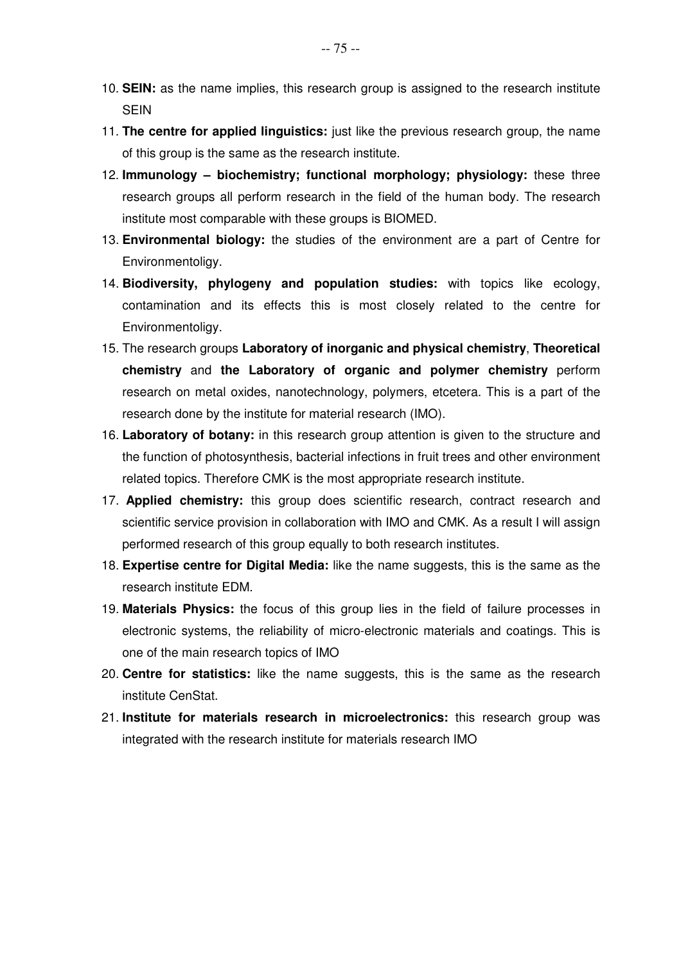- 10. **SEIN:** as the name implies, this research group is assigned to the research institute **SFIN**
- 11. **The centre for applied linguistics:** just like the previous research group, the name of this group is the same as the research institute.
- 12. **Immunology – biochemistry; functional morphology; physiology:** these three research groups all perform research in the field of the human body. The research institute most comparable with these groups is BIOMED.
- 13. **Environmental biology:** the studies of the environment are a part of Centre for Environmentoligy.
- 14. **Biodiversity, phylogeny and population studies:** with topics like ecology, contamination and its effects this is most closely related to the centre for Environmentoligy.
- 15. The research groups **Laboratory of inorganic and physical chemistry**, **Theoretical chemistry** and **the Laboratory of organic and polymer chemistry** perform research on metal oxides, nanotechnology, polymers, etcetera. This is a part of the research done by the institute for material research (IMO).
- 16. **Laboratory of botany:** in this research group attention is given to the structure and the function of photosynthesis, bacterial infections in fruit trees and other environment related topics. Therefore CMK is the most appropriate research institute.
- 17. **Applied chemistry:** this group does scientific research, contract research and scientific service provision in collaboration with IMO and CMK. As a result I will assign performed research of this group equally to both research institutes.
- 18. **Expertise centre for Digital Media:** like the name suggests, this is the same as the research institute EDM.
- 19. **Materials Physics:** the focus of this group lies in the field of failure processes in electronic systems, the reliability of micro-electronic materials and coatings. This is one of the main research topics of IMO
- 20. **Centre for statistics:** like the name suggests, this is the same as the research institute CenStat.
- 21. **Institute for materials research in microelectronics:** this research group was integrated with the research institute for materials research IMO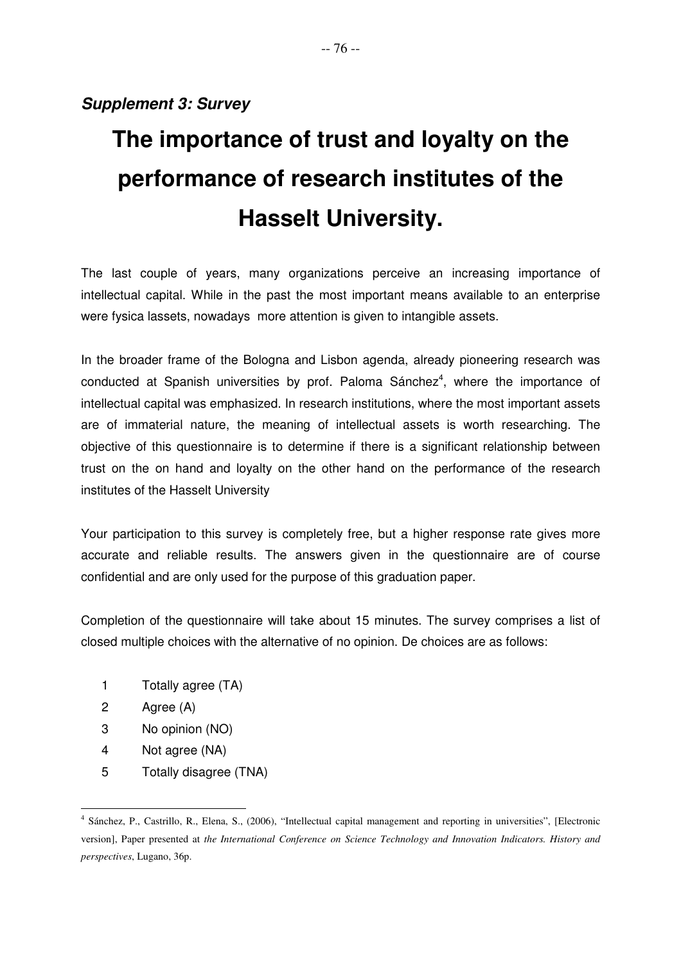# **Supplement 3: Survey**

# **The importance of trust and loyalty on the performance of research institutes of the Hasselt University.**

The last couple of years, many organizations perceive an increasing importance of intellectual capital. While in the past the most important means available to an enterprise were fysica lassets, nowadays more attention is given to intangible assets.

In the broader frame of the Bologna and Lisbon agenda, already pioneering research was conducted at Spanish universities by prof. Paloma Sánchez<sup>4</sup>, where the importance of intellectual capital was emphasized. In research institutions, where the most important assets are of immaterial nature, the meaning of intellectual assets is worth researching. The objective of this questionnaire is to determine if there is a significant relationship between trust on the on hand and loyalty on the other hand on the performance of the research institutes of the Hasselt University

Your participation to this survey is completely free, but a higher response rate gives more accurate and reliable results. The answers given in the questionnaire are of course confidential and are only used for the purpose of this graduation paper.

Completion of the questionnaire will take about 15 minutes. The survey comprises a list of closed multiple choices with the alternative of no opinion. De choices are as follows:

- 1 Totally agree (TA)
- 2 Agree (A)
- 3 No opinion (NO)
- 4 Not agree (NA)
- 5 Totally disagree (TNA)

 $\overline{a}$ 4 Sánchez, P., Castrillo, R., Elena, S., (2006), "Intellectual capital management and reporting in universities", [Electronic version], Paper presented at *the International Conference on Science Technology and Innovation Indicators. History and perspectives*, Lugano, 36p.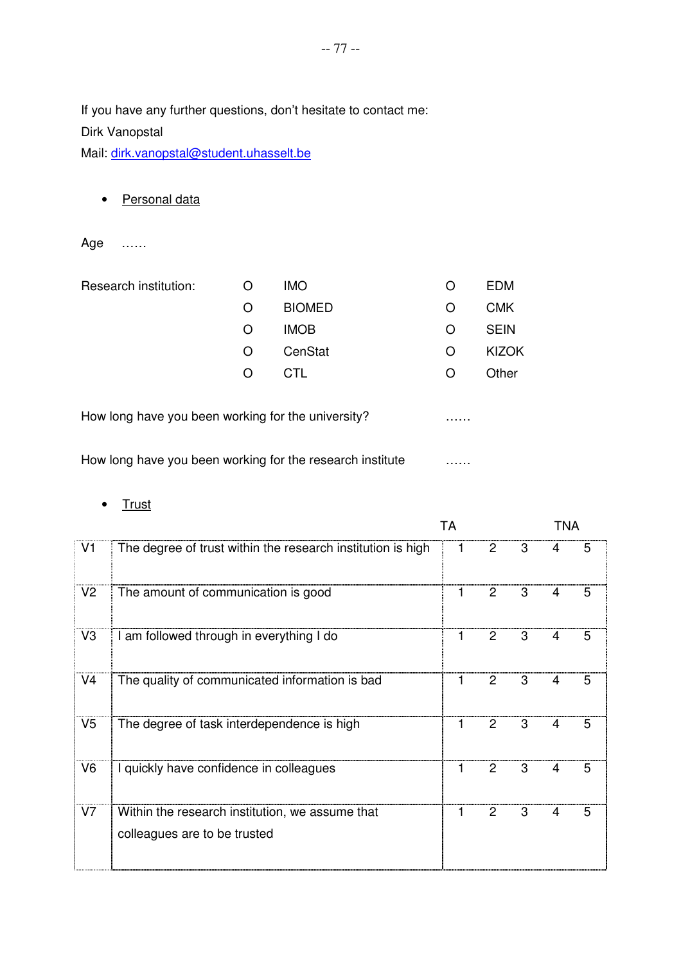If you have any further questions, don't hesitate to contact me: Dirk Vanopstal

Mail: dirk.vanopstal@student.uhasselt.be

• Personal data

Age ……

| Research institution: | O | <b>IMO</b>    | O | <b>EDM</b>  |
|-----------------------|---|---------------|---|-------------|
|                       | O | <b>BIOMED</b> | O | <b>CMK</b>  |
|                       | O | <b>IMOB</b>   | O | <b>SEIN</b> |
|                       | O | CenStat       | O | KIZOK       |
|                       | O | CTL.          | O | Other       |
|                       |   |               |   |             |

How long have you been working for the university? ……

How long have you been working for the research institute **Example 2.1** 

#### • Trust

|                |                                                                                 | <b>TA</b> |                |   | <b>TNA</b> |   |
|----------------|---------------------------------------------------------------------------------|-----------|----------------|---|------------|---|
| V <sub>1</sub> | The degree of trust within the research institution is high                     | 1         | 2              | 3 | 4          | 5 |
| V <sub>2</sub> | The amount of communication is good                                             | 1         | 2              | 3 | 4          | 5 |
| V <sub>3</sub> | am followed through in everything I do                                          | 1         | 2              | 3 | 4          | 5 |
| V <sub>4</sub> | The quality of communicated information is bad                                  | 1         | 2              | 3 | 4          | 5 |
| V <sub>5</sub> | The degree of task interdependence is high                                      | 1         | 2              | 3 | 4          | 5 |
| V <sub>6</sub> | I quickly have confidence in colleagues                                         | 1         | $\overline{2}$ | 3 | 4          | 5 |
| V7             | Within the research institution, we assume that<br>colleagues are to be trusted | 1         | 2              | 3 | 4          | 5 |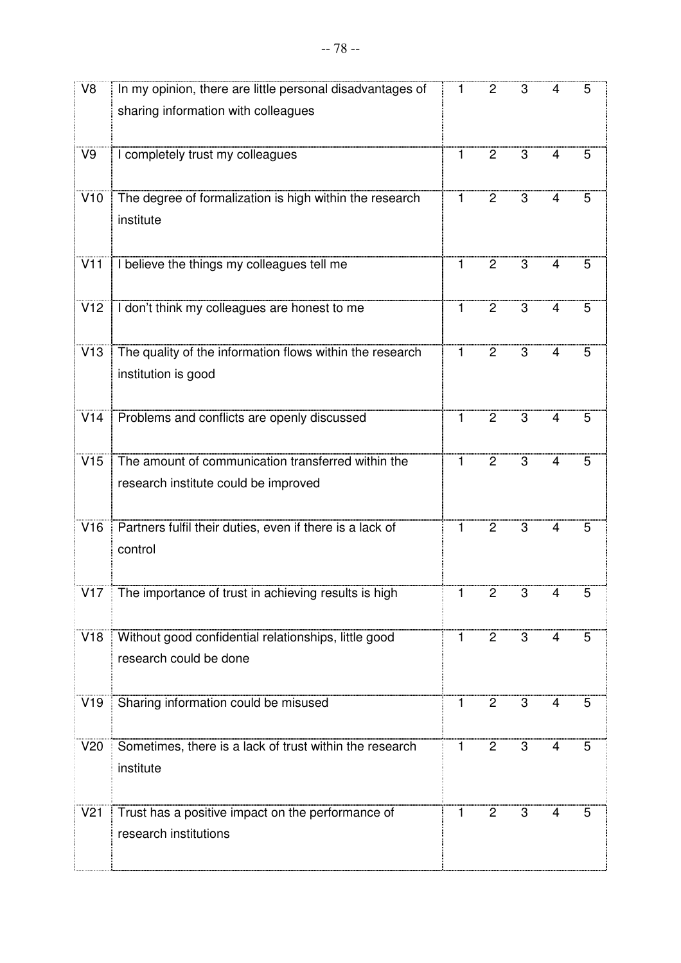| V <sub>8</sub>  | In my opinion, there are little personal disadvantages of                                  | 1 | 2              | 3              | 4 | 5 |
|-----------------|--------------------------------------------------------------------------------------------|---|----------------|----------------|---|---|
|                 | sharing information with colleagues                                                        |   |                |                |   |   |
| V9              | I completely trust my colleagues                                                           | 1 | $\overline{2}$ | 3              | 4 | 5 |
| V10             | The degree of formalization is high within the research<br>institute                       | 1 | $\overline{2}$ | 3              | 4 | 5 |
| V11             | I believe the things my colleagues tell me                                                 | 1 | $\overline{2}$ | $\overline{3}$ | 4 | 5 |
| V12             | I don't think my colleagues are honest to me                                               | 1 | $\overline{2}$ | 3              | 4 | 5 |
| V13             | The quality of the information flows within the research<br>institution is good            | 1 | 2              | 3              | 4 | 5 |
| V14             | Problems and conflicts are openly discussed                                                | 1 | $\overline{2}$ | 3              | 4 | 5 |
| V15             | The amount of communication transferred within the<br>research institute could be improved | 1 | $\overline{2}$ | 3              | 4 | 5 |
| V16             | Partners fulfil their duties, even if there is a lack of<br>control                        | 1 | $\overline{2}$ | 3              | 4 | 5 |
| V17             | The importance of trust in achieving results is high                                       | 1 | 2              | 3              |   |   |
| V18             | Without good confidential relationships, little good<br>research could be done             | 1 | 2              | 3              | 4 | 5 |
| V19             | Sharing information could be misused                                                       | 1 | $\overline{c}$ | 3              | 4 | 5 |
| V20             | Sometimes, there is a lack of trust within the research<br>institute                       | 1 | $\overline{2}$ | 3              | 4 | 5 |
| V <sub>21</sub> | Trust has a positive impact on the performance of<br>research institutions                 | 1 | $\overline{c}$ | 3              | 4 | 5 |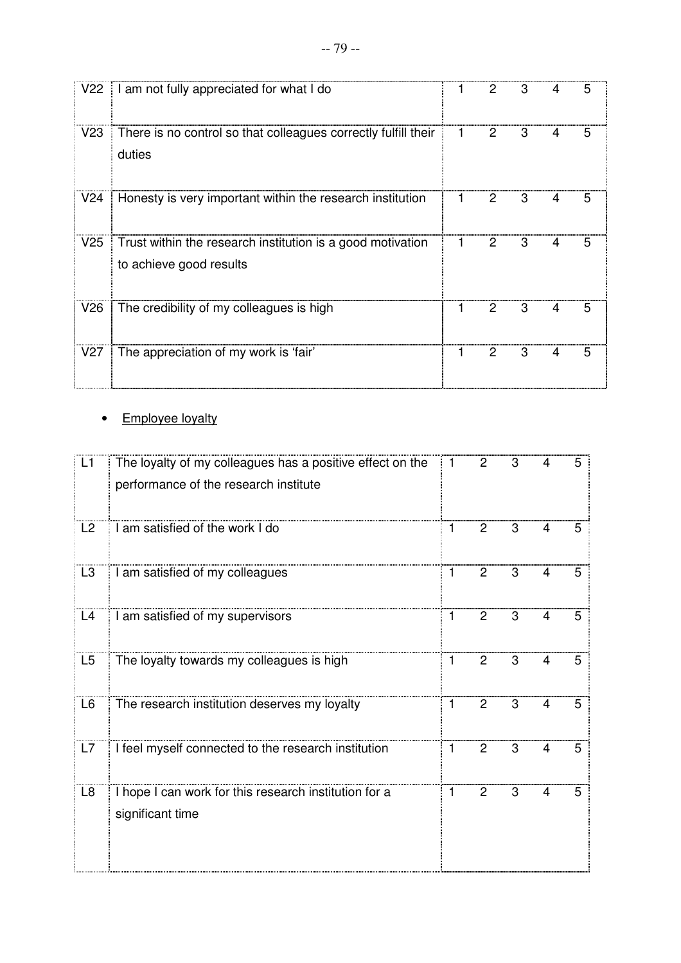|                 | V22   I am not fully appreciated for what I do                                        | 1 | 2 | 3 | 4 | 5 |
|-----------------|---------------------------------------------------------------------------------------|---|---|---|---|---|
| V23             | There is no control so that colleagues correctly fulfill their<br>duties              |   | 2 | 3 |   | 5 |
| V <sub>24</sub> | Honesty is very important within the research institution                             |   | 2 | 3 | 4 | 5 |
| V25             | Trust within the research institution is a good motivation<br>to achieve good results | 1 | 2 | 3 | 4 | 5 |
| V26             | The credibility of my colleagues is high                                              | 1 | 2 | 3 | 4 | 5 |
| V27             | The appreciation of my work is 'fair'                                                 | 1 | 2 | 3 | 4 | 5 |

# • Employee loyalty

| L1             | The loyalty of my colleagues has a positive effect on the<br>performance of the research institute | 1            | $\overline{2}$ | 3 | 4              | 5 |
|----------------|----------------------------------------------------------------------------------------------------|--------------|----------------|---|----------------|---|
| L2             | I am satisfied of the work I do                                                                    | 1            | $\overline{2}$ | 3 | 4              | 5 |
| L <sub>3</sub> | I am satisfied of my colleagues                                                                    | $\mathbf{1}$ | $\overline{2}$ | 3 | 4              | 5 |
| L4             | I am satisfied of my supervisors                                                                   | 1            | $\overline{c}$ | 3 | 4              | 5 |
| L <sub>5</sub> | The loyalty towards my colleagues is high                                                          | 1            | $\overline{2}$ | 3 | 4              | 5 |
| L <sub>6</sub> | The research institution deserves my loyalty                                                       | 1            | $\overline{2}$ | 3 | 4              | 5 |
| L7             | I feel myself connected to the research institution                                                | 1            | $\overline{2}$ | 3 | $\overline{4}$ | 5 |
| L8             | I hope I can work for this research institution for a<br>significant time                          | 1            | $\overline{2}$ | 3 | 4              | 5 |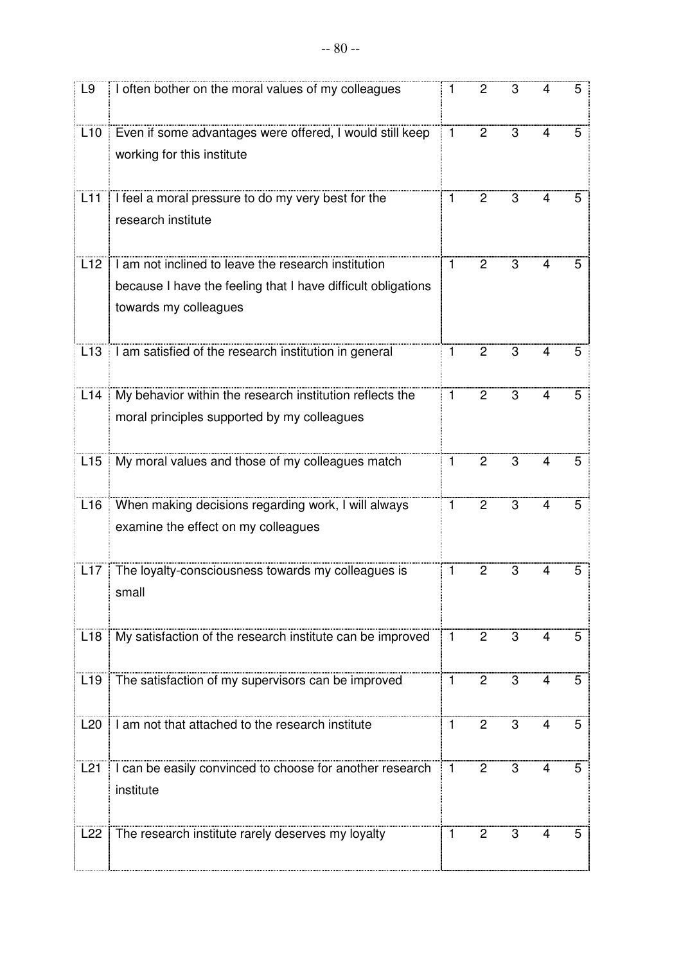| L9              | I often bother on the moral values of my colleagues                                                                                          | $\mathbf{1}$ | $\overline{c}$ | 3              | 4              | 5 |
|-----------------|----------------------------------------------------------------------------------------------------------------------------------------------|--------------|----------------|----------------|----------------|---|
| L10             | Even if some advantages were offered, I would still keep<br>working for this institute                                                       | $\mathbf{1}$ | $\overline{2}$ | 3              | 4              | 5 |
| L11             | I feel a moral pressure to do my very best for the<br>research institute                                                                     | $\mathbf{1}$ | 2              | 3              | 4              | 5 |
| L12             | I am not inclined to leave the research institution<br>because I have the feeling that I have difficult obligations<br>towards my colleagues | $\mathbf{1}$ | $\overline{2}$ | 3              | $\overline{4}$ | 5 |
| L <sub>13</sub> | I am satisfied of the research institution in general                                                                                        | $\mathbf{1}$ | $\overline{2}$ | 3              | 4              | 5 |
| L14             | My behavior within the research institution reflects the<br>moral principles supported by my colleagues                                      | $\mathbf{1}$ | $\overline{2}$ | 3              | $\overline{4}$ | 5 |
| L15             | My moral values and those of my colleagues match                                                                                             | 1            | $\overline{2}$ | 3              | $\overline{4}$ | 5 |
| L16             | When making decisions regarding work, I will always<br>examine the effect on my colleagues                                                   | $\mathbf{1}$ | $\overline{2}$ | 3              | $\overline{4}$ | 5 |
| L17             | The loyalty-consciousness towards my colleagues is<br>small                                                                                  | 1            | 2              | 3              | 4              | 5 |
| L18             | My satisfaction of the research institute can be improved                                                                                    | $\mathbf{1}$ | $\overline{2}$ | 3              | 4              | 5 |
| L <sub>19</sub> | The satisfaction of my supervisors can be improved                                                                                           | $\mathbf{1}$ | $\overline{2}$ | $\overline{3}$ | $\overline{4}$ | 5 |
| L20             | I am not that attached to the research institute                                                                                             | $\mathbf{1}$ | $\overline{2}$ | 3              | 4              | 5 |
| L21             | I can be easily convinced to choose for another research<br>institute                                                                        | $\mathbf{1}$ | 2              | 3              | 4              | 5 |
| L22             | The research institute rarely deserves my loyalty                                                                                            | $\mathbf{1}$ | $\overline{2}$ | 3              | $\overline{4}$ | 5 |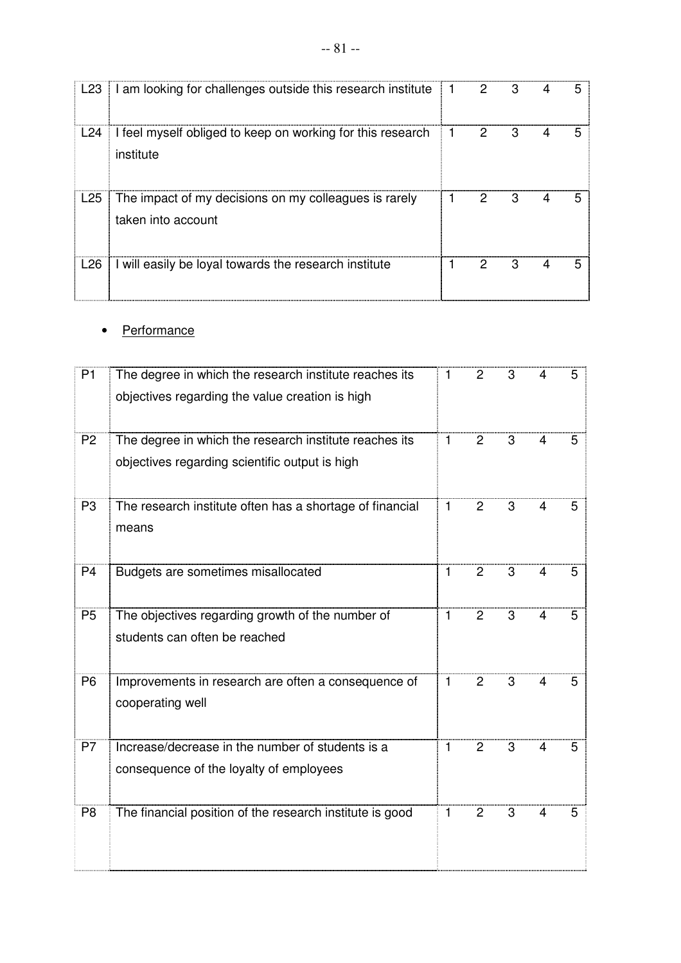| L23             | I am looking for challenges outside this research institute $\parallel$ 1   | 2 | З | 5 |
|-----------------|-----------------------------------------------------------------------------|---|---|---|
| L24             | I feel myself obliged to keep on working for this research<br>institute     | 2 | 3 | 5 |
| L <sub>25</sub> | The impact of my decisions on my colleagues is rarely<br>taken into account | 2 | 3 |   |
| L <sub>26</sub> | I will easily be loyal towards the research institute                       |   | З |   |

#### • Performance

| P <sub>1</sub> | The degree in which the research institute reaches its<br>objectives regarding the value creation is high | 1            | 2              | 3              |   | 5 |
|----------------|-----------------------------------------------------------------------------------------------------------|--------------|----------------|----------------|---|---|
|                |                                                                                                           |              |                |                |   |   |
| P <sub>2</sub> | The degree in which the research institute reaches its<br>objectives regarding scientific output is high  | 1            | 2              | 3              | 4 | 5 |
| P <sub>3</sub> | The research institute often has a shortage of financial<br>means                                         | 1            | 2              | 3              | 4 | 5 |
| P <sub>4</sub> | Budgets are sometimes misallocated                                                                        | $\mathbf{1}$ | $\overline{2}$ | $\overline{3}$ | 4 | 5 |
| P <sub>5</sub> | The objectives regarding growth of the number of<br>students can often be reached                         | $\mathbf{1}$ | $\overline{2}$ | 3              | 4 | 5 |
| P <sub>6</sub> | Improvements in research are often a consequence of<br>cooperating well                                   | $\mathbf{1}$ | $\overline{2}$ | 3              | 4 | 5 |
| P7             | Increase/decrease in the number of students is a<br>consequence of the loyalty of employees               | 1            | $\overline{2}$ | 3              | 4 | 5 |
| P <sub>8</sub> | The financial position of the research institute is good                                                  | 1            | $\overline{2}$ | 3              | 4 | 5 |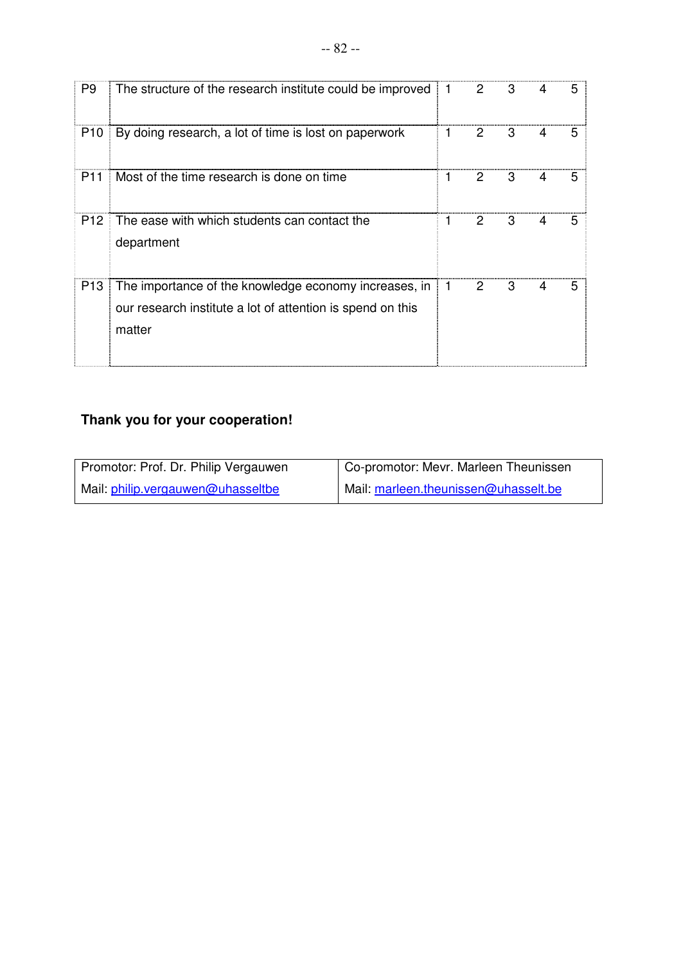| P9              | The structure of the research institute could be improved                                                                     | $\pm$ 1 | 2             | 3 | 4 | 5 |
|-----------------|-------------------------------------------------------------------------------------------------------------------------------|---------|---------------|---|---|---|
| P <sub>10</sub> | By doing research, a lot of time is lost on paperwork                                                                         | 1       | 2             | 3 | 4 | 5 |
| P <sub>11</sub> | Most of the time research is done on time                                                                                     | 1       | $\mathcal{P}$ | 3 | 4 | 5 |
| P <sub>12</sub> | The ease with which students can contact the<br>department                                                                    | 1       | 2             | 3 |   | 5 |
| P <sub>13</sub> | The importance of the knowledge economy increases, in<br>our research institute a lot of attention is spend on this<br>matter | l 1     | 2             | 3 | 4 | 5 |

# **Thank you for your cooperation!**

| Promotor: Prof. Dr. Philip Vergauwen | Co-promotor: Mevr. Marleen Theunissen |
|--------------------------------------|---------------------------------------|
| Mail: philip.vergauwen@uhasseltbe    | Mail: marleen.theunissen@uhasselt.be  |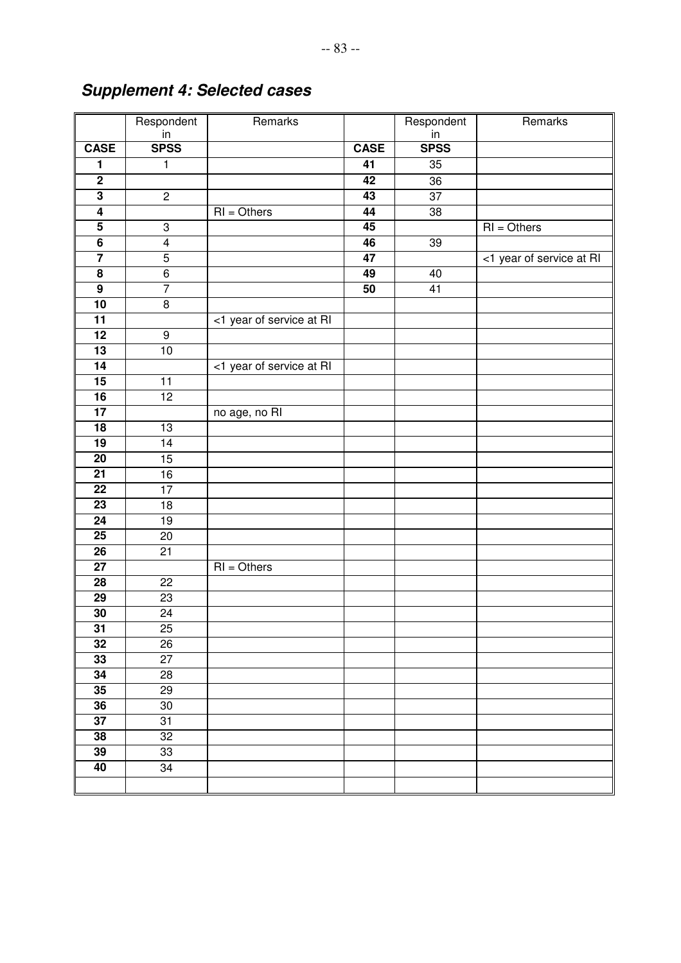|                         | Respondent              | Remarks                  |                 | Respondent      | Remarks                  |
|-------------------------|-------------------------|--------------------------|-----------------|-----------------|--------------------------|
|                         | $rac{in}{SPSS}$         |                          |                 | $rac{in}{SPSS}$ |                          |
| <b>CASE</b>             |                         |                          | <b>CASE</b>     |                 |                          |
| 1                       | 1                       |                          | 41              | 35              |                          |
| $\overline{2}$          |                         |                          | 42              | 36              |                          |
| $\overline{\mathbf{3}}$ | $\overline{2}$          |                          | 43              | 37              |                          |
| $\overline{\mathbf{4}}$ |                         | $RI = Others$            | 44              | 38              |                          |
| $\overline{\mathbf{5}}$ | $\overline{3}$          |                          | 45              |                 | $RI = Others$            |
| $\overline{6}$          | $\overline{\mathbf{4}}$ |                          | 46              | 39              |                          |
| 7                       | $\overline{5}$          |                          | $\overline{47}$ |                 | <1 year of service at RI |
| $\overline{\mathbf{8}}$ | $\,6$                   |                          | 49              | 40              |                          |
| $\overline{9}$          | $\overline{7}$          |                          | $\overline{50}$ | 41              |                          |
| 10                      | $\bf8$                  |                          |                 |                 |                          |
| $\overline{11}$         |                         | <1 year of service at RI |                 |                 |                          |
| $\overline{12}$         | $\boldsymbol{9}$        |                          |                 |                 |                          |
| $\overline{13}$         | 10                      |                          |                 |                 |                          |
| 14                      |                         | <1 year of service at RI |                 |                 |                          |
| 15                      | 11                      |                          |                 |                 |                          |
| 16                      | 12                      |                          |                 |                 |                          |
| $\overline{17}$         |                         | no age, no RI            |                 |                 |                          |
| $\overline{18}$         | 13                      |                          |                 |                 |                          |
| 19                      | $\overline{14}$         |                          |                 |                 |                          |
| $\overline{20}$         | 15                      |                          |                 |                 |                          |
| $\overline{21}$         | 16                      |                          |                 |                 |                          |
| $\overline{22}$         | $\overline{17}$         |                          |                 |                 |                          |
| $\overline{23}$         | 18                      |                          |                 |                 |                          |
| $\overline{24}$         | 19                      |                          |                 |                 |                          |
| $\overline{25}$         | 20                      |                          |                 |                 |                          |
| $\overline{26}$         | 21                      |                          |                 |                 |                          |
| $\overline{27}$         |                         | $RI = Others$            |                 |                 |                          |
| $\overline{28}$         | 22                      |                          |                 |                 |                          |
| $\overline{29}$         | 23                      |                          |                 |                 |                          |
| 30                      | 24                      |                          |                 |                 |                          |
| $\overline{31}$         | 25                      |                          |                 |                 |                          |
| $\overline{32}$         | 26                      |                          |                 |                 |                          |
| 33                      | 27                      |                          |                 |                 |                          |
| 34                      | 28                      |                          |                 |                 |                          |
| 35                      | 29                      |                          |                 |                 |                          |
| 36                      | $30\,$                  |                          |                 |                 |                          |
| $\overline{37}$         | 31                      |                          |                 |                 |                          |
| 38                      | 32                      |                          |                 |                 |                          |
| 39                      | 33                      |                          |                 |                 |                          |
| 40                      | 34                      |                          |                 |                 |                          |
|                         |                         |                          |                 |                 |                          |

# **Supplement 4: Selected cases**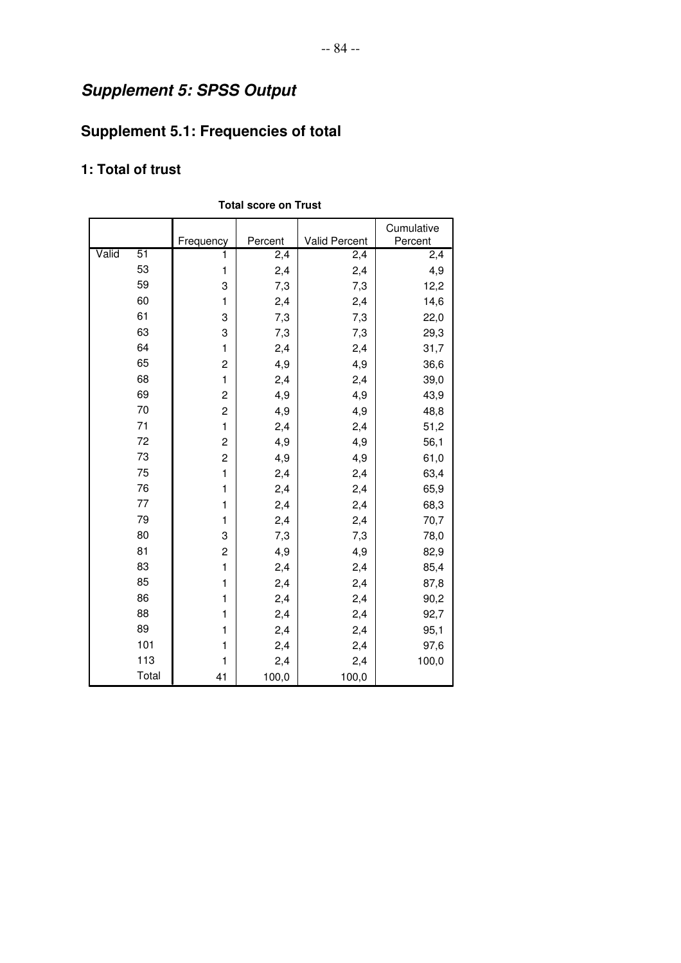# **Supplement 5: SPSS Output**

# **Supplement 5.1: Frequencies of total**

# **1: Total of trust**

|       |       | Frequency      | Percent | Valid Percent | Cumulative<br>Percent |
|-------|-------|----------------|---------|---------------|-----------------------|
| Valid | 51    | 1              | 2,4     | 2, 4          | 2,4                   |
|       | 53    | 1              | 2,4     | 2,4           | 4,9                   |
|       | 59    | 3              | 7,3     | 7,3           | 12,2                  |
|       | 60    | $\mathbf{1}$   | 2,4     | 2,4           | 14,6                  |
|       | 61    | 3              | 7,3     | 7,3           | 22,0                  |
|       | 63    | 3              | 7,3     | 7,3           | 29,3                  |
|       | 64    | $\mathbf{1}$   | 2,4     | 2,4           | 31,7                  |
|       | 65    | $\overline{c}$ | 4,9     | 4,9           | 36,6                  |
|       | 68    | $\mathbf{1}$   | 2,4     | 2,4           | 39,0                  |
|       | 69    | $\overline{c}$ | 4,9     | 4,9           | 43,9                  |
|       | 70    | $\overline{c}$ | 4,9     | 4,9           | 48,8                  |
|       | 71    | 1              | 2,4     | 2,4           | 51,2                  |
|       | 72    | $\overline{c}$ | 4,9     | 4,9           | 56,1                  |
|       | 73    | $\overline{c}$ | 4,9     | 4,9           | 61,0                  |
|       | 75    | $\mathbf{1}$   | 2,4     | 2,4           | 63,4                  |
|       | 76    | $\mathbf{1}$   | 2,4     | 2,4           | 65,9                  |
|       | 77    | $\mathbf{1}$   | 2,4     | 2,4           | 68,3                  |
|       | 79    | 1              | 2,4     | 2,4           | 70,7                  |
|       | 80    | 3              | 7,3     | 7,3           | 78,0                  |
|       | 81    | $\overline{c}$ | 4,9     | 4,9           | 82,9                  |
|       | 83    | $\mathbf{1}$   | 2,4     | 2,4           | 85,4                  |
|       | 85    | $\mathbf{1}$   | 2,4     | 2,4           | 87,8                  |
|       | 86    | 1              | 2,4     | 2,4           | 90,2                  |
|       | 88    | 1              | 2,4     | 2,4           | 92,7                  |
|       | 89    | 1              | 2,4     | 2,4           | 95,1                  |
|       | 101   | 1              | 2,4     | 2,4           | 97,6                  |
|       | 113   | 1              | 2,4     | 2,4           | 100,0                 |
|       | Total | 41             | 100,0   | 100,0         |                       |

#### **Total score on Trust**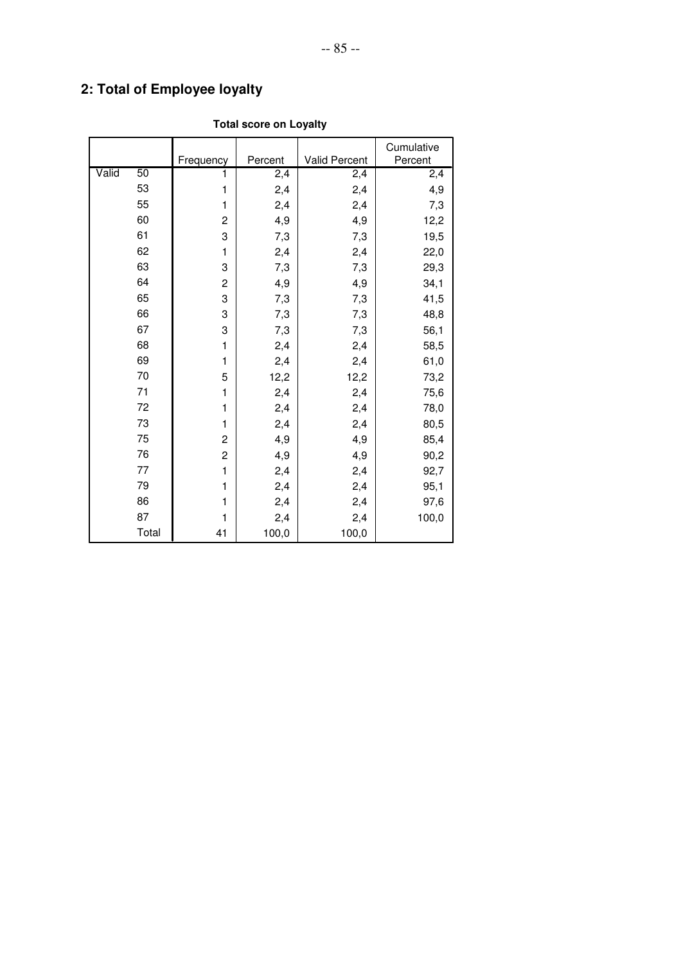# **2: Total of Employee loyalty**

|       |                 |                         |         |               | Cumulative |
|-------|-----------------|-------------------------|---------|---------------|------------|
|       |                 | Frequency               | Percent | Valid Percent | Percent    |
| Valid | $\overline{50}$ | 1                       | 2,4     | 2,4           | 2,4        |
|       | 53              | 1                       | 2,4     | 2,4           | 4,9        |
|       | 55              | $\mathbf{1}$            | 2,4     | 2,4           | 7,3        |
|       | 60              | $\overline{c}$          | 4,9     | 4,9           | 12,2       |
|       | 61              | 3                       | 7,3     | 7,3           | 19,5       |
|       | 62              | 1                       | 2,4     | 2,4           | 22,0       |
|       | 63              | 3                       | 7,3     | 7,3           | 29,3       |
|       | 64              | $\overline{\mathbf{c}}$ | 4,9     | 4,9           | 34,1       |
|       | 65              | 3                       | 7,3     | 7,3           | 41,5       |
|       | 66              | 3                       | 7,3     | 7,3           | 48,8       |
|       | 67              | 3                       | 7,3     | 7,3           | 56,1       |
|       | 68              | $\mathbf{1}$            | 2,4     | 2,4           | 58,5       |
|       | 69              | $\mathbf{1}$            | 2,4     | 2,4           | 61,0       |
|       | 70              | 5                       | 12,2    | 12,2          | 73,2       |
|       | 71              | 1                       | 2,4     | 2,4           | 75,6       |
|       | 72              | $\mathbf{1}$            | 2,4     | 2,4           | 78,0       |
|       | 73              | $\mathbf{1}$            | 2,4     | 2,4           | 80,5       |
|       | 75              | $\overline{c}$          | 4,9     | 4,9           | 85,4       |
|       | 76              | $\overline{\mathbf{c}}$ | 4,9     | 4,9           | 90,2       |
|       | 77              | $\mathbf{1}$            | 2,4     | 2,4           | 92,7       |
|       | 79              | 1                       | 2,4     | 2,4           | 95,1       |
|       | 86              | 1                       | 2,4     | 2,4           | 97,6       |
|       | 87              | 1                       | 2,4     | 2,4           | 100,0      |
|       | Total           | 41                      | 100,0   | 100,0         |            |

### **Total score on Loyalty**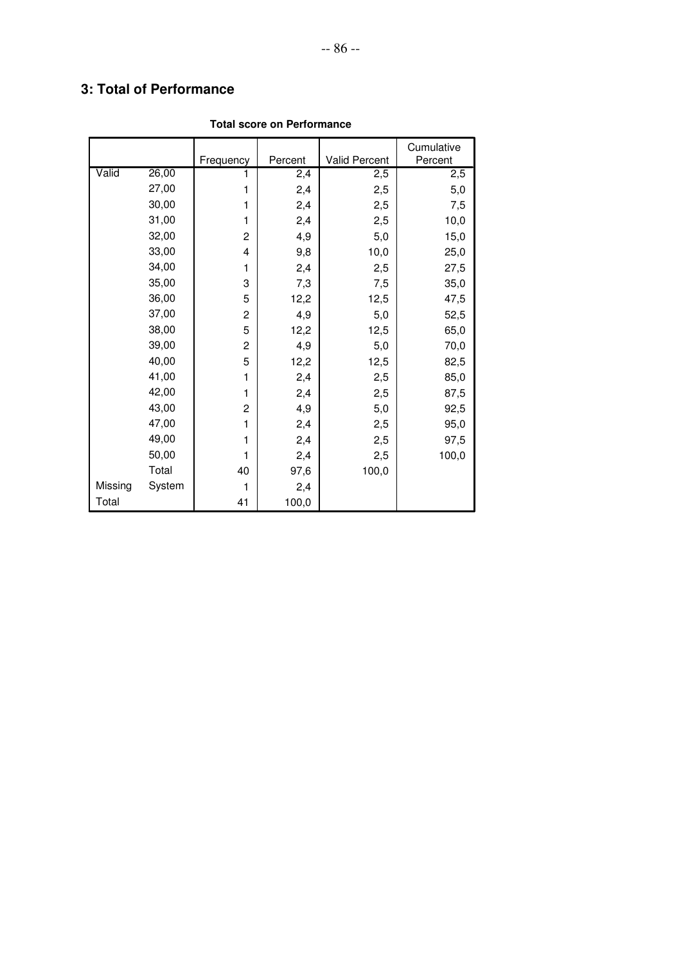# **3: Total of Performance**

|         |        |                |         |               | Cumulative |
|---------|--------|----------------|---------|---------------|------------|
|         |        | Frequency      | Percent | Valid Percent | Percent    |
| Valid   | 26,00  |                | 2,4     | 2,5           | 2,5        |
|         | 27,00  | 1              | 2,4     | 2,5           | 5,0        |
|         | 30,00  | 1              | 2,4     | 2,5           | 7,5        |
|         | 31,00  | 1              | 2,4     | 2,5           | 10,0       |
|         | 32,00  | $\overline{c}$ | 4,9     | 5,0           | 15,0       |
|         | 33,00  | 4              | 9,8     | 10,0          | 25,0       |
|         | 34,00  | 1              | 2,4     | 2,5           | 27,5       |
|         | 35,00  | 3              | 7,3     | 7,5           | 35,0       |
|         | 36,00  | 5              | 12,2    | 12,5          | 47,5       |
|         | 37,00  | 2              | 4,9     | 5,0           | 52,5       |
|         | 38,00  | 5              | 12,2    | 12,5          | 65,0       |
|         | 39,00  | $\overline{c}$ | 4,9     | 5,0           | 70,0       |
|         | 40,00  | 5              | 12,2    | 12,5          | 82,5       |
|         | 41,00  | 1              | 2,4     | 2,5           | 85,0       |
|         | 42,00  | 1              | 2,4     | 2,5           | 87,5       |
|         | 43,00  | $\overline{c}$ | 4,9     | 5,0           | 92,5       |
|         | 47,00  | 1              | 2,4     | 2,5           | 95,0       |
|         | 49,00  | 1              | 2,4     | 2,5           | 97,5       |
|         | 50,00  | 1              | 2,4     | 2,5           | 100,0      |
|         | Total  | 40             | 97,6    | 100,0         |            |
| Missing | System | 1              | 2,4     |               |            |
| Total   |        | 41             | 100,0   |               |            |

#### **Total score on Performance**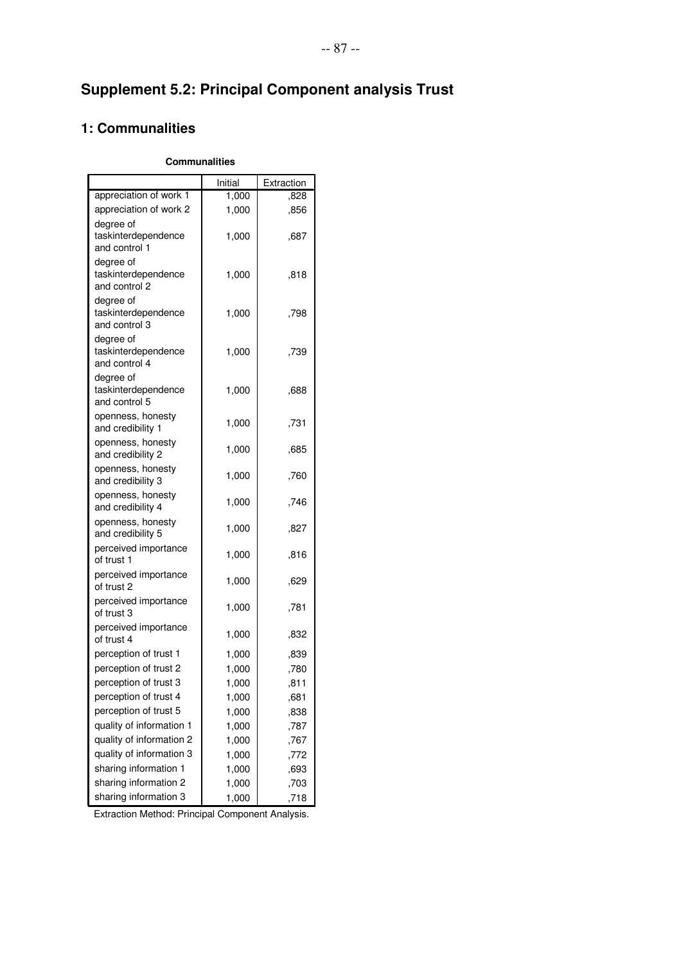# **Supplement 5.2: Principal Component analysis Trust**

# **1: Communalities**

#### **Communalities**

|                                                   | Initial | Extraction |
|---------------------------------------------------|---------|------------|
| appreciation of work 1                            | 1,000   | ,828       |
| appreciation of work 2                            | 1,000   | ,856       |
| degree of<br>taskinterdependence<br>and control 1 | 1,000   | .687       |
| degree of<br>taskinterdependence<br>and control 2 | 1,000   | ,818       |
| degree of<br>taskinterdependence<br>and control 3 | 1,000   | ,798       |
| degree of<br>taskinterdependence<br>and control 4 | 1,000   | ,739       |
| degree of<br>taskinterdependence<br>and control 5 | 1,000   | ,688       |
| openness, honesty<br>and credibility 1            | 1,000   | ,731       |
| openness, honesty<br>and credibility 2            | 1,000   | ,685       |
| openness, honesty<br>and credibility 3            | 1,000   | ,760       |
| openness, honesty<br>and credibility 4            | 1,000   | ,746       |
| openness, honesty<br>and credibility 5            | 1,000   | ,827       |
| perceived importance<br>of trust 1                | 1,000   | ,816       |
| perceived importance<br>of trust 2                | 1,000   | ,629       |
| perceived importance<br>of trust 3                | 1,000   | ,781       |
| perceived importance<br>of trust 4                | 1,000   | ,832       |
| perception of trust 1                             | 1,000   | ,839       |
| perception of trust 2                             | 1,000   | ,780       |
| perception of trust 3                             | 1,000   | ,811       |
| perception of trust 4                             | 1,000   | ,681       |
| perception of trust 5                             | 1,000   | ,838       |
| quality of information 1                          | 1,000   | ,787       |
| quality of information 2                          | 1,000   | ,767       |
| quality of information 3                          | 1,000   | ,772       |
| sharing information 1                             | 1,000   | ,693       |
| sharing information 2                             | 1,000   | ,703       |
| sharing information 3                             | 1,000   | ,718       |

Extraction Method: Principal Component Analysis.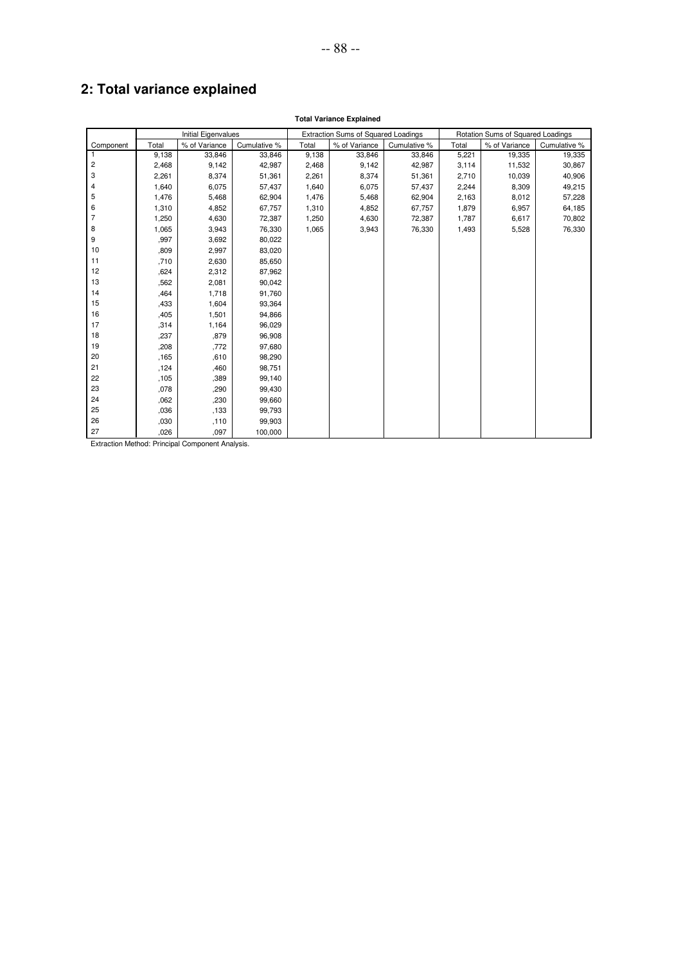# **2: Total variance explained**

|                | <b>Total Variance Explained</b> |                            |              |       |                                            |              |       |                                   |              |  |
|----------------|---------------------------------|----------------------------|--------------|-------|--------------------------------------------|--------------|-------|-----------------------------------|--------------|--|
|                |                                 | <b>Initial Eigenvalues</b> |              |       | <b>Extraction Sums of Squared Loadings</b> |              |       | Rotation Sums of Squared Loadings |              |  |
| Component      | Total                           | % of Variance              | Cumulative % | Total | % of Variance                              | Cumulative % | Total | % of Variance                     | Cumulative % |  |
| 1              | 9,138                           | 33,846                     | 33,846       | 9,138 | 33,846                                     | 33,846       | 5,221 | 19,335                            | 19,335       |  |
| 2              | 2,468                           | 9,142                      | 42,987       | 2,468 | 9,142                                      | 42,987       | 3,114 | 11,532                            | 30,867       |  |
| 3              | 2,261                           | 8,374                      | 51,361       | 2,261 | 8,374                                      | 51,361       | 2,710 | 10,039                            | 40,906       |  |
| $\overline{4}$ | 1,640                           | 6,075                      | 57,437       | 1,640 | 6,075                                      | 57,437       | 2,244 | 8,309                             | 49,215       |  |
| 5              | 1,476                           | 5,468                      | 62,904       | 1,476 | 5,468                                      | 62,904       | 2,163 | 8,012                             | 57,228       |  |
| 6              | 1,310                           | 4,852                      | 67,757       | 1,310 | 4,852                                      | 67,757       | 1,879 | 6,957                             | 64,185       |  |
| $\overline{7}$ | 1,250                           | 4,630                      | 72,387       | 1,250 | 4,630                                      | 72,387       | 1,787 | 6,617                             | 70,802       |  |
| 8              | 1,065                           | 3,943                      | 76,330       | 1,065 | 3,943                                      | 76,330       | 1,493 | 5,528                             | 76,330       |  |
| 9              | .997                            | 3,692                      | 80,022       |       |                                            |              |       |                                   |              |  |
| 10             | ,809                            | 2,997                      | 83,020       |       |                                            |              |       |                                   |              |  |
| 11             | ,710                            | 2,630                      | 85,650       |       |                                            |              |       |                                   |              |  |
| 12             | ,624                            | 2,312                      | 87,962       |       |                                            |              |       |                                   |              |  |
| 13             | .562                            | 2,081                      | 90,042       |       |                                            |              |       |                                   |              |  |
| 14             | .464                            | 1,718                      | 91,760       |       |                                            |              |       |                                   |              |  |
| 15             | ,433                            | 1,604                      | 93,364       |       |                                            |              |       |                                   |              |  |
| 16             | ,405                            | 1,501                      | 94,866       |       |                                            |              |       |                                   |              |  |
| 17             | ,314                            | 1,164                      | 96,029       |       |                                            |              |       |                                   |              |  |
| 18             | ,237                            | ,879                       | 96,908       |       |                                            |              |       |                                   |              |  |
| 19             | ,208                            | ,772                       | 97,680       |       |                                            |              |       |                                   |              |  |
| 20             | .165                            | ,610                       | 98,290       |       |                                            |              |       |                                   |              |  |
| 21             | ,124                            | ,460                       | 98,751       |       |                                            |              |       |                                   |              |  |
| 22             | ,105                            | ,389                       | 99,140       |       |                                            |              |       |                                   |              |  |
| 23             | ,078                            | ,290                       | 99,430       |       |                                            |              |       |                                   |              |  |
| 24             | 062                             | ,230                       | 99,660       |       |                                            |              |       |                                   |              |  |
| 25             | ,036                            | ,133                       | 99,793       |       |                                            |              |       |                                   |              |  |
| 26             | ,030                            | , 110                      | 99,903       |       |                                            |              |       |                                   |              |  |
| 27             | .026                            | .097                       | 100.000      |       |                                            |              |       |                                   |              |  |

Extraction Method: Principal Component Analysis.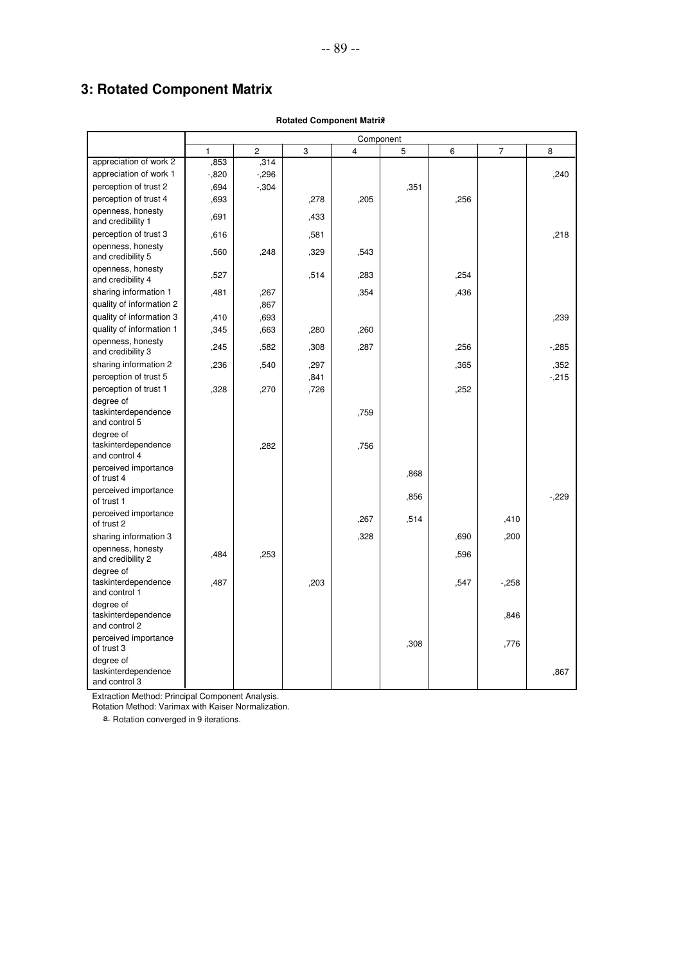# **3: Rotated Component Matrix**

|                                                   | Component |                |      |                         |      |      |        |        |
|---------------------------------------------------|-----------|----------------|------|-------------------------|------|------|--------|--------|
|                                                   | 1         | $\overline{c}$ | 3    | $\overline{\mathbf{4}}$ | 5    | 6    | 7      | 8      |
| appreciation of work 2                            | ,853      | , 314          |      |                         |      |      |        |        |
| appreciation of work 1                            | $-0.820$  | $-296$         |      |                         |      |      |        | ,240   |
| perception of trust 2                             | ,694      | $-0.304$       |      |                         | ,351 |      |        |        |
| perception of trust 4                             | ,693      |                | ,278 | ,205                    |      | ,256 |        |        |
| openness, honesty<br>and credibility 1            | ,691      |                | ,433 |                         |      |      |        |        |
| perception of trust 3                             | ,616      |                | ,581 |                         |      |      |        | .218   |
| openness, honesty<br>and credibility 5            | ,560      | ,248           | ,329 | ,543                    |      |      |        |        |
| openness, honesty<br>and credibility 4            | ,527      |                | ,514 | ,283                    |      | ,254 |        |        |
| sharing information 1                             | ,481      | ,267           |      | ,354                    |      | ,436 |        |        |
| quality of information 2                          |           | ,867           |      |                         |      |      |        |        |
| quality of information 3                          | ,410      | ,693           |      |                         |      |      |        | ,239   |
| quality of information 1                          | ,345      | ,663           | ,280 | ,260                    |      |      |        |        |
| openness, honesty<br>and credibility 3            | ,245      | ,582           | ,308 | ,287                    |      | ,256 |        | $-285$ |
| sharing information 2                             | ,236      | .540           | ,297 |                         |      | ,365 |        | ,352   |
| perception of trust 5                             |           |                | ,841 |                         |      |      |        | $-215$ |
| perception of trust 1                             | ,328      | ,270           | ,726 |                         |      | ,252 |        |        |
| degree of<br>taskinterdependence<br>and control 5 |           |                |      | ,759                    |      |      |        |        |
| degree of<br>taskinterdependence<br>and control 4 |           | .282           |      | ,756                    |      |      |        |        |
| perceived importance<br>of trust 4                |           |                |      |                         | .868 |      |        |        |
| perceived importance<br>of trust 1                |           |                |      |                         | ,856 |      |        | $-229$ |
| perceived importance<br>of trust 2                |           |                |      | .267                    | ,514 |      | ,410   |        |
| sharing information 3                             |           |                |      | ,328                    |      | ,690 | ,200   |        |
| openness, honesty<br>and credibility 2            | ,484      | ,253           |      |                         |      | ,596 |        |        |
| degree of<br>taskinterdependence<br>and control 1 | ,487      |                | ,203 |                         |      | ,547 | $-258$ |        |
| degree of<br>taskinterdependence<br>and control 2 |           |                |      |                         |      |      | .846   |        |
| perceived importance<br>of trust 3                |           |                |      |                         | ,308 |      | ,776   |        |
| degree of<br>taskinterdependence<br>and control 3 |           |                |      |                         |      |      |        | .867   |

#### **Rotated Component Matrix<sup>a</sup>**

Extraction Method: Principal Component Analysis.

Rotation Method: Varimax with Kaiser Normalization.

a. Rotation converged in 9 iterations.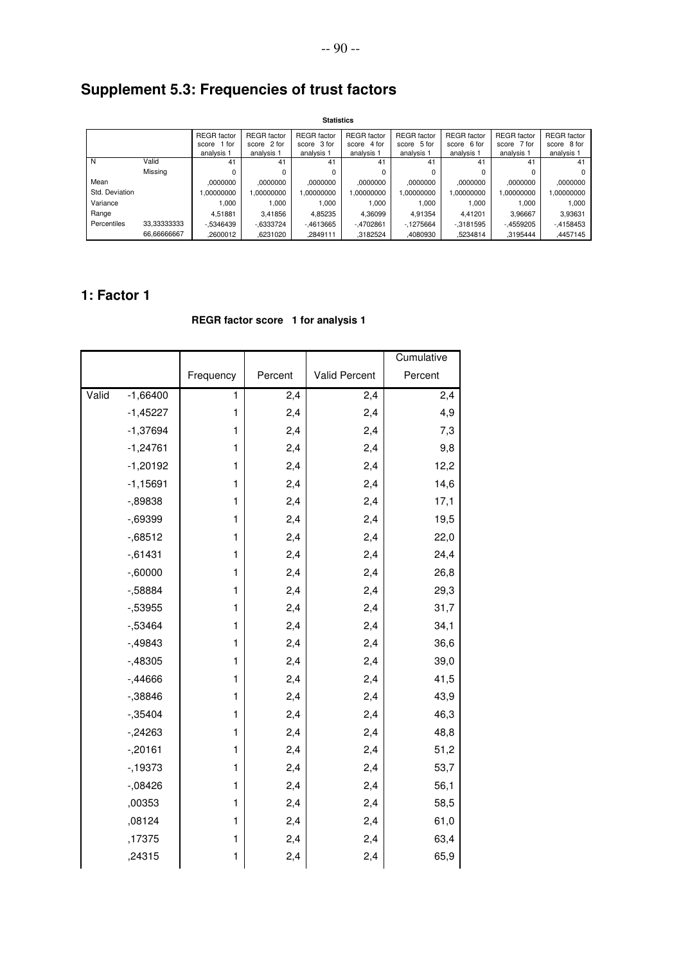# **Supplement 5.3: Frequencies of trust factors**

|                | <b>Statistics</b> |                    |                    |                    |                    |                    |                    |                    |                    |
|----------------|-------------------|--------------------|--------------------|--------------------|--------------------|--------------------|--------------------|--------------------|--------------------|
|                |                   | <b>REGR</b> factor | <b>REGR</b> factor | <b>REGR</b> factor | <b>REGR</b> factor | <b>REGR</b> factor | <b>REGR</b> factor | <b>REGR</b> factor | <b>REGR</b> factor |
|                |                   | 1 for<br>score     | score 2 for        | score 3 for        | score 4 for        | score 5 for        | score 6 for        | score 7 for        | score 8 for        |
|                |                   | analysis 1         | analysis 1         | analysis 1         | analysis 1         | analysis 1         | analysis 1         | analysis 1         | analysis 1         |
| N              | Valid             | 41                 | 41                 | 41                 | 41                 | 41                 | 41                 | 41                 | 41                 |
|                | Missing           | 0                  |                    |                    | 0                  | 0                  |                    | 0                  | 0                  |
| Mean           |                   | .0000000           | .0000000           | .0000000           | .0000000           | .0000000           | .0000000           | .0000000           | ,0000000           |
| Std. Deviation |                   | 00000000.          | .00000000          | 00000000.          | 1.00000000         | 1.00000000         | 00000000.          | .00000000          | 1,00000000         |
| Variance       |                   | 1.000              | 1.000              | 1,000              | 1.000              | 1.000              | 1.000              | 1,000              | 1,000              |
| Range          |                   | 4.51881            | 3.41856            | 4,85235            | 4.36099            | 4.91354            | 4.41201            | 3.96667            | 3,93631            |
| Percentiles    | 33,33333333       | $-0.5346439$       | $-0.6333724$       | $-4613665$         | $-4702861$         | $-1275664$         | $-0.3181595$       | $-4559205$         | $-4158453$         |
|                | 66.66666667       | ,2600012           | .6231020           | .2849111           | ,3182524           | ,4080930           | .5234814           | .3195444           | .4457145           |

### **1: Factor 1**

#### **REGR factor score 1 for analysis 1**

|       |            |              |         |               | Cumulative |
|-------|------------|--------------|---------|---------------|------------|
|       |            | Frequency    | Percent | Valid Percent | Percent    |
| Valid | $-1,66400$ | 1            | 2,4     | 2,4           | 2,4        |
|       | $-1,45227$ | $\mathbf{1}$ | 2,4     | 2,4           | 4,9        |
|       | $-1,37694$ | $\mathbf{1}$ | 2,4     | 2,4           | 7,3        |
|       | $-1,24761$ | 1            | 2,4     | 2,4           | 9,8        |
|       | $-1,20192$ | 1            | 2,4     | 2,4           | 12,2       |
|       | $-1,15691$ | 1            | 2,4     | 2,4           | 14,6       |
|       | $-0.89838$ | $\mathbf{1}$ | 2,4     | 2,4           | 17,1       |
|       | $-0.69399$ | 1            | 2,4     | 2,4           | 19,5       |
|       | $-0.68512$ | 1            | 2,4     | 2,4           | 22,0       |
|       | $-0.61431$ | 1            | 2,4     | 2,4           | 24,4       |
|       | $-0.60000$ | $\mathbf{1}$ | 2,4     | 2,4           | 26,8       |
|       | $-58884$   | 1            | 2,4     | 2,4           | 29,3       |
|       | $-53955$   | 1            | 2,4     | 2,4           | 31,7       |
|       | $-53464$   | 1            | 2,4     | 2,4           | 34,1       |
|       | $-0.49843$ | $\mathbf{1}$ | 2,4     | 2,4           | 36,6       |
|       | $-0.48305$ | 1            | 2,4     | 2,4           | 39,0       |
|       | $-0.44666$ | $\mathbf{1}$ | 2,4     | 2,4           | 41,5       |
|       | $-0.38846$ | $\mathbf{1}$ | 2,4     | 2,4           | 43,9       |
|       | $-0.35404$ | $\mathbf{1}$ | 2,4     | 2,4           | 46,3       |
|       | $-24263$   | 1            | 2,4     | 2,4           | 48,8       |
|       | $-20161$   | $\mathbf{1}$ | 2,4     | 2,4           | 51,2       |
|       | $-19373$   | $\mathbf{1}$ | 2,4     | 2,4           | 53,7       |
|       | $-0.08426$ | $\mathbf{1}$ | 2,4     | 2,4           | 56,1       |
|       | ,00353     | $\mathbf{1}$ | 2,4     | 2,4           | 58,5       |
|       | ,08124     | $\mathbf{1}$ | 2,4     | 2,4           | 61,0       |
|       | ,17375     | $\mathbf{1}$ | 2,4     | 2,4           | 63,4       |
|       | ,24315     | 1            | 2,4     | 2,4           | 65,9       |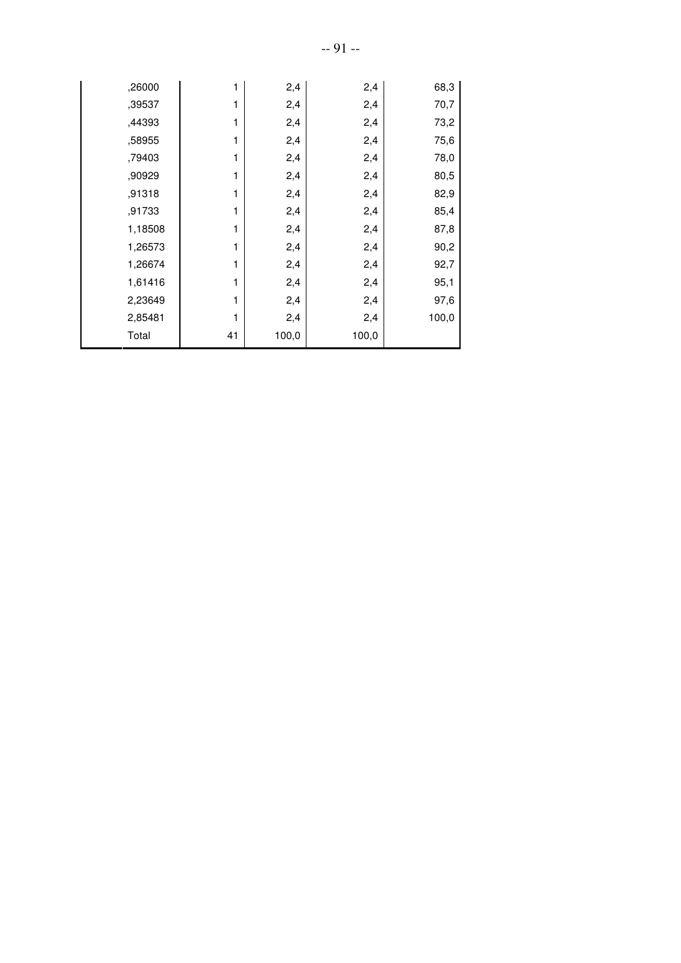| ,26000  | 1  | 2,4   | 2,4   | 68,3  |
|---------|----|-------|-------|-------|
| ,39537  | 1  | 2,4   | 2,4   | 70,7  |
| ,44393  | 1  | 2,4   | 2,4   | 73,2  |
| ,58955  | 1  | 2,4   | 2,4   | 75,6  |
| ,79403  | 1  | 2,4   | 2,4   | 78,0  |
| ,90929  | 1  | 2,4   | 2,4   | 80,5  |
| ,91318  | 1  | 2,4   | 2,4   | 82,9  |
| ,91733  | 1  | 2,4   | 2,4   | 85,4  |
| 1,18508 | 1  | 2,4   | 2,4   | 87,8  |
| 1,26573 | 1  | 2,4   | 2,4   | 90,2  |
| 1,26674 | 1  | 2,4   | 2,4   | 92,7  |
| 1,61416 | 1  | 2,4   | 2,4   | 95,1  |
| 2,23649 | 1  | 2,4   | 2,4   | 97,6  |
| 2,85481 | 1  | 2,4   | 2,4   | 100,0 |
| Total   | 41 | 100,0 | 100,0 |       |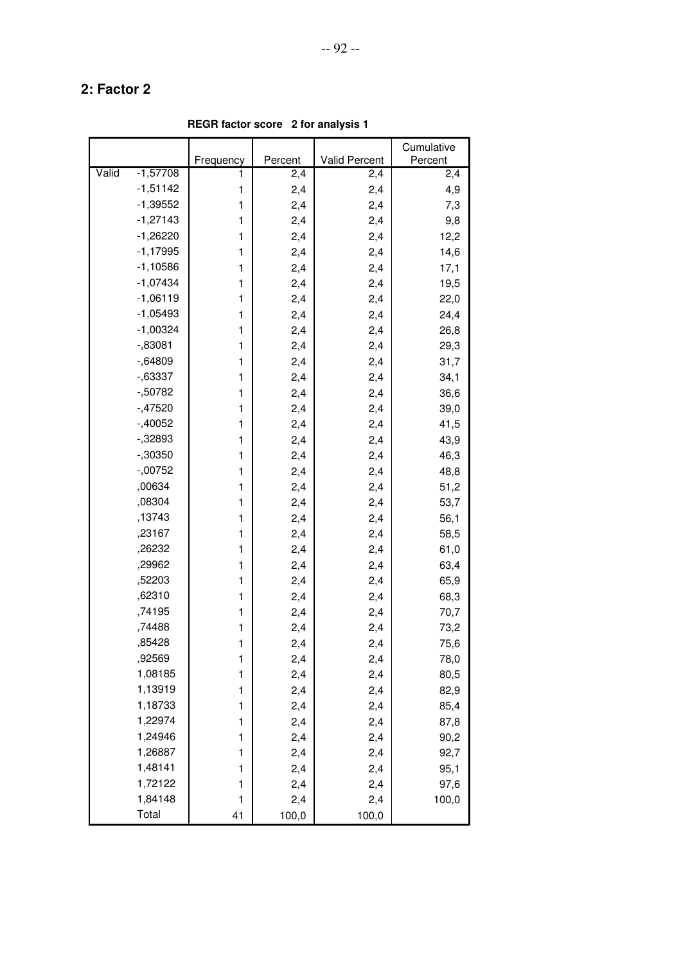**REGR factor score 2 for analysis 1**

|                     |           |         |                      | Cumulative |
|---------------------|-----------|---------|----------------------|------------|
|                     | Frequency | Percent | <b>Valid Percent</b> | Percent    |
| Valid<br>$-1,57708$ | 1         | 2,4     | 2,4                  | 2,4        |
| $-1,51142$          | 1         | 2,4     | 2,4                  | 4,9        |
| $-1,39552$          | 1         | 2,4     | 2,4                  | 7,3        |
| $-1,27143$          | 1         | 2,4     | 2,4                  | 9,8        |
| $-1,26220$          | 1         | 2,4     | 2,4                  | 12,2       |
| $-1,17995$          | 1         | 2,4     | 2,4                  | 14,6       |
| $-1,10586$          | 1         | 2,4     | 2,4                  | 17,1       |
| $-1,07434$          | 1         | 2,4     | 2,4                  | 19,5       |
| $-1,06119$          | 1         | 2,4     | 2,4                  | 22,0       |
| $-1,05493$          | 1         | 2,4     | 2,4                  | 24,4       |
| $-1,00324$          | 1         | 2,4     | 2,4                  | 26,8       |
| $-0.83081$          | 1         | 2,4     | 2,4                  | 29,3       |
| $-0.64809$          | 1         | 2,4     | 2,4                  | 31,7       |
| $-0.63337$          | 1         | 2,4     | 2,4                  | 34,1       |
| $-50782$            | 1         | 2,4     | 2,4                  | 36,6       |
| $-47520$            | 1         | 2,4     | 2,4                  | 39,0       |
| $-40052$            | 1         | 2,4     | 2,4                  | 41,5       |
| $-32893$            | 1         | 2,4     | 2,4                  | 43,9       |
| $-0.30350$          | 1         | 2,4     | 2,4                  | 46,3       |
| $-00752$            | 1         | 2,4     | 2,4                  | 48,8       |
| ,00634              | 1         | 2,4     | 2,4                  | 51,2       |
| ,08304              | 1         | 2,4     | 2,4                  | 53,7       |
| ,13743              | 1         | 2,4     | 2,4                  | 56,1       |
| ,23167              | 1         | 2,4     | 2,4                  | 58,5       |
| ,26232              | 1         | 2,4     | 2,4                  | 61,0       |
| ,29962              | 1         | 2,4     | 2,4                  | 63,4       |
| ,52203              | 1         | 2,4     | 2,4                  | 65,9       |
| ,62310              | 1         | 2,4     | 2,4                  | 68,3       |
| ,74195              | 1         | 2,4     | 2,4                  | 70,7       |
| ,74488              | 1         | 2,4     | 2,4                  | 73,2       |
| ,85428              | 1         | 2,4     | 2,4                  | 75,6       |
| ,92569              | 1         | 2,4     | 2,4                  | 78,0       |
| 1,08185             | 1         | 2,4     | 2,4                  | 80,5       |
| 1,13919             | 1         | 2,4     | 2,4                  | 82,9       |
| 1,18733             | 1         | 2,4     | 2,4                  | 85,4       |
| 1,22974             | 1         | 2,4     | 2,4                  | 87,8       |
| 1,24946             | 1         | 2,4     | 2,4                  | 90,2       |
| 1,26887             | 1         | 2,4     | 2,4                  | 92,7       |
| 1,48141             | 1         | 2,4     | 2,4                  | 95,1       |
| 1,72122             | 1         | 2,4     | 2,4                  | 97,6       |
| 1,84148             | 1         | 2,4     | 2,4                  | 100,0      |
| Total               | 41        | 100,0   | 100,0                |            |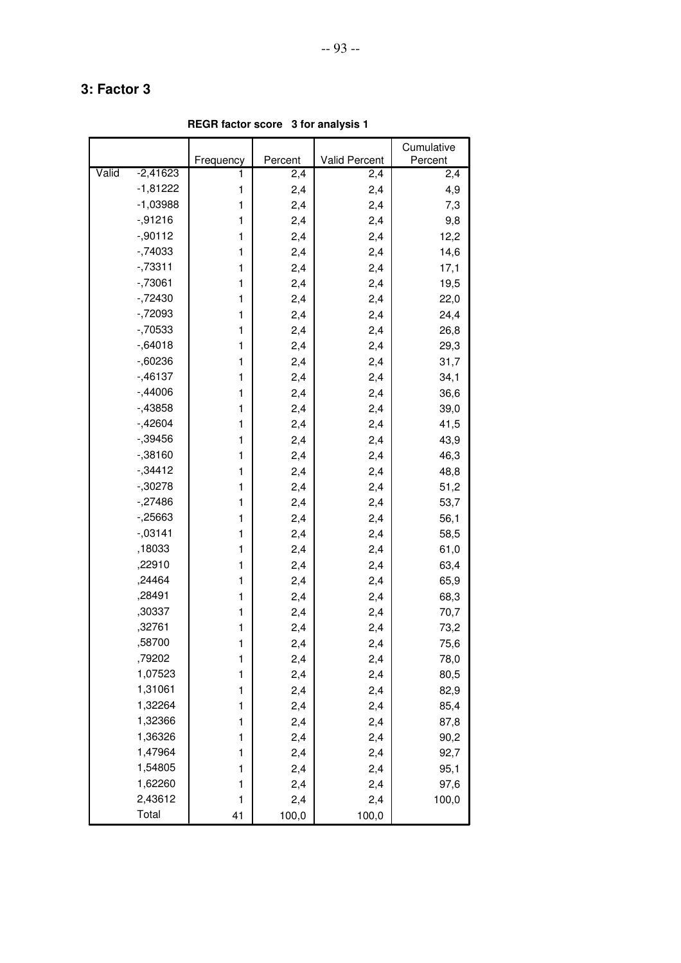**REGR factor score 3 for analysis 1**

|       |            |           |         |                      | Cumulative |
|-------|------------|-----------|---------|----------------------|------------|
|       |            | Frequency | Percent | <b>Valid Percent</b> | Percent    |
| Valid | $-2,41623$ | 1         | 2,4     | 2,4                  | 2,4        |
|       | $-1,81222$ | 1         | 2,4     | 2,4                  | 4,9        |
|       | $-1,03988$ | 1         | 2,4     | 2,4                  | 7,3        |
|       | $-0.91216$ | 1         | 2,4     | 2,4                  | 9,8        |
|       | $-0.90112$ | 1         | 2,4     | 2,4                  | 12,2       |
|       | $-74033$   | 1         | 2,4     | 2,4                  | 14,6       |
|       | $-73311$   | 1         | 2,4     | 2,4                  | 17,1       |
|       | $-73061$   | 1         | 2,4     | 2,4                  | 19,5       |
|       | $-72430$   | 1         | 2,4     | 2,4                  | 22,0       |
|       | $-72093$   | 1         | 2,4     | 2,4                  | 24,4       |
|       | $-70533$   | 1         | 2,4     | 2,4                  | 26,8       |
|       | $-0.64018$ | 1         | 2,4     | 2,4                  | 29,3       |
|       | $-0.60236$ | 1         | 2,4     | 2,4                  | 31,7       |
|       | $-0.46137$ | 1         | 2,4     | 2,4                  | 34,1       |
|       | $-0.44006$ | 1         | 2,4     | 2,4                  | 36,6       |
|       | $-43858$   | 1         | 2,4     | 2,4                  | 39,0       |
|       | $-42604$   | 1         | 2,4     | 2,4                  | 41,5       |
|       | $-0.39456$ | 1         | 2,4     | 2,4                  | 43,9       |
|       | $-0.38160$ | 1         | 2,4     | 2,4                  | 46,3       |
|       | $-34412$   | 1         | 2,4     | 2,4                  | 48,8       |
|       | $-30278$   | 1         | 2,4     | 2,4                  | 51,2       |
|       | $-.27486$  | 1         | 2,4     | 2,4                  | 53,7       |
|       | $-25663$   | 1         | 2,4     | 2,4                  | 56,1       |
|       | $-0.03141$ | 1         | 2,4     | 2,4                  | 58,5       |
|       | ,18033     | 1         | 2,4     | 2,4                  | 61,0       |
|       | ,22910     | 1         | 2,4     | 2,4                  | 63,4       |
|       | ,24464     | 1         | 2,4     | 2,4                  | 65,9       |
|       | ,28491     | 1         | 2,4     | 2,4                  | 68,3       |
|       | ,30337     | 1         | 2,4     | 2,4                  | 70,7       |
|       | ,32761     | 1         | 2,4     | 2,4                  | 73,2       |
|       | ,58700     | 1         | 2,4     | 2,4                  | 75,6       |
|       | ,79202     | 1         | 2,4     | 2,4                  | 78,0       |
|       | 1,07523    | 1         | 2,4     | 2,4                  | 80,5       |
|       | 1,31061    | 1         | 2,4     | 2,4                  | 82,9       |
|       | 1,32264    | 1         | 2,4     | 2,4                  | 85,4       |
|       | 1,32366    | 1         | 2,4     | 2,4                  | 87,8       |
|       | 1,36326    | 1         | 2,4     | 2,4                  | 90,2       |
|       | 1,47964    | 1         | 2,4     | 2,4                  | 92,7       |
|       | 1,54805    | 1         | 2,4     | 2,4                  | 95,1       |
|       | 1,62260    | 1         | 2,4     | 2,4                  | 97,6       |
|       | 2,43612    | 1         | 2,4     | 2,4                  | 100,0      |
|       | Total      | 41        | 100,0   | 100,0                |            |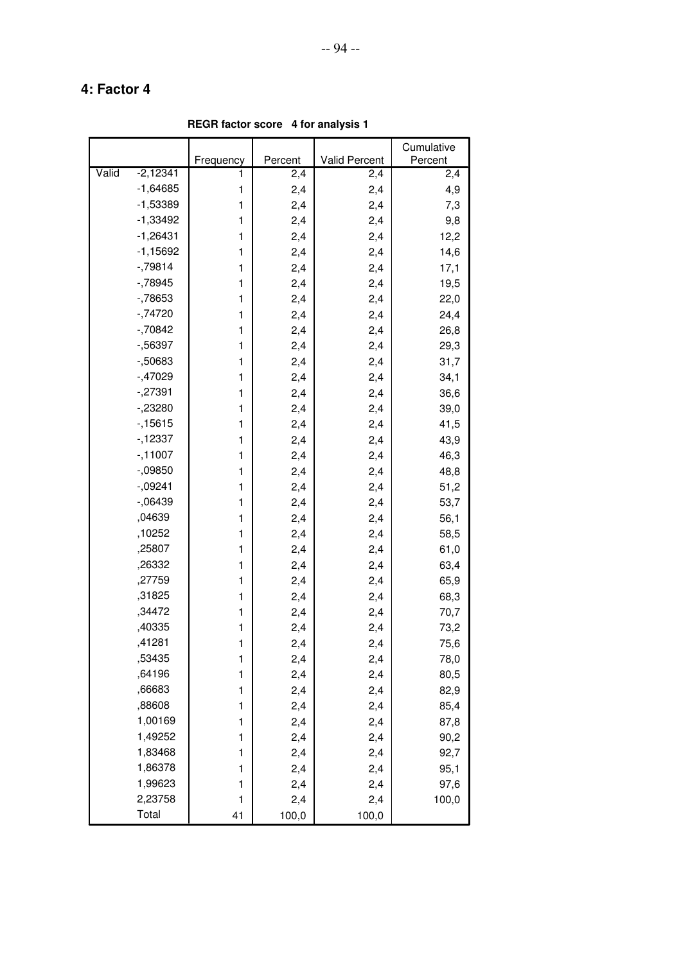**REGR factor score 4 for analysis 1**

|       |            |              |         |               | Cumulative |
|-------|------------|--------------|---------|---------------|------------|
|       |            | Frequency    | Percent | Valid Percent | Percent    |
| Valid | $-2,12341$ | 1            | 2,4     | 2,4           | 2,4        |
|       | $-1,64685$ | 1            | 2,4     | 2,4           | 4,9        |
|       | $-1,53389$ | $\mathbf{1}$ | 2,4     | 2,4           | 7,3        |
|       | $-1,33492$ | 1            | 2,4     | 2,4           | 9,8        |
|       | $-1,26431$ | 1            | 2,4     | 2,4           | 12,2       |
|       | $-1,15692$ | 1            | 2,4     | 2,4           | 14,6       |
|       | $-79814$   | 1            | 2,4     | 2,4           | 17,1       |
|       | $-78945$   | 1            | 2,4     | 2,4           | 19,5       |
|       | $-78653$   | 1            | 2,4     | 2,4           | 22,0       |
|       | $-74720$   | $\mathbf{1}$ | 2,4     | 2,4           | 24,4       |
|       | $-70842$   | 1            | 2,4     | 2,4           | 26,8       |
|       | $-56397$   | 1            | 2,4     | 2,4           | 29,3       |
|       | $-50683$   | 1            | 2,4     | 2,4           | 31,7       |
|       | $-47029$   | 1            | 2,4     | 2,4           | 34,1       |
|       | $-27391$   | 1            | 2,4     | 2,4           | 36,6       |
|       | $-23280$   | 1            | 2,4     | 2,4           | 39,0       |
|       | $-15615$   | $\mathbf{1}$ | 2,4     | 2,4           | 41,5       |
|       | $-12337$   | 1            | 2,4     | 2,4           | 43,9       |
|       | $-11007$   | 1            | 2,4     | 2,4           | 46,3       |
|       | $-0.09850$ | 1            | 2,4     | 2,4           | 48,8       |
|       | $-0.09241$ | 1            | 2,4     | 2,4           | 51,2       |
|       | $-06439$   | 1            | 2,4     | 2,4           | 53,7       |
|       | ,04639     | 1            | 2,4     | 2,4           | 56,1       |
|       | ,10252     | $\mathbf{1}$ | 2,4     | 2,4           | 58,5       |
|       | ,25807     | 1            | 2,4     | 2,4           | 61,0       |
|       | ,26332     | 1            | 2,4     | 2,4           | 63,4       |
|       | ,27759     | 1            | 2,4     | 2,4           | 65,9       |
|       | ,31825     | 1            | 2,4     | 2,4           | 68,3       |
|       | ,34472     | 1            | 2,4     | 2,4           | 70,7       |
|       | ,40335     | 1            | 2,4     | 2,4           | 73,2       |
|       | ,41281     | 1            | 2,4     | 2,4           | 75,6       |
|       | ,53435     | 1            | 2,4     | 2,4           | 78,0       |
|       | ,64196     | 1            | 2,4     | 2,4           | 80,5       |
|       | ,66683     | 1            | 2,4     | 2,4           | 82,9       |
|       | ,88608     | $\mathbf{1}$ | 2,4     | 2,4           | 85,4       |
|       | 1,00169    | 1            | 2,4     | 2,4           | 87,8       |
|       | 1,49252    | 1            | 2,4     | 2,4           | 90,2       |
|       | 1,83468    | 1            | 2,4     | 2,4           | 92,7       |
|       | 1,86378    | 1            | 2,4     | 2,4           | 95,1       |
|       | 1,99623    | 1            | 2,4     | 2,4           | 97,6       |
|       | 2,23758    | 1            | 2,4     | 2,4           | 100,0      |
|       | Total      | 41           | 100,0   | 100,0         |            |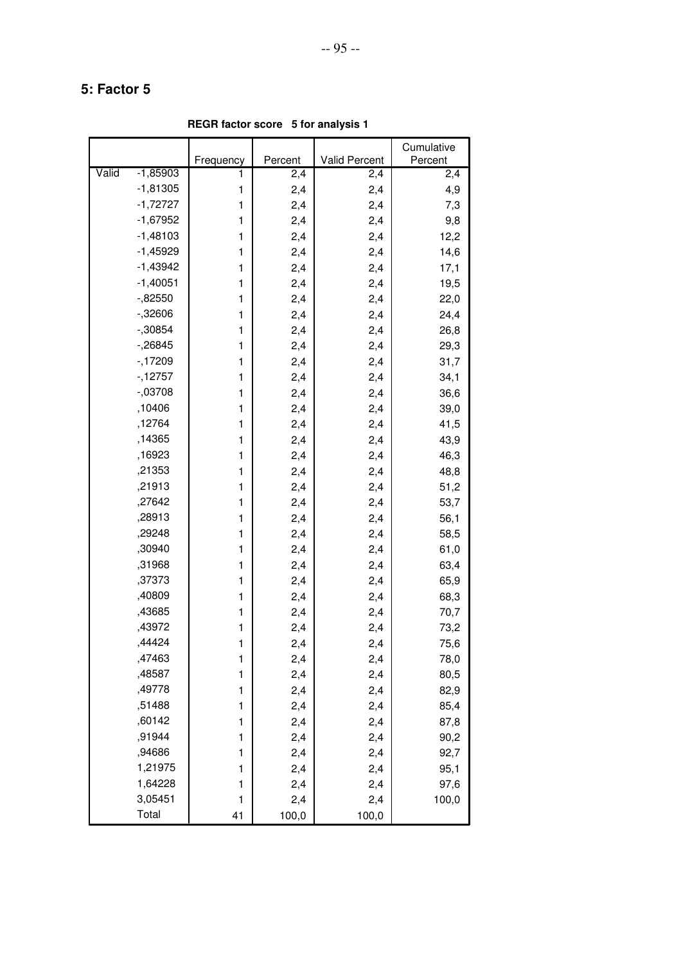**REGR factor score 5 for analysis 1**

|       |            |           |         |                      | Cumulative |
|-------|------------|-----------|---------|----------------------|------------|
|       |            | Frequency | Percent | <b>Valid Percent</b> | Percent    |
| Valid | $-1,85903$ | 1         | 2,4     | 2,4                  | 2,4        |
|       | $-1,81305$ | 1         | 2,4     | 2,4                  | 4,9        |
|       | $-1,72727$ | 1         | 2,4     | 2,4                  | 7,3        |
|       | $-1,67952$ | 1         | 2,4     | 2,4                  | 9,8        |
|       | $-1,48103$ | 1         | 2,4     | 2,4                  | 12,2       |
|       | $-1,45929$ | 1         | 2,4     | 2,4                  | 14,6       |
|       | $-1,43942$ | 1         | 2,4     | 2,4                  | 17,1       |
|       | $-1,40051$ | 1         | 2,4     | 2,4                  | 19,5       |
|       | $-0.82550$ | 1         | 2,4     | 2,4                  | 22,0       |
|       | $-32606$   | 1         | 2,4     | 2,4                  | 24,4       |
|       | $-30854$   | 1         | 2,4     | 2,4                  | 26,8       |
|       | $-26845$   | 1         | 2,4     | 2,4                  | 29,3       |
|       | $-17209$   | 1         | 2,4     | 2,4                  | 31,7       |
|       | $-12757$   | 1         | 2,4     | 2,4                  | 34,1       |
|       | $-.03708$  | 1         | 2,4     | 2,4                  | 36,6       |
|       | ,10406     | 1         | 2,4     | 2,4                  | 39,0       |
|       | ,12764     | 1         | 2,4     | 2,4                  | 41,5       |
|       | ,14365     | 1         | 2,4     | 2,4                  | 43,9       |
|       | ,16923     | 1         | 2,4     | 2,4                  | 46,3       |
|       | ,21353     | 1         | 2,4     | 2,4                  | 48,8       |
|       | ,21913     | 1         | 2,4     | 2,4                  | 51,2       |
|       | ,27642     | 1         | 2,4     | 2,4                  | 53,7       |
|       | ,28913     | 1         | 2,4     | 2,4                  | 56,1       |
|       | ,29248     | 1         | 2,4     | 2,4                  | 58,5       |
|       | ,30940     | 1         | 2,4     | 2,4                  | 61,0       |
|       | ,31968     | 1         | 2,4     | 2,4                  | 63,4       |
|       | ,37373     | 1         | 2,4     | 2,4                  | 65,9       |
|       | ,40809     | 1         | 2,4     | 2,4                  | 68,3       |
|       | ,43685     | 1         | 2,4     | 2,4                  | 70,7       |
|       | ,43972     | 1         | 2,4     | 2,4                  | 73,2       |
|       | ,44424     | 1         | 2,4     | 2,4                  | 75,6       |
|       | ,47463     | 1         | 2,4     | 2,4                  | 78,0       |
|       | ,48587     | 1         | 2,4     | 2,4                  | 80,5       |
|       | ,49778     | 1         | 2,4     | 2,4                  | 82,9       |
|       | ,51488     | 1         | 2,4     | 2,4                  | 85,4       |
|       | ,60142     | 1         | 2,4     | 2,4                  | 87,8       |
|       | ,91944     | 1         | 2,4     | 2,4                  | 90,2       |
|       | ,94686     | 1         | 2,4     | 2,4                  | 92,7       |
|       | 1,21975    | 1         | 2,4     | 2,4                  | 95,1       |
|       | 1,64228    | 1         | 2,4     | 2,4                  | 97,6       |
|       | 3,05451    | 1         | 2,4     | 2,4                  | 100,0      |
|       | Total      | 41        | 100,0   | 100,0                |            |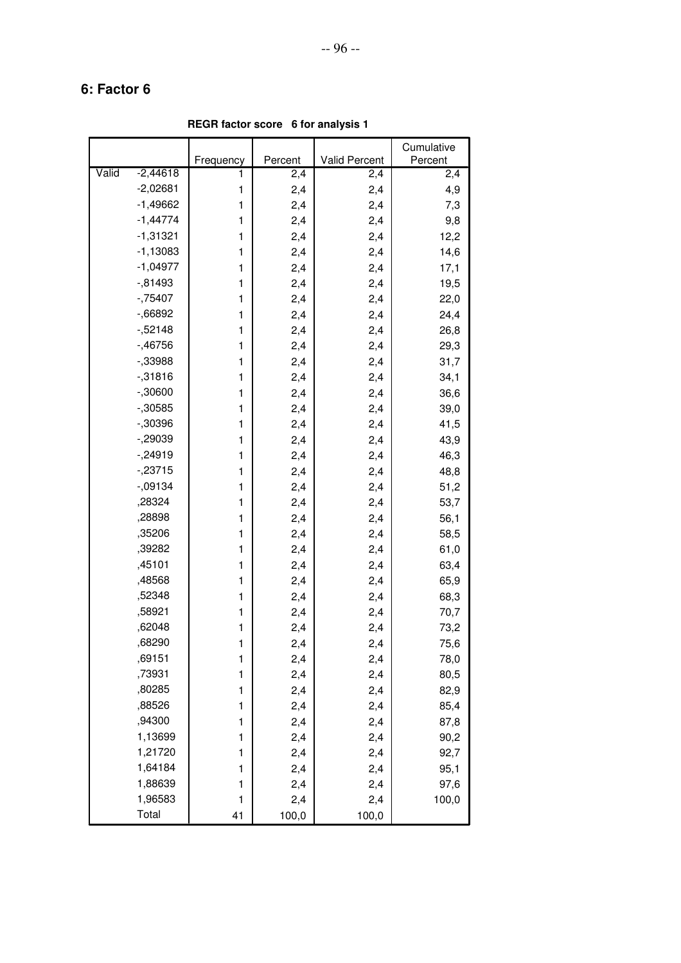**REGR factor score 6 for analysis 1**

|       |            |           |         |               | Cumulative |
|-------|------------|-----------|---------|---------------|------------|
|       |            | Frequency | Percent | Valid Percent | Percent    |
| Valid | $-2,44618$ | 1         | 2,4     | 2,4           | 2,4        |
|       | $-2,02681$ | 1         | 2,4     | 2,4           | 4,9        |
|       | $-1,49662$ | 1         | 2,4     | 2,4           | 7,3        |
|       | $-1,44774$ | 1         | 2,4     | 2,4           | 9,8        |
|       | $-1,31321$ | 1         | 2,4     | 2,4           | 12,2       |
|       | $-1,13083$ | 1         | 2,4     | 2,4           | 14,6       |
|       | $-1,04977$ | 1         | 2,4     | 2,4           | 17,1       |
|       | $-0.81493$ | 1         | 2,4     | 2,4           | 19,5       |
|       | $-75407$   | 1         | 2,4     | 2,4           | 22,0       |
|       | $-0.66892$ | 1         | 2,4     | 2,4           | 24,4       |
|       | $-52148$   | 1         | 2,4     | 2,4           | 26,8       |
|       | $-0.46756$ | 1         | 2,4     | 2,4           | 29,3       |
|       | $-33988$   | 1         | 2,4     | 2,4           | 31,7       |
|       | $-0.31816$ | 1         | 2,4     | 2,4           | 34,1       |
|       | $-0.30600$ | 1         | 2,4     | 2,4           | 36,6       |
|       | $-0.30585$ | 1         | 2,4     | 2,4           | 39,0       |
|       | $-0.30396$ | 1         | 2,4     | 2,4           | 41,5       |
|       | $-29039$   | 1         | 2,4     | 2,4           | 43,9       |
|       | $-24919$   | 1         | 2,4     | 2,4           | 46,3       |
|       | $-23715$   | 1         | 2,4     | 2,4           | 48,8       |
|       | $-0.09134$ | 1         | 2,4     | 2,4           | 51,2       |
|       | ,28324     | 1         | 2,4     | 2,4           | 53,7       |
|       | ,28898     | 1         | 2,4     | 2,4           | 56,1       |
|       | ,35206     | 1         | 2,4     | 2,4           | 58,5       |
|       | ,39282     | 1         | 2,4     | 2,4           | 61,0       |
|       | ,45101     | 1         | 2,4     | 2,4           | 63,4       |
|       | ,48568     | 1         | 2,4     | 2,4           | 65,9       |
|       | ,52348     | 1         | 2,4     | 2,4           | 68,3       |
|       | ,58921     | 1         | 2,4     | 2,4           | 70,7       |
|       | ,62048     | 1         | 2,4     | 2,4           | 73,2       |
|       | ,68290     | 1         | 2,4     | 2,4           | 75,6       |
|       | ,69151     | 1         | 2,4     | 2,4           | 78,0       |
|       | ,73931     | 1         | 2,4     | 2,4           | 80,5       |
|       | ,80285     | 1         | 2,4     | 2,4           | 82,9       |
|       | ,88526     | 1         | 2,4     | 2,4           | 85,4       |
|       | ,94300     | 1         | 2,4     | 2,4           | 87,8       |
|       | 1,13699    | 1         | 2,4     | 2,4           | 90,2       |
|       | 1,21720    | 1         | 2,4     | 2,4           | 92,7       |
|       | 1,64184    | 1         | 2,4     | 2,4           | 95,1       |
|       | 1,88639    | 1         | 2,4     | 2,4           | 97,6       |
|       | 1,96583    | 1         | 2,4     | 2,4           | 100,0      |
|       | Total      | 41        | 100,0   | 100,0         |            |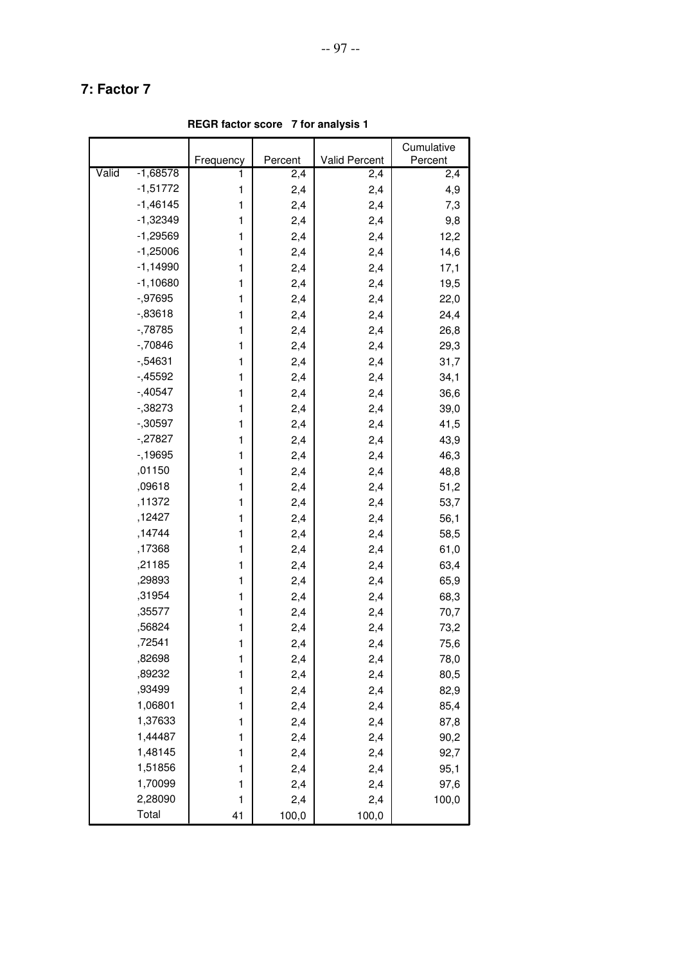**REGR factor score 7 for analysis 1**

|                     |           |         |               | Cumulative |
|---------------------|-----------|---------|---------------|------------|
|                     | Frequency | Percent | Valid Percent | Percent    |
| Valid<br>$-1,68578$ | 1         | 2,4     | 2,4           | 2,4        |
| $-1,51772$          | 1         | 2,4     | 2,4           | 4,9        |
| $-1,46145$          | 1         | 2,4     | 2,4           | 7,3        |
| $-1,32349$          | 1         | 2,4     | 2,4           | 9,8        |
| $-1,29569$          | 1         | 2,4     | 2,4           | 12,2       |
| $-1,25006$          | 1         | 2,4     | 2,4           | 14,6       |
| $-1,14990$          | 1         | 2,4     | 2,4           | 17,1       |
| $-1,10680$          | 1         | 2,4     | 2,4           | 19,5       |
| $-0.97695$          | 1         | 2,4     | 2,4           | 22,0       |
| $-0.83618$          | 1         | 2,4     | 2,4           | 24,4       |
| $-78785$            | 1         | 2,4     | 2,4           | 26,8       |
| $-70846$            | 1         | 2,4     | 2,4           | 29,3       |
| $-0.54631$          | 1         | 2,4     | 2,4           | 31,7       |
| $-45592$            | 1         | 2,4     | 2,4           | 34,1       |
| $-0.40547$          | 1         | 2,4     | 2,4           | 36,6       |
| $-0.38273$          | 1         | 2,4     | 2,4           | 39,0       |
| $-0.30597$          | 1         | 2,4     | 2,4           | 41,5       |
| $-27827$            | 1         | 2,4     | 2,4           | 43,9       |
| $-19695$            | 1         | 2,4     | 2,4           | 46,3       |
| ,01150              | 1         | 2,4     | 2,4           | 48,8       |
| ,09618              | 1         | 2,4     | 2,4           | 51,2       |
| ,11372              | 1         | 2,4     | 2,4           | 53,7       |
| ,12427              | 1         | 2,4     | 2,4           | 56,1       |
| ,14744              | 1         | 2,4     | 2,4           | 58,5       |
| ,17368              | 1         | 2,4     | 2,4           | 61,0       |
| ,21185              | 1         | 2,4     | 2,4           | 63,4       |
| ,29893              | 1         | 2,4     | 2,4           | 65,9       |
| ,31954              | 1         | 2,4     | 2,4           | 68,3       |
| ,35577              | 1         | 2,4     | 2,4           | 70,7       |
| ,56824              | 1         | 2,4     | 2,4           | 73,2       |
| ,72541              | 1         | 2,4     | 2,4           | 75,6       |
| ,82698              | 1         | 2,4     | 2,4           | 78,0       |
| ,89232              | 1         | 2,4     | 2,4           | 80,5       |
| ,93499              | 1         | 2,4     | 2,4           | 82,9       |
| 1,06801             | 1         | 2,4     | 2,4           | 85,4       |
| 1,37633             | 1         | 2,4     | 2,4           | 87,8       |
| 1,44487             | 1         | 2,4     | 2,4           | 90,2       |
| 1,48145             | 1         | 2,4     | 2,4           | 92,7       |
| 1,51856             | 1         | 2,4     | 2,4           | 95,1       |
| 1,70099             | 1         | 2,4     | 2,4           | 97,6       |
| 2,28090             | 1         | 2,4     | 2,4           | 100,0      |
| Total               | 41        | 100,0   | 100,0         |            |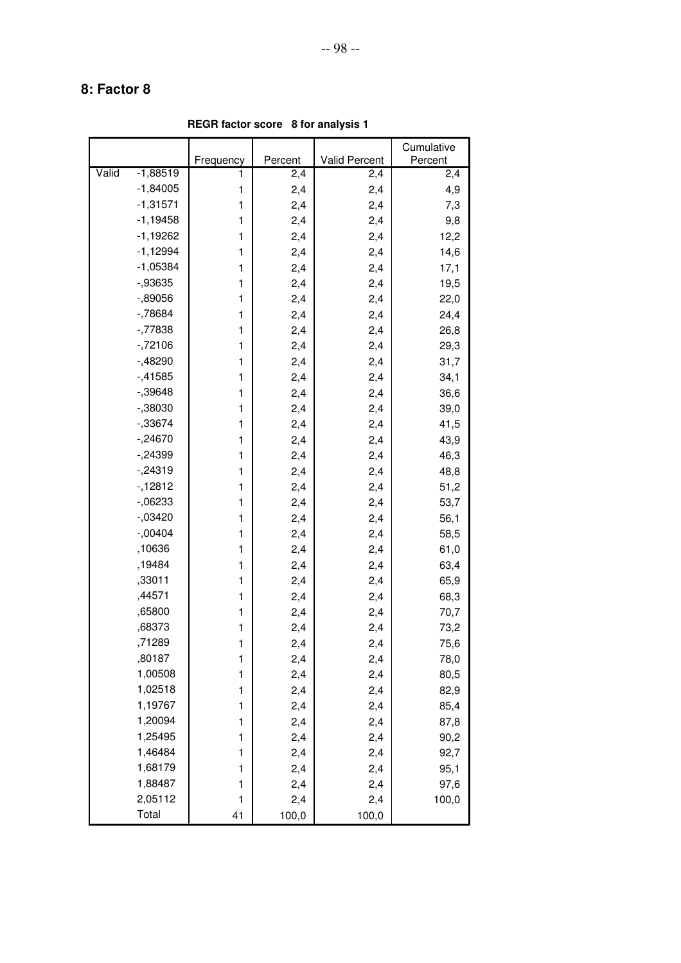**REGR factor score 8 for analysis 1**

|       |            |           |         |                      | Cumulative |
|-------|------------|-----------|---------|----------------------|------------|
|       |            | Frequency | Percent | <b>Valid Percent</b> | Percent    |
| Valid | $-1,88519$ | 1         | 2,4     | 2,4                  | 2,4        |
|       | $-1,84005$ | 1         | 2,4     | 2,4                  | 4,9        |
|       | $-1,31571$ | 1         | 2,4     | 2,4                  | 7,3        |
|       | $-1,19458$ | 1         | 2,4     | 2,4                  | 9,8        |
|       | $-1,19262$ | 1         | 2,4     | 2,4                  | 12,2       |
|       | $-1,12994$ | 1         | 2,4     | 2,4                  | 14,6       |
|       | $-1,05384$ | 1         | 2,4     | 2,4                  | 17,1       |
|       | $-0.93635$ | 1         | 2,4     | 2,4                  | 19,5       |
|       | $-0.89056$ | 1         | 2,4     | 2,4                  | 22,0       |
|       | $-78684$   | 1         | 2,4     | 2,4                  | 24,4       |
|       | $-77838$   | 1         | 2,4     | 2,4                  | 26,8       |
|       | $-72106$   | 1         | 2,4     | 2,4                  | 29,3       |
|       | $-48290$   | 1         | 2,4     | 2,4                  | 31,7       |
|       | $-41585$   | 1         | 2,4     | 2,4                  | 34,1       |
|       | $-0.39648$ | 1         | 2,4     | 2,4                  | 36,6       |
|       | $-0.38030$ | 1         | 2,4     | 2,4                  | 39,0       |
|       | $-33674$   | 1         | 2,4     | 2,4                  | 41,5       |
|       | $-.24670$  | 1         | 2,4     | 2,4                  | 43,9       |
|       | $-24399$   | 1         | 2,4     | 2,4                  | 46,3       |
|       | $-24319$   | 1         | 2,4     | 2,4                  | 48,8       |
|       | $-12812$   | 1         | 2,4     | 2,4                  | 51,2       |
|       | $-06233$   | 1         | 2,4     | 2,4                  | 53,7       |
|       | $-0.03420$ | 1         | 2,4     | 2,4                  | 56,1       |
|       | $-0.0404$  | 1         | 2,4     | 2,4                  | 58,5       |
|       | ,10636     | 1         | 2,4     | 2,4                  | 61,0       |
|       | ,19484     | 1         | 2,4     | 2,4                  | 63,4       |
|       | ,33011     | 1         | 2,4     | 2,4                  | 65,9       |
|       | ,44571     | 1         | 2,4     | 2,4                  | 68,3       |
|       | ,65800     | 1         | 2,4     | 2,4                  | 70,7       |
|       | ,68373     | 1         | 2,4     | 2,4                  | 73,2       |
|       | ,71289     | 1         | 2,4     | 2,4                  | 75,6       |
|       | ,80187     | 1         | 2,4     | 2,4                  | 78,0       |
|       | 1,00508    | 1         | 2,4     | 2,4                  | 80,5       |
|       | 1,02518    | 1         | 2,4     | 2,4                  | 82,9       |
|       | 1,19767    | 1         | 2,4     | 2,4                  | 85,4       |
|       | 1,20094    | 1         | 2,4     | 2,4                  | 87,8       |
|       | 1,25495    | 1         | 2,4     | 2,4                  | 90,2       |
|       | 1,46484    | 1         | 2,4     | 2,4                  | 92,7       |
|       | 1,68179    | 1         | 2,4     | 2,4                  | 95,1       |
|       | 1,88487    | 1         | 2,4     | 2,4                  | 97,6       |
|       | 2,05112    | 1         | 2,4     | 2,4                  | 100,0      |
|       | Total      | 41        | 100,0   | 100,0                |            |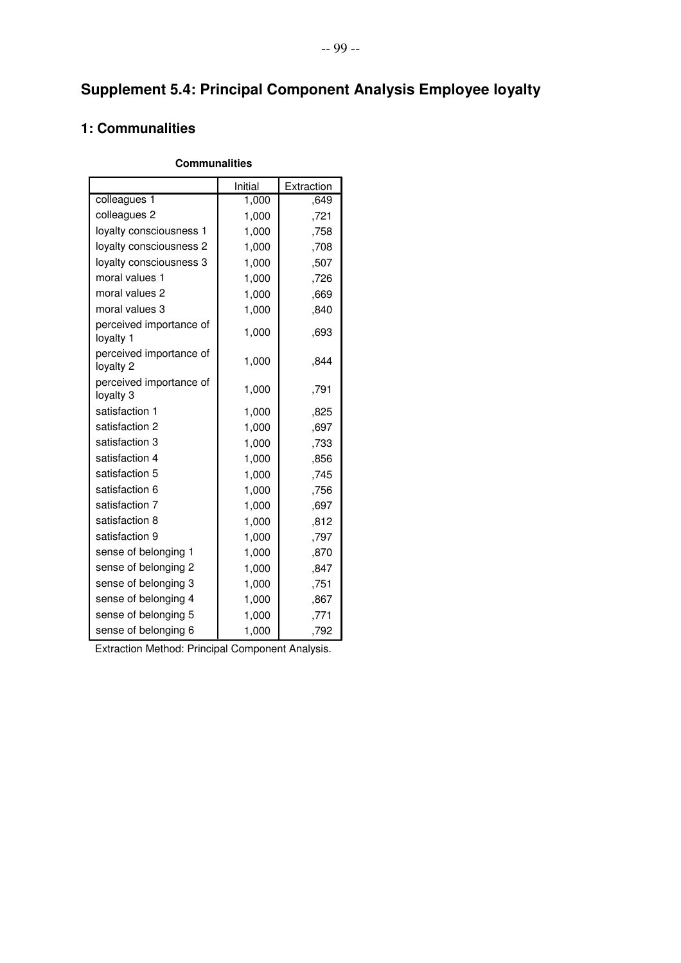# **Supplement 5.4: Principal Component Analysis Employee loyalty**

### **1: Communalities**

#### **Communalities**

|                                      | Initial | Extraction |
|--------------------------------------|---------|------------|
| colleagues 1                         | 1,000   | .649       |
| colleagues 2                         | 1,000   | ,721       |
| loyalty consciousness 1              | 1,000   | ,758       |
| loyalty consciousness 2              | 1,000   | ,708       |
| loyalty consciousness 3              | 1,000   | ,507       |
| moral values 1                       | 1,000   | ,726       |
| moral values 2                       | 1,000   | .669       |
| moral values 3                       | 1,000   | ,840       |
| perceived importance of<br>loyalty 1 | 1,000   | ,693       |
| perceived importance of<br>loyalty 2 | 1,000   | ,844       |
| perceived importance of<br>loyalty 3 | 1,000   | ,791       |
| satisfaction 1                       | 1,000   | .825       |
| satisfaction 2                       | 1,000   | ,697       |
| satisfaction 3                       | 1,000   | ,733       |
| satisfaction 4                       | 1,000   | ,856       |
| satisfaction 5                       | 1,000   | ,745       |
| satisfaction 6                       | 1,000   | ,756       |
| satisfaction 7                       | 1,000   | .697       |
| satisfaction 8                       | 1,000   | ,812       |
| satisfaction 9                       | 1,000   | ,797       |
| sense of belonging 1                 | 1,000   | ,870       |
| sense of belonging 2                 | 1,000   | ,847       |
| sense of belonging 3                 | 1,000   | ,751       |
| sense of belonging 4                 | 1,000   | ,867       |
| sense of belonging 5                 | 1,000   | ,771       |
| sense of belonging 6                 | 1,000   | ,792       |

Extraction Method: Principal Component Analysis.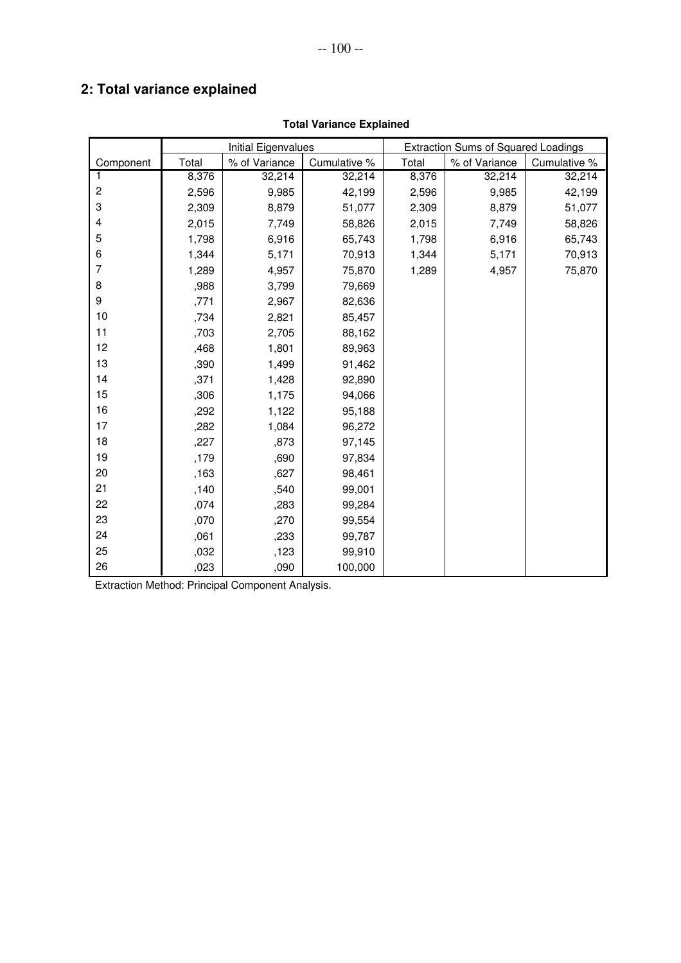# **2: Total variance explained**

|                           |       | Initial Eigenvalues |              |       | <b>Extraction Sums of Squared Loadings</b> |              |
|---------------------------|-------|---------------------|--------------|-------|--------------------------------------------|--------------|
| Component                 | Total | % of Variance       | Cumulative % | Total | % of Variance                              | Cumulative % |
| 1                         | 8,376 | 32,214              | 32,214       | 8,376 | 32,214                                     | 32,214       |
| $\overline{c}$            | 2,596 | 9,985               | 42,199       | 2,596 | 9,985                                      | 42,199       |
| $\ensuremath{\mathsf{3}}$ | 2,309 | 8,879               | 51,077       | 2,309 | 8,879                                      | 51,077       |
| 4                         | 2,015 | 7,749               | 58,826       | 2,015 | 7,749                                      | 58,826       |
| 5                         | 1,798 | 6,916               | 65,743       | 1,798 | 6,916                                      | 65,743       |
| 6                         | 1,344 | 5,171               | 70,913       | 1,344 | 5,171                                      | 70,913       |
| $\overline{7}$            | 1,289 | 4,957               | 75,870       | 1,289 | 4,957                                      | 75,870       |
| 8                         | ,988  | 3,799               | 79,669       |       |                                            |              |
| 9                         | ,771  | 2,967               | 82,636       |       |                                            |              |
| 10                        | ,734  | 2,821               | 85,457       |       |                                            |              |
| 11                        | ,703  | 2,705               | 88,162       |       |                                            |              |
| 12                        | ,468  | 1,801               | 89,963       |       |                                            |              |
| 13                        | ,390  | 1,499               | 91,462       |       |                                            |              |
| 14                        | ,371  | 1,428               | 92,890       |       |                                            |              |
| 15                        | ,306  | 1,175               | 94,066       |       |                                            |              |
| 16                        | ,292  | 1,122               | 95,188       |       |                                            |              |
| 17                        | ,282  | 1,084               | 96,272       |       |                                            |              |
| 18                        | ,227  | ,873                | 97,145       |       |                                            |              |
| 19                        | ,179  | ,690                | 97,834       |       |                                            |              |
| 20                        | ,163  | ,627                | 98,461       |       |                                            |              |
| 21                        | ,140  | ,540                | 99,001       |       |                                            |              |
| 22                        | ,074  | ,283                | 99,284       |       |                                            |              |
| 23                        | ,070  | ,270                | 99,554       |       |                                            |              |
| 24                        | ,061  | ,233                | 99,787       |       |                                            |              |
| 25                        | ,032  | ,123                | 99,910       |       |                                            |              |
| 26                        | ,023  | ,090                | 100,000      |       |                                            |              |

#### **Total Variance Explained**

Extraction Method: Principal Component Analysis.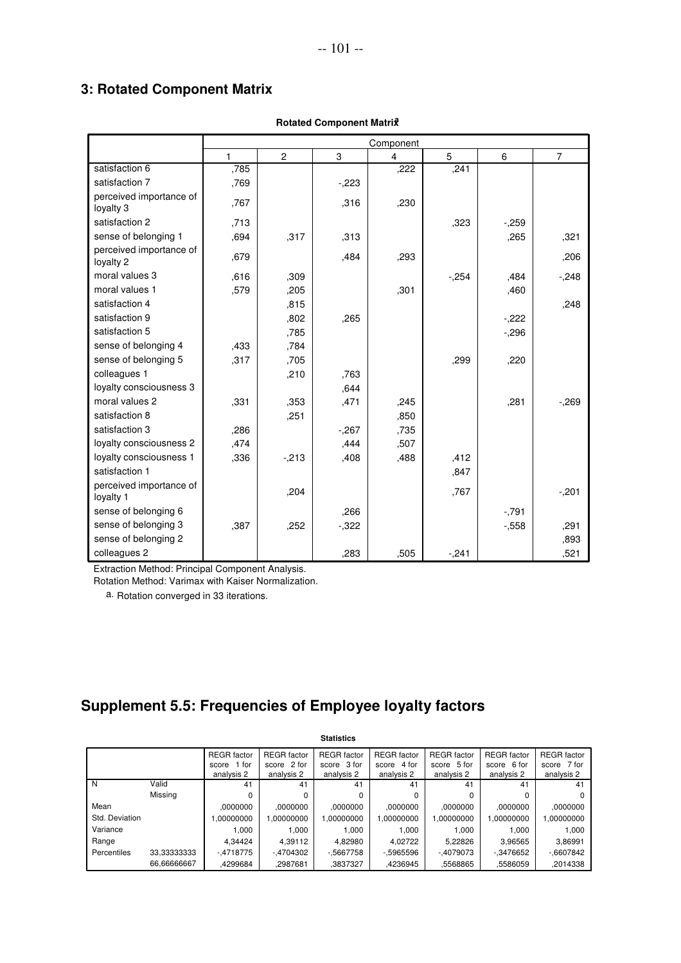### **3: Rotated Component Matrix**

|                                      |      | Component      |          |      |        |        |                |
|--------------------------------------|------|----------------|----------|------|--------|--------|----------------|
|                                      | 1    | $\overline{c}$ | 3        | 4    | 5      | 6      | $\overline{7}$ |
| satisfaction 6                       | ,785 |                |          | ,222 | ,241   |        |                |
| satisfaction 7                       | ,769 |                | $-223$   |      |        |        |                |
| perceived importance of<br>loyalty 3 | .767 |                | .316     | ,230 |        |        |                |
| satisfaction 2                       | ,713 |                |          |      | ,323   | $-259$ |                |
| sense of belonging 1                 | ,694 | ,317           | ,313     |      |        | ,265   | ,321           |
| perceived importance of<br>loyalty 2 | .679 |                | .484     | .293 |        |        | ,206           |
| moral values 3                       | .616 | .309           |          |      | $-254$ | .484   | $-.248$        |
| moral values 1                       | .579 | ,205           |          | .301 |        | ,460   |                |
| satisfaction 4                       |      | .815           |          |      |        |        | ,248           |
| satisfaction 9                       |      | .802           | .265     |      |        | $-222$ |                |
| satisfaction 5                       |      | .785           |          |      |        | $-296$ |                |
| sense of belonging 4                 | ,433 | .784           |          |      |        |        |                |
| sense of belonging 5                 | ,317 | ,705           |          |      | ,299   | ,220   |                |
| colleagues 1                         |      | ,210           | ,763     |      |        |        |                |
| loyalty consciousness 3              |      |                | .644     |      |        |        |                |
| moral values 2                       | .331 | .353           | ,471     | ,245 |        | .281   | $-.269$        |
| satisfaction 8                       |      | .251           |          | ,850 |        |        |                |
| satisfaction 3                       | ,286 |                | $-.267$  | ,735 |        |        |                |
| loyalty consciousness 2              | ,474 |                | ,444     | ,507 |        |        |                |
| loyalty consciousness 1              | ,336 | $-213$         | ,408     | ,488 | ,412   |        |                |
| satisfaction 1                       |      |                |          |      | .847   |        |                |
| perceived importance of<br>loyalty 1 |      | ,204           |          |      | .767   |        | $-201$         |
| sense of belonging 6                 |      |                | ,266     |      |        | $-791$ |                |
| sense of belonging 3                 | ,387 | .252           | $-0.322$ |      |        | $-558$ | .291           |
| sense of belonging 2                 |      |                |          |      |        |        | .893           |
| colleagues 2                         |      |                | ,283     | .505 | $-241$ |        | ,521           |

#### **Rotated Component Matrix<sup>a</sup>**

Extraction Method: Principal Component Analysis.

Rotation Method: Varimax with Kaiser Normalization.

a. Rotation converged in 33 iterations.

# **Supplement 5.5: Frequencies of Employee loyalty factors**

|                |             |                    |                    | <b>Statistics</b>  |                    |                    |                    |                    |
|----------------|-------------|--------------------|--------------------|--------------------|--------------------|--------------------|--------------------|--------------------|
|                |             | <b>REGR</b> factor | <b>REGR</b> factor | <b>REGR</b> factor | <b>REGR</b> factor | <b>REGR</b> factor | <b>REGR</b> factor | <b>REGR</b> factor |
|                |             | 1 for<br>score     | score 2 for        | score 3 for        | 4 for<br>score     | score 5 for        | score 6 for        | score 7 for        |
|                |             | analysis 2         | analysis 2         | analysis 2         | analysis 2         | analysis 2         | analysis 2         | analysis 2         |
| N              | Valid       | 41                 | 41                 | 41                 | 41                 | 41                 | 41                 | 41                 |
|                | Missing     | 0                  | 0                  | $\Omega$           |                    |                    |                    | 0                  |
| Mean           |             | .0000000           | .0000000           | .0000000           | .0000000           | .0000000           | .0000000           | .0000000           |
| Std. Deviation |             | .00000000          | 1.00000000         | 1.00000000         | .00000000          | 1.00000000         | 1.00000000         | .00000000          |
| Variance       |             | 1.000              | 1.000              | 1.000              | 1.000              | 1.000              | 1.000              | 1.000              |
| Range          |             | 4.34424            | 4.39112            | 4.82980            | 4.02722            | 5.22826            | 3.96565            | 3.86991            |
| Percentiles    | 33.33333333 | $-4718775$         | $-4704302$         | $-5667758$         | -.5965596          | $-4079073$         | -.3476652          | $-0.6607842$       |
|                | 66.66666667 | .4299684           | .2987681           | .3837327           | .4236945           | .5568865           | .5586059           | .2014338           |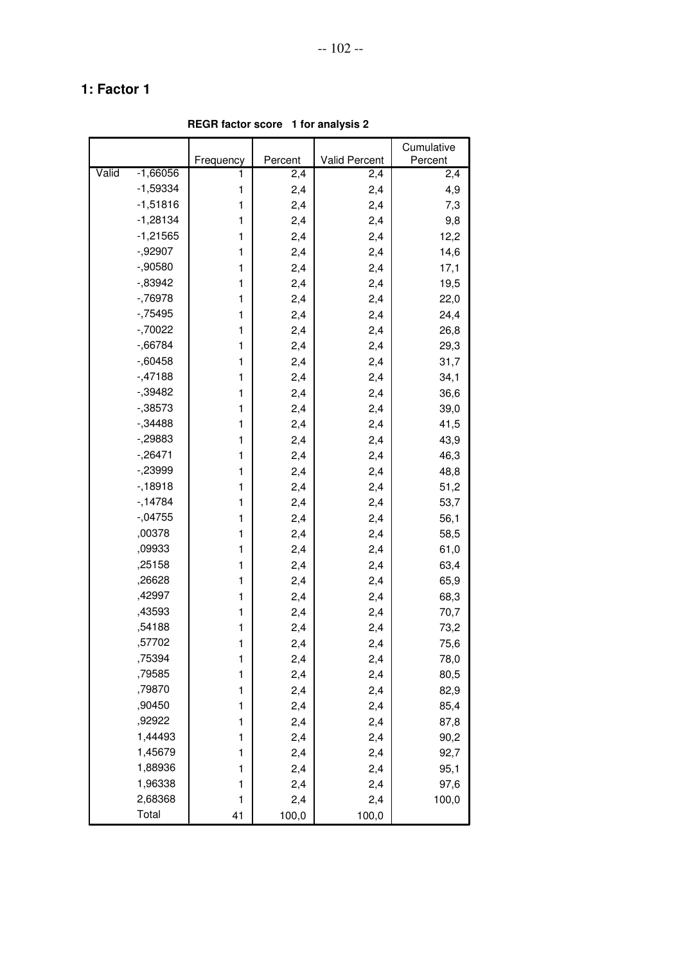**REGR factor score 1 for analysis 2**

|       |            |              |         |               | Cumulative |
|-------|------------|--------------|---------|---------------|------------|
|       |            | Frequency    | Percent | Valid Percent | Percent    |
| Valid | $-1,66056$ | 1            | 2,4     | 2,4           | 2,4        |
|       | $-1,59334$ | 1            | 2,4     | 2,4           | 4,9        |
|       | $-1,51816$ | 1            | 2,4     | 2,4           | 7,3        |
|       | $-1,28134$ | 1            | 2,4     | 2,4           | 9,8        |
|       | $-1,21565$ | 1            | 2,4     | 2,4           | 12,2       |
|       | $-0.92907$ | 1            | 2,4     | 2,4           | 14,6       |
|       | $-0.90580$ | 1            | 2,4     | 2,4           | 17,1       |
|       | $-0.83942$ | 1            | 2,4     | 2,4           | 19,5       |
|       | $-76978$   | 1            | 2,4     | 2,4           | 22,0       |
|       | $-75495$   | 1            | 2,4     | 2,4           | 24,4       |
|       | $-70022$   | 1            | 2,4     | 2,4           | 26,8       |
|       | $-0.66784$ | 1            | 2,4     | 2,4           | 29,3       |
|       | $-0.60458$ | 1            | 2,4     | 2,4           | 31,7       |
|       | $-47188$   | 1            | 2,4     | 2,4           | 34,1       |
|       | $-0.39482$ | 1            | 2,4     | 2,4           | 36,6       |
|       | $-0.38573$ | 1            | 2,4     | 2,4           | 39,0       |
|       | $-34488$   | 1            | 2,4     | 2,4           | 41,5       |
|       | $-29883$   | 1            | 2,4     | 2,4           | 43,9       |
|       | $-26471$   | 1            | 2,4     | 2,4           | 46,3       |
|       | $-239999$  | 1            | 2,4     | 2,4           | 48,8       |
|       | $-18918$   | 1            | 2,4     | 2,4           | 51,2       |
|       | $-14784$   | 1            | 2,4     | 2,4           | 53,7       |
|       | $-.04755$  | 1            | 2,4     | 2,4           | 56,1       |
|       | ,00378     | 1            | 2,4     | 2,4           | 58,5       |
|       | ,09933     | 1            | 2,4     | 2,4           | 61,0       |
|       | ,25158     | 1            | 2,4     | 2,4           | 63,4       |
|       | ,26628     | 1            | 2,4     | 2,4           | 65,9       |
|       | ,42997     | 1            | 2,4     | 2,4           | 68,3       |
|       | ,43593     | 1            | 2,4     | 2,4           | 70,7       |
|       | ,54188     | 1            | 2,4     | 2,4           | 73,2       |
|       | ,57702     | 1            | 2,4     | 2,4           | 75,6       |
|       | ,75394     | 1            | 2,4     | 2,4           | 78,0       |
|       | ,79585     | 1            | 2,4     | 2,4           | 80,5       |
|       | ,79870     | $\mathbf{1}$ | 2,4     | 2,4           | 82,9       |
|       | ,90450     | 1            | 2,4     | 2,4           | 85,4       |
|       | ,92922     | 1            | 2,4     | 2,4           | 87,8       |
|       | 1,44493    | $\mathbf{1}$ | 2,4     | 2,4           | 90,2       |
|       | 1,45679    | $\mathbf{1}$ | 2,4     | 2,4           | 92,7       |
|       | 1,88936    | 1            | 2,4     | 2,4           | 95,1       |
|       | 1,96338    | 1            | 2,4     | 2,4           | 97,6       |
|       | 2,68368    | $\mathbf{1}$ | 2,4     | 2,4           | 100,0      |
|       | Total      | 41           | 100,0   | 100,0         |            |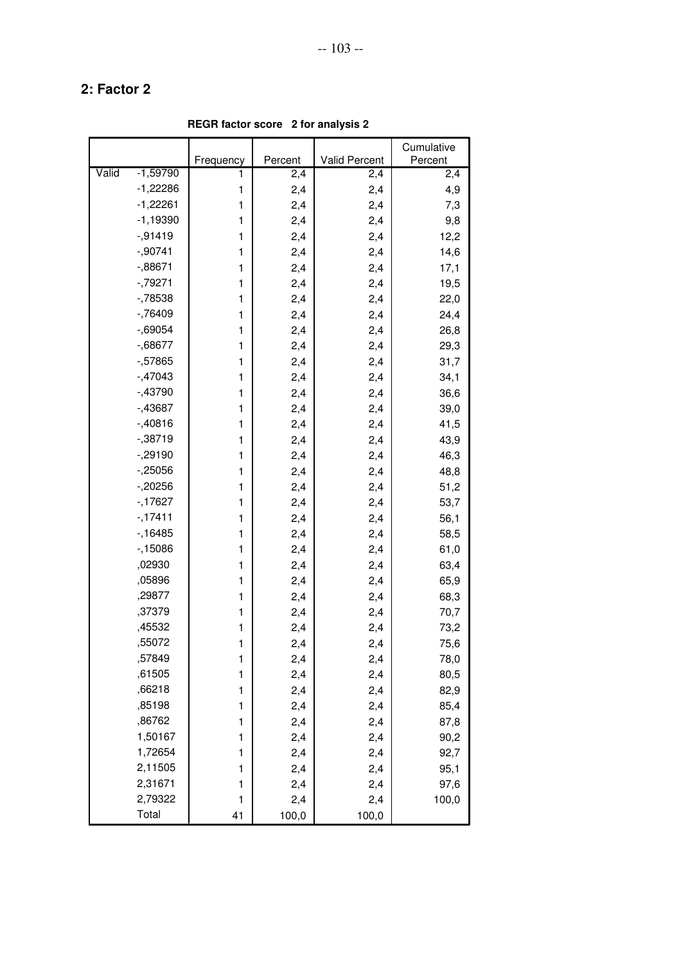**REGR factor score 2 for analysis 2**

|       |            |              |         |               | Cumulative |
|-------|------------|--------------|---------|---------------|------------|
|       |            | Frequency    | Percent | Valid Percent | Percent    |
| Valid | $-1,59790$ | 1            | 2,4     | 2,4           | 2,4        |
|       | $-1,22286$ | 1            | 2,4     | 2,4           | 4,9        |
|       | $-1,22261$ | 1            | 2,4     | 2,4           | 7,3        |
|       | $-1,19390$ | 1            | 2,4     | 2,4           | 9,8        |
|       | $-0.91419$ | 1            | 2,4     | 2,4           | 12,2       |
|       | $-0.90741$ | 1            | 2,4     | 2,4           | 14,6       |
|       | $-0.88671$ | 1            | 2,4     | 2,4           | 17,1       |
|       | $-79271$   | 1            | 2,4     | 2,4           | 19,5       |
|       | $-78538$   | 1            | 2,4     | 2,4           | 22,0       |
|       | $-76409$   | 1            | 2,4     | 2,4           | 24,4       |
|       | $-0.69054$ | 1            | 2,4     | 2,4           | 26,8       |
|       | $-0.68677$ | 1            | 2,4     | 2,4           | 29,3       |
|       | $-57865$   | 1            | 2,4     | 2,4           | 31,7       |
|       | $-47043$   | 1            | 2,4     | 2,4           | 34,1       |
|       | $-43790$   | 1            | 2,4     | 2,4           | 36,6       |
|       | $-43687$   | 1            | 2,4     | 2,4           | 39,0       |
|       | $-0.40816$ | 1            | 2,4     | 2,4           | 41,5       |
|       | $-0.38719$ | 1            | 2,4     | 2,4           | 43,9       |
|       | $-0.29190$ | 1            | 2,4     | 2,4           | 46,3       |
|       | $-25056$   | 1            | 2,4     | 2,4           | 48,8       |
|       | $-20256$   | 1            | 2,4     | 2,4           | 51,2       |
|       | $-17627$   | 1            | 2,4     | 2,4           | 53,7       |
|       | $-17411$   | 1            | 2,4     | 2,4           | 56,1       |
|       | $-16485$   | 1            | 2,4     | 2,4           | 58,5       |
|       | $-15086$   | 1            | 2,4     | 2,4           | 61,0       |
|       | ,02930     | 1            | 2,4     | 2,4           | 63,4       |
|       | ,05896     | 1            | 2,4     | 2,4           | 65,9       |
|       | ,29877     | 1            | 2,4     | 2,4           | 68,3       |
|       | ,37379     | 1            | 2,4     | 2,4           | 70,7       |
|       | ,45532     | 1            | 2,4     | 2,4           | 73,2       |
|       | ,55072     | 1            | 2,4     | 2,4           | 75,6       |
|       | ,57849     | 1            | 2,4     | 2,4           | 78,0       |
|       | ,61505     | 1            | 2,4     | 2,4           | 80,5       |
|       | ,66218     | $\mathbf{1}$ | 2,4     | 2,4           | 82,9       |
|       | ,85198     | $\mathbf{1}$ | 2,4     | 2,4           | 85,4       |
|       | ,86762     | $\mathbf{1}$ | 2,4     | 2,4           | 87,8       |
|       | 1,50167    | $\mathbf{1}$ | 2,4     | 2,4           | 90,2       |
|       | 1,72654    | $\mathbf{1}$ | 2,4     | 2,4           | 92,7       |
|       | 2,11505    | 1            | 2,4     | 2,4           | 95,1       |
|       | 2,31671    | 1            | 2,4     | 2,4           | 97,6       |
|       | 2,79322    | $\mathbf{1}$ | 2,4     | 2,4           | 100,0      |
|       | Total      | 41           | 100,0   | 100,0         |            |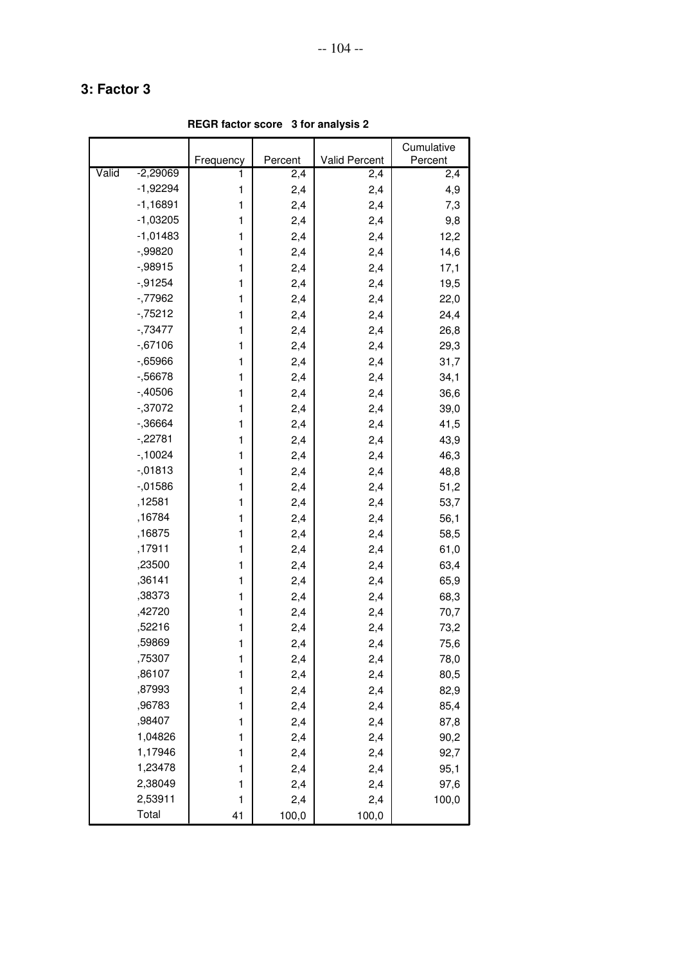**REGR factor score 3 for analysis 2**

|       |            |              |         |               | Cumulative |
|-------|------------|--------------|---------|---------------|------------|
|       |            | Frequency    | Percent | Valid Percent | Percent    |
| Valid | $-2,29069$ | 1            | 2,4     | 2,4           | 2,4        |
|       | $-1,92294$ | 1            | 2,4     | 2,4           | 4,9        |
|       | $-1,16891$ | 1            | 2,4     | 2,4           | 7,3        |
|       | $-1,03205$ | 1            | 2,4     | 2,4           | 9,8        |
|       | $-1,01483$ | 1            | 2,4     | 2,4           | 12,2       |
|       | $-0.99820$ | 1            | 2,4     | 2,4           | 14,6       |
|       | $-0.98915$ | 1            | 2,4     | 2,4           | 17,1       |
|       | $-0.91254$ | 1            | 2,4     | 2,4           | 19,5       |
|       | $-77962$   | 1            | 2,4     | 2,4           | 22,0       |
|       | $-75212$   | 1            | 2,4     | 2,4           | 24,4       |
|       | $-73477$   | 1            | 2,4     | 2,4           | 26,8       |
|       | $-0.67106$ | 1            | 2,4     | 2,4           | 29,3       |
|       | $-0.65966$ | 1            | 2,4     | 2,4           | 31,7       |
|       | $-56678$   | 1            | 2,4     | 2,4           | 34,1       |
|       | $-.40506$  | 1            | 2,4     | 2,4           | 36,6       |
|       | $-0.37072$ | 1            | 2,4     | 2,4           | 39,0       |
|       | $-36664$   | 1            | 2,4     | 2,4           | 41,5       |
|       | $-.22781$  | 1            | 2,4     | 2,4           | 43,9       |
|       | $-10024$   | 1            | 2,4     | 2,4           | 46,3       |
|       | $-0.01813$ | 1            | 2,4     | 2,4           | 48,8       |
|       | $-0.01586$ | 1            | 2,4     | 2,4           | 51,2       |
|       | ,12581     | 1            | 2,4     | 2,4           | 53,7       |
|       | ,16784     | 1            | 2,4     | 2,4           | 56,1       |
|       | ,16875     | 1            | 2,4     | 2,4           | 58,5       |
|       | ,17911     | 1            | 2,4     | 2,4           | 61,0       |
|       | ,23500     | 1            | 2,4     | 2,4           | 63,4       |
|       | ,36141     | 1            | 2,4     | 2,4           | 65,9       |
|       | ,38373     | 1            | 2,4     | 2,4           | 68,3       |
|       | ,42720     | 1            | 2,4     | 2,4           | 70,7       |
|       | ,52216     | 1            | 2,4     | 2,4           | 73,2       |
|       | ,59869     | 1            | 2,4     | 2,4           | 75,6       |
|       | ,75307     | 1            | 2,4     | 2,4           | 78,0       |
|       | ,86107     | $\mathbf{1}$ | 2,4     | 2,4           | 80,5       |
|       | ,87993     | $\mathbf{1}$ | 2,4     | 2,4           | 82,9       |
|       | ,96783     | 1            | 2,4     | 2,4           | 85,4       |
|       | ,98407     | 1            | 2,4     | 2,4           | 87,8       |
|       | 1,04826    | $\mathbf{1}$ | 2,4     | 2,4           | 90,2       |
|       | 1,17946    | $\mathbf{1}$ | 2,4     | 2,4           | 92,7       |
|       | 1,23478    | 1            | 2,4     | 2,4           | 95,1       |
|       | 2,38049    | 1            | 2,4     | 2,4           | 97,6       |
|       | 2,53911    | $\mathbf{1}$ | 2,4     | 2,4           | 100,0      |
|       | Total      | 41           | 100,0   | 100,0         |            |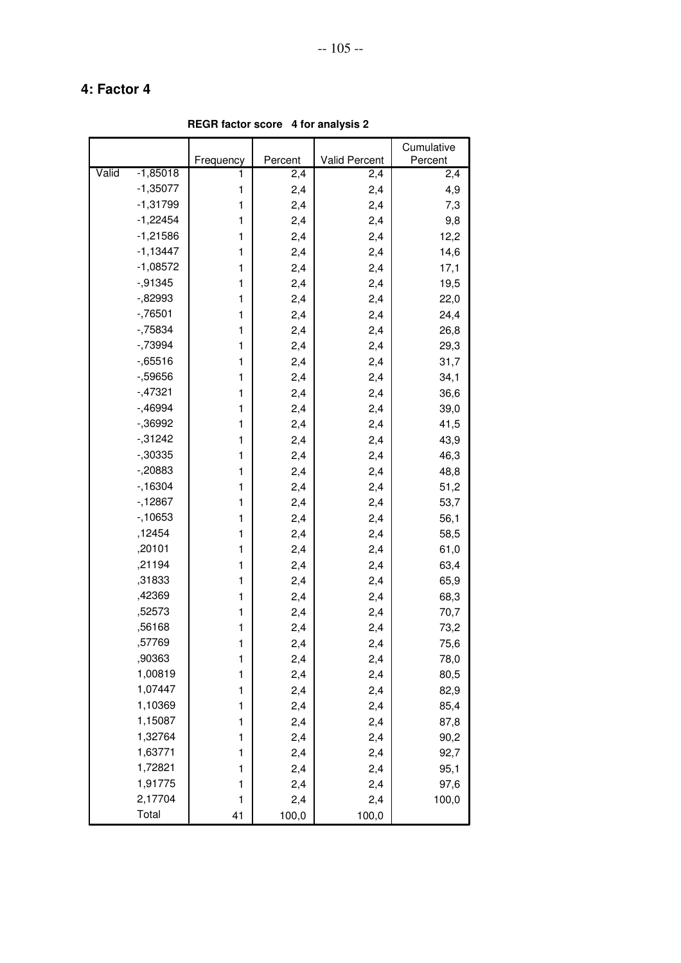**REGR factor score 4 for analysis 2**

|       |            |              |         |               | Cumulative |
|-------|------------|--------------|---------|---------------|------------|
|       |            | Frequency    | Percent | Valid Percent | Percent    |
| Valid | $-1,85018$ | 1            | 2,4     | 2,4           | 2,4        |
|       | $-1,35077$ | 1            | 2,4     | 2,4           | 4,9        |
|       | $-1,31799$ | 1            | 2,4     | 2,4           | 7,3        |
|       | $-1,22454$ | 1            | 2,4     | 2,4           | 9,8        |
|       | $-1,21586$ | 1            | 2,4     | 2,4           | 12,2       |
|       | $-1,13447$ | 1            | 2,4     | 2,4           | 14,6       |
|       | $-1,08572$ | 1            | 2,4     | 2,4           | 17,1       |
|       | $-0.91345$ | 1            | 2,4     | 2,4           | 19,5       |
|       | $-0.82993$ | 1            | 2,4     | 2,4           | 22,0       |
|       | $-76501$   | 1            | 2,4     | 2,4           | 24,4       |
|       | $-75834$   | 1            | 2,4     | 2,4           | 26,8       |
|       | $-73994$   | 1            | 2,4     | 2,4           | 29,3       |
|       | $-0.65516$ | 1            | 2,4     | 2,4           | 31,7       |
|       | $-59656$   | 1            | 2,4     | 2,4           | 34,1       |
|       | $-47321$   | 1            | 2,4     | 2,4           | 36,6       |
|       | $-0.46994$ | 1            | 2,4     | 2,4           | 39,0       |
|       | $-0.36992$ | 1            | 2,4     | 2,4           | 41,5       |
|       | $-0.31242$ | 1            | 2,4     | 2,4           | 43,9       |
|       | $-0.30335$ | 1            | 2,4     | 2,4           | 46,3       |
|       | $-20883$   | 1            | 2,4     | 2,4           | 48,8       |
|       | $-16304$   | 1            | 2,4     | 2,4           | 51,2       |
|       | $-12867$   | 1            | 2,4     | 2,4           | 53,7       |
|       | $-10653$   | 1            | 2,4     | 2,4           | 56,1       |
|       | ,12454     | 1            | 2,4     | 2,4           | 58,5       |
|       | ,20101     | 1            | 2,4     | 2,4           | 61,0       |
|       | ,21194     | 1            | 2,4     | 2,4           | 63,4       |
|       | ,31833     | 1            | 2,4     | 2,4           | 65,9       |
|       | ,42369     | 1            | 2,4     | 2,4           | 68,3       |
|       | ,52573     | 1            | 2,4     | 2,4           | 70,7       |
|       | ,56168     | 1            | 2,4     | 2,4           | 73,2       |
|       | ,57769     | 1            | 2,4     | 2,4           | 75,6       |
|       | ,90363     | 1            | 2,4     | 2,4           | 78,0       |
|       | 1,00819    | 1            | 2,4     | 2,4           | 80,5       |
|       | 1,07447    | $\mathbf{1}$ | 2,4     | 2,4           | 82,9       |
|       | 1,10369    | 1            | 2,4     | 2,4           | 85,4       |
|       | 1,15087    | 1            | 2,4     | 2,4           | 87,8       |
|       | 1,32764    | $\mathbf{1}$ | 2,4     | 2,4           | 90,2       |
|       | 1,63771    | $\mathbf{1}$ | 2,4     | 2,4           | 92,7       |
|       | 1,72821    | 1            | 2,4     | 2,4           | 95,1       |
|       | 1,91775    | 1            | 2,4     | 2,4           | 97,6       |
|       | 2,17704    | $\mathbf{1}$ | 2,4     | 2,4           | 100,0      |
|       | Total      | 41           | 100,0   | 100,0         |            |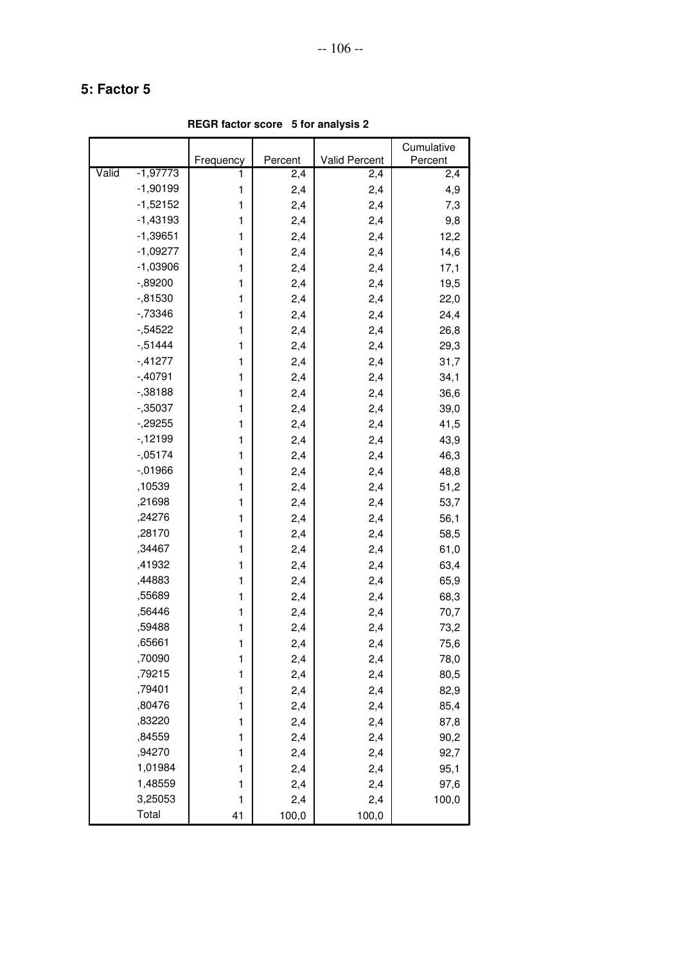**REGR factor score 5 for analysis 2**

|       |            |           |         |               | Cumulative |
|-------|------------|-----------|---------|---------------|------------|
|       |            | Frequency | Percent | Valid Percent | Percent    |
| Valid | $-1,97773$ | 1         | 2,4     | 2,4           | 2,4        |
|       | $-1,90199$ | 1         | 2,4     | 2,4           | 4,9        |
|       | $-1,52152$ | 1         | 2,4     | 2,4           | 7,3        |
|       | $-1,43193$ | 1         | 2,4     | 2,4           | 9,8        |
|       | $-1,39651$ | 1         | 2,4     | 2,4           | 12,2       |
|       | $-1,09277$ | 1         | 2,4     | 2,4           | 14,6       |
|       | $-1,03906$ | 1         | 2,4     | 2,4           | 17,1       |
|       | $-0.89200$ | 1         | 2,4     | 2,4           | 19,5       |
|       | $-0.81530$ | 1         | 2,4     | 2,4           | 22,0       |
|       | $-73346$   | 1         | 2,4     | 2,4           | 24,4       |
|       | $-54522$   | 1         | 2,4     | 2,4           | 26,8       |
|       | $-0.51444$ | 1         | 2,4     | 2,4           | 29,3       |
|       | $-41277$   | 1         | 2,4     | 2,4           | 31,7       |
|       | $-40791$   | 1         | 2,4     | 2,4           | 34,1       |
|       | $-0.38188$ | 1         | 2,4     | 2,4           | 36,6       |
|       | $-0.35037$ | 1         | 2,4     | 2,4           | 39,0       |
|       | $-29255$   | 1         | 2,4     | 2,4           | 41,5       |
|       | $-12199$   | 1         | 2,4     | 2,4           | 43,9       |
|       | $-05174$   | 1         | 2,4     | 2,4           | 46,3       |
|       | $-0.1966$  | 1         | 2,4     | 2,4           | 48,8       |
|       | ,10539     | 1         | 2,4     | 2,4           | 51,2       |
|       | ,21698     | 1         | 2,4     | 2,4           | 53,7       |
|       | ,24276     | 1         | 2,4     | 2,4           | 56,1       |
|       | ,28170     | 1         | 2,4     | 2,4           | 58,5       |
|       | ,34467     | 1         | 2,4     | 2,4           | 61,0       |
|       | ,41932     | 1         | 2,4     | 2,4           | 63,4       |
|       | ,44883     | 1         | 2,4     | 2,4           | 65,9       |
|       | ,55689     | 1         | 2,4     | 2,4           | 68,3       |
|       | ,56446     | 1         | 2,4     | 2,4           | 70,7       |
|       | ,59488     | 1         | 2,4     | 2,4           | 73,2       |
|       | ,65661     | 1         | 2,4     | 2,4           | 75,6       |
|       | ,70090     | 1         | 2,4     | 2,4           | 78,0       |
|       | ,79215     | 1         | 2,4     | 2,4           | 80,5       |
|       | ,79401     | 1         | 2,4     | 2,4           | 82,9       |
|       | ,80476     | 1         | 2,4     | 2,4           | 85,4       |
|       | ,83220     | 1         | 2,4     | 2,4           | 87,8       |
|       | ,84559     | 1         | 2,4     | 2,4           | 90,2       |
|       | ,94270     | 1         | 2,4     | 2,4           | 92,7       |
|       | 1,01984    | 1         | 2,4     | 2,4           | 95,1       |
|       | 1,48559    | 1         | 2,4     | 2,4           | 97,6       |
|       | 3,25053    | 1         | 2,4     | 2,4           | 100,0      |
|       | Total      | 41        | 100,0   | 100,0         |            |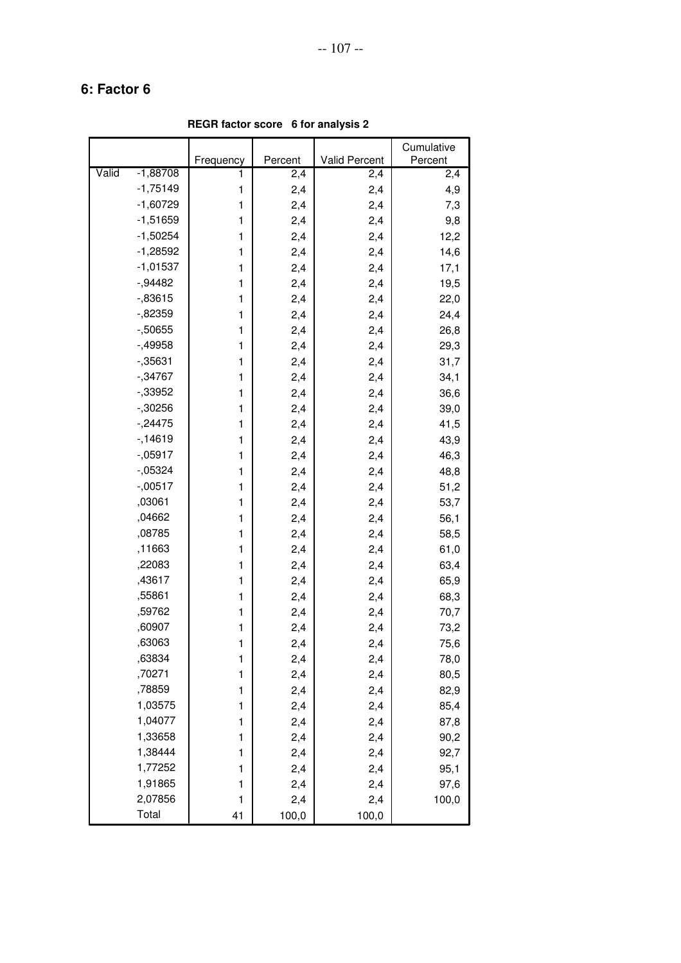**REGR factor score 6 for analysis 2**

|       |            |              |         |               | Cumulative |
|-------|------------|--------------|---------|---------------|------------|
|       |            | Frequency    | Percent | Valid Percent | Percent    |
| Valid | $-1,88708$ | 1            | 2,4     | 2,4           | 2,4        |
|       | $-1,75149$ | 1            | 2,4     | 2,4           | 4,9        |
|       | $-1,60729$ | 1            | 2,4     | 2,4           | 7,3        |
|       | $-1,51659$ | 1            | 2,4     | 2,4           | 9,8        |
|       | $-1,50254$ | 1            | 2,4     | 2,4           | 12,2       |
|       | $-1,28592$ | 1            | 2,4     | 2,4           | 14,6       |
|       | $-1,01537$ | 1            | 2,4     | 2,4           | 17,1       |
|       | $-0.94482$ | 1            | 2,4     | 2,4           | 19,5       |
|       | $-0.83615$ | 1            | 2,4     | 2,4           | 22,0       |
|       | $-0.82359$ | 1            | 2,4     | 2,4           | 24,4       |
|       | $-0.50655$ | 1            | 2,4     | 2,4           | 26,8       |
|       | $-49958$   | 1            | 2,4     | 2,4           | 29,3       |
|       | $-0.35631$ | 1            | 2,4     | 2,4           | 31,7       |
|       | $-0.34767$ | 1            | 2,4     | 2,4           | 34,1       |
|       | $-33952$   | 1            | 2,4     | 2,4           | 36,6       |
|       | $-30256$   | 1            | 2,4     | 2,4           | 39,0       |
|       | $-24475$   | 1            | 2,4     | 2,4           | 41,5       |
|       | $-14619$   | 1            | 2,4     | 2,4           | 43,9       |
|       | $-0.05917$ | 1            | 2,4     | 2,4           | 46,3       |
|       | $-05324$   | 1            | 2,4     | 2,4           | 48,8       |
|       | $-0.00517$ | 1            | 2,4     | 2,4           | 51,2       |
|       | ,03061     | 1            | 2,4     | 2,4           | 53,7       |
|       | ,04662     | 1            | 2,4     | 2,4           | 56,1       |
|       | ,08785     | 1            | 2,4     | 2,4           | 58,5       |
|       | ,11663     | 1            | 2,4     | 2,4           | 61,0       |
|       | ,22083     | 1            | 2,4     | 2,4           | 63,4       |
|       | ,43617     | 1            | 2,4     | 2,4           | 65,9       |
|       | ,55861     | 1            | 2,4     | 2,4           | 68,3       |
|       | ,59762     | 1            | 2,4     | 2,4           | 70,7       |
|       | ,60907     | 1            | 2,4     | 2,4           | 73,2       |
|       | ,63063     | 1            | 2,4     | 2,4           | 75,6       |
|       | ,63834     | 1            | 2,4     | 2,4           | 78,0       |
|       | ,70271     | 1            | 2,4     | 2,4           | 80,5       |
|       | ,78859     | $\mathbf{1}$ | 2,4     | 2,4           | 82,9       |
|       | 1,03575    | 1            | 2,4     | 2,4           | 85,4       |
|       | 1,04077    | 1            | 2,4     | 2,4           | 87,8       |
|       | 1,33658    | $\mathbf{1}$ | 2,4     | 2,4           | 90,2       |
|       | 1,38444    | $\mathbf{1}$ | 2,4     | 2,4           | 92,7       |
|       | 1,77252    | 1            | 2,4     | 2,4           | 95,1       |
|       | 1,91865    | 1            | 2,4     | 2,4           | 97,6       |
|       | 2,07856    | $\mathbf{1}$ | 2,4     | 2,4           | 100,0      |
|       | Total      | 41           | 100,0   | 100,0         |            |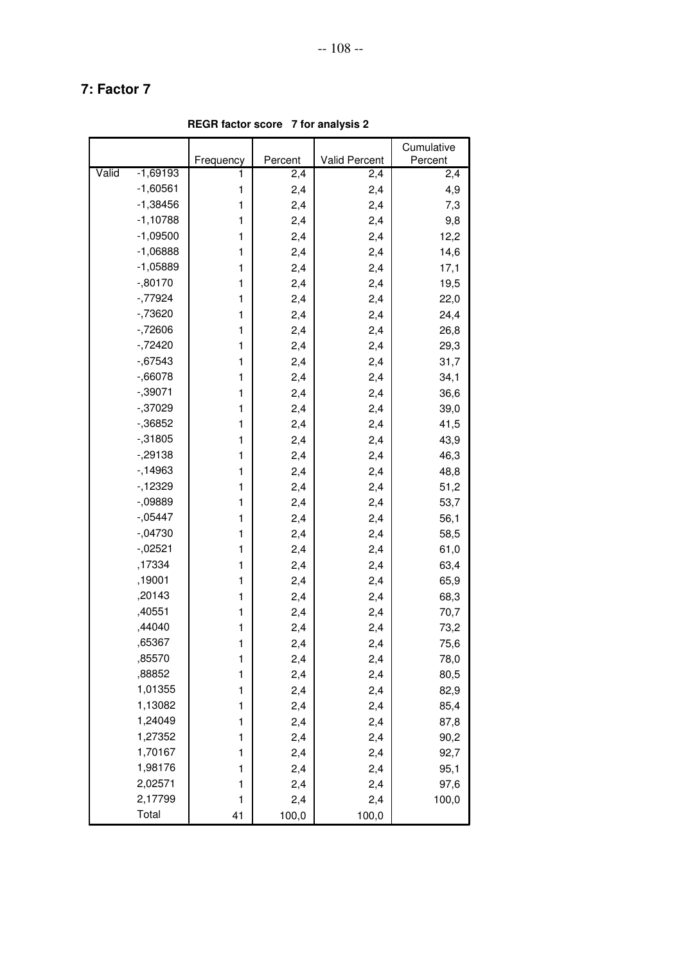**REGR factor score 7 for analysis 2**

|       |            |              |         |               | Cumulative |
|-------|------------|--------------|---------|---------------|------------|
|       |            | Frequency    | Percent | Valid Percent | Percent    |
| Valid | $-1,69193$ | 1            | 2,4     | 2,4           | 2,4        |
|       | $-1,60561$ | 1            | 2,4     | 2,4           | 4,9        |
|       | $-1,38456$ | 1            | 2,4     | 2,4           | 7,3        |
|       | $-1,10788$ | 1            | 2,4     | 2,4           | 9,8        |
|       | $-1,09500$ | 1            | 2,4     | 2,4           | 12,2       |
|       | $-1,06888$ | 1            | 2,4     | 2,4           | 14,6       |
|       | $-1,05889$ | 1            | 2,4     | 2,4           | 17,1       |
|       | $-0.80170$ | 1            | 2,4     | 2,4           | 19,5       |
|       | $-77924$   | 1            | 2,4     | 2,4           | 22,0       |
|       | $-73620$   | 1            | 2,4     | 2,4           | 24,4       |
|       | $-72606$   | 1            | 2,4     | 2,4           | 26,8       |
|       | $-72420$   | 1            | 2,4     | 2,4           | 29,3       |
|       | $-0.67543$ | 1            | 2,4     | 2,4           | 31,7       |
|       | $-0.66078$ | 1            | 2,4     | 2,4           | 34,1       |
|       | $-0.39071$ | 1            | 2,4     | 2,4           | 36,6       |
|       | $-0.37029$ | 1            | 2,4     | 2,4           | 39,0       |
|       | $-0.36852$ | 1            | 2,4     | 2,4           | 41,5       |
|       | $-0.31805$ | 1            | 2,4     | 2,4           | 43,9       |
|       | $-29138$   | 1            | 2,4     | 2,4           | 46,3       |
|       | $-14963$   | 1            | 2,4     | 2,4           | 48,8       |
|       | $-12329$   | 1            | 2,4     | 2,4           | 51,2       |
|       | $-09889$   | 1            | 2,4     | 2,4           | 53,7       |
|       | $-05447$   | 1            | 2,4     | 2,4           | 56,1       |
|       | $-.04730$  | 1            | 2,4     | 2,4           | 58,5       |
|       | $-0.02521$ | 1            | 2,4     | 2,4           | 61,0       |
|       | ,17334     | 1            | 2,4     | 2,4           | 63,4       |
|       | ,19001     | 1            | 2,4     | 2,4           | 65,9       |
|       | ,20143     | 1            | 2,4     | 2,4           | 68,3       |
|       | ,40551     | 1            | 2,4     | 2,4           | 70,7       |
|       | ,44040     | 1            | 2,4     | 2,4           | 73,2       |
|       | ,65367     | 1            | 2,4     | 2,4           | 75,6       |
|       | ,85570     | 1            | 2,4     | 2,4           | 78,0       |
|       | ,88852     | 1            | 2,4     | 2,4           | 80,5       |
|       | 1,01355    | $\mathbf{1}$ | 2,4     | 2,4           | 82,9       |
|       | 1,13082    | 1            | 2,4     | 2,4           | 85,4       |
|       | 1,24049    | 1            | 2,4     | 2,4           | 87,8       |
|       | 1,27352    | $\mathbf{1}$ | 2,4     | 2,4           | 90,2       |
|       | 1,70167    | $\mathbf{1}$ | 2,4     | 2,4           | 92,7       |
|       | 1,98176    | 1            | 2,4     | 2,4           | 95,1       |
|       | 2,02571    | 1            | 2,4     | 2,4           | 97,6       |
|       | 2,17799    | $\mathbf{1}$ | 2,4     | 2,4           | 100,0      |
|       | Total      | 41           | 100,0   | 100,0         |            |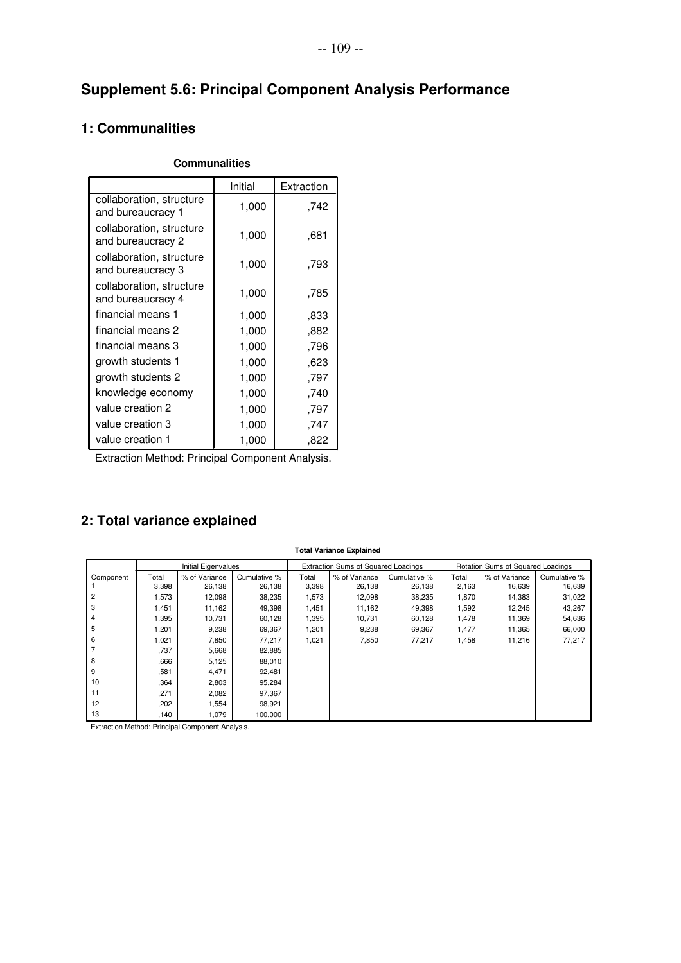# **Supplement 5.6: Principal Component Analysis Performance**

#### **1: Communalities**

|                                               | Initial | Extraction |
|-----------------------------------------------|---------|------------|
| collaboration, structure<br>and bureaucracy 1 | 1,000   | .742       |
| collaboration, structure<br>and bureaucracy 2 | 1,000   | ,681       |
| collaboration, structure<br>and bureaucracy 3 | 1,000   | ,793       |
| collaboration, structure<br>and bureaucracy 4 | 1,000   | ,785       |
| financial means 1                             | 1,000   | ,833       |
| financial means 2                             | 1,000   | ,882       |
| financial means 3                             | 1,000   | ,796       |
| growth students 1                             | 1,000   | ,623       |
| growth students 2                             | 1,000   | ,797       |
| knowledge economy                             | 1,000   | ,740       |
| value creation 2                              | 1,000   | ,797       |
| value creation 3                              | 1,000   | 747.       |
| value creation 1                              | 1,000   | .822       |

#### **Communalities**

Extraction Method: Principal Component Analysis.

### **2: Total variance explained**

| <b>Total Variance Explained</b> |       |                            |              |       |                                            |              |       |                                   |              |  |
|---------------------------------|-------|----------------------------|--------------|-------|--------------------------------------------|--------------|-------|-----------------------------------|--------------|--|
|                                 |       | <b>Initial Eigenvalues</b> |              |       | <b>Extraction Sums of Squared Loadings</b> |              |       | Rotation Sums of Squared Loadings |              |  |
| Component                       | Total | % of Variance              | Cumulative % | Total | % of Variance                              | Cumulative % | Total | % of Variance                     | Cumulative % |  |
|                                 | 3,398 | 26,138                     | 26,138       | 3,398 | 26,138                                     | 26,138       | 2,163 | 16,639                            | 16,639       |  |
| 2                               | 1,573 | 12,098                     | 38,235       | 1,573 | 12,098                                     | 38,235       | 1,870 | 14,383                            | 31,022       |  |
| 3                               | 1,451 | 11,162                     | 49,398       | 1,451 | 11,162                                     | 49,398       | 1,592 | 12,245                            | 43,267       |  |
| 4                               | 1,395 | 10,731                     | 60,128       | 1,395 | 10,731                                     | 60,128       | 1,478 | 11,369                            | 54,636       |  |
| 5                               | 1,201 | 9,238                      | 69,367       | 1,201 | 9,238                                      | 69,367       | 1,477 | 11,365                            | 66,000       |  |
| 6                               | 1,021 | 7,850                      | 77,217       | 1,021 | 7,850                                      | 77,217       | 1,458 | 11,216                            | 77,217       |  |
|                                 | .737  | 5,668                      | 82,885       |       |                                            |              |       |                                   |              |  |
| 8                               | .666  | 5,125                      | 88,010       |       |                                            |              |       |                                   |              |  |
| 9                               | .581  | 4,471                      | 92,481       |       |                                            |              |       |                                   |              |  |
| 10                              | .364  | 2,803                      | 95,284       |       |                                            |              |       |                                   |              |  |
| 11                              | .271  | 2,082                      | 97,367       |       |                                            |              |       |                                   |              |  |
| 12                              | .202  | 1,554                      | 98,921       |       |                                            |              |       |                                   |              |  |
| 13                              | .140  | 1,079                      | 100,000      |       |                                            |              |       |                                   |              |  |

Extraction Method: Principal Component Analysis.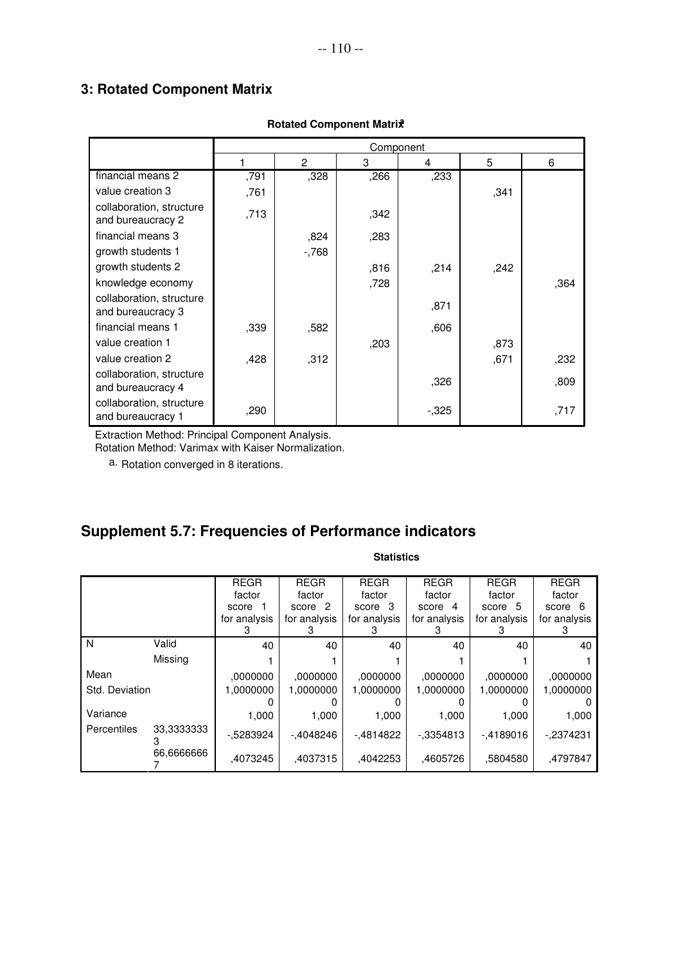#### **3: Rotated Component Matrix**

|                                               |      | Component      |      |        |      |      |  |
|-----------------------------------------------|------|----------------|------|--------|------|------|--|
|                                               | 1    | $\overline{2}$ | 3    | 4      | 5    | 6    |  |
| financial means 2                             | ,791 | ,328           | ,266 | ,233   |      |      |  |
| value creation 3                              | ,761 |                |      |        | ,341 |      |  |
| collaboration, structure<br>and bureaucracy 2 | ,713 |                | ,342 |        |      |      |  |
| financial means 3                             |      | ,824           | ,283 |        |      |      |  |
| growth students 1                             |      | $-768$         |      |        |      |      |  |
| growth students 2                             |      |                | ,816 | ,214   | ,242 |      |  |
| knowledge economy                             |      |                | ,728 |        |      | ,364 |  |
| collaboration, structure<br>and bureaucracy 3 |      |                |      | ,871   |      |      |  |
| financial means 1                             | ,339 | ,582           |      | ,606   |      |      |  |
| value creation 1                              |      |                | ,203 |        | ,873 |      |  |
| value creation 2                              | ,428 | ,312           |      |        | ,671 | ,232 |  |
| collaboration, structure<br>and bureaucracy 4 |      |                |      | ,326   |      | ,809 |  |
| collaboration, structure<br>and bureaucracy 1 | ,290 |                |      | $-325$ |      | ,717 |  |

#### **Rotated Component Matrix<sup>a</sup>**

Extraction Method: Principal Component Analysis.

Rotation Method: Varimax with Kaiser Normalization.

a. Rotation converged in 8 iterations.

# **Supplement 5.7: Frequencies of Performance indicators**

|                |            | <b>REGR</b>  | <b>REGR</b>  | <b>REGR</b>  | <b>REGR</b>  | <b>REGR</b>  | <b>REGR</b>  |
|----------------|------------|--------------|--------------|--------------|--------------|--------------|--------------|
|                |            | factor       | factor       | factor       | factor       | factor       | factor       |
|                |            | score        | score 2      | score 3      | score 4      | score 5      | score 6      |
|                |            | for analysis | for analysis | for analysis | for analysis | for analysis | for analysis |
|                |            |              |              | З            |              |              |              |
| N              | Valid      | 40           | 40           | 40           | 40           | 40           | 40           |
|                | Missing    |              |              |              |              |              |              |
| Mean           |            | ,0000000     | .0000000     | .0000000     | ,0000000     | .0000000     | .0000000     |
| Std. Deviation |            | 1,0000000    | 1,0000000    | 1,0000000    | 1,0000000    | 1,0000000    | 1,0000000    |
|                |            |              |              |              |              |              |              |
| Variance       |            | 1,000        | 1.000        | 1.000        | 1,000        | 1.000        | 1,000        |
| Percentiles    | 33,3333333 | $-0.5283924$ | -.4048246    | -.4814822    | $-0.3354813$ | -.4189016    | -,2374231    |
|                | 66.6666666 | ,4073245     | .4037315     | .4042253     | .4605726     | .5804580     | .4797847     |

#### **Statistics**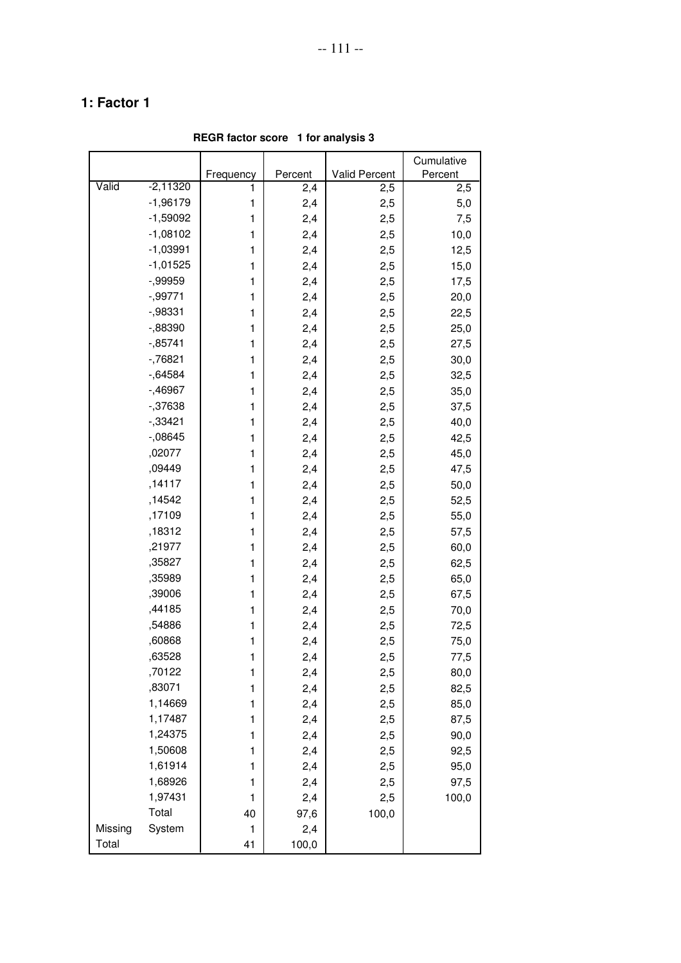|         |            |           |         |               | Cumulative |
|---------|------------|-----------|---------|---------------|------------|
|         |            | Frequency | Percent | Valid Percent | Percent    |
| Valid   | $-2,11320$ | 1         | 2,4     | 2,5           | 2,5        |
|         | $-1,96179$ | 1         | 2,4     | 2,5           | 5,0        |
|         | $-1,59092$ | 1         | 2,4     | 2,5           | 7,5        |
|         | $-1,08102$ | 1         | 2,4     | 2,5           | 10,0       |
|         | $-1,03991$ | 1         | 2,4     | 2,5           | 12,5       |
|         | $-1,01525$ | 1         | 2,4     | 2,5           | 15,0       |
|         | $-0.99959$ | 1         | 2,4     | 2,5           | 17,5       |
|         | $-0.99771$ | 1         | 2,4     | 2,5           | 20,0       |
|         | $-0.98331$ | 1         | 2,4     | 2,5           | 22,5       |
|         | $-0.88390$ | 1         | 2,4     | 2,5           | 25,0       |
|         | $-0.85741$ | 1         | 2,4     | 2,5           | 27,5       |
|         | $-76821$   | 1         | 2,4     | 2,5           | 30,0       |
|         | $-0.64584$ | 1         | 2,4     | 2,5           | 32,5       |
|         | $-0.46967$ | 1         | 2,4     | 2,5           | 35,0       |
|         | $-37638$   | 1         | 2,4     | 2,5           | 37,5       |
|         | $-33421$   | 1         | 2,4     | 2,5           | 40,0       |
|         | $-0.08645$ | 1         | 2,4     | 2,5           | 42,5       |
|         | ,02077     | 1         | 2,4     | 2,5           | 45,0       |
|         | ,09449     | 1         | 2,4     | 2,5           | 47,5       |
|         | ,14117     | 1         | 2,4     | 2,5           | 50,0       |
|         | ,14542     | 1         | 2,4     | 2,5           | 52,5       |
|         | ,17109     | 1         | 2,4     | 2,5           | 55,0       |
|         | ,18312     | 1         | 2,4     | 2,5           | 57,5       |
|         | ,21977     | 1         | 2,4     | 2,5           | 60,0       |
|         | ,35827     | 1         | 2,4     | 2,5           | 62,5       |
|         | ,35989     | 1         | 2,4     | 2,5           | 65,0       |
|         | ,39006     | 1         | 2,4     | 2,5           | 67,5       |
|         | ,44185     | 1         | 2,4     | 2,5           | 70,0       |
|         | ,54886     | 1         | 2,4     | 2,5           | 72,5       |
|         | ,60868     | 1         | 2,4     | 2,5           | 75,0       |
|         | 63528      | 1         | 2,4     | 2,5           | 77,5       |
|         | ,70122     | 1         | 2,4     | 2,5           | 80,0       |
|         | ,83071     | 1         | 2,4     | 2,5           | 82,5       |
|         | 1,14669    | 1         | 2,4     | 2,5           | 85,0       |
|         | 1,17487    | 1         | 2,4     | 2,5           | 87,5       |
|         | 1,24375    | 1         | 2,4     | 2,5           | 90,0       |
|         | 1,50608    | 1         | 2,4     | 2,5           | 92,5       |
|         | 1,61914    | 1         | 2,4     | 2,5           | 95,0       |
|         | 1,68926    | 1         | 2,4     | 2,5           | 97,5       |
|         | 1,97431    | 1         | 2,4     | 2,5           | 100,0      |
|         | Total      | 40        | 97,6    | 100,0         |            |
| Missing | System     | 1         | 2,4     |               |            |
| Total   |            | 41        | 100,0   |               |            |

**REGR factor score 1 for analysis 3**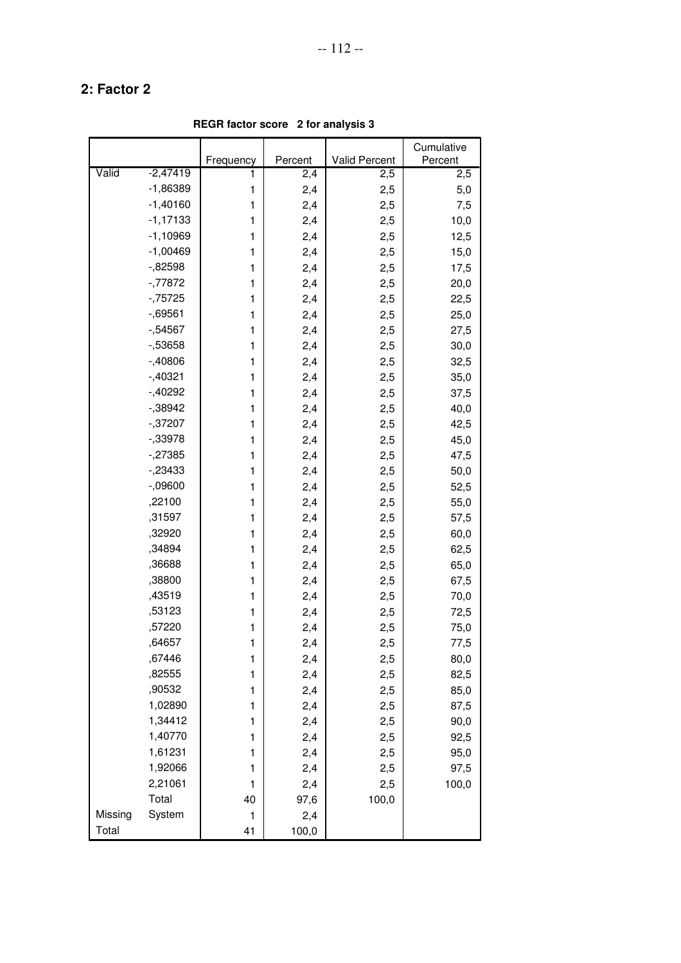**REGR factor score 2 for analysis 3**

|         |            |           |         |               | Cumulative |
|---------|------------|-----------|---------|---------------|------------|
|         |            | Frequency | Percent | Valid Percent | Percent    |
| Valid   | $-2,47419$ | 1         | 2,4     | 2,5           | 2,5        |
|         | $-1,86389$ | 1         | 2,4     | 2,5           | 5,0        |
|         | $-1,40160$ | 1         | 2,4     | 2,5           | 7,5        |
|         | $-1,17133$ | 1         | 2,4     | 2,5           | 10,0       |
|         | $-1,10969$ | 1         | 2,4     | 2,5           | 12,5       |
|         | $-1,00469$ | 1         | 2,4     | 2,5           | 15,0       |
|         | $-0.82598$ | 1         | 2,4     | 2,5           | 17,5       |
|         | $-77872$   | 1         | 2,4     | 2,5           | 20,0       |
|         | $-75725$   | 1         | 2,4     | 2,5           | 22,5       |
|         | $-0.69561$ | 1         | 2,4     | 2,5           | 25,0       |
|         | $-54567$   | 1         | 2,4     | 2,5           | 27,5       |
|         | $-53658$   | 1         | 2,4     | 2,5           | 30,0       |
|         | $-40806$   | 1         | 2,4     | 2,5           | 32,5       |
|         | $-1,40321$ | 1         | 2,4     | 2,5           | 35,0       |
|         | $-1,40292$ | 1         | 2,4     | 2,5           | 37,5       |
|         | $-0.38942$ | 1         | 2,4     | 2,5           | 40,0       |
|         | $-37207$   | 1         | 2,4     | 2,5           | 42,5       |
|         | $-33978$   | 1         | 2,4     | 2,5           | 45,0       |
|         | $-27385$   | 1         | 2,4     | 2,5           | 47,5       |
|         | $-23433$   | 1         | 2,4     | 2,5           | 50,0       |
|         | $-0.09600$ | 1         | 2,4     | 2,5           | 52,5       |
|         | ,22100     | 1         | 2,4     | 2,5           | 55,0       |
|         | ,31597     | 1         | 2,4     | 2,5           | 57,5       |
|         | ,32920     | 1         | 2,4     | 2,5           | 60,0       |
|         | ,34894     | 1         | 2,4     | 2,5           | 62,5       |
|         | ,36688     | 1         | 2,4     | 2,5           | 65,0       |
|         | ,38800     | 1         | 2,4     | 2,5           | 67,5       |
|         | ,43519     | 1         | 2,4     | 2,5           | 70,0       |
|         | ,53123     | 1         | 2,4     | 2,5           | 72,5       |
|         | ,57220     | 1         | 2,4     | 2,5           | 75,0       |
|         | ,64657     | 1         | 2,4     | 2,5           | 77,5       |
|         | ,67446     | 1         | 2,4     | 2,5           | 80,0       |
|         | ,82555     | 1         | 2,4     | 2,5           | 82,5       |
|         | ,90532     | 1         | 2,4     | 2,5           | 85,0       |
|         | 1,02890    | 1         | 2,4     | 2,5           | 87,5       |
|         | 1,34412    | 1         | 2,4     | 2,5           | 90,0       |
|         | 1,40770    | 1         | 2,4     | 2,5           | 92,5       |
|         | 1,61231    | 1         | 2,4     | 2,5           | 95,0       |
|         | 1,92066    | 1         | 2,4     | 2,5           | 97,5       |
|         | 2,21061    | 1         | 2,4     | 2,5           | 100,0      |
|         | Total      | 40        | 97,6    | 100,0         |            |
| Missing | System     | 1         | 2,4     |               |            |
| Total   |            | 41        | 100,0   |               |            |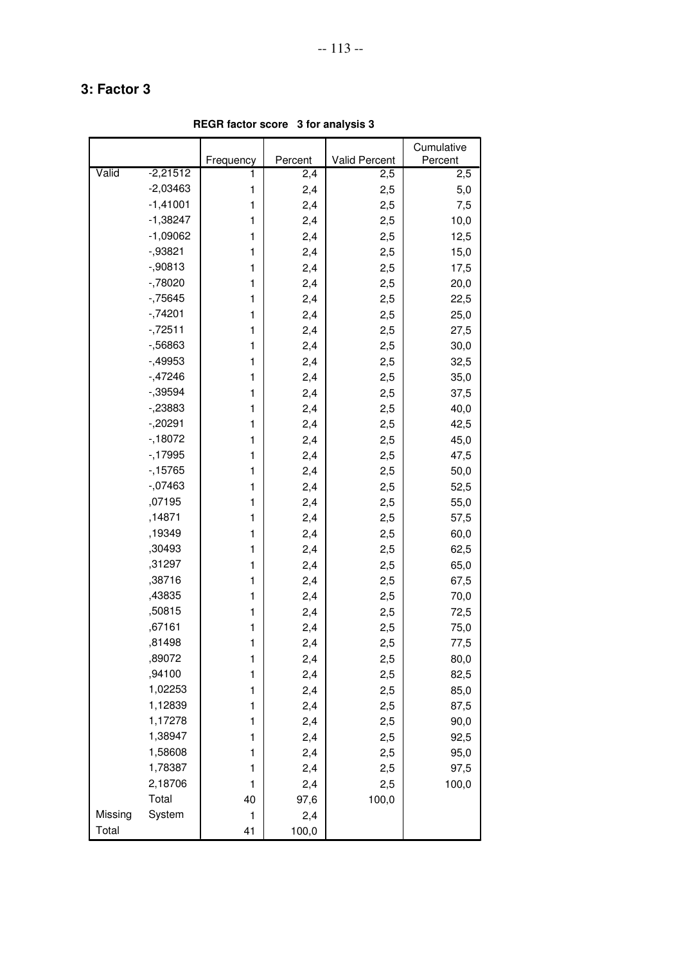**REGR factor score 3 for analysis 3**

|         |            |           |         |               | Cumulative |
|---------|------------|-----------|---------|---------------|------------|
|         |            | Frequency | Percent | Valid Percent | Percent    |
| Valid   | $-2,21512$ | 1         | 2,4     | 2,5           | 2,5        |
|         | $-2,03463$ | 1         | 2,4     | 2,5           | 5,0        |
|         | $-1,41001$ | 1         | 2,4     | 2,5           | 7,5        |
|         | $-1,38247$ | 1         | 2,4     | 2,5           | 10,0       |
|         | $-1,09062$ | 1         | 2,4     | 2,5           | 12,5       |
|         | $-0.93821$ | 1         | 2,4     | 2,5           | 15,0       |
|         | $-0.90813$ | 1         | 2,4     | 2,5           | 17,5       |
|         | $-78020$   | 1         | 2,4     | 2,5           | 20,0       |
|         | $-75645$   | 1         | 2,4     | 2,5           | 22,5       |
|         | $-74201$   | 1         | 2,4     | 2,5           | 25,0       |
|         | $-72511$   | 1         | 2,4     | 2,5           | 27,5       |
|         | $-56863$   | 1         | 2,4     | 2,5           | 30,0       |
|         | $-1,49953$ | 1         | 2,4     | 2,5           | 32,5       |
|         | $-47246$   | 1         | 2,4     | 2,5           | 35,0       |
|         | $-0.39594$ | 1         | 2,4     | 2,5           | 37,5       |
|         | $-23883$   | 1         | 2,4     | 2,5           | 40,0       |
|         | $-20291$   | 1         | 2,4     | 2,5           | 42,5       |
|         | $-18072$   | 1         | 2,4     | 2,5           | 45,0       |
|         | $-17995$   | 1         | 2,4     | 2,5           | 47,5       |
|         | $-15765$   | 1         | 2,4     | 2,5           | 50,0       |
|         | $-07463$   | 1         | 2,4     | 2,5           | 52,5       |
|         | ,07195     | 1         | 2,4     | 2,5           | 55,0       |
|         | ,14871     | 1         | 2,4     | 2,5           | 57,5       |
|         | ,19349     | 1         | 2,4     | 2,5           | 60,0       |
|         | ,30493     | 1         | 2,4     | 2,5           | 62,5       |
|         | ,31297     | 1         | 2,4     | 2,5           | 65,0       |
|         | ,38716     | 1         | 2,4     | 2,5           | 67,5       |
|         | ,43835     | 1         | 2,4     | 2,5           | 70,0       |
|         | ,50815     | 1         | 2,4     | 2,5           | 72,5       |
|         | ,67161     | 1         | 2,4     | 2,5           | 75,0       |
|         | ,81498     | 1         | 2,4     | 2,5           | 77,5       |
|         | ,89072     | 1         | 2,4     | 2,5           | 80,0       |
|         | ,94100     | 1         | 2,4     | 2,5           | 82,5       |
|         | 1,02253    | 1         | 2,4     | 2,5           | 85,0       |
|         | 1,12839    | 1         | 2,4     | 2,5           | 87,5       |
|         | 1,17278    | 1         | 2,4     | 2,5           | 90,0       |
|         | 1,38947    | 1         | 2,4     | 2,5           | 92,5       |
|         | 1,58608    | 1         | 2,4     | 2,5           | 95,0       |
|         | 1,78387    | 1         | 2,4     | 2,5           | 97,5       |
|         | 2,18706    | 1         | 2,4     | 2,5           | 100,0      |
|         | Total      | 40        | 97,6    | 100,0         |            |
| Missing | System     | 1         | 2,4     |               |            |
| Total   |            | 41        | 100,0   |               |            |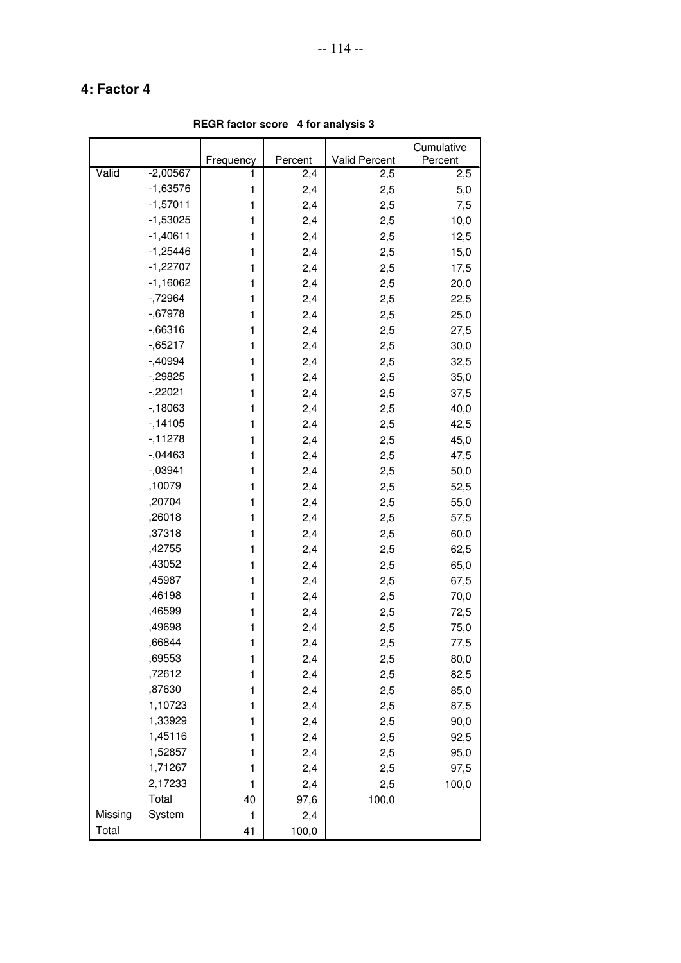**REGR factor score 4 for analysis 3**

|         |            |           |         |               | Cumulative |
|---------|------------|-----------|---------|---------------|------------|
|         |            | Frequency | Percent | Valid Percent | Percent    |
| Valid   | $-2,00567$ | 1         | 2,4     | 2,5           | 2,5        |
|         | $-1,63576$ | 1         | 2,4     | 2,5           | 5,0        |
|         | $-1,57011$ | 1         | 2,4     | 2,5           | 7,5        |
|         | $-1,53025$ | 1         | 2,4     | 2,5           | 10,0       |
|         | $-1,40611$ | 1         | 2,4     | 2,5           | 12,5       |
|         | $-1,25446$ | 1         | 2,4     | 2,5           | 15,0       |
|         | $-1,22707$ | 1         | 2,4     | 2,5           | 17,5       |
|         | $-1,16062$ | 1         | 2,4     | 2,5           | 20,0       |
|         | $-72964$   | 1         | 2,4     | 2,5           | 22,5       |
|         | $-0.67978$ | 1         | 2,4     | 2,5           | 25,0       |
|         | $-0.66316$ | 1         | 2,4     | 2,5           | 27,5       |
|         | $-0.65217$ | 1         | 2,4     | 2,5           | 30,0       |
|         | $-0.40994$ | 1         | 2,4     | 2,5           | 32,5       |
|         | $-29825$   | 1         | 2,4     | 2,5           | 35,0       |
|         | $-22021$   | 1         | 2,4     | 2,5           | 37,5       |
|         | $-18063$   | 1         | 2,4     | 2,5           | 40,0       |
|         | $-14105$   | 1         | 2,4     | 2,5           | 42,5       |
|         | $-11278$   | 1         | 2,4     | 2,5           | 45,0       |
|         | $-0.04463$ | 1         | 2,4     | 2,5           | 47,5       |
|         | $-0.03941$ | 1         | 2,4     | 2,5           | 50,0       |
|         | ,10079     | 1         | 2,4     | 2,5           | 52,5       |
|         | ,20704     | 1         | 2,4     | 2,5           | 55,0       |
|         | ,26018     | 1         | 2,4     | 2,5           | 57,5       |
|         | ,37318     | 1         | 2,4     | 2,5           | 60,0       |
|         | ,42755     | 1         | 2,4     | 2,5           | 62,5       |
|         | ,43052     | 1         | 2,4     | 2,5           | 65,0       |
|         | ,45987     | 1         | 2,4     | 2,5           | 67,5       |
|         | ,46198     | 1         | 2,4     | 2,5           | 70,0       |
|         | ,46599     | 1         | 2,4     | 2,5           | 72,5       |
|         | ,49698     | 1         | 2,4     | 2,5           | 75,0       |
|         | ,66844     | 1         | 2,4     | 2,5           | 77,5       |
|         | ,69553     | 1         | 2,4     | 2,5           | 80,0       |
|         | ,72612     | 1         | 2,4     | 2,5           | 82,5       |
|         | ,87630     | 1         | 2,4     | 2,5           | 85,0       |
|         | 1,10723    | 1         | 2,4     | 2,5           | 87,5       |
|         | 1,33929    | 1         | 2,4     | 2,5           | 90,0       |
|         | 1,45116    | 1         | 2,4     | 2,5           | 92,5       |
|         | 1,52857    | 1         | 2,4     | 2,5           | 95,0       |
|         | 1,71267    | 1         | 2,4     | 2,5           | 97,5       |
|         | 2,17233    | 1         | 2,4     | 2,5           | 100,0      |
|         | Total      | 40        | 97,6    | 100,0         |            |
| Missing | System     | 1         | 2,4     |               |            |
| Total   |            | 41        | 100,0   |               |            |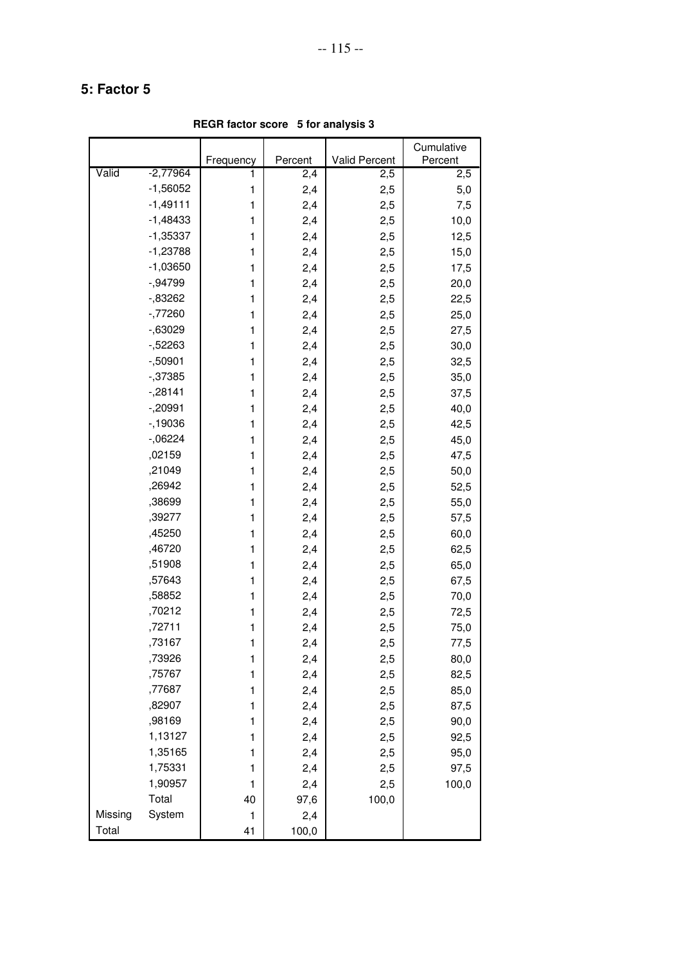**REGR factor score 5 for analysis 3**

|         |            |           |         |               | Cumulative |
|---------|------------|-----------|---------|---------------|------------|
|         |            | Frequency | Percent | Valid Percent | Percent    |
| Valid   | $-2,77964$ | 1         | 2,4     | 2,5           | 2,5        |
|         | $-1,56052$ | 1         | 2,4     | 2,5           | 5,0        |
|         | $-1,49111$ | 1         | 2,4     | 2,5           | 7,5        |
|         | $-1,48433$ | 1         | 2,4     | 2,5           | 10,0       |
|         | $-1,35337$ | 1         | 2,4     | 2,5           | 12,5       |
|         | $-1,23788$ | 1         | 2,4     | 2,5           | 15,0       |
|         | $-1,03650$ | 1         | 2,4     | 2,5           | 17,5       |
|         | $-0.94799$ | 1         | 2,4     | 2,5           | 20,0       |
|         | $-0.83262$ | 1         | 2,4     | 2,5           | 22,5       |
|         | $-77260$   | 1         | 2,4     | 2,5           | 25,0       |
|         | $-0.63029$ | 1         | 2,4     | 2,5           | 27,5       |
|         | $-52263$   | 1         | 2,4     | 2,5           | 30,0       |
|         | $-0.50901$ | 1         | 2,4     | 2,5           | 32,5       |
|         | $-37385$   | 1         | 2,4     | 2,5           | 35,0       |
|         | $-28141$   | 1         | 2,4     | 2,5           | 37,5       |
|         | $-20991$   | 1         | 2,4     | 2,5           | 40,0       |
|         | $-19036$   | 1         | 2,4     | 2,5           | 42,5       |
|         | $-06224$   | 1         | 2,4     | 2,5           | 45,0       |
|         | ,02159     | 1         | 2,4     | 2,5           | 47,5       |
|         | ,21049     | 1         | 2,4     | 2,5           | 50,0       |
|         | ,26942     | 1         | 2,4     | 2,5           | 52,5       |
|         | ,38699     | 1         | 2,4     | 2,5           | 55,0       |
|         | ,39277     | 1         | 2,4     | 2,5           | 57,5       |
|         | ,45250     | 1         | 2,4     | 2,5           | 60,0       |
|         | ,46720     | 1         | 2,4     | 2,5           | 62,5       |
|         | ,51908     | 1         | 2,4     | 2,5           | 65,0       |
|         | ,57643     | 1         | 2,4     | 2,5           | 67,5       |
|         | ,58852     | 1         | 2,4     | 2,5           | 70,0       |
|         | ,70212     | 1         | 2,4     | 2,5           | 72,5       |
|         | ,72711     | 1         | 2,4     | 2,5           | 75,0       |
|         | ,73167     | 1         | 2,4     | 2,5           | 77,5       |
|         | ,73926     | 1         | 2,4     | 2,5           | 80,0       |
|         | ,75767     | 1         | 2,4     | 2,5           | 82,5       |
|         | ,77687     | 1         | 2,4     | 2,5           | 85,0       |
|         | ,82907     | 1         | 2,4     | 2,5           | 87,5       |
|         | ,98169     | 1         | 2,4     | 2,5           | 90,0       |
|         | 1,13127    | 1         | 2,4     | 2,5           | 92,5       |
|         | 1,35165    | 1         | 2,4     | 2,5           | 95,0       |
|         | 1,75331    | 1         | 2,4     | 2,5           | 97,5       |
|         | 1,90957    | 1         | 2,4     | 2,5           | 100,0      |
|         | Total      | 40        | 97,6    | 100,0         |            |
| Missing | System     | 1         | 2,4     |               |            |
| Total   |            | 41        | 100,0   |               |            |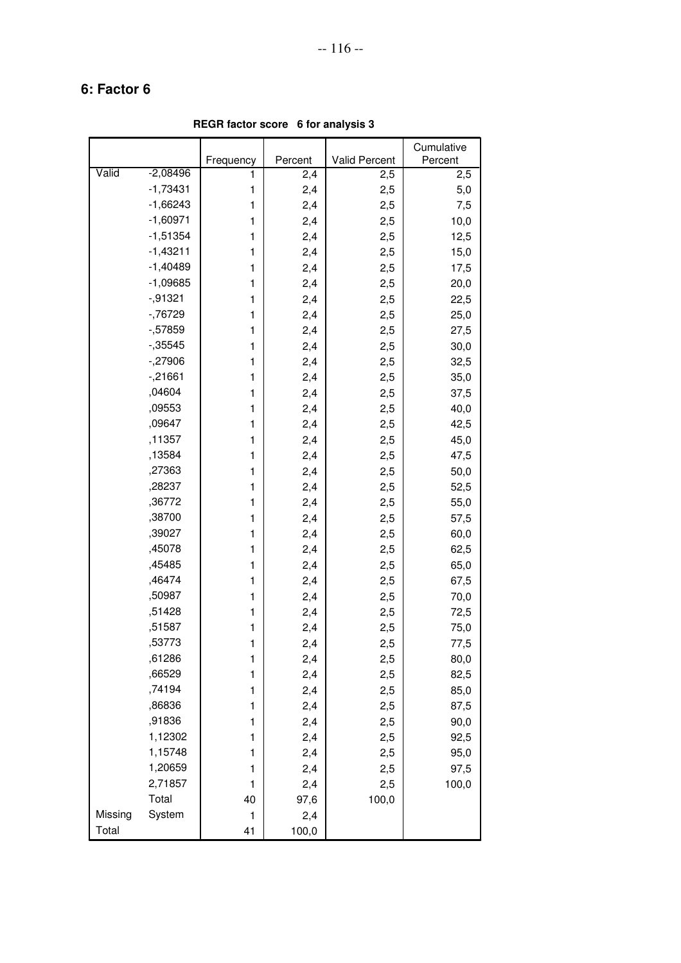**REGR factor score 6 for analysis 3**

|         |            |              |         |               | Cumulative |
|---------|------------|--------------|---------|---------------|------------|
|         |            | Frequency    | Percent | Valid Percent | Percent    |
| Valid   | $-2,08496$ | 1            | 2,4     | 2,5           | 2,5        |
|         | $-1,73431$ | 1            | 2,4     | 2,5           | 5,0        |
|         | $-1,66243$ | 1            | 2,4     | 2,5           | 7,5        |
|         | $-1,60971$ | 1            | 2,4     | 2,5           | 10,0       |
|         | $-1,51354$ | 1            | 2,4     | 2,5           | 12,5       |
|         | $-1,43211$ | 1            | 2,4     | 2,5           | 15,0       |
|         | $-1,40489$ | 1            | 2,4     | 2,5           | 17,5       |
|         | $-1,09685$ | 1            | 2,4     | 2,5           | 20,0       |
|         | $-0.91321$ | 1            | 2,4     | 2,5           | 22,5       |
|         | $-76729$   | 1            | 2,4     | 2,5           | 25,0       |
|         | $-57859$   | 1            | 2,4     | 2,5           | 27,5       |
|         | $-0.35545$ | 1            | 2,4     | 2,5           | 30,0       |
|         | $-.27906$  | 1            | 2,4     | 2,5           | 32,5       |
|         | $-21661$   | 1            | 2,4     | 2,5           | 35,0       |
|         | ,04604     | 1            | 2,4     | 2,5           | 37,5       |
|         | ,09553     | 1            | 2,4     | 2,5           | 40,0       |
|         | ,09647     | 1            | 2,4     | 2,5           | 42,5       |
|         | ,11357     | $\mathbf{1}$ | 2,4     | 2,5           | 45,0       |
|         | ,13584     | 1            | 2,4     | 2,5           | 47,5       |
|         | ,27363     | 1            | 2,4     | 2,5           | 50,0       |
|         | ,28237     | 1            | 2,4     | 2,5           | 52,5       |
|         | ,36772     | 1            | 2,4     | 2,5           | 55,0       |
|         | ,38700     | 1            | 2,4     | 2,5           | 57,5       |
|         | ,39027     | 1            | 2,4     | 2,5           | 60,0       |
|         | ,45078     | 1            | 2,4     | 2,5           | 62,5       |
|         | ,45485     | 1            | 2,4     | 2,5           | 65,0       |
|         | ,46474     | 1            | 2,4     | 2,5           | 67,5       |
|         | ,50987     | 1            | 2,4     | 2,5           | 70,0       |
|         | ,51428     | 1            | 2,4     | 2,5           | 72,5       |
|         | ,51587     | 1            | 2,4     | 2,5           | 75,0       |
|         | ,53773     | 1            | 2,4     | 2,5           | 77,5       |
|         | ,61286     | 1            | 2,4     | 2,5           | 80,0       |
|         | ,66529     | 1            | 2,4     | 2,5           | 82,5       |
|         | ,74194     | 1            | 2,4     | 2,5           | 85,0       |
|         | ,86836     | 1            | 2,4     | 2,5           | 87,5       |
|         | ,91836     | 1            | 2,4     | 2,5           | 90,0       |
|         | 1,12302    | 1            | 2,4     | 2,5           | 92,5       |
|         | 1,15748    | 1            | 2,4     | 2,5           | 95,0       |
|         | 1,20659    | 1            | 2,4     | 2,5           | 97,5       |
|         | 2,71857    | 1            | 2,4     | 2,5           | 100,0      |
|         | Total      | 40           | 97,6    | 100,0         |            |
| Missing | System     | 1            | 2,4     |               |            |
| Total   |            | 41           | 100,0   |               |            |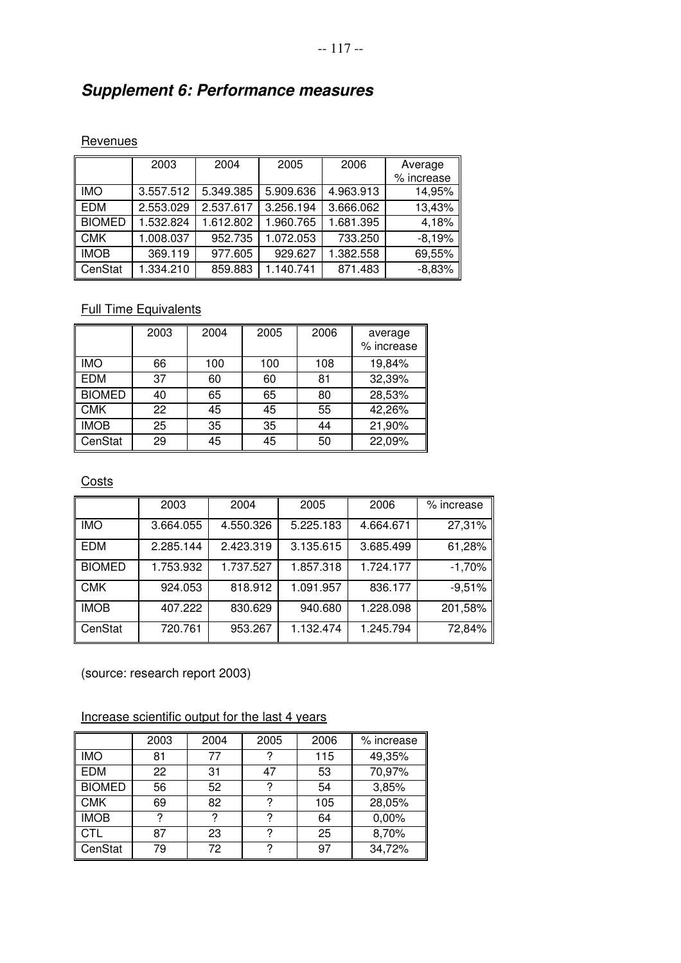# **Supplement 6: Performance measures**

#### **Revenues**

|               | 2003      | 2004      | 2005      | 2006      | Average    |
|---------------|-----------|-----------|-----------|-----------|------------|
|               |           |           |           |           | % increase |
| <b>IMO</b>    | 3.557.512 | 5.349.385 | 5.909.636 | 4.963.913 | 14,95%     |
| <b>EDM</b>    | 2.553.029 | 2.537.617 | 3.256.194 | 3.666.062 | 13,43%     |
| <b>BIOMED</b> | 1.532.824 | 1.612.802 | 1.960.765 | 1.681.395 | 4,18%      |
| <b>CMK</b>    | 1.008.037 | 952.735   | 1.072.053 | 733.250   | $-8,19%$   |
| <b>IMOB</b>   | 369.119   | 977.605   | 929.627   | 1.382.558 | 69,55%     |
| CenStat       | 1.334.210 | 859.883   | 1.140.741 | 871.483   | $-8,83%$   |

#### **Full Time Equivalents**

|               | 2003 | 2004 | 2005 | 2006 | average<br>% increase |
|---------------|------|------|------|------|-----------------------|
| <b>IMO</b>    | 66   | 100  | 100  | 108  | 19,84%                |
| <b>EDM</b>    | 37   | 60   | 60   | 81   | 32,39%                |
| <b>BIOMED</b> | 40   | 65   | 65   | 80   | 28,53%                |
| <b>CMK</b>    | 22   | 45   | 45   | 55   | 42,26%                |
| <b>IMOB</b>   | 25   | 35   | 35   | 44   | 21,90%                |
| CenStat       | 29   | 45   | 45   | 50   | 22,09%                |

#### **Costs**

|               | 2003      | 2004      | 2005      | 2006      | % increase |
|---------------|-----------|-----------|-----------|-----------|------------|
| <b>IMO</b>    | 3.664.055 | 4.550.326 | 5.225.183 | 4.664.671 | 27,31%     |
| <b>EDM</b>    | 2.285.144 | 2.423.319 | 3.135.615 | 3.685.499 | 61,28%     |
| <b>BIOMED</b> | 1.753.932 | 1.737.527 | 1.857.318 | 1.724.177 | $-1,70%$   |
| <b>CMK</b>    | 924.053   | 818.912   | 1.091.957 | 836.177   | $-9,51%$   |
| <b>IMOB</b>   | 407.222   | 830.629   | 940.680   | 1.228.098 | 201,58%    |
| CenStat       | 720.761   | 953.267   | 1.132.474 | 1.245.794 | 72,84%     |

(source: research report 2003)

#### Increase scientific output for the last 4 years

|               | 2003 | 2004 | 2005 | 2006 | % increase |
|---------------|------|------|------|------|------------|
| <b>IMO</b>    | 81   | 77   | ?    | 115  | 49,35%     |
| <b>EDM</b>    | 22   | 31   | 47   | 53   | 70,97%     |
| <b>BIOMED</b> | 56   | 52   | ?    | 54   | 3,85%      |
| <b>CMK</b>    | 69   | 82   | 2    | 105  | 28,05%     |
| <b>IMOB</b>   | ?    | ?    | ?    | 64   | 0,00%      |
| <b>CTL</b>    | 87   | 23   | 2    | 25   | 8,70%      |
| CenStat       | 79   | 72   | ?    | 97   | 34,72%     |